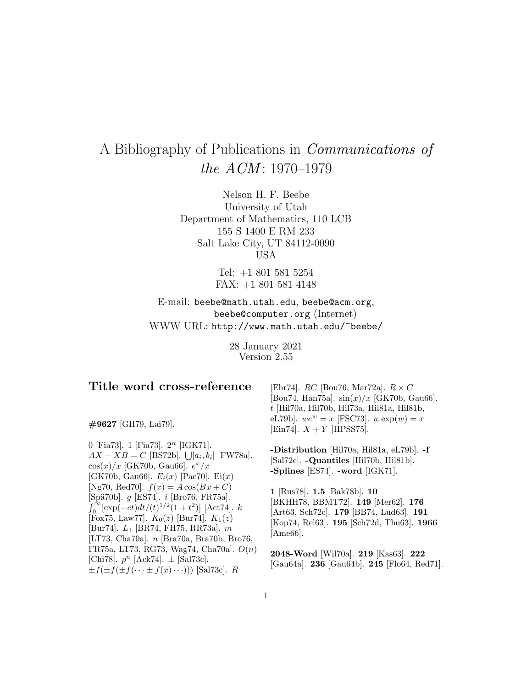# A Bibliography of Publications in Communications of the  $ACM$ : 1970–1979

Nelson H. F. Beebe University of Utah Department of Mathematics, 110 LCB 155 S 1400 E RM 233 Salt Lake City, UT 84112-0090 USA

> Tel: +1 801 581 5254 FAX: +1 801 581 4148

E-mail: beebe@math.utah.edu, beebe@acm.org, beebe@computer.org (Internet) WWW URL: http://www.math.utah.edu/~beebe/

> 28 January 2021 Version 2.55

# **Title word cross-reference**

**#9627** [GH79, Lai79].

0 [Fia73]. 1 [Fia73].  $2<sup>n</sup>$  [IGK71].  $AX + XB = C$  [BS72b].  $\bigcup [a_i, b_i]$  [FW78a].  $\cos(x)/x$  [GK70b, Gau66].  $e^x/x$ [GK70b, Gau66].  $E_i(x)$  [Pac70]. Ei(x) [Ng70, Red70].  $f(x) = A \cos(Bx + C)$ [Spä70b]. *g* [ES74]. *i* [Bro76, FR75a].  $\int_0^\infty [\exp(-ct)dt/(t)^{1/2}(1+t^2)]$  [Act74]. k [Fox75, Law77].  $K_0(z)$  [Bur74].  $K_1(z)$ [Bur74].  $L_1$  [BR74, FH75, RR73a].  $m$ [LT73, Cha70a]. n [Bra70a, Bra70b, Bro76, FR75a, LT73, RG73, Wag74, Cha70a]. O(n) [Chi78].  $p^n$  [Ack74].  $\pm$  [Sal73c].  $\pm f(\pm f(\pm f(\cdots \pm f(x)\cdots)))$  [Sal73c]. R

[Ehr74].  $RC$  [Bou76, Mar72a].  $R \times C$ [Bou74, Han75a].  $\sin(x)/x$  [GK70b, Gau66]. t [Hil70a, Hil70b, Hil73a, Hil81a, Hil81b, eL79b].  $we^w = x$  [FSC73].  $w \exp(w) = x$ [Ein74].  $X + Y$  [HPSS75].

**-Distribution** [Hil70a, Hil81a, eL79b]. **-f** [Sal72c]. **-Quantiles** [Hil70b, Hil81b]. **-Splines** [ES74]. **-word** [IGK71].

**1** [Rus78]. **1.5** [Bak78b]. **10** [BKHH78, BBMT72]. **149** [Mer62]. **176** [Art63, Sch72c]. **179** [BB74, Lud63]. **191** [Kop74, Rel63]. **195** [Sch72d, Thu63]. **1966** [Ame66].

**2048-Word** [Wil70a]. **219** [Kas63]. **222** [Gau64a]. **236** [Gau64b]. **245** [Flo64, Red71].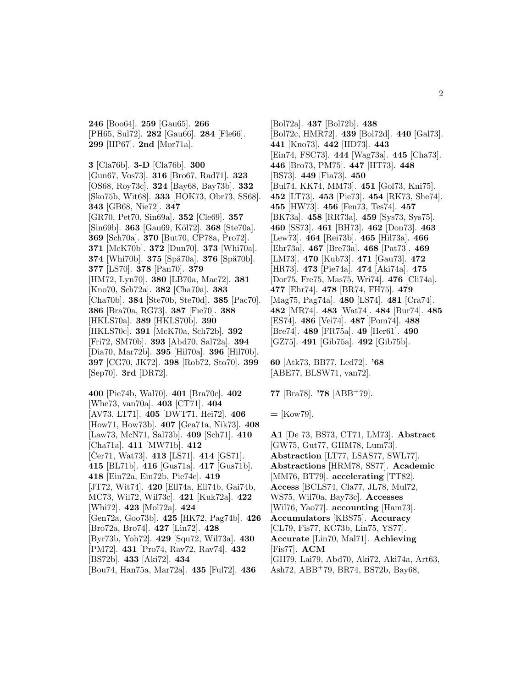**246** [Boo64]. **259** [Gau65]. **266** [PH65, Sul72]. **282** [Gau66]. **284** [Fle66]. **299** [HP67]. **2nd** [Mor71a].

**3** [Cla76b]. **3-D** [Cla76b]. **300** [Gun67, Vos73]. **316** [Bro67, Rad71]. **323** [OS68, Roy73c]. **324** [Bay68, Bay73b]. **332** [Sko75b, Wit68]. **333** [HOK73, Obr73, SS68]. **343** [GB68, Nie72]. **347** [GR70, Pet70, Sin69a]. **352** [Cle69]. **357** [Sin69b]. **363** [Gau69, K¨ol72]. **368** [Ste70a]. **369** [Sch70a]. **370** [But70, CP78a, Pro72]. **371** [McK70b]. **372** [Dun70]. **373** [Whi70a]. **374** [Whi70b]. **375** [Spä70a]. **376** [Spä70b]. **377** [LS70]. **378** [Pan70]. **379** [HM72, Lyn70]. **380** [LB70a, Mac72]. **381** [Kno70, Sch72a]. **382** [Cha70a]. **383** [Cha70b]. **384** [Ste70b, Ste70d]. **385** [Pac70]. **386** [Bra70a, RG73]. **387** [Fie70]. **388** [HKLS70a]. **389** [HKLS70b]. **390** [HKLS70c]. **391** [McK70a, Sch72b]. **392** [Fri72, SM70b]. **393** [Abd70, Sal72a]. **394** [Dia70, Mar72b]. **395** [Hil70a]. **396** [Hil70b]. **397** [CG70, JK72]. **398** [Rob72, Sto70]. **399** [Sep70]. **3rd** [DR72].

**400** [Pie74b, Wal70]. **401** [Bra70c]. **402** [Whe73, van70a]. **403** [CT71]. **404** [AV73, LT71]. **405** [DWT71, Hei72]. **406** [How71, How73b]. **407** [Gea71a, Nik73]. **408** [Law73, McN71, Sal73b]. **409** [Sch71]. **410** [Cha71a]. **411** [MW71b]. **412** [Cer71, Wat73]. **413** [LS71]. **414** [GS71]. **415** [BL71b]. **416** [Gus71a]. **417** [Gus71b]. **418** [Ein72a, Ein72b, Pie74c]. **419** [JT72, Wit74]. **420** [Ell74a, Ell74b, Gai74b, MC73, Wil72, Wil73c]. **421** [Kuk72a]. **422** [Whi72]. **423** [Mol72a]. **424** [Gen72a, Goo73b]. **425** [HK72, Pag74b]. **426** [Bro72a, Bro74]. **427** [Lin72]. **428** [Byr73b, Yoh72]. **429** [Squ72, Wil73a]. **430** [PM72]. **431** [Pro74, Rav72, Rav74]. **432** [BS72b]. **433** [Aki72]. **434** [Bou74, Han75a, Mar72a]. **435** [Ful72]. **436**

[Bol72a]. **437** [Bol72b]. **438** [Bol72c, HMR72]. **439** [Bol72d]. **440** [Gal73]. **441** [Kno73]. **442** [HD73]. **443** [Ein74, FSC73]. **444** [Wag73a]. **445** [Cha73]. **446** [Bro73, PM75]. **447** [HT73]. **448** [BS73]. **449** [Fia73]. **450** [Bul74, KK74, MM73]. **451** [Gol73, Kni75]. **452** [LT73]. **453** [Pie73]. **454** [RK73, She74]. **455** [HW73]. **456** [Fen73, Tes74]. **457** [BK73a]. **458** [RR73a]. **459** [Sys73, Sys75]. **460** [SS73]. **461** [BH73]. **462** [Don73]. **463** [Lew73]. **464** [Rei73b]. **465** [Hil73a]. **466** [Ehr73a]. **467** [Bre73a]. **468** [Pat73]. **469** [LM73]. **470** [Kub73]. **471** [Gau73]. **472** [HR73]. **473** [Pie74a]. **474** [Aki74a]. **475** [Dor75, Fre75, Mas75, Wri74]. **476** [Cli74a]. **477** [Ehr74]. **478** [BR74, FH75]. **479** [Mag75, Pag74a]. **480** [LS74]. **481** [Cra74]. **482** [MR74]. **483** [Wat74]. **484** [Bur74]. **485** [ES74]. **486** [Vei74]. **487** [Pom74]. **488** [Bre74]. **489** [FR75a]. **49** [Her61]. **490** [GZ75]. **491** [Gib75a]. **492** [Gib75b].

**60** [Atk73, BB77, Led72]. **'68** [ABE77, BLSW71, van72].

**77** [Bra78]. **'78** [ABB<sup>+</sup>79].

**=** [Kow79].

**A1** [De 73, BS73, CT71, LM73]. **Abstract** [GW75, Gut77, GHM78, Lum73]. **Abstraction** [LT77, LSAS77, SWL77]. **Abstractions** [HRM78, SS77]. **Academic** [MM76, BT79]. **accelerating** [TT82]. **Access** [BCLS74, Cla77, JL78, Mul72, WS75, Wil70a, Bay73c]. **Accesses** [Wil76, Yao77]. **accounting** [Ham73]. **Accumulators** [KBS75]. **Accuracy** [CL79, Fis77, KC73b, Lin75, YS77]. **Accurate** [Lin70, Mal71]. **Achieving** [Fis77]. **ACM** [GH79, Lai79, Abd70, Aki72, Aki74a, Art63, Ash72, ABB<sup>+</sup>79, BR74, BS72b, Bay68,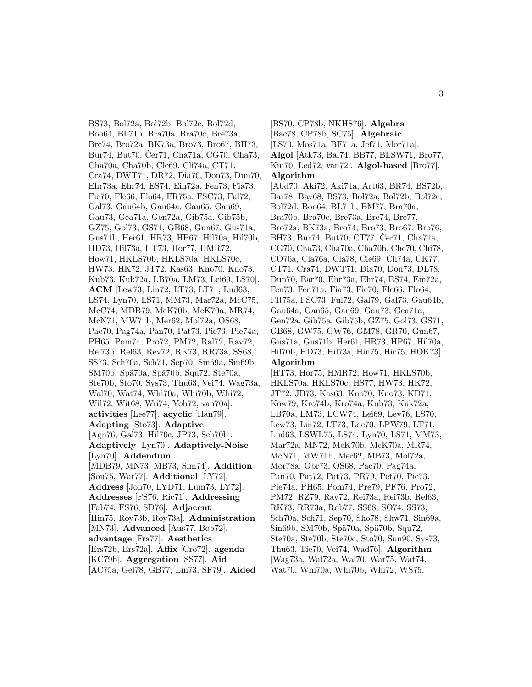BS73, Bol72a, Bol72b, Bol72c, Bol72d, Boo64, BL71b, Bra70a, Bra70c, Bre73a, Bre74, Bro72a, BK73a, Bro73, Bro67, BH73, Bur74, But70, Čer71, Cha71a, CG70, Cha73, Cha70a, Cha70b, Cle69, Cli74a, CT71, Cra74, DWT71, DR72, Dia70, Don73, Dun70, Ehr73a, Ehr74, ES74, Ein72a, Fen73, Fia73, Fie70, Fle66, Flo64, FR75a, FSC73, Ful72, Gal73, Gau64b, Gau64a, Gau65, Gau69, Gau73, Gea71a, Gen72a, Gib75a, Gib75b, GZ75, Gol73, GS71, GB68, Gun67, Gus71a, Gus71b, Her61, HR73, HP67, Hil70a, Hil70b, HD73, Hil73a, HT73, Hor77, HMR72, How71, HKLS70b, HKLS70a, HKLS70c, HW73, HK72, JT72, Kas63, Kno70, Kno73, Kub73, Kuk72a, LB70a, LM73, Lei69, LS70]. **ACM** [Lew73, Lin72, LT73, LT71, Lud63, LS74, Lyn70, LS71, MM73, Mar72a, McC75, McC74, MDB79, McK70b, McK70a, MR74, McN71, MW71b, Mer62, Mol72a, OS68, Pac70, Pag74a, Pan70, Pat73, Pie73, Pie74a, PH65, Pom74, Pro72, PM72, Ral72, Rav72, Rei73b, Rel63, Rev72, RK73, RR73a, SS68, SS73, Sch70a, Sch71, Sep70, Sin69a, Sin69b, SM70b, Spä70a, Spä70b, Squ72, Ste70a, Ste70b, Sto70, Sys73, Thu63, Vei74, Wag73a, Wal70, Wat74, Whi70a, Whi70b, Whi72, Wil72, Wit68, Wri74, Yoh72, van70a]. **activities** [Lee77]. **acyclic** [Han79]. **Adapting** [Sto73]. **Adaptive** [Agn76, Gal73, Hil70c, JP73, Sch70b]. **Adaptively** [Lyn70]. **Adaptively-Noise** [Lyn70]. **Addendum** [MDB79, MN73, MB73, Sim74]. **Addition** [Sou75, War77]. **Additional** [LY72]. **Address** [Jon70, LYD71, Lum73, LY72]. **Addresses** [FS76, Ric71]. **Addressing** [Fab74, FS76, SD76]. **Adjacent** [Hin75, Roy73b, Roy73a]. **Administration** [MN73]. **Advanced** [Aus77, Bob72]. **advantage** [Fra77]. **Aesthetics** [Ers72b, Ers72a]. **Affix** [Cro72]. **agenda** [KC79b]. **Aggregation** [SS77]. **Aid** [AC75a, Gel78, GB77, Lin73, SF79]. **Aided**

[BS70, CP78b, NKHS76]. **Algebra** [Bac78, CP78b, SC75]. **Algebraic** [LS70, Mos71a, BF71a, Jef71, Mor71a]. **Algol** [Atk73, Bal74, BB77, BLSW71, Bro77, Kni70, Led72, van72]. **Algol-based** [Bro77]. **Algorithm**

[Abd70, Aki72, Aki74a, Art63, BR74, BS72b, Bar78, Bay68, BS73, Bol72a, Bol72b, Bol72c, Bol72d, Boo64, BL71b, BM77, Bra70a, Bra70b, Bra70c, Bre73a, Bre74, Bre77, Bro72a, BK73a, Bro74, Bro73, Bro67, Bro76, BH73, Bur74, But70, CT77, Cer71, Cha71a, CG70, Cha73, Cha70a, Cha70b, Che70, Chi78, CO76a, Cla76a, Cla78, Cle69, Cli74a, CK77, CT71, Cra74, DWT71, Dia70, Don73, DL78, Dun70, Ear70, Ehr73a, Ehr74, ES74, Ein72a, Fen73, Fen71a, Fia73, Fie70, Fle66, Flo64, FR75a, FSC73, Ful72, Gal79, Gal73, Gau64b, Gau64a, Gau65, Gau69, Gau73, Gea71a, Gen72a, Gib75a, Gib75b, GZ75, Gol73, GS71, GB68, GW75, GW76, GM78, GR70, Gun67, Gus71a, Gus71b, Her61, HR73, HP67, Hil70a, Hil70b, HD73, Hil73a, Hin75, Hir75, HOK73]. **Algorithm**

[HT73, Hor75, HMR72, How71, HKLS70b, HKLS70a, HKLS70c, HS77, HW73, HK72, JT72, JB73, Kas63, Kno70, Kno73, KD71, Kow79, Kro74b, Kro74a, Kub73, Kuk72a, LB70a, LM73, LCW74, Lei69, Lev76, LS70, Lew73, Lin72, LT73, Loe70, LPW79, LT71, Lud63, LSWL75, LS74, Lyn70, LS71, MM73, Mar72a, MN72, McK70b, McK70a, MR74, McN71, MW71b, Mer62, MB73, Mol72a, Mor78a, Obr73, OS68, Pac70, Pag74a, Pan70, Pat72, Pat73, PR79, Pet70, Pie73, Pie74a, PH65, Pom74, Pre79, PF76, Pro72, PM72, RZ79, Rav72, Rei73a, Rei73b, Rel63, RK73, RR73a, Rob77, SS68, SO74, SS73, Sch70a, Sch71, Sep70, Sho78, Shw71, Sin69a, Sin69b, SM70b, Spä70a, Spä70b, Squ72, Ste70a, Ste70b, Ste70c, Sto70, Sun90, Sys73, Thu63, Tie70, Vei74, Wad76]. **Algorithm** [Wag73a, Wal72a, Wal70, War75, Wat74, Wat70, Whi70a, Whi70b, Whi72, WS75,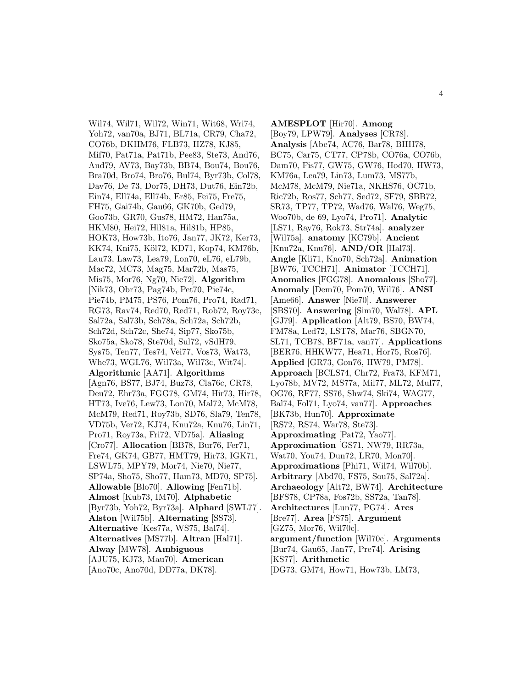Wil74, Wil71, Wil72, Win71, Wit68, Wri74, Yoh72, van70a, BJ71, BL71a, CR79, Cha72, CO76b, DKHM76, FLB73, HZ78, KJ85, Mif70, Pat71a, Pat71b, Pee83, Ste73, And76, And79, AV73, Bay73b, BB74, Bou74, Bou76, Bra70d, Bro74, Bro76, Bul74, Byr73b, Col78, Dav76, De 73, Dor75, DH73, Dut76, Ein72b, Ein74, Ell74a, Ell74b, Er85, Fei75, Fre75, FH75, Gai74b, Gau66, GK70b, Ged79, Goo73b, GR70, Gus78, HM72, Han75a, HKM80, Hei72, Hil81a, Hil81b, HP85, HOK73, How73b, Ito76, Jan77, JK72, Ker73, KK74, Kni75, Köl72, KD71, Kop74, KM76b, Lau73, Law73, Lea79, Lon70, eL76, eL79b, Mac72, MC73, Mag75, Mar72b, Mas75, Mis75, Mor76, Ng70, Nie72]. **Algorithm** [Nik73, Obr73, Pag74b, Pet70, Pie74c, Pie74b, PM75, PS76, Pom76, Pro74, Rad71, RG73, Rav74, Red70, Red71, Rob72, Roy73c, Sal72a, Sal73b, Sch78a, Sch72a, Sch72b, Sch72d, Sch72c, She74, Sip77, Sko75b, Sko75a, Sko78, Ste70d, Sul72, vSdH79, Sys75, Ten77, Tes74, Vei77, Vos73, Wat73, Whe73, WGL76, Wil73a, Wil73c, Wit74]. **Algorithmic** [AA71]. **Algorithms** [Agn76, BS77, BJ74, Buz73, Cla76c, CR78, Deu72, Ehr73a, FGG78, GM74, Hir73, Hir78, HT73, Ive76, Lew73, Lon70, Mal72, McM78, McM79, Red71, Roy73b, SD76, Sla79, Ten78, VD75b, Ver72, KJ74, Knu72a, Knu76, Lin71, Pro71, Roy73a, Fri72, VD75a]. **Aliasing** [Cro77]. **Allocation** [BB78, Bur76, Fer71, Fre74, GK74, GB77, HMT79, Hir73, IGK71, LSWL75, MPY79, Mor74, Nie70, Nie77, SP74a, Sho75, Sho77, Ham73, MD70, SP75]. **Allowable** [Blo70]. **Allowing** [Fen71b]. **Almost** [Kub73, IM70]. **Alphabetic** [Byr73b, Yoh72, Byr73a]. **Alphard** [SWL77]. **Alston** [Wil75b]. **Alternating** [SS73]. **Alternative** [Kes77a, WS75, Bal74]. **Alternatives** [MS77b]. **Altran** [Hal71]. **Alway** [MW78]. **Ambiguous** [AJU75, KJ73, Mau70]. **American** [Ano70c, Ano70d, DD77a, DK78].

**AMESPLOT** [Hir70]. **Among** [Boy79, LPW79]. **Analyses** [CR78]. **Analysis** [Abe74, AC76, Bar78, BHH78, BC75, Car75, CT77, CP78b, CO76a, CO76b, Dam70, Fis77, GW75, GW76, Hod70, HW73, KM76a, Lea79, Lin73, Lum73, MS77b, McM78, McM79, Nie71a, NKHS76, OC71b, Ric72b, Ros77, Sch77, Sed72, SF79, SBB72, SR73, TP77, TP72, Wad76, Wal76, Weg75, Woo70b, de 69, Lyo74, Pro71]. **Analytic** [LS71, Ray76, Rok73, Str74a]. **analyzer** [Wil75a]. **anatomy** [KC79b]. **Ancient** [Knu72a, Knu76]. **AND/OR** [Hal73]. **Angle** [Kli71, Kno70, Sch72a]. **Animation** [BW76, TCCH71]. **Animator** [TCCH71]. **Anomalies** [FGG78]. **Anomalous** [Sho77]. **Anomaly** [Dem70, Pom70, Wil76]. **ANSI** [Ame66]. **Answer** [Nie70]. **Answerer** [SBS70]. **Answering** [Sim70, Wal78]. **APL** [GJ79]. **Application** [Alt79, BS70, BW74, FM78a, Led72, LST78, Mar76, SBGN70, SL71, TCB78, BF71a, van77]. **Applications** [BER76, HHKW77, Hea71, Hor75, Ros76]. **Applied** [GR73, Gon76, HW79, PM78]. **Approach** [BCLS74, Chr72, Fra73, KFM71, Lyo78b, MV72, MS77a, Mil77, ML72, Mul77, OG76, RF77, SS76, Shw74, Ski74, WAG77, Bal74, Fol71, Lyo74, van77]. **Approaches** [BK73b, Hun70]. **Approximate** [RS72, RS74, War78, Ste73]. **Approximating** [Pat72, Yao77]. **Approximation** [GS71, NW79, RR73a, Wat70, You74, Dun72, LR70, Mon70]. **Approximations** [Phi71, Wil74, Wil70b]. **Arbitrary** [Abd70, FS75, Sou75, Sal72a]. **Archaeology** [Alt72, BW74]. **Architecture** [BFS78, CP78a, Fos72b, SS72a, Tan78]. **Architectures** [Lun77, PG74]. **Arcs** [Bre77]. **Area** [FS75]. **Argument** [GZ75, Mor76, Wil70c]. **argument/function** [Wil70c]. **Arguments** [Bur74, Gau65, Jan77, Pre74]. **Arising** [KS77]. **Arithmetic** [DG73, GM74, How71, How73b, LM73,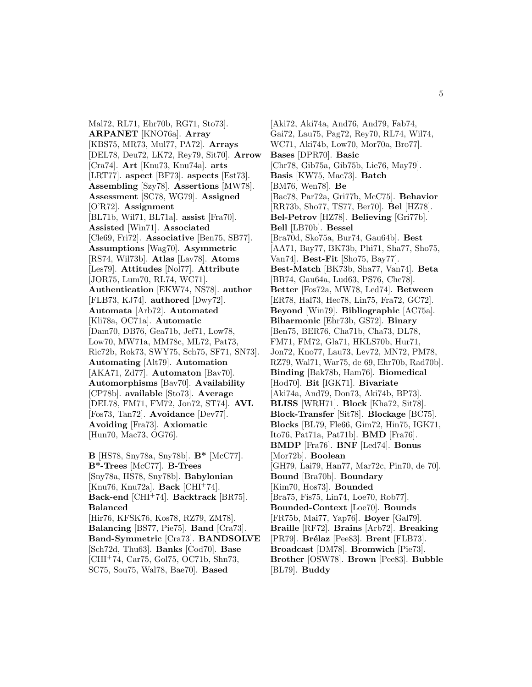Mal72, RL71, Ehr70b, RG71, Sto73]. **ARPANET** [KNO76a]. **Array** [KBS75, MR73, Mul77, PA72]. **Arrays** [DEL78, Deu72, LK72, Rey79, Sit70]. **Arrow** [Cra74]. **Art** [Knu73, Knu74a]. **arts** [LRT77]. **aspect** [BF73]. **aspects** [Est73]. **Assembling** [Szy78]. **Assertions** [MW78]. **Assessment** [SC78, WG79]. **Assigned** [O'R72]. **Assignment** [BL71b, Wil71, BL71a]. **assist** [Fra70]. **Assisted** [Win71]. **Associated** [Cle69, Fri72]. **Associative** [Ben75, SB77]. **Assumptions** [Wag70]. **Asymmetric** [RS74, Wil73b]. **Atlas** [Lav78]. **Atoms** [Les79]. **Attitudes** [Nol77]. **Attribute** [JOR75, Lum70, RL74, WC71]. **Authentication** [EKW74, NS78]. **author** [FLB73, KJ74]. **authored** [Dwy72]. **Automata** [Arb72]. **Automated** [Kli78a, OC71a]. **Automatic** [Dam70, DB76, Gea71b, Jef71, Low78, Low70, MW71a, MM78c, ML72, Pat73, Ric72b, Rok73, SWY75, Sch75, SF71, SN73]. **Automating** [Alt79]. **Automation** [AKA71, Zd77]. **Automaton** [Bav70]. **Automorphisms** [Bav70]. **Availability** [CP78b]. **available** [Sto73]. **Average** [DEL78, FM71, FM72, Jon72, ST74]. **AVL** [Fos73, Tan72]. **Avoidance** [Dev77]. **Avoiding** [Fra73]. **Axiomatic** [Hun70, Mac73, OG76].

**B** [HS78, Sny78a, Sny78b]. **B\*** [McC77]. **B\*-Trees** [McC77]. **B-Trees** [Sny78a, HS78, Sny78b]. **Babylonian** [Knu76, Knu72a]. **Back** [CHI<sup>+</sup>74]. **Back-end** [CHI<sup>+</sup>74]. **Backtrack** [BR75]. **Balanced** [Hir76, KFSK76, Kos78, RZ79, ZM78]. **Balancing** [BS77, Pie75]. **Band** [Cra73]. **Band-Symmetric** [Cra73]. **BANDSOLVE** [Sch72d, Thu63]. **Banks** [Cod70]. **Base** [CHI<sup>+</sup>74, Car75, Gol75, OC71b, Shn73, SC75, Sou75, Wal78, Bae70]. **Based**

[Aki72, Aki74a, And76, And79, Fab74, Gai72, Lau75, Pag72, Rey70, RL74, Wil74, WC71, Aki74b, Low70, Mor70a, Bro77]. **Bases** [DPR70]. **Basic** [Chr78, Gib75a, Gib75b, Lie76, May79]. **Basis** [KW75, Mac73]. **Batch** [BM76, Wen78]. **Be** [Bac78, Par72a, Gri77b, McC75]. **Behavior** [RR73b, Sho77, TS77, Ber70]. **Bel** [HZ78]. **Bel-Petrov** [HZ78]. **Believing** [Gri77b]. **Bell** [LB70b]. **Bessel** [Bra70d, Sko75a, Bur74, Gau64b]. **Best** [AA71, Bay77, BK73b, Phi71, Sha77, Sho75, Van74]. **Best-Fit** [Sho75, Bay77]. **Best-Match** [BK73b, Sha77, Van74]. **Beta** [BB74, Gau64a, Lud63, PS76, Che78]. **Better** [Fos72a, MW78, Led74]. **Between** [ER78, Hal73, Hec78, Lin75, Fra72, GC72]. **Beyond** [Win79]. **Bibliographic** [AC75a]. **Biharmonic** [Ehr73b, GS72]. **Binary** [Ben75, BER76, Cha71b, Cha73, DL78, FM71, FM72, Gla71, HKLS70b, Hur71, Jon72, Kno77, Lau73, Lev72, MN72, PM78, RZ79, Wal71, War75, de 69, Ehr70b, Rad70b]. **Binding** [Bak78b, Ham76]. **Biomedical** [Hod70]. **Bit** [IGK71]. **Bivariate** [Aki74a, And79, Don73, Aki74b, BP73]. **BLISS** [WRH71]. **Block** [Kha72, Sit78]. **Block-Transfer** [Sit78]. **Blockage** [BC75]. **Blocks** [BL79, Fle66, Gim72, Hin75, IGK71, Ito76, Pat71a, Pat71b]. **BMD** [Fra76]. **BMDP** [Fra76]. **BNF** [Led74]. **Bonus** [Mor72b]. **Boolean** [GH79, Lai79, Han77, Mar72c, Pin70, de 70]. **Bound** [Bra70b]. **Boundary** [Kim70, Hos73]. **Bounded** [Bra75, Fis75, Lin74, Loe70, Rob77]. **Bounded-Context** [Loe70]. **Bounds** [FR75b, Mai77, Yap76]. **Boyer** [Gal79]. **Braille** [RF72]. **Brains** [Arb72]. **Breaking** [PR79]. **Brélaz** [Pee83]. **Brent** [FLB73]. **Broadcast** [DM78]. **Bromwich** [Pie73]. **Brother** [OSW78]. **Brown** [Pee83]. **Bubble** [BL79]. **Buddy**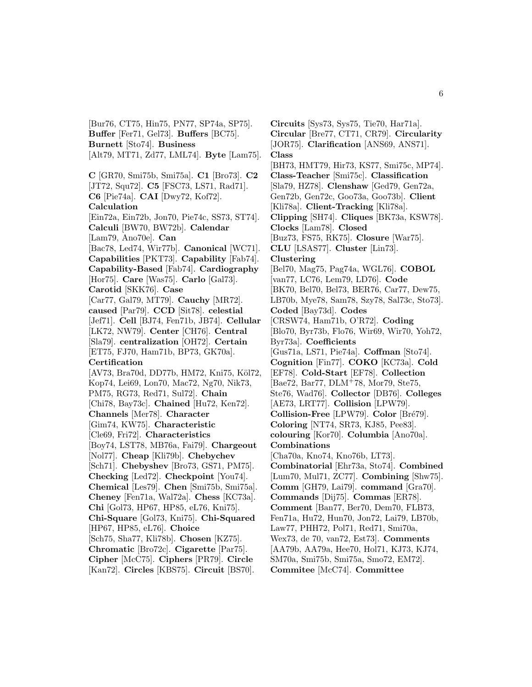[Bur76, CT75, Hin75, PN77, SP74a, SP75]. **Buffer** [Fer71, Gel73]. **Buffers** [BC75]. **Burnett** [Sto74]. **Business** [Alt79, MT71, Zd77, LML74]. **Byte** [Lam75]. **C** [GR70, Smi75b, Smi75a]. **C1** [Bro73]. **C2** [JT72, Squ72]. **C5** [FSC73, LS71, Rad71]. **C6** [Pie74a]. **CAI** [Dwy72, Kof72]. **Calculation** [Ein72a, Ein72b, Jon70, Pie74c, SS73, ST74]. **Calculi** [BW70, BW72b]. **Calendar** [Lam79, Ano70e]. **Can** [Bac78, Led74, Wir77b]. **Canonical** [WC71]. **Capabilities** [PKT73]. **Capability** [Fab74]. **Capability-Based** [Fab74]. **Cardiography** [Hor75]. **Care** [Was75]. **Carlo** [Gal73]. **Carotid** [SKK76]. **Case** [Car77, Gal79, MT79]. **Cauchy** [MR72]. **caused** [Par79]. **CCD** [Sit78]. **celestial** [Jef71]. **Cell** [BJ74, Fen71b, JB74]. **Cellular** [LK72, NW79]. **Center** [CH76]. **Central** [Sla79]. **centralization** [OH72]. **Certain** [ET75, FJ70, Ham71b, BP73, GK70a]. **Certification** [AV73, Bra70d, DD77b, HM72, Kni75, Köl72, Kop74, Lei69, Lon70, Mac72, Ng70, Nik73, PM75, RG73, Red71, Sul72]. **Chain** [Chi78, Bay73c]. **Chained** [Hu72, Ken72]. **Channels** [Mer78]. **Character** [Gim74, KW75]. **Characteristic** [Cle69, Fri72]. **Characteristics** [Boy74, LST78, MB76a, Fai79]. **Chargeout** [Nol77]. **Cheap** [Kli79b]. **Chebychev** [Sch71]. **Chebyshev** [Bro73, GS71, PM75]. **Checking** [Led72]. **Checkpoint** [You74]. **Chemical** [Les79]. **Chen** [Smi75b, Smi75a]. **Cheney** [Fen71a, Wal72a]. **Chess** [KC73a]. **Chi** [Gol73, HP67, HP85, eL76, Kni75]. **Chi-Square** [Gol73, Kni75]. **Chi-Squared** [HP67, HP85, eL76]. **Choice** [Sch75, Sha77, Kli78b]. **Chosen** [KZ75]. **Chromatic** [Bro72c]. **Cigarette** [Par75]. **Cipher** [McC75]. **Ciphers** [PR79]. **Circle** [Kan72]. **Circles** [KBS75]. **Circuit** [BS70].

**Circuits** [Sys73, Sys75, Tie70, Har71a]. **Circular** [Bre77, CT71, CR79]. **Circularity** [JOR75]. **Clarification** [ANS69, ANS71]. **Class** [BH73, HMT79, Hir73, KS77, Smi75c, MP74]. **Class-Teacher** [Smi75c]. **Classification** [Sla79, HZ78]. **Clenshaw** [Ged79, Gen72a, Gen72b, Gen72c, Goo73a, Goo73b]. **Client** [Kli78a]. **Client-Tracking** [Kli78a]. **Clipping** [SH74]. **Cliques** [BK73a, KSW78]. **Clocks** [Lam78]. **Closed** [Buz73, FS75, RK75]. **Closure** [War75]. **CLU** [LSAS77]. **Cluster** [Lin73]. **Clustering** [Bel70, Mag75, Pag74a, WGL76]. **COBOL** [van77, LC76, Lem79, LD76]. **Code** [BK70, Bel70, Bel73, BER76, Car77, Dew75, LB70b, Mye78, Sam78, Szy78, Sal73c, Sto73]. **Coded** [Bay73d]. **Codes** [CRSW74, Ham71b, O'R72]. **Coding** [Blo70, Byr73b, Flo76, Wir69, Wir70, Yoh72, Byr73a]. **Coefficients** [Gus71a, LS71, Pie74a]. **Coffman** [Sto74]. **Cognition** [Fin77]. **COKO** [KC73a]. **Cold** [EF78]. **Cold-Start** [EF78]. **Collection** [Bae72, Bar77, DLM<sup>+</sup>78, Mor79, Ste75, Ste76, Wad76]. **Collector** [DB76]. **Colleges** [AE73, LRT77]. **Collision** [LPW79]. **Collision-Free** [LPW79]. **Color** [Bré79]. **Coloring** [NT74, SR73, KJ85, Pee83]. **colouring** [Kor70]. **Columbia** [Ano70a]. **Combinations** [Cha70a, Kno74, Kno76b, LT73]. **Combinatorial** [Ehr73a, Sto74]. **Combined** [Lum70, Mul71, ZC77]. **Combining** [Shw75]. **Comm** [GH79, Lai79]. **command** [Gra70]. **Commands** [Dij75]. **Commas** [ER78]. **Comment** [Ban77, Ber70, Dem70, FLB73, Fen71a, Hu72, Hun70, Jon72, Lai79, LB70b, Law77, PHH72, Pol71, Red71, Smi70a, Wex73, de 70, van72, Est73]. **Comments** [AA79b, AA79a, Hee70, Hol71, KJ73, KJ74, SM70a, Smi75b, Smi75a, Smo72, EM72]. **Commitee** [McC74]. **Committee**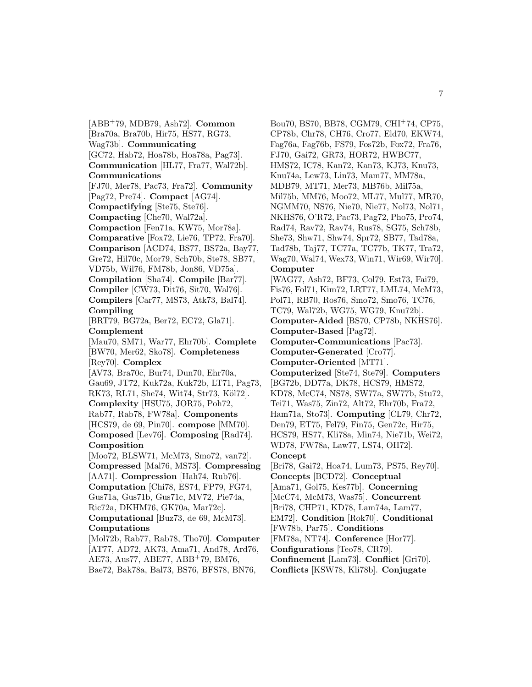[ABB<sup>+</sup>79, MDB79, Ash72]. **Common** [Bra70a, Bra70b, Hir75, HS77, RG73, Wag73b]. **Communicating** [GC72, Hab72, Hoa78b, Hoa78a, Pag73]. **Communication** [HL77, Fra77, Wal72b]. **Communications** [FJ70, Mer78, Pac73, Fra72]. **Community** [Pag72, Pre74]. **Compact** [AG74]. **Compactifying** [Ste75, Ste76]. **Compacting** [Che70, Wal72a]. **Compaction** [Fen71a, KW75, Mor78a]. **Comparative** [Fox72, Lie76, TP72, Fra70]. **Comparison** [ACD74, BS77, BS72a, Bay77, Gre72, Hil70c, Mor79, Sch70b, Ste78, SB77, VD75b, Wil76, FM78b, Jon86, VD75a]. **Compilation** [Sha74]. **Compile** [Bar77]. **Compiler** [CW73, Dit76, Sit70, Wal76]. **Compilers** [Car77, MS73, Atk73, Bal74]. **Compiling** [BRT79, BG72a, Ber72, EC72, Gla71]. **Complement** [Mau70, SM71, War77, Ehr70b]. **Complete** [BW70, Mer62, Sko78]. **Completeness** [Rey70]. **Complex** [AV73, Bra70c, Bur74, Dun70, Ehr70a, Gau69, JT72, Kuk72a, Kuk72b, LT71, Pag73, RK73, RL71, She74, Wit74, Str73, Köl72]. **Complexity** [HSU75, JOR75, Poh72, Rab77, Rab78, FW78a]. **Components** [HCS79, de 69, Pin70]. **compose** [MM70]. **Composed** [Lev76]. **Composing** [Rad74]. **Composition** [Moo72, BLSW71, McM73, Smo72, van72]. **Compressed** [Mal76, MS73]. **Compressing** [AA71]. **Compression** [Hah74, Rub76]. **Computation** [Chi78, ES74, FP79, FG74, Gus71a, Gus71b, Gus71c, MV72, Pie74a, Ric72a, DKHM76, GK70a, Mar72c]. **Computational** [Buz73, de 69, McM73]. **Computations** [Mol72b, Rab77, Rab78, Tho70]. **Computer** [AT77, AD72, AK73, Ama71, And78, Ard76, AE73, Aus77, ABE77, ABB<sup>+</sup>79, BM76, Bae72, Bak78a, Bal73, BS76, BFS78, BN76,

Bou70, BS70, BB78, CGM79, CHI<sup>+</sup>74, CP75, CP78b, Chr78, CH76, Cro77, Eld70, EKW74, Fag76a, Fag76b, FS79, Fos72b, Fox72, Fra76, FJ70, Gai72, GR73, HOR72, HWBC77, HMS72, IC78, Kan72, Kan73, KJ73, Knu73, Knu74a, Lew73, Lin73, Mam77, MM78a, MDB79, MT71, Mer73, MB76b, Mil75a, Mil75b, MM76, Moo72, ML77, Mul77, MR70, NGMM70, NS76, Nie70, Nie77, Nol73, Nol71, NKHS76, O'R72, Pac73, Pag72, Pho75, Pro74, Rad74, Rav72, Rav74, Rus78, SG75, Sch78b, She73, Shw71, Shw74, Spr72, SB77, Tad78a, Tad78b, Taj77, TC77a, TC77b, TK77, Tra72, Wag70, Wal74, Wex73, Win71, Wir69, Wir70]. **Computer** [WAG77, Ash72, BF73, Col79, Est73, Fai79, Fis76, Fol71, Kim72, LRT77, LML74, McM73, Pol71, RB70, Ros76, Smo72, Smo76, TC76, TC79, Wal72b, WG75, WG79, Knu72b]. **Computer-Aided** [BS70, CP78b, NKHS76]. **Computer-Based** [Pag72]. **Computer-Communications** [Pac73]. **Computer-Generated** [Cro77]. **Computer-Oriented** [MT71]. **Computerized** [Ste74, Ste79]. **Computers** [BG72b, DD77a, DK78, HCS79, HMS72, KD78, McC74, NS78, SW77a, SW77b, Stu72, Tei71, Was75, Zin72, Alt72, Ehr70b, Fra72, Ham71a, Sto73]. **Computing** [CL79, Chr72, Den79, ET75, Fel79, Fin75, Gen72c, Hir75, HCS79, HS77, Kli78a, Min74, Nie71b, Wei72, WD78, FW78a, Law77, LS74, OH72]. **Concept** [Bri78, Gai72, Hoa74, Lum73, PS75, Rey70]. **Concepts** [BCD72]. **Conceptual** [Ama71, Gol75, Kes77b]. **Concerning** [McC74, McM73, Was75]. **Concurrent** [Bri78, CHP71, KD78, Lam74a, Lam77, EM72]. **Condition** [Rok70]. **Conditional** [FW78b, Par75]. **Conditions** [FM78a, NT74]. **Conference** [Hor77]. **Configurations** [Teo78, CR79]. **Confinement** [Lam73]. **Conflict** [Gri70].

**Conflicts** [KSW78, Kli78b]. **Conjugate**

7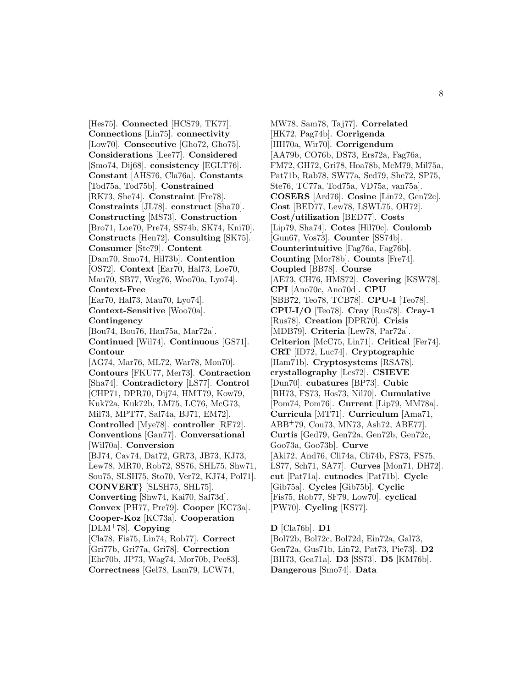[Hes75]. **Connected** [HCS79, TK77]. **Connections** [Lin75]. **connectivity** [Low70]. **Consecutive** [Gho72, Gho75]. **Considerations** [Lee77]. **Considered** [Smo74, Dij68]. **consistency** [EGLT76]. **Constant** [AHS76, Cla76a]. **Constants** [Tod75a, Tod75b]. **Constrained** [RK73, She74]. **Constraint** [Fre78]. **Constraints** [JL78]. **construct** [Sha70]. **Constructing** [MS73]. **Construction** [Bro71, Loe70, Pre74, SS74b, SK74, Kni70]. **Constructs** [Hen72]. **Consulting** [SK75]. **Consumer** [Ste79]. **Content** [Dam70, Smo74, Hil73b]. **Contention** [OS72]. **Context** [Ear70, Hal73, Loe70, Mau70, SB77, Weg76, Woo70a, Lyo74]. **Context-Free** [Ear70, Hal73, Mau70, Lyo74]. **Context-Sensitive** [Woo70a]. **Contingency** [Bou74, Bou76, Han75a, Mar72a]. **Continued** [Wil74]. **Continuous** [GS71]. **Contour** [AG74, Mar76, ML72, War78, Mon70]. **Contours** [FKU77, Mer73]. **Contraction** [Sha74]. **Contradictory** [LS77]. **Control** [CHP71, DPR70, Dij74, HMT79, Kow79, Kuk72a, Kuk72b, LM75, LC76, McG73, Mil73, MPT77, Sal74a, BJ71, EM72]. **Controlled** [Mye78]. **controller** [RF72]. **Conventions** [Gan77]. **Conversational** [Wil70a]. **Conversion** [BJ74, Cav74, Dat72, GR73, JB73, KJ73, Lew78, MR70, Rob72, SS76, SHL75, Shw71, Sou75, SLSH75, Sto70, Ver72, KJ74, Pol71]. **CONVERT**} [SLSH75, SHL75]. **Converting** [Shw74, Kai70, Sal73d]. **Convex** [PH77, Pre79]. **Cooper** [KC73a]. **Cooper-Koz** [KC73a]. **Cooperation** [DLM<sup>+</sup>78]. **Copying** [Cla78, Fis75, Lin74, Rob77]. **Correct** [Gri77b, Gri77a, Gri78]. **Correction** [Ehr70b, JP73, Wag74, Mor70b, Pee83]. **Correctness** [Gel78, Lam79, LCW74,

MW78, Sam78, Taj77]. **Correlated** [HK72, Pag74b]. **Corrigenda** [HH70a, Wir70]. **Corrigendum** [AA79b, CO76b, DS73, Ers72a, Fag76a, FM72, GH72, Gri78, Hoa78b, McM79, Mil75a, Pat71b, Rab78, SW77a, Sed79, She72, SP75, Ste76, TC77a, Tod75a, VD75a, van75a]. **COSERS** [Ard76]. **Cosine** [Lin72, Gen72c]. **Cost** [BED77, Lew78, LSWL75, OH72]. **Cost/utilization** [BED77]. **Costs** [Lip79, Sha74]. **Cotes** [Hil70c]. **Coulomb** [Gun67, Vos73]. **Counter** [SS74b]. **Counterintuitive** [Fag76a, Fag76b]. **Counting** [Mor78b]. **Counts** [Fre74]. **Coupled** [BB78]. **Course** [AE73, CH76, HMS72]. **Covering** [KSW78]. **CPI** [Ano70c, Ano70d]. **CPU** [SBB72, Teo78, TCB78]. **CPU-I** [Teo78]. **CPU-I/O** [Teo78]. **Cray** [Rus78]. **Cray-1** [Rus78]. **Creation** [DPR70]. **Crisis** [MDB79]. **Criteria** [Lew78, Par72a]. **Criterion** [McC75, Lin71]. **Critical** [Fer74]. **CRT** [ID72, Luc74]. **Cryptographic** [Ham71b]. **Cryptosystems** [RSA78]. **crystallography** [Les72]. **CSIEVE** [Dun70]. **cubatures** [BP73]. **Cubic** [BH73, FS73, Hos73, Nil70]. **Cumulative** [Pom74, Pom76]. **Current** [Lip79, MM78a]. **Curricula** [MT71]. **Curriculum** [Ama71, ABB<sup>+</sup>79, Cou73, MN73, Ash72, ABE77]. **Curtis** [Ged79, Gen72a, Gen72b, Gen72c, Goo73a, Goo73b]. **Curve** [Aki72, And76, Cli74a, Cli74b, FS73, FS75, LS77, Sch71, SA77]. **Curves** [Mon71, DH72]. **cut** [Pat71a]. **cutnodes** [Pat71b]. **Cycle** [Gib75a]. **Cycles** [Gib75b]. **Cyclic** [Fis75, Rob77, SF79, Low70]. **cyclical** [PW70]. **Cycling** [KS77].

**D** [Cla76b]. **D1** [Bol72b, Bol72c, Bol72d, Ein72a, Gal73, Gen72a, Gus71b, Lin72, Pat73, Pie73]. **D2** [BH73, Gea71a]. **D3** [SS73]. **D5** [KM76b]. **Dangerous** [Smo74]. **Data**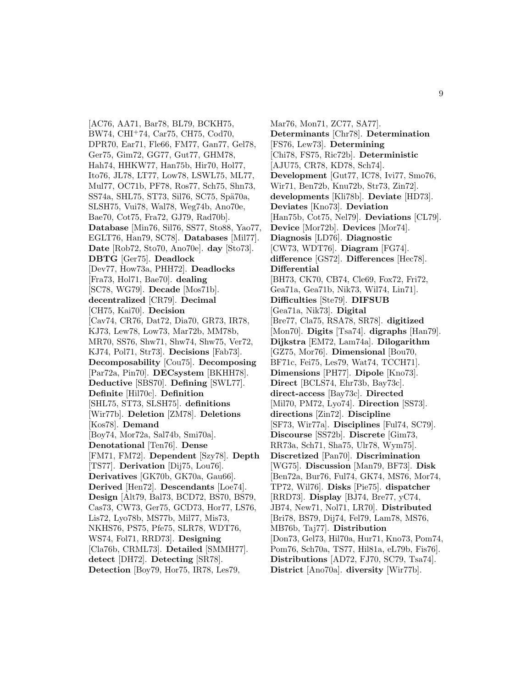[AC76, AA71, Bar78, BL79, BCKH75, BW74, CHI<sup>+</sup>74, Car75, CH75, Cod70, DPR70, Ear71, Fle66, FM77, Gan77, Gel78, Ger75, Gim72, GG77, Gut77, GHM78, Hah74, HHKW77, Han75b, Hir70, Hol77, Ito76, JL78, LT77, Low78, LSWL75, ML77, Mul77, OC71b, PF78, Ros77, Sch75, Shn73, SS74a, SHL75, ST73, Sil76, SC75, Spä70a, SLSH75, Vui78, Wal78, Weg74b, Ano70e, Bae70, Cot75, Fra72, GJ79, Rad70b]. **Database** [Min76, Sil76, SS77, Sto88, Yao77, EGLT76, Han79, SC78]. **Databases** [Mil77]. **Date** [Rob72, Sto70, Ano70e]. **day** [Sto73]. **DBTG** [Ger75]. **Deadlock** [Dev77, How73a, PHH72]. **Deadlocks** [Fra73, Hol71, Bae70]. **dealing** [SC78, WG79]. **Decade** [Mos71b]. **decentralized** [CR79]. **Decimal** [CH75, Kai70]. **Decision** [Cav74, CR76, Dat72, Dia70, GR73, IR78, KJ73, Lew78, Low73, Mar72b, MM78b, MR70, SS76, Shw71, Shw74, Shw75, Ver72, KJ74, Pol71, Str73]. **Decisions** [Fab73]. **Decomposability** [Cou75]. **Decomposing** [Par72a, Pin70]. **DECsystem** [BKHH78]. **Deductive** [SBS70]. **Defining** [SWL77]. **Definite** [Hil70c]. **Definition** [SHL75, ST73, SLSH75]. **definitions** [Wir77b]. **Deletion** [ZM78]. **Deletions** [Kos78]. **Demand** [Boy74, Mor72a, Sal74b, Smi70a]. **Denotational** [Ten76]. **Dense** [FM71, FM72]. **Dependent** [Szy78]. **Depth** [TS77]. **Derivation** [Dij75, Lou76]. **Derivatives** [GK70b, GK70a, Gau66]. **Derived** [Hen72]. **Descendants** [Loe74]. **Design** [Alt79, Bal73, BCD72, BS70, BS79, Cas73, CW73, Ger75, GCD73, Hor77, LS76, Lis72, Lyo78b, MS77b, Mil77, Mis73, NKHS76, PS75, Pfe75, SLR78, WDT76, WS74, Fol71, RRD73]. **Designing** [Cla76b, CRML73]. **Detailed** [SMMH77]. **detect** [DH72]. **Detecting** [SR78]. **Detection** [Boy79, Hor75, IR78, Les79,

Mar76, Mon71, ZC77, SA77]. **Determinants** [Chr78]. **Determination** [FS76, Lew73]. **Determining** [Chi78, FS75, Ric72b]. **Deterministic** [AJU75, CR78, KD78, Sch74]. **Development** [Gut77, IC78, Ivi77, Smo76, Wir71, Ben72b, Knu72b, Str73, Zin72]. **developments** [Kli78b]. **Deviate** [HD73]. **Deviates** [Kno73]. **Deviation** [Han75b, Cot75, Nel79]. **Deviations** [CL79]. **Device** [Mor72b]. **Devices** [Mor74]. **Diagnosis** [LD76]. **Diagnostic** [CW73, WDT76]. **Diagram** [FG74]. **difference** [GS72]. **Differences** [Hec78]. **Differential** [BH73, CK70, CB74, Cle69, Fox72, Fri72, Gea71a, Gea71b, Nik73, Wil74, Lin71]. **Difficulties** [Ste79]. **DIFSUB** [Gea71a, Nik73]. **Digital** [Bre77, Cla75, RSA78, SR78]. **digitized** [Mon70]. **Digits** [Tsa74]. **digraphs** [Han79]. **Dijkstra** [EM72, Lam74a]. **Dilogarithm** [GZ75, Mor76]. **Dimensional** [Bou70, BF71c, Fei75, Les79, Wat74, TCCH71]. **Dimensions** [PH77]. **Dipole** [Kno73]. **Direct** [BCLS74, Ehr73b, Bay73c]. **direct-access** [Bay73c]. **Directed** [Mil70, PM72, Lyo74]. **Direction** [SS73]. **directions** [Zin72]. **Discipline** [SF73, Wir77a]. **Disciplines** [Ful74, SC79]. **Discourse** [SS72b]. **Discrete** [Gim73, RR73a, Sch71, Sha75, Ulr78, Wym75]. **Discretized** [Pan70]. **Discrimination** [WG75]. **Discussion** [Man79, BF73]. **Disk** [Ben72a, Bur76, Ful74, GK74, MS76, Mor74, TP72, Wil76]. **Disks** [Pie75]. **dispatcher** [RRD73]. **Display** [BJ74, Bre77, yC74, JB74, New71, Nol71, LR70]. **Distributed** [Bri78, BS79, Dij74, Fel79, Lam78, MS76, MB76b, Taj77]. **Distribution** [Don73, Gel73, Hil70a, Hur71, Kno73, Pom74, Pom76, Sch70a, TS77, Hil81a, eL79b, Fis76]. **Distributions** [AD72, FJ70, SC79, Tsa74]. **District** [Ano70a]. **diversity** [Wir77b].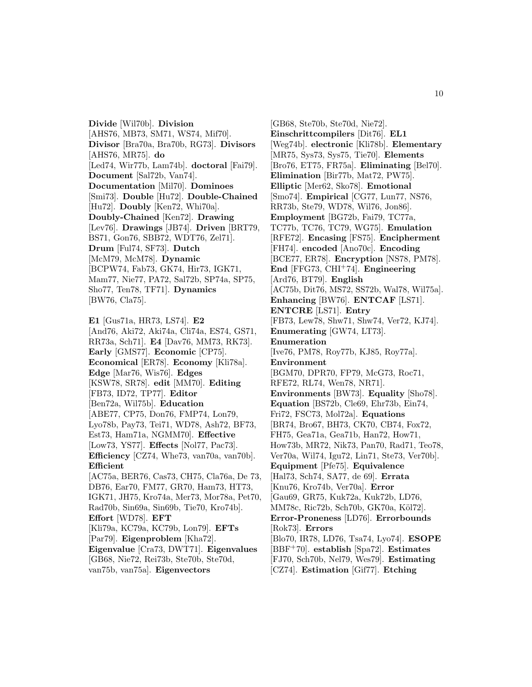**Divide** [Wil70b]. **Division** [AHS76, MB73, SM71, WS74, Mif70]. **Divisor** [Bra70a, Bra70b, RG73]. **Divisors** [AHS76, MR75]. **do** [Led74, Wir77b, Lam74b]. **doctoral** [Fai79]. **Document** [Sal72b, Van74]. **Documentation** [Mil70]. **Dominoes** [Smi73]. **Double** [Hu72]. **Double-Chained** [Hu72]. **Doubly** [Ken72, Whi70a]. **Doubly-Chained** [Ken72]. **Drawing** [Lev76]. **Drawings** [JB74]. **Driven** [BRT79, BS71, Gon76, SBB72, WDT76, Zel71]. **Drum** [Ful74, SF73]. **Dutch** [McM79, McM78]. **Dynamic** [BCPW74, Fab73, GK74, Hir73, IGK71, Mam77, Nie77, PA72, Sal72b, SP74a, SP75, Sho77, Ten78, TF71]. **Dynamics** [BW76, Cla75].

**E1** [Gus71a, HR73, LS74]. **E2** [And76, Aki72, Aki74a, Cli74a, ES74, GS71, RR73a, Sch71]. **E4** [Dav76, MM73, RK73]. **Early** [GMS77]. **Economic** [CP75]. **Economical** [ER78]. **Economy** [Kli78a]. **Edge** [Mar76, Wis76]. **Edges** [KSW78, SR78]. **edit** [MM70]. **Editing** [FB73, ID72, TP77]. **Editor** [Ben72a, Wil75b]. **Education** [ABE77, CP75, Don76, FMP74, Lon79, Lyo78b, Pay73, Tei71, WD78, Ash72, BF73, Est73, Ham71a, NGMM70]. **Effective** [Low73, YS77]. **Effects** [Nol77, Pac73]. **Efficiency** [CZ74, Whe73, van70a, van70b]. **Efficient** [AC75a, BER76, Cas73, CH75, Cla76a, De 73, DB76, Ear70, FM77, GR70, Ham73, HT73, IGK71, JH75, Kro74a, Mer73, Mor78a, Pet70, Rad70b, Sin69a, Sin69b, Tie70, Kro74b]. **Effort** [WD78]. **EFT** [Kli79a, KC79a, KC79b, Lon79]. **EFTs** [Par79]. **Eigenproblem** [Kha72]. **Eigenvalue** [Cra73, DWT71]. **Eigenvalues** [GB68, Nie72, Rei73b, Ste70b, Ste70d,

van75b, van75a]. **Eigenvectors**

[GB68, Ste70b, Ste70d, Nie72]. **Einschrittcompilers** [Dit76]. **EL1** [Weg74b]. **electronic** [Kli78b]. **Elementary** [MR75, Sys73, Sys75, Tie70]. **Elements** [Bro76, ET75, FR75a]. **Eliminating** [Bel70]. **Elimination** [Bir77b, Mat72, PW75]. **Elliptic** [Mer62, Sko78]. **Emotional** [Smo74]. **Empirical** [CG77, Lun77, NS76, RR73b, Ste79, WD78, Wil76, Jon86]. **Employment** [BG72b, Fai79, TC77a, TC77b, TC76, TC79, WG75]. **Emulation** [RFE72]. **Encasing** [FS75]. **Encipherment** [FH74]. **encoded** [Ano70c]. **Encoding** [BCE77, ER78]. **Encryption** [NS78, PM78]. **End** [FFG73, CHI<sup>+</sup>74]. **Engineering** [Ard76, BT79]. **English** [AC75b, Dit76, MS72, SS72b, Wal78, Wil75a]. **Enhancing** [BW76]. **ENTCAF** [LS71]. **ENTCRE** [LS71]. **Entry** [FB73, Lew78, Shw71, Shw74, Ver72, KJ74]. **Enumerating** [GW74, LT73]. **Enumeration** [Ive76, PM78, Roy77b, KJ85, Roy77a]. **Environment** [BGM70, DPR70, FP79, McG73, Roc71, RFE72, RL74, Wen78, NR71]. **Environments** [BW73]. **Equality** [Sho78]. **Equation** [BS72b, Cle69, Ehr73b, Ein74, Fri72, FSC73, Mol72a]. **Equations** [BR74, Bro67, BH73, CK70, CB74, Fox72, FH75, Gea71a, Gea71b, Han72, How71, How73b, MR72, Nik73, Pan70, Rad71, Teo78, Ver70a, Wil74, Igu72, Lin71, Ste73, Ver70b]. **Equipment** [Pfe75]. **Equivalence** [Hal73, Sch74, SA77, de 69]. **Errata** [Knu76, Kro74b, Ver70a]. **Error** [Gau69, GR75, Kuk72a, Kuk72b, LD76, MM78c, Ric72b, Sch70b, GK70a, Köl72]. **Error-Proneness** [LD76]. **Errorbounds** [Rok73]. **Errors** [Blo70, IR78, LD76, Tsa74, Lyo74]. **ESOPE** [BBF<sup>+</sup>70]. **establish** [Spa72]. **Estimates** [FJ70, Sch70b, Nel79, Wes79]. **Estimating** [CZ74]. **Estimation** [Gif77]. **Etching**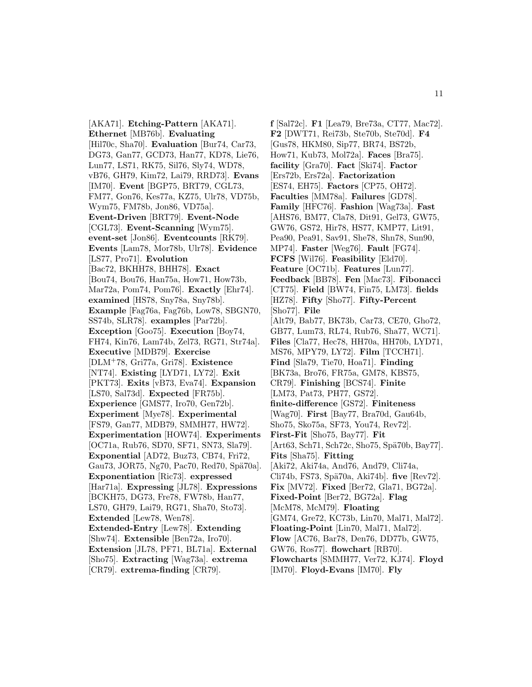[AKA71]. **Etching-Pattern** [AKA71]. **Ethernet** [MB76b]. **Evaluating** [Hil70c, Sha70]. **Evaluation** [Bur74, Car73, DG73, Gan77, GCD73, Han77, KD78, Lie76, Lun77, LS71, RK75, Sil76, Sly74, WD78, vB76, GH79, Kim72, Lai79, RRD73]. **Evans** [IM70]. **Event** [BGP75, BRT79, CGL73, FM77, Gon76, Kes77a, KZ75, Ulr78, VD75b, Wym75, FM78b, Jon86, VD75a]. **Event-Driven** [BRT79]. **Event-Node** [CGL73]. **Event-Scanning** [Wym75]. **event-set** [Jon86]. **Eventcounts** [RK79]. **Events** [Lam78, Mor78b, Ulr78]. **Evidence** [LS77, Pro71]. **Evolution** [Bac72, BKHH78, BHH78]. **Exact** [Bou74, Bou76, Han75a, How71, How73b, Mar72a, Pom74, Pom76]. **Exactly** [Ehr74]. **examined** [HS78, Sny78a, Sny78b]. **Example** [Fag76a, Fag76b, Low78, SBGN70, SS74b, SLR78]. **examples** [Par72b]. **Exception** [Goo75]. **Execution** [Boy74, FH74, Kin76, Lam74b, Zel73, RG71, Str74a]. **Executive** [MDB79]. **Exercise** [DLM<sup>+</sup>78, Gri77a, Gri78]. **Existence** [NT74]. **Existing** [LYD71, LY72]. **Exit** [PKT73]. **Exits** [vB73, Eva74]. **Expansion** [LS70, Sal73d]. **Expected** [FR75b]. **Experience** [GMS77, Iro70, Gen72b]. **Experiment** [Mye78]. **Experimental** [FS79, Gan77, MDB79, SMMH77, HW72]. **Experimentation** [HOW74]. **Experiments** [OC71a, Rub76, SD70, SF71, SN73, Sla79]. **Exponential** [AD72, Buz73, CB74, Fri72, Gau73, JOR75, Ng70, Pac70, Red70, Spä70a]. **Exponentiation** [Ric73]. **expressed** [Har71a]. **Expressing** [JL78]. **Expressions** [BCKH75, DG73, Fre78, FW78b, Han77, LS70, GH79, Lai79, RG71, Sha70, Sto73]. **Extended** [Lew78, Wen78]. **Extended-Entry** [Lew78]. **Extending** [Shw74]. **Extensible** [Ben72a, Iro70]. **Extension** [JL78, PF71, BL71a]. **External** [Sho75]. **Extracting** [Wag73a]. **extrema** [CR79]. **extrema-finding** [CR79].

**f** [Sal72c]. **F1** [Lea79, Bre73a, CT77, Mac72]. **F2** [DWT71, Rei73b, Ste70b, Ste70d]. **F4** [Gus78, HKM80, Sip77, BR74, BS72b, How71, Kub73, Mol72a]. **Faces** [Bra75]. **facility** [Gra70]. **Fact** [Ski74]. **Factor** [Ers72b, Ers72a]. **Factorization** [ES74, EH75]. **Factors** [CP75, OH72]. **Faculties** [MM78a]. **Failures** [GD78]. **Family** [HFC76]. **Fashion** [Wag73a]. **Fast** [AHS76, BM77, Cla78, Dit91, Gel73, GW75, GW76, GS72, Hir78, HS77, KMP77, Lit91, Pea90, Pea91, Sav91, She78, Shn78, Sun90, MP74]. **Faster** [Weg76]. **Fault** [FG74]. **FCFS** [Wil76]. **Feasibility** [Eld70]. **Feature** [OC71b]. **Features** [Lun77]. **Feedback** [BB78]. **Fen** [Mac73]. **Fibonacci** [CT75]. **Field** [BW74, Fin75, LM73]. **fields** [HZ78]. **Fifty** [Sho77]. **Fifty-Percent** [Sho77]. **File** [Alt79, Bab77, BK73b, Car73, CE70, Gho72, GB77, Lum73, RL74, Rub76, Sha77, WC71]. **Files** [Cla77, Hec78, HH70a, HH70b, LYD71, MS76, MPY79, LY72]. **Film** [TCCH71]. **Find** [Sla79, Tie70, Hoa71]. **Finding** [BK73a, Bro76, FR75a, GM78, KBS75, CR79]. **Finishing** [BCS74]. **Finite** [LM73, Pat73, PH77, GS72]. **finite-difference** [GS72]. **Finiteness** [Wag70]. **First** [Bay77, Bra70d, Gau64b, Sho75, Sko75a, SF73, You74, Rev72]. **First-Fit** [Sho75, Bay77]. **Fit**  $[Art63, Sch71, Sch72c, Sho75, Spä70b, Bay77]$ . **Fits** [Sha75]. **Fitting** [Aki72, Aki74a, And76, And79, Cli74a, Cli74b, FS73, Spä70a, Aki74b]. **five** [Rev72]. **Fix** [MV72]. **Fixed** [Ber72, Gla71, BG72a]. **Fixed-Point** [Ber72, BG72a]. **Flag** [McM78, McM79]. **Floating** [GM74, Gre72, KC73b, Lin70, Mal71, Mal72]. **Floating-Point** [Lin70, Mal71, Mal72]. **Flow** [AC76, Bar78, Den76, DD77b, GW75, GW76, Ros77]. **flowchart** [RB70]. **Flowcharts** [SMMH77, Ver72, KJ74]. **Floyd** [IM70]. **Floyd-Evans** [IM70]. **Fly**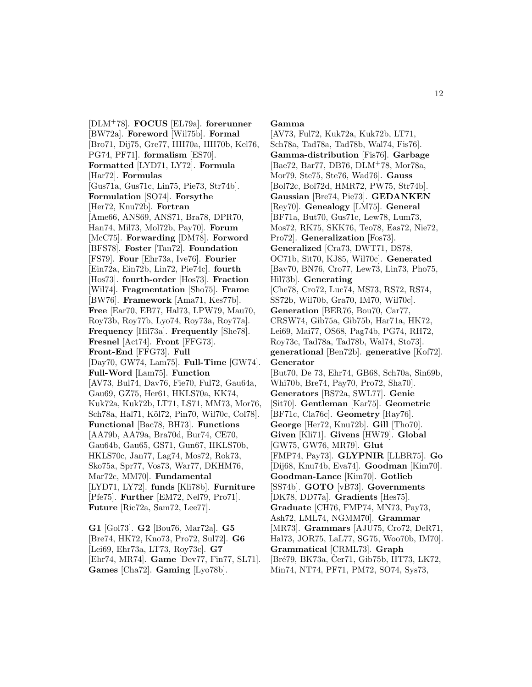[DLM<sup>+</sup>78]. **FOCUS** [EL79a]. **forerunner** [BW72a]. **Foreword** [Wil75b]. **Formal** [Bro71, Dij75, Gre77, HH70a, HH70b, Kel76, PG74, PF71]. **formalism** [ES70]. **Formatted** [LYD71, LY72]. **Formula** [Har72]. **Formulas** [Gus71a, Gus71c, Lin75, Pie73, Str74b]. **Formulation** [SO74]. **Forsythe** [Her72, Knu72b]. **Fortran** [Ame66, ANS69, ANS71, Bra78, DPR70, Han74, Mil73, Mol72b, Pay70]. **Forum** [McC75]. **Forwarding** [DM78]. **Forword** [BFS78]. **Foster** [Tan72]. **Foundation** [FS79]. **Four** [Ehr73a, Ive76]. **Fourier** [Ein72a, Ein72b, Lin72, Pie74c]. **fourth** [Hos73]. **fourth-order** [Hos73]. **Fraction** [Wil74]. **Fragmentation** [Sho75]. **Frame** [BW76]. **Framework** [Ama71, Kes77b]. **Free** [Ear70, EB77, Hal73, LPW79, Mau70, Roy73b, Roy77b, Lyo74, Roy73a, Roy77a]. **Frequency** [Hil73a]. **Frequently** [She78]. **Fresnel** [Act74]. **Front** [FFG73]. **Front-End** [FFG73]. **Full** [Day70, GW74, Lam75]. **Full-Time** [GW74]. **Full-Word** [Lam75]. **Function** [AV73, Bul74, Dav76, Fie70, Ful72, Gau64a, Gau69, GZ75, Her61, HKLS70a, KK74, Kuk72a, Kuk72b, LT71, LS71, MM73, Mor76, Sch78a, Hal71, Köl72, Pin70, Wil70c, Col78]. **Functional** [Bac78, BH73]. **Functions** [AA79b, AA79a, Bra70d, Bur74, CE70, Gau64b, Gau65, GS71, Gun67, HKLS70b, HKLS70c, Jan77, Lag74, Mos72, Rok73, Sko75a, Spr77, Vos73, War77, DKHM76, Mar72c, MM70]. **Fundamental** [LYD71, LY72]. **funds** [Kli78b]. **Furniture** [Pfe75]. **Further** [EM72, Nel79, Pro71]. **Future** [Ric72a, Sam72, Lee77].

**G1** [Gol73]. **G2** [Bou76, Mar72a]. **G5** [Bre74, HK72, Kno73, Pro72, Sul72]. **G6** [Lei69, Ehr73a, LT73, Roy73c]. **G7** [Ehr74, MR74]. **Game** [Dev77, Fin77, SL71]. **Games** [Cha72]. **Gaming** [Lyo78b].

#### **Gamma**

[AV73, Ful72, Kuk72a, Kuk72b, LT71, Sch78a, Tad78a, Tad78b, Wal74, Fis76]. **Gamma-distribution** [Fis76]. **Garbage** [Bae72, Bar77, DB76, DLM<sup>+</sup>78, Mor78a, Mor79, Ste75, Ste76, Wad76]. **Gauss** [Bol72c, Bol72d, HMR72, PW75, Str74b]. **Gaussian** [Bre74, Pie73]. **GEDANKEN** [Rey70]. **Genealogy** [LM75]. **General** [BF71a, But70, Gus71c, Lew78, Lum73, Mos72, RK75, SKK76, Teo78, Eas72, Nie72, Pro72]. **Generalization** [Fos73]. **Generalized** [Cra73, DWT71, DS78, OC71b, Sit70, KJ85, Wil70c]. **Generated** [Bav70, BN76, Cro77, Lew73, Lin73, Pho75, Hil73b]. **Generating** [Che78, Cro72, Luc74, MS73, RS72, RS74, SS72b, Wil70b, Gra70, IM70, Wil70c]. **Generation** [BER76, Bou70, Car77, CRSW74, Gib75a, Gib75b, Har71a, HK72, Lei69, Mai77, OS68, Pag74b, PG74, RH72, Roy73c, Tad78a, Tad78b, Wal74, Sto73]. **generational** [Ben72b]. **generative** [Kof72]. **Generator** [But70, De 73, Ehr74, GB68, Sch70a, Sin69b, Whi70b, Bre74, Pay70, Pro72, Sha70]. **Generators** [BS72a, SWL77]. **Genie** [Sit70]. **Gentleman** [Kar75]. **Geometric** [BF71c, Cla76c]. **Geometry** [Ray76]. **George** [Her72, Knu72b]. **Gill** [Tho70]. **Given** [Kli71]. **Givens** [HW79]. **Global** [GW75, GW76, MR79]. **Glut** [FMP74, Pay73]. **GLYPNIR** [LLBR75]. **Go** [Dij68, Knu74b, Eva74]. **Goodman** [Kim70]. **Goodman-Lance** [Kim70]. **Gotlieb** [SS74b]. **GOTO** [vB73]. **Governments** [DK78, DD77a]. **Gradients** [Hes75]. **Graduate** [CH76, FMP74, MN73, Pay73, Ash72, LML74, NGMM70]. **Grammar** [MR73]. **Grammars** [AJU75, Cro72, DeR71, Hal73, JOR75, LaL77, SG75, Woo70b, IM70]. **Grammatical** [CRML73]. **Graph** [Bré79, BK73a, Čer71, Gib75b, HT73, LK72, Min74, NT74, PF71, PM72, SO74, Sys73,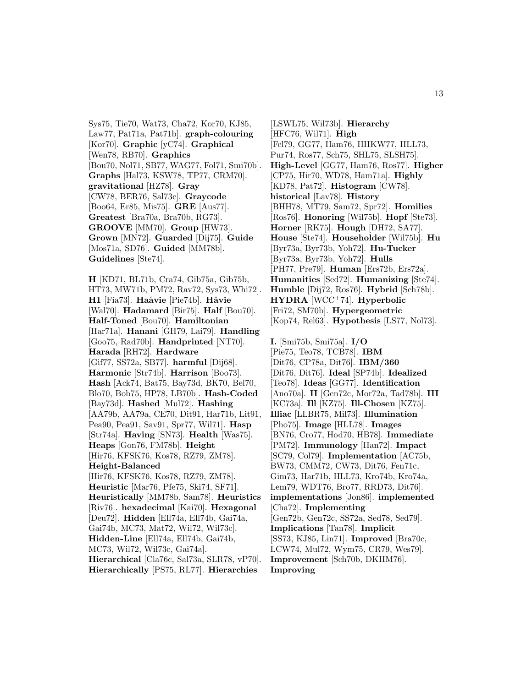Sys75, Tie70, Wat73, Cha72, Kor70, KJ85, Law77, Pat71a, Pat71b]. **graph-colouring** [Kor70]. **Graphic** [yC74]. **Graphical** [Wen78, RB70]. **Graphics** [Bou70, Nol71, SB77, WAG77, Fol71, Smi70b]. **Graphs** [Hal73, KSW78, TP77, CRM70]. **gravitational** [HZ78]. **Gray** [CW78, BER76, Sal73c]. **Graycode** [Boo64, Er85, Mis75]. **GRE** [Aus77]. **Greatest** [Bra70a, Bra70b, RG73]. **GROOVE** [MM70]. **Group** [HW73]. **Grown** [MN72]. **Guarded** [Dij75]. **Guide** [Mos71a, SD76]. **Guided** [MM78b]. **Guidelines** [Ste74].

**H** [KD71, BL71b, Cra74, Gib75a, Gib75b, HT73, MW71b, PM72, Rav72, Sys73, Whi72]. **H1** [Fia73]. **Haåvie** [Pie74b]. **Håvie** [Wal70]. **Hadamard** [Bir75]. **Half** [Bou70]. **Half-Toned** [Bou70]. **Hamiltonian** [Har71a]. **Hanani** [GH79, Lai79]. **Handling** [Goo75, Rad70b]. **Handprinted** [NT70]. **Harada** [RH72]. **Hardware** [Gif77, SS72a, SB77]. **harmful** [Dij68]. **Harmonic** [Str74b]. **Harrison** [Boo73]. **Hash** [Ack74, Bat75, Bay73d, BK70, Bel70, Blo70, Bob75, HP78, LB70b]. **Hash-Coded** [Bay73d]. **Hashed** [Mul72]. **Hashing** [AA79b, AA79a, CE70, Dit91, Har71b, Lit91, Pea90, Pea91, Sav91, Spr77, Wil71]. **Hasp** [Str74a]. **Having** [SN73]. **Health** [Was75]. **Heaps** [Gon76, FM78b]. **Height** [Hir76, KFSK76, Kos78, RZ79, ZM78]. **Height-Balanced** [Hir76, KFSK76, Kos78, RZ79, ZM78]. **Heuristic** [Mar76, Pfe75, Ski74, SF71]. **Heuristically** [MM78b, Sam78]. **Heuristics** [Riv76]. **hexadecimal** [Kai70]. **Hexagonal** [Deu72]. **Hidden** [Ell74a, Ell74b, Gai74a, Gai74b, MC73, Mat72, Wil72, Wil73c]. **Hidden-Line** [Ell74a, Ell74b, Gai74b, MC73, Wil72, Wil73c, Gai74a]. **Hierarchical** [Cla76c, Sal73a, SLR78, vP70]. **Hierarchically** [PS75, RL77]. **Hierarchies**

[LSWL75, Wil73b]. **Hierarchy** [HFC76, Wil71]. **High** [Fel79, GG77, Ham76, HHKW77, HLL73, Pur74, Ros77, Sch75, SHL75, SLSH75]. **High-Level** [GG77, Ham76, Ros77]. **Higher** [CP75, Hir70, WD78, Ham71a]. **Highly** [KD78, Pat72]. **Histogram** [CW78]. **historical** [Lav78]. **History** [BHH78, MT79, Sam72, Spr72]. **Homilies** [Ros76]. **Honoring** [Wil75b]. **Hopf** [Ste73]. **Horner** [RK75]. **Hough** [DH72, SA77]. **House** [Ste74]. **Householder** [Wil75b]. **Hu** [Byr73a, Byr73b, Yoh72]. **Hu-Tucker** [Byr73a, Byr73b, Yoh72]. **Hulls** [PH77, Pre79]. **Human** [Ers72b, Ers72a]. **Humanities** [Sed72]. **Humanizing** [Ste74]. **Humble** [Dij72, Ros76]. **Hybrid** [Sch78b]. **HYDRA** [WCC<sup>+</sup>74]. **Hyperbolic** [Fri72, SM70b]. **Hypergeometric** [Kop74, Rel63]. **Hypothesis** [LS77, Nol73]. **I.** [Smi75b, Smi75a]. **I/O** [Pie75, Teo78, TCB78]. **IBM** [Dit76, CP78a, Dit76]. **IBM/360**

[Dit76, Dit76]. **Ideal** [SP74b]. **Idealized** [Teo78]. **Ideas** [GG77]. **Identification** [Ano70a]. **II** [Gen72c, Mor72a, Tad78b]. **III** [KC73a]. **Ill** [KZ75]. **Ill-Chosen** [KZ75]. **Illiac** [LLBR75, Mil73]. **Illumination** [Pho75]. **Image** [HLL78]. **Images** [BN76, Cro77, Hod70, HB78]. **Immediate** [PM72]. **Immunology** [Han72]. **Impact** [SC79, Col79]. **Implementation** [AC75b, BW73, CMM72, CW73, Dit76, Fen71c, Gim73, Har71b, HLL73, Kro74b, Kro74a, Lem79, WDT76, Bro77, RRD73, Dit76]. **implementations** [Jon86]. **implemented** [Cha72]. **Implementing** [Gen72b, Gen72c, SS72a, Sed78, Sed79]. **Implications** [Tan78]. **Implicit** [SS73, KJ85, Lin71]. **Improved** [Bra70c, LCW74, Mul72, Wym75, CR79, Wes79]. **Improvement** [Sch70b, DKHM76].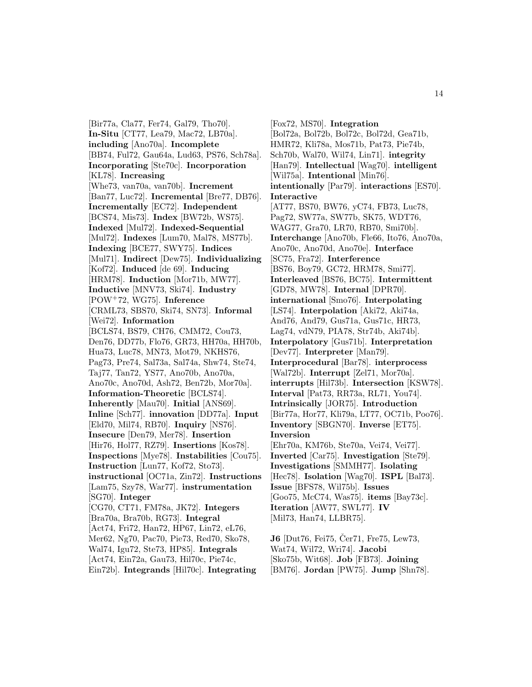[Bir77a, Cla77, Fer74, Gal79, Tho70]. **In-Situ** [CT77, Lea79, Mac72, LB70a]. **including** [Ano70a]. **Incomplete** [BB74, Ful72, Gau64a, Lud63, PS76, Sch78a]. **Incorporating** [Ste70c]. **Incorporation** [KL78]. **Increasing** [Whe73, van70a, van70b]. **Increment** [Ban77, Luc72]. **Incremental** [Bre77, DB76]. **Incrementally** [EC72]. **Independent** [BCS74, Mis73]. **Index** [BW72b, WS75]. **Indexed** [Mul72]. **Indexed-Sequential** [Mul72]. **Indexes** [Lum70, Mal78, MS77b]. **Indexing** [BCE77, SWY75]. **Indices** [Mul71]. **Indirect** [Dew75]. **Individualizing** [Kof72]. **Induced** [de 69]. **Inducing** [HRM78]. **Induction** [Mor71b, MW77]. **Inductive** [MNV73, Ski74]. **Industry** [POW<sup>+</sup>72, WG75]. **Inference** [CRML73, SBS70, Ski74, SN73]. **Informal** [Wei72]. **Information** [BCLS74, BS79, CH76, CMM72, Cou73, Den76, DD77b, Flo76, GR73, HH70a, HH70b, Hua73, Luc78, MN73, Mot79, NKHS76, Pag73, Pre74, Sal73a, Sal74a, Shw74, Ste74, Taj77, Tan72, YS77, Ano70b, Ano70a, Ano70c, Ano70d, Ash72, Ben72b, Mor70a]. **Information-Theoretic** [BCLS74]. **Inherently** [Mau70]. **Initial** [ANS69]. **Inline** [Sch77]. **innovation** [DD77a]. **Input** [Eld70, Mil74, RB70]. **Inquiry** [NS76]. **Insecure** [Den79, Mer78]. **Insertion** [Hir76, Hol77, RZ79]. **Insertions** [Kos78]. **Inspections** [Mye78]. **Instabilities** [Cou75]. **Instruction** [Lun77, Kof72, Sto73]. **instructional** [OC71a, Zin72]. **Instructions** [Lam75, Szy78, War77]. **instrumentation** [SG70]. **Integer** [CG70, CT71, FM78a, JK72]. **Integers** [Bra70a, Bra70b, RG73]. **Integral** [Act74, Fri72, Han72, HP67, Lin72, eL76, Mer62, Ng70, Pac70, Pie73, Red70, Sko78, Wal74, Igu72, Ste73, HP85]. **Integrals** [Act74, Ein72a, Gau73, Hil70c, Pie74c, Ein72b]. **Integrands** [Hil70c]. **Integrating**

[Fox72, MS70]. **Integration** [Bol72a, Bol72b, Bol72c, Bol72d, Gea71b, HMR72, Kli78a, Mos71b, Pat73, Pie74b, Sch70b, Wal70, Wil74, Lin71]. **integrity** [Han79]. **Intellectual** [Wag70]. **intelligent** [Wil75a]. **Intentional** [Min76]. **intentionally** [Par79]. **interactions** [ES70]. **Interactive** [AT77, BS70, BW76, yC74, FB73, Luc78, Pag72, SW77a, SW77b, SK75, WDT76, WAG77, Gra70, LR70, RB70, Smi70b]. **Interchange** [Ano70b, Fle66, Ito76, Ano70a, Ano70c, Ano70d, Ano70e]. **Interface** [SC75, Fra72]. **Interference** [BS76, Boy79, GC72, HRM78, Smi77]. **Interleaved** [BS76, BC75]. **Intermittent** [GD78, MW78]. **Internal** [DPR70]. **international** [Smo76]. **Interpolating** [LS74]. **Interpolation** [Aki72, Aki74a, And76, And79, Gus71a, Gus71c, HR73, Lag74, vdN79, PIA78, Str74b, Aki74b]. **Interpolatory** [Gus71b]. **Interpretation** [Dev77]. **Interpreter** [Man79]. **Interprocedural** [Bar78]. **interprocess** [Wal72b]. **Interrupt** [Zel71, Mor70a]. **interrupts** [Hil73b]. **Intersection** [KSW78]. **Interval** [Pat73, RR73a, RL71, You74]. **Intrinsically** [JOR75]. **Introduction** [Bir77a, Hor77, Kli79a, LT77, OC71b, Poo76]. **Inventory** [SBGN70]. **Inverse** [ET75]. **Inversion** [Ehr70a, KM76b, Ste70a, Vei74, Vei77]. **Inverted** [Car75]. **Investigation** [Ste79]. **Investigations** [SMMH77]. **Isolating** [Hec78]. **Isolation** [Wag70]. **ISPL** [Bal73]. **Issue** [BFS78, Wil75b]. **Issues** [Goo75, McC74, Was75]. **items** [Bay73c]. **Iteration** [AW77, SWL77]. **IV** [Mil73, Han74, LLBR75].

**J6** [Dut76, Fei75, Čer71, Fre75, Lew73, Wat74, Wil72, Wri74]. **Jacobi** [Sko75b, Wit68]. **Job** [FB73]. **Joining** [BM76]. **Jordan** [PW75]. **Jump** [Shn78].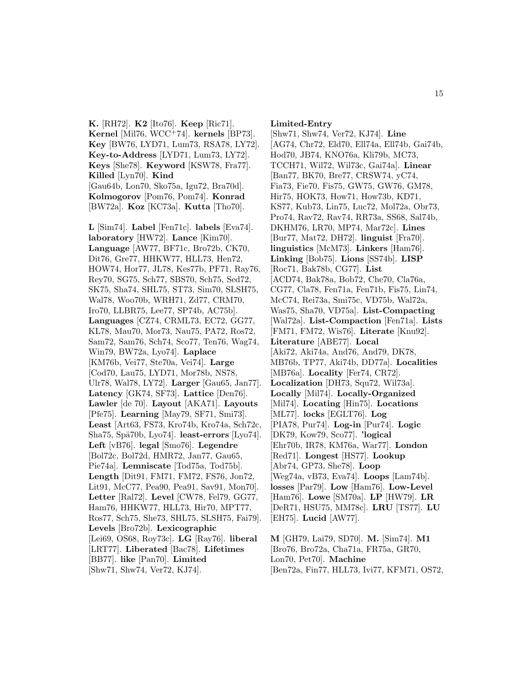**K.** [RH72]. **K2** [Ito76]. **Keep** [Ric71]. **Kernel** [Mil76, WCC<sup>+</sup>74]. **kernels** [BP73]. **Key** [BW76, LYD71, Lum73, RSA78, LY72]. **Key-to-Address** [LYD71, Lum73, LY72]. **Keys** [She78]. **Keyword** [KSW78, Fra77]. **Killed** [Lyn70]. **Kind** [Gau64b, Lon70, Sko75a, Igu72, Bra70d]. **Kolmogorov** [Pom76, Pom74]. **Konrad** [BW72a]. **Koz** [KC73a]. **Kutta** [Tho70].

**L** [Sim74]. **Label** [Fen71c]. **labels** [Eva74]. **laboratory** [HW72]. **Lance** [Kim70]. **Language** [AW77, BF71c, Bro72b, CK70, Dit76, Gre77, HHKW77, HLL73, Hen72, HOW74, Hor77, JL78, Kes77b, PF71, Ray76, Rey70, SG75, Sch77, SBS70, Sch75, Sed72, SK75, Sha74, SHL75, ST73, Sim70, SLSH75, Wal78, Woo70b, WRH71, Zd77, CRM70, Iro70, LLBR75, Lee77, SP74b, AC75b]. **Languages** [CZ74, CRML73, EC72, GG77, KL78, Mau70, Mor73, Nau75, PA72, Ros72, Sam72, Sam76, Sch74, Sco77, Ten76, Wag74, Win79, BW72a, Lyo74]. **Laplace** [KM76b, Vei77, Ste70a, Vei74]. **Large** [Cod70, Lau75, LYD71, Mor78b, NS78, Ulr78, Wal78, LY72]. **Larger** [Gau65, Jan77]. **Latency** [GK74, SF73]. **Lattice** [Den76]. **Lawler** [de 70]. **Layout** [AKA71]. **Layouts** [Pfe75]. **Learning** [May79, SF71, Smi73]. **Least** [Art63, FS73, Kro74b, Kro74a, Sch72c, Sha75, Spä70b, Lyo74. **least-errors** [Lyo74]. **Left** [vB76]. **legal** [Smo76]. **Legendre** [Bol72c, Bol72d, HMR72, Jan77, Gau65, Pie74a]. **Lemniscate** [Tod75a, Tod75b]. **Length** [Dit91, FM71, FM72, FS76, Jon72, Lit91, McC77, Pea90, Pea91, Sav91, Mon70]. **Letter** [Ral72]. **Level** [CW78, Fel79, GG77, Ham76, HHKW77, HLL73, Hir70, MPT77, Ros77, Sch75, She73, SHL75, SLSH75, Fai79]. **Levels** [Bro72b]. **Lexicographic** [Lei69, OS68, Roy73c]. **LG** [Ray76]. **liberal** [LRT77]. **Liberated** [Bac78]. **Lifetimes** [BB77]. **like** [Pan70]. **Limited** [Shw71, Shw74, Ver72, KJ74].

**Limited-Entry**

[Shw71, Shw74, Ver72, KJ74]. **Line** [AG74, Chr72, Eld70, Ell74a, Ell74b, Gai74b, Hod70, JB74, KNO76a, Kli79b, MC73, TCCH71, Wil72, Wil73c, Gai74a]. **Linear** [Ban77, BK70, Bre77, CRSW74, yC74, Fia73, Fie70, Fis75, GW75, GW76, GM78, Hir75, HOK73, How71, How73b, KD71, KS77, Kub73, Lin75, Luc72, Mol72a, Obr73, Pro74, Rav72, Rav74, RR73a, SS68, Sal74b, DKHM76, LR70, MP74, Mar72c]. **Lines** [Bur77, Mat72, DH72]. **linguist** [Fra70]. **linguistics** [McM73]. **Linkers** [Ham76]. **Linking** [Bob75]. **Lions** [SS74b]. **LISP** [Roc71, Bak78b, CG77]. **List** [ACD74, Bak78a, Bob72, Che70, Cla76a, CG77, Cla78, Fen71a, Fen71b, Fis75, Lin74, McC74, Rei73a, Smi75c, VD75b, Wal72a, Was75, Sha70, VD75a]. **List-Compacting** [Wal72a]. **List-Compaction** [Fen71a]. **Lists** [FM71, FM72, Wis76]. **Literate** [Knu92]. **Literature** [ABE77]. **Local** [Aki72, Aki74a, And76, And79, DK78, MB76b, TP77, Aki74b, DD77a]. **Localities** [MB76a]. **Locality** [Fer74, CR72]. **Localization** [DH73, Squ72, Wil73a]. **Locally** [Mil74]. **Locally-Organized** [Mil74]. **Locating** [Hin75]. **Locations** [ML77]. **locks** [EGLT76]. **Log** [PIA78, Pur74]. **Log-in** [Pur74]. **Logic** [DK79, Kow79, Sco77]. **'logical** [Ehr70b, IR78, KM76a, War77]. **London** [Red71]. **Longest** [HS77]. **Lookup** [Abr74, GP73, She78]. **Loop** [Weg74a, vB73, Eva74]. **Loops** [Lam74b]. **losses** [Par79]. **Low** [Ham76]. **Low-Level** [Ham76]. **Lowe** [SM70a]. **LP** [HW79]. **LR** [DeR71, HSU75, MM78c]. **LRU** [TS77]. **LU** [EH75]. **Lucid** [AW77].

**M** [GH79, Lai79, SD70]. **M.** [Sim74]. **M1** [Bro76, Bro72a, Cha71a, FR75a, GR70, Lon70, Pet70]. **Machine** [Ben72a, Fin77, HLL73, Ivi77, KFM71, OS72,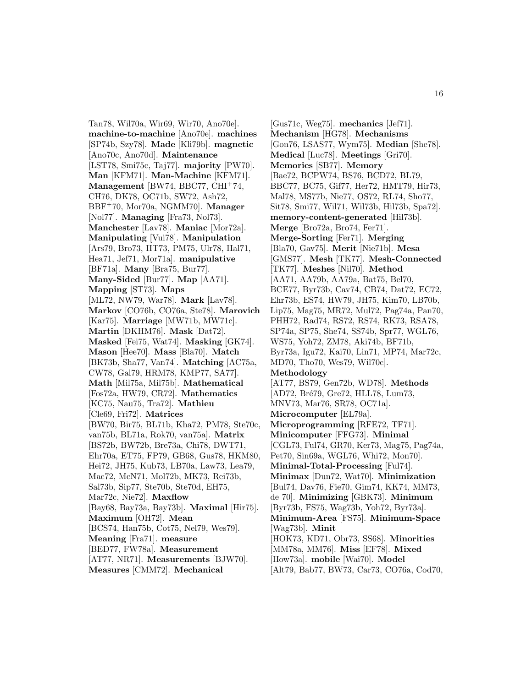Tan78, Wil70a, Wir69, Wir70, Ano70e]. **machine-to-machine** [Ano70e]. **machines** [SP74b, Szy78]. **Made** [Kli79b]. **magnetic** [Ano70c, Ano70d]. **Maintenance** [LST78, Smi75c, Taj77]. **majority** [PW70]. **Man** [KFM71]. **Man-Machine** [KFM71]. **Management** [BW74, BBC77, CHI<sup>+</sup>74, CH76, DK78, OC71b, SW72, Ash72, BBF<sup>+</sup>70, Mor70a, NGMM70]. **Manager** [Nol77]. **Managing** [Fra73, Nol73]. **Manchester** [Lav78]. **Maniac** [Mor72a]. **Manipulating** [Vui78]. **Manipulation** [Ars79, Bro73, HT73, PM75, Ulr78, Hal71, Hea71, Jef71, Mor71a]. **manipulative** [BF71a]. **Many** [Bra75, Bur77]. **Many-Sided** [Bur77]. **Map** [AA71]. **Mapping** [ST73]. **Maps** [ML72, NW79, War78]. **Mark** [Lav78]. **Markov** [CO76b, CO76a, Ste78]. **Marovich** [Kar75]. **Marriage** [MW71b, MW71c]. **Martin** [DKHM76]. **Mask** [Dat72]. **Masked** [Fei75, Wat74]. **Masking** [GK74]. **Mason** [Hee70]. **Mass** [Bla70]. **Match** [BK73b, Sha77, Van74]. **Matching** [AC75a, CW78, Gal79, HRM78, KMP77, SA77]. **Math** [Mil75a, Mil75b]. **Mathematical** [Fos72a, HW79, CR72]. **Mathematics** [KC75, Nau75, Tra72]. **Mathieu** [Cle69, Fri72]. **Matrices** [BW70, Bir75, BL71b, Kha72, PM78, Ste70c, van75b, BL71a, Rok70, van75a]. **Matrix** [BS72b, BW72b, Bre73a, Chi78, DWT71, Ehr70a, ET75, FP79, GB68, Gus78, HKM80, Hei72, JH75, Kub73, LB70a, Law73, Lea79, Mac72, McN71, Mol72b, MK73, Rei73b, Sal73b, Sip77, Ste70b, Ste70d, EH75, Mar72c, Nie72]. **Maxflow** [Bay68, Bay73a, Bay73b]. **Maximal** [Hir75]. **Maximum** [OH72]. **Mean** [BCS74, Han75b, Cot75, Nel79, Wes79]. **Meaning** [Fra71]. **measure** [BED77, FW78a]. **Measurement** [AT77, NR71]. **Measurements** [BJW70]. **Measures** [CMM72]. **Mechanical**

[Gus71c, Weg75]. **mechanics** [Jef71]. **Mechanism** [HG78]. **Mechanisms** [Gon76, LSAS77, Wym75]. **Median** [She78]. **Medical** [Luc78]. **Meetings** [Gri70]. **Memories** [SB77]. **Memory** [Bae72, BCPW74, BS76, BCD72, BL79, BBC77, BC75, Gif77, Her72, HMT79, Hir73, Mal78, MS77b, Nie77, OS72, RL74, Sho77, Sit78, Smi77, Wil71, Wil73b, Hil73b, Spa72]. **memory-content-generated** [Hil73b]. **Merge** [Bro72a, Bro74, Fer71]. **Merge-Sorting** [Fer71]. **Merging** [Bla70, Gav75]. **Merit** [Nie71b]. **Mesa** [GMS77]. **Mesh** [TK77]. **Mesh-Connected** [TK77]. **Meshes** [Nil70]. **Method** [AA71, AA79b, AA79a, Bat75, Bel70, BCE77, Byr73b, Cav74, CB74, Dat72, EC72, Ehr73b, ES74, HW79, JH75, Kim70, LB70b, Lip75, Mag75, MR72, Mul72, Pag74a, Pan70, PHH72, Rad74, RS72, RS74, RK73, RSA78, SP74a, SP75, She74, SS74b, Spr77, WGL76, WS75, Yoh72, ZM78, Aki74b, BF71b, Byr73a, Igu72, Kai70, Lin71, MP74, Mar72c, MD70, Tho70, Wes79, Wil70c]. **Methodology** [AT77, BS79, Gen72b, WD78]. **Methods** [AD72, Bré79, Gre72, HLL78, Lum73, MNV73, Mar76, SR78, OC71a]. **Microcomputer** [EL79a]. **Microprogramming** [RFE72, TF71]. **Minicomputer** [FFG73]. **Minimal** [CGL73, Ful74, GR70, Ker73, Mag75, Pag74a, Pet70, Sin69a, WGL76, Whi72, Mon70]. **Minimal-Total-Processing** [Ful74]. **Minimax** [Dun72, Wat70]. **Minimization** [Bul74, Dav76, Fie70, Gim74, KK74, MM73, de 70]. **Minimizing** [GBK73]. **Minimum** [Byr73b, FS75, Wag73b, Yoh72, Byr73a]. **Minimum-Area** [FS75]. **Minimum-Space** [Wag73b]. **Minit** [HOK73, KD71, Obr73, SS68]. **Minorities** [MM78a, MM76]. **Miss** [EF78]. **Mixed** [How73a]. **mobile** [Wai70]. **Model** [Alt79, Bab77, BW73, Car73, CO76a, Cod70,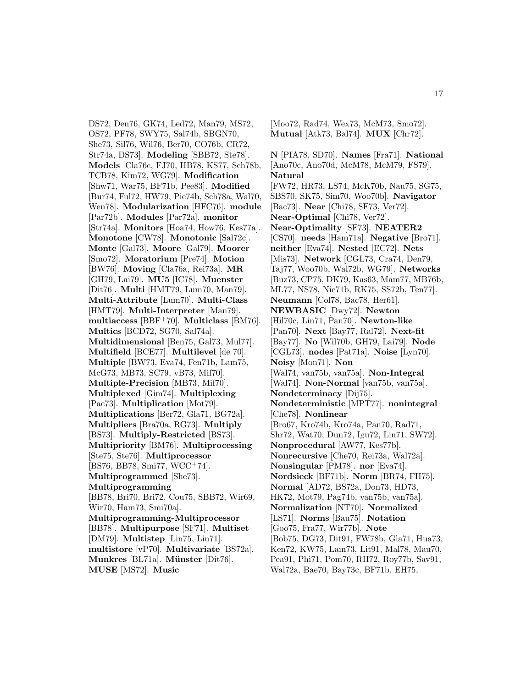DS72, Den76, GK74, Led72, Man79, MS72, OS72, PF78, SWY75, Sal74b, SBGN70, She73, Sil76, Wil76, Ber70, CO76b, CR72, Str74a, DS73]. **Modeling** [SBB72, Ste78]. **Models** [Cla76c, FJ70, HB78, KS77, Sch78b, TCB78, Kim72, WG79]. **Modification** [Shw71, War75, BF71b, Pee83]. **Modified** [Bur74, Ful72, HW79, Pie74b, Sch78a, Wal70, Wen78]. **Modularization** [HFC76]. **module** [Par72b]. **Modules** [Par72a]. **monitor** [Str74a]. **Monitors** [Hoa74, How76, Kes77a]. **Monotone** [CW78]. **Monotonic** [Sal72c]. **Monte** [Gal73]. **Moore** [Gal79]. **Moorer** [Smo72]. **Moratorium** [Pre74]. **Motion** [BW76]. **Moving** [Cla76a, Rei73a]. **MR** [GH79, Lai79]. **MU5** [IC78]. **Muenster** [Dit76]. **Multi** [HMT79, Lum70, Man79]. **Multi-Attribute** [Lum70]. **Multi-Class** [HMT79]. **Multi-Interpreter** [Man79]. **multiaccess** [BBF<sup>+</sup>70]. **Multiclass** [BM76]. **Multics** [BCD72, SG70, Sal74a]. **Multidimensional** [Ben75, Gal73, Mul77]. **Multifield** [BCE77]. **Multilevel** [de 70]. **Multiple** [BW73, Eva74, Fen71b, Lam75, McG73, MB73, SC79, vB73, Mif70]. **Multiple-Precision** [MB73, Mif70]. **Multiplexed** [Gim74]. **Multiplexing** [Pac73]. **Multiplication** [Mot79]. **Multiplications** [Ber72, Gla71, BG72a]. **Multipliers** [Bra70a, RG73]. **Multiply** [BS73]. **Multiply-Restricted** [BS73]. **Multipriority** [BM76]. **Multiprocessing** [Ste75, Ste76]. **Multiprocessor**  $[BS76, BB78, Smi77, WCC^+74].$ **Multiprogrammed** [She73]. **Multiprogramming** [BB78, Bri70, Bri72, Cou75, SBB72, Wir69, Wir70, Ham73, Smi70a]. **Multiprogramming-Multiprocessor** [BB78]. **Multipurpose** [SF71]. **Multiset** [DM79]. **Multistep** [Lin75, Lin71]. **multistore** [vP70]. **Multivariate** [BS72a]. **Munkres** [BL71a]. **Münster** [Dit76]. **MUSE** [MS72]. **Music**

[Moo72, Rad74, Wex73, McM73, Smo72]. **Mutual** [Atk73, Bal74]. **MUX** [Chr72].

**N** [PIA78, SD70]. **Names** [Fra71]. **National** [Ano70c, Ano70d, McM78, McM79, FS79]. **Natural** [FW72, HR73, LS74, McK70b, Nau75, SG75, SBS70, SK75, Sim70, Woo70b]. **Navigator** [Bac73]. **Near** [Chi78, SF73, Ver72]. **Near-Optimal** [Chi78, Ver72]. **Near-Optimality** [SF73]. **NEATER2** [CS70]. **needs** [Ham71a]. **Negative** [Bro71]. **neither** [Eva74]. **Nested** [EC72]. **Nets** [Mis73]. **Network** [CGL73, Cra74, Den79, Taj77, Woo70b, Wal72b, WG79]. **Networks** [Buz73, CP75, DK79, Kas63, Mam77, MB76b, ML77, NS78, Nie71b, RK75, SS72b, Ten77]. **Neumann** [Col78, Bac78, Her61]. **NEWBASIC** [Dwy72]. **Newton** [Hil70c, Lin71, Pan70]. **Newton-like** [Pan70]. **Next** [Bay77, Ral72]. **Next-fit** [Bay77]. **No** [Wil70b, GH79, Lai79]. **Node** [CGL73]. **nodes** [Pat71a]. **Noise** [Lyn70]. **Noisy** [Mon71]. **Non** [Wal74, van75b, van75a]. **Non-Integral** [Wal74]. **Non-Normal** [van75b, van75a]. **Nondeterminacy** [Dij75]. **Nondeterministic** [MPT77]. **nonintegral** [Che78]. **Nonlinear** [Bro67, Kro74b, Kro74a, Pan70, Rad71, Shr72, Wat70, Dun72, Igu72, Lin71, SW72]. **Nonprocedural** [AW77, Kes77b]. **Nonrecursive** [Che70, Rei73a, Wal72a]. **Nonsingular** [PM78]. **nor** [Eva74]. **Nordsieck** [BF71b]. **Norm** [BR74, FH75]. **Normal** [AD72, BS72a, Don73, HD73, HK72, Mot79, Pag74b, van75b, van75a]. **Normalization** [NT70]. **Normalized** [LS71]. **Norms** [Bau75]. **Notation** [Goo75, Fra77, Wir77b]. **Note** [Bob75, DG73, Dit91, FW78b, Gla71, Hua73, Ken72, KW75, Lam73, Lit91, Mal78, Mau70, Pea91, Phi71, Pom70, RH72, Roy77b, Sav91, Wal72a, Bae70, Bay73c, BF71b, EH75,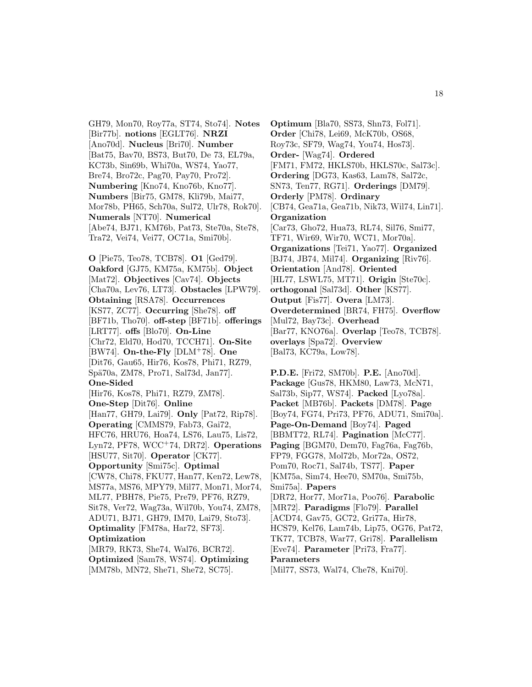GH79, Mon70, Roy77a, ST74, Sto74]. **Notes** [Bir77b]. **notions** [EGLT76]. **NRZI** [Ano70d]. **Nucleus** [Bri70]. **Number** [Bat75, Bav70, BS73, But70, De 73, EL79a, KC73b, Sin69b, Whi70a, WS74, Yao77, Bre74, Bro72c, Pag70, Pay70, Pro72]. **Numbering** [Kno74, Kno76b, Kno77]. **Numbers** [Bir75, GM78, Kli79b, Mai77, Mor78b, PH65, Sch70a, Sul72, Ulr78, Rok70]. **Numerals** [NT70]. **Numerical** [Abe74, BJ71, KM76b, Pat73, Ste70a, Ste78, Tra72, Vei74, Vei77, OC71a, Smi70b].

**O** [Pie75, Teo78, TCB78]. **O1** [Ged79]. **Oakford** [GJ75, KM75a, KM75b]. **Object** [Mat72]. **Objectives** [Cav74]. **Objects** [Cha70a, Lev76, LT73]. **Obstacles** [LPW79]. **Obtaining** [RSA78]. **Occurrences** [KS77, ZC77]. **Occurring** [She78]. **off** [BF71b, Tho70]. **off-step** [BF71b]. **offerings** [LRT77]. **offs** [Blo70]. **On-Line** [Chr72, Eld70, Hod70, TCCH71]. **On-Site** [BW74]. **On-the-Fly** [DLM<sup>+</sup>78]. **One** [Dit76, Gau65, Hir76, Kos78, Phi71, RZ79, Spä70a, ZM78, Pro71, Sal73d, Jan77]. **One-Sided** [Hir76, Kos78, Phi71, RZ79, ZM78]. **One-Step** [Dit76]. **Online** [Han77, GH79, Lai79]. **Only** [Pat72, Rip78]. **Operating** [CMMS79, Fab73, Gai72, HFC76, HRU76, Hoa74, LS76, Lau75, Lis72, Lyn72, PF78, WCC<sup>+</sup>74, DR72]. **Operations** [HSU77, Sit70]. **Operator** [CK77]. **Opportunity** [Smi75c]. **Optimal** [CW78, Chi78, FKU77, Han77, Ken72, Lew78, MS77a, MS76, MPY79, Mil77, Mon71, Mor74, ML77, PBH78, Pie75, Pre79, PF76, RZ79, Sit78, Ver72, Wag73a, Wil70b, You74, ZM78, ADU71, BJ71, GH79, IM70, Lai79, Sto73]. **Optimality** [FM78a, Har72, SF73]. **Optimization** [MR79, RK73, She74, Wal76, BCR72]. **Optimized** [Sam78, WS74]. **Optimizing**

[MM78b, MN72, She71, She72, SC75].

**Optimum** [Bla70, SS73, Shn73, Fol71]. **Order** [Chi78, Lei69, McK70b, OS68, Roy73c, SF79, Wag74, You74, Hos73]. **Order-** [Wag74]. **Ordered** [FM71, FM72, HKLS70b, HKLS70c, Sal73c]. **Ordering** [DG73, Kas63, Lam78, Sal72c, SN73, Ten77, RG71]. **Orderings** [DM79]. **Orderly** [PM78]. **Ordinary** [CB74, Gea71a, Gea71b, Nik73, Wil74, Lin71]. **Organization** [Car73, Gho72, Hua73, RL74, Sil76, Smi77, TF71, Wir69, Wir70, WC71, Mor70a]. **Organizations** [Tei71, Yao77]. **Organized** [BJ74, JB74, Mil74]. **Organizing** [Riv76]. **Orientation** [And78]. **Oriented** [HL77, LSWL75, MT71]. **Origin** [Ste70c]. **orthogonal** [Sal73d]. **Other** [KS77]. **Output** [Fis77]. **Overa** [LM73]. **Overdetermined** [BR74, FH75]. **Overflow** [Mul72, Bay73c]. **Overhead** [Bar77, KNO76a]. **Overlap** [Teo78, TCB78]. **overlays** [Spa72]. **Overview** [Bal73, KC79a, Low78].

**P.D.E.** [Fri72, SM70b]. **P.E.** [Ano70d]. **Package** [Gus78, HKM80, Law73, McN71, Sal73b, Sip77, WS74]. **Packed** [Lyo78a]. **Packet** [MB76b]. **Packets** [DM78]. **Page** [Boy74, FG74, Pri73, PF76, ADU71, Smi70a]. **Page-On-Demand** [Boy74]. **Paged** [BBMT72, RL74]. **Pagination** [McC77]. **Paging** [BGM70, Dem70, Fag76a, Fag76b, FP79, FGG78, Mol72b, Mor72a, OS72, Pom70, Roc71, Sal74b, TS77]. **Paper** [KM75a, Sim74, Hee70, SM70a, Smi75b, Smi75a]. **Papers** [DR72, Hor77, Mor71a, Poo76]. **Parabolic** [MR72]. **Paradigms** [Flo79]. **Parallel** [ACD74, Gav75, GC72, Gri77a, Hir78, HCS79, Kel76, Lam74b, Lip75, OG76, Pat72, TK77, TCB78, War77, Gri78]. **Parallelism** [Eve74]. **Parameter** [Pri73, Fra77]. **Parameters** [Mil77, SS73, Wal74, Che78, Kni70].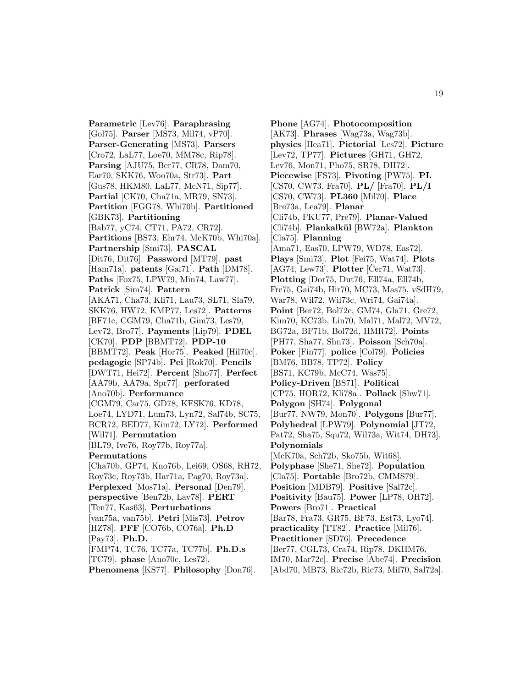**Parametric** [Lev76]. **Paraphrasing** [Gol75]. **Parser** [MS73, Mil74, vP70]. **Parser-Generating** [MS73]. **Parsers** [Cro72, LaL77, Loe70, MM78c, Rip78]. **Parsing** [AJU75, Ber77, CR78, Dam70, Ear70, SKK76, Woo70a, Str73]. **Part** [Gus78, HKM80, LaL77, McN71, Sip77]. **Partial** [CK70, Cha71a, MR79, SN73]. **Partition** [FGG78, Whi70b]. **Partitioned** [GBK73]. **Partitioning** [Bab77, yC74, CT71, PA72, CR72]. **Partitions** [BS73, Ehr74, McK70b, Whi70a]. **Partnership** [Smi73]. **PASCAL** [Dit76, Dit76]. **Password** [MT79]. **past** [Ham71a]. **patents** [Gal71]. **Path** [DM78]. **Paths** [Fox75, LPW79, Min74, Law77]. **Patrick** [Sim74]. **Pattern** [AKA71, Cha73, Kli71, Lau73, SL71, Sla79, SKK76, HW72, KMP77, Les72]. **Patterns** [BF71c, CGM79, Cha71b, Gim73, Les79, Lev72, Bro77]. **Payments** [Lip79]. **PDEL** [CK70]. **PDP** [BBMT72]. **PDP-10** [BBMT72]. **Peak** [Hor75]. **Peaked** [Hil70c]. **pedagogic** [SP74b]. **Pei** [Rok70]. **Pencils** [DWT71, Hei72]. **Percent** [Sho77]. **Perfect** [AA79b, AA79a, Spr77]. **perforated** [Ano70b]. **Performance** [CGM79, Car75, GD78, KFSK76, KD78, Loe74, LYD71, Lum73, Lyn72, Sal74b, SC75, BCR72, BED77, Kim72, LY72]. **Performed** [Wil71]. **Permutation** [BL79, Ive76, Roy77b, Roy77a]. **Permutations** [Cha70b, GP74, Kno76b, Lei69, OS68, RH72, Roy73c, Roy73b, Har71a, Pag70, Roy73a]. **Perplexed** [Mos71a]. **Personal** [Den79]. **perspective** [Ben72b, Lav78]. **PERT** [Ten77, Kas63]. **Perturbations** [van75a, van75b]. **Petri** [Mis73]. **Petrov** [HZ78]. **PFF** [CO76b, CO76a]. **Ph.D** [Pay73]. **Ph.D.** [FMP74, TC76, TC77a, TC77b]. **Ph.D.s** [TC79]. **phase** [Ano70c, Les72].

**Phenomena** [KS77]. **Philosophy** [Don76].

**Phone** [AG74]. **Photocomposition** [AK73]. **Phrases** [Wag73a, Wag73b]. **physics** [Hea71]. **Pictorial** [Les72]. **Picture** [Lev72, TP77]. **Pictures** [GH71, GH72, Lev76, Mon71, Pho75, SR78, DH72]. **Piecewise** [FS73]. **Pivoting** [PW75]. **PL** [CS70, CW73, Fra70]. **PL/** [Fra70]. **PL/I** [CS70, CW73]. **PL360** [Mil70]. **Place** [Bre73a, Lea79]. **Planar** [Cli74b, FKU77, Pre79]. **Planar-Valued** [Cli74b]. **Plankalk¨ul** [BW72a]. **Plankton** [Cla75]. **Planning** [Ama71, Eas70, LPW79, WD78, Eas72]. **Plays** [Smi73]. **Plot** [Fei75, Wat74]. **Plots**  $[AG74, Lew73]$ . **Plotter**  $[Cor71, Wat73]$ . **Plotting** [Dor75, Dut76, Ell74a, Ell74b, Fre75, Gai74b, Hir70, MC73, Mas75, vSdH79, War78, Wil72, Wil73c, Wri74, Gai74a]. **Point** [Ber72, Bol72c, GM74, Gla71, Gre72, Kim70, KC73b, Lin70, Mal71, Mal72, MV72, BG72a, BF71b, Bol72d, HMR72]. **Points** [PH77, Sha77, Shn73]. **Poisson** [Sch70a]. **Poker** [Fin77]. **police** [Col79]. **Policies** [BM76, BB78, TP72]. **Policy** [BS71, KC79b, McC74, Was75]. **Policy-Driven** [BS71]. **Political** [CP75, HOR72, Kli78a]. **Pollack** [Shw71]. **Polygon** [SH74]. **Polygonal** [Bur77, NW79, Mon70]. **Polygons** [Bur77]. **Polyhedral** [LPW79]. **Polynomial** [JT72, Pat72, Sha75, Squ72, Wil73a, Wit74, DH73]. **Polynomials** [McK70a, Sch72b, Sko75b, Wit68]. **Polyphase** [She71, She72]. **Population** [Cla75]. **Portable** [Bro72b, CMMS79]. **Position** [MDB79]. **Positive** [Sal72c]. **Positivity** [Bau75]. **Power** [LP78, OH72]. **Powers** [Bro71]. **Practical** [Bar78, Fra73, GR75, BF73, Est73, Lyo74]. **practicality** [TT82]. **Practice** [Mil76]. **Practitioner** [SD76]. **Precedence** [Ber77, CGL73, Cra74, Rip78, DKHM76, IM70, Mar72c]. **Precise** [Abe74]. **Precision** [Abd70, MB73, Ric72b, Ric73, Mif70, Sal72a].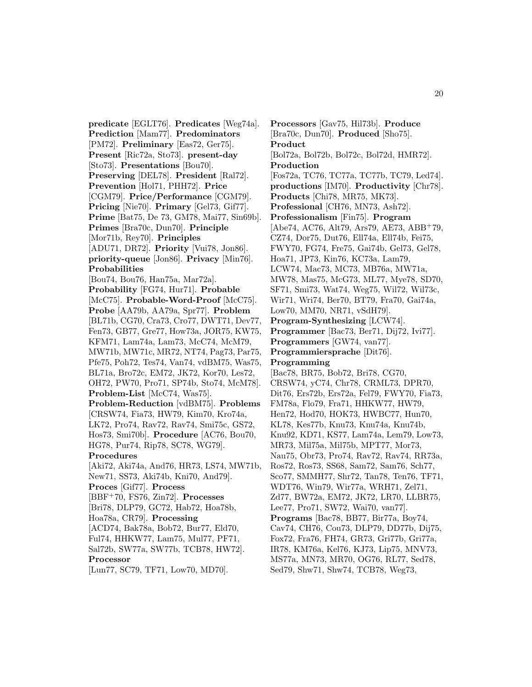**predicate** [EGLT76]. **Predicates** [Weg74a]. **Prediction** [Mam77]. **Predominators** [PM72]. **Preliminary** [Eas72, Ger75]. **Present** [Ric72a, Sto73]. **present-day** [Sto73]. **Presentations** [Bou70]. **Preserving** [DEL78]. **President** [Ral72]. **Prevention** [Hol71, PHH72]. **Price** [CGM79]. **Price/Performance** [CGM79]. **Pricing** [Nie70]. **Primary** [Gel73, Gif77]. **Prime** [Bat75, De 73, GM78, Mai77, Sin69b]. **Primes** [Bra70c, Dun70]. **Principle** [Mor71b, Rey70]. **Principles** [ADU71, DR72]. **Priority** [Vui78, Jon86]. **priority-queue** [Jon86]. **Privacy** [Min76]. **Probabilities** [Bou74, Bou76, Han75a, Mar72a]. **Probability** [FG74, Hur71]. **Probable** [McC75]. **Probable-Word-Proof** [McC75]. **Probe** [AA79b, AA79a, Spr77]. **Problem** [BL71b, CG70, Cra73, Cro77, DWT71, Dev77, Fen73, GB77, Gre77, How73a, JOR75, KW75, KFM71, Lam74a, Lam73, McC74, McM79, MW71b, MW71c, MR72, NT74, Pag73, Par75, Pfe75, Poh72, Tes74, Van74, vdBM75, Was75, BL71a, Bro72c, EM72, JK72, Kor70, Les72, OH72, PW70, Pro71, SP74b, Sto74, McM78]. **Problem-List** [McC74, Was75]. **Problem-Reduction** [vdBM75]. **Problems** [CRSW74, Fia73, HW79, Kim70, Kro74a, LK72, Pro74, Rav72, Rav74, Smi75c, GS72, Hos73, Smi70b]. **Procedure** [AC76, Bou70, HG78, Pur74, Rip78, SC78, WG79]. **Procedures** [Aki72, Aki74a, And76, HR73, LS74, MW71b, New71, SS73, Aki74b, Kni70, And79]. **Proces** [Gif77]. **Process** [BBF<sup>+</sup>70, FS76, Zin72]. **Processes** [Bri78, DLP79, GC72, Hab72, Hoa78b, Hoa78a, CR79]. **Processing** [ACD74, Bak78a, Bob72, Bur77, Eld70, Ful74, HHKW77, Lam75, Mul77, PF71, Sal72b, SW77a, SW77b, TCB78, HW72]. **Processor**

[Lun77, SC79, TF71, Low70, MD70].

**Processors** [Gav75, Hil73b]. **Produce** [Bra70c, Dun70]. **Produced** [Sho75]. **Product** [Bol72a, Bol72b, Bol72c, Bol72d, HMR72]. **Production** [Fos72a, TC76, TC77a, TC77b, TC79, Led74]. **productions** [IM70]. **Productivity** [Chr78]. **Products** [Chi78, MR75, MK73]. **Professional** [CH76, MN73, Ash72]. **Professionalism** [Fin75]. **Program** [Abe74, AC76, Alt79, Ars79, AE73, ABB<sup>+</sup>79, CZ74, Dor75, Dut76, Ell74a, Ell74b, Fei75, FWY70, FG74, Fre75, Gai74b, Gel73, Gel78, Hoa71, JP73, Kin76, KC73a, Lam79, LCW74, Mac73, MC73, MB76a, MW71a, MW78, Mas75, McG73, ML77, Mye78, SD70, SF71, Smi73, Wat74, Weg75, Wil72, Wil73c, Wir71, Wri74, Ber70, BT79, Fra70, Gai74a, Low70, MM70, NR71, vSdH79]. **Program-Synthesizing** [LCW74]. **Programmer** [Bac73, Ber71, Dij72, Ivi77]. **Programmers** [GW74, van77]. **Programmiersprache** [Dit76]. **Programming** [Bac78, BR75, Bob72, Bri78, CG70, CRSW74, yC74, Chr78, CRML73, DPR70, Dit76, Ers72b, Ers72a, Fel79, FWY70, Fia73, FM78a, Flo79, Fra71, HHKW77, HW79, Hen72, Hod70, HOK73, HWBC77, Hun70, KL78, Kes77b, Knu73, Knu74a, Knu74b, Knu92, KD71, KS77, Lam74a, Lem79, Low73, MR73, Mil75a, Mil75b, MPT77, Mor73, Nau75, Obr73, Pro74, Rav72, Rav74, RR73a, Ros72, Ros73, SS68, Sam72, Sam76, Sch77, Sco77, SMMH77, Shr72, Tan78, Ten76, TF71, WDT76, Win79, Wir77a, WRH71, Zel71, Zd77, BW72a, EM72, JK72, LR70, LLBR75, Lee77, Pro71, SW72, Wai70, van77]. **Programs** [Bac78, BB77, Bir77a, Boy74, Cav74, CH76, Cou73, DLP79, DD77b, Dij75, Fox72, Fra76, FH74, GR73, Gri77b, Gri77a, IR78, KM76a, Kel76, KJ73, Lip75, MNV73, MS77a, MN73, MR70, OG76, RL77, Sed78, Sed79, Shw71, Shw74, TCB78, Weg73,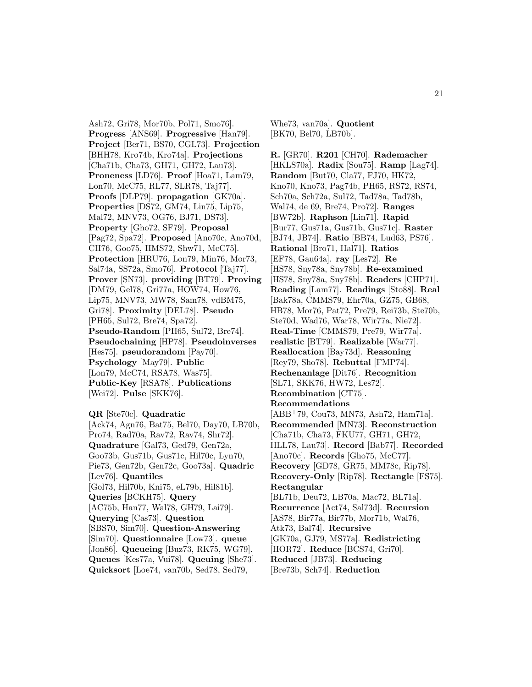Ash72, Gri78, Mor70b, Pol71, Smo76]. **Progress** [ANS69]. **Progressive** [Han79]. **Project** [Ber71, BS70, CGL73]. **Projection** [BHH78, Kro74b, Kro74a]. **Projections** [Cha71b, Cha73, GH71, GH72, Lau73]. **Proneness** [LD76]. **Proof** [Hoa71, Lam79, Lon70, McC75, RL77, SLR78, Taj77]. **Proofs** [DLP79]. **propagation** [GK70a]. **Properties** [DS72, GM74, Lin75, Lip75, Mal72, MNV73, OG76, BJ71, DS73]. **Property** [Gho72, SF79]. **Proposal** [Pag72, Spa72]. **Proposed** [Ano70c, Ano70d, CH76, Goo75, HMS72, Shw71, McC75]. **Protection** [HRU76, Lon79, Min76, Mor73, Sal74a, SS72a, Smo76]. **Protocol** [Taj77]. **Prover** [SN73]. **providing** [BT79]. **Proving** [DM79, Gel78, Gri77a, HOW74, How76, Lip75, MNV73, MW78, Sam78, vdBM75, Gri78]. **Proximity** [DEL78]. **Pseudo** [PH65, Sul72, Bre74, Spa72]. **Pseudo-Random** [PH65, Sul72, Bre74]. **Pseudochaining** [HP78]. **Pseudoinverses** [Hes75]. **pseudorandom** [Pay70]. **Psychology** [May79]. **Public** [Lon79, McC74, RSA78, Was75]. **Public-Key** [RSA78]. **Publications** [Wei72]. **Pulse** [SKK76].

**QR** [Ste70c]. **Quadratic**

[Ack74, Agn76, Bat75, Bel70, Day70, LB70b, Pro74, Rad70a, Rav72, Rav74, Shr72]. **Quadrature** [Gal73, Ged79, Gen72a, Goo73b, Gus71b, Gus71c, Hil70c, Lyn70, Pie73, Gen72b, Gen72c, Goo73a]. **Quadric** [Lev76]. **Quantiles** [Gol73, Hil70b, Kni75, eL79b, Hil81b]. **Queries** [BCKH75]. **Query** [AC75b, Han77, Wal78, GH79, Lai79]. **Querying** [Cas73]. **Question** [SBS70, Sim70]. **Question-Answering** [Sim70]. **Questionnaire** [Low73]. **queue** [Jon86]. **Queueing** [Buz73, RK75, WG79]. **Queues** [Kes77a, Vui78]. **Queuing** [She73]. **Quicksort** [Loe74, van70b, Sed78, Sed79,

Whe73, van70a]. **Quotient** [BK70, Bel70, LB70b].

**R.** [GR70]. **R201** [CH70]. **Rademacher** [HKLS70a]. **Radix** [Sou75]. **Ramp** [Lag74]. **Random** [But70, Cla77, FJ70, HK72, Kno70, Kno73, Pag74b, PH65, RS72, RS74, Sch70a, Sch72a, Sul72, Tad78a, Tad78b, Wal74, de 69, Bre74, Pro72]. **Ranges** [BW72b]. **Raphson** [Lin71]. **Rapid** [Bur77, Gus71a, Gus71b, Gus71c]. **Raster** [BJ74, JB74]. **Ratio** [BB74, Lud63, PS76]. **Rational** [Bro71, Hal71]. **Ratios** [EF78, Gau64a]. **ray** [Les72]. **Re** [HS78, Sny78a, Sny78b]. **Re-examined** [HS78, Sny78a, Sny78b]. **Readers** [CHP71]. **Reading** [Lam77]. **Readings** [Sto88]. **Real** [Bak78a, CMMS79, Ehr70a, GZ75, GB68, HB78, Mor76, Pat72, Pre79, Rei73b, Ste70b, Ste70d, Wad76, War78, Wir77a, Nie72]. **Real-Time** [CMMS79, Pre79, Wir77a]. **realistic** [BT79]. **Realizable** [War77]. **Reallocation** [Bay73d]. **Reasoning** [Rey79, Sho78]. **Rebuttal** [FMP74]. **Rechenanlage** [Dit76]. **Recognition** [SL71, SKK76, HW72, Les72]. **Recombination** [CT75]. **Recommendations** [ABB<sup>+</sup>79, Cou73, MN73, Ash72, Ham71a]. **Recommended** [MN73]. **Reconstruction** [Cha71b, Cha73, FKU77, GH71, GH72, HLL78, Lau73]. **Record** [Bab77]. **Recorded** [Ano70c]. **Records** [Gho75, McC77]. **Recovery** [GD78, GR75, MM78c, Rip78]. **Recovery-Only** [Rip78]. **Rectangle** [FS75]. **Rectangular** [BL71b, Deu72, LB70a, Mac72, BL71a]. **Recurrence** [Act74, Sal73d]. **Recursion** [AS78, Bir77a, Bir77b, Mor71b, Wal76, Atk73, Bal74]. **Recursive** [GK70a, GJ79, MS77a]. **Redistricting** [HOR72]. **Reduce** [BCS74, Gri70]. **Reduced** [JB73]. **Reducing** [Bre73b, Sch74]. **Reduction**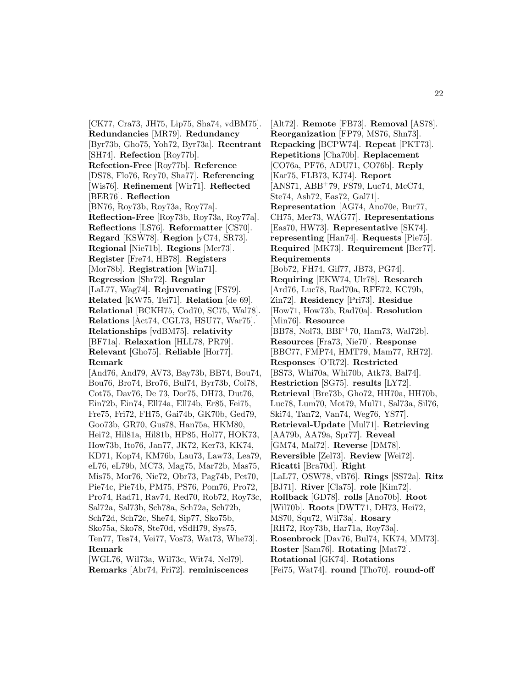[CK77, Cra73, JH75, Lip75, Sha74, vdBM75]. **Redundancies** [MR79]. **Redundancy** [Byr73b, Gho75, Yoh72, Byr73a]. **Reentrant** [SH74]. **Refection** [Roy77b]. **Refection-Free** [Roy77b]. **Reference** [DS78, Flo76, Rey70, Sha77]. **Referencing** [Wis76]. **Refinement** [Wir71]. **Reflected** [BER76]. **Reflection** [BN76, Roy73b, Roy73a, Roy77a]. **Reflection-Free** [Roy73b, Roy73a, Roy77a]. **Reflections** [LS76]. **Reformatter** [CS70]. **Regard** [KSW78]. **Region** [yC74, SR73]. **Regional** [Nie71b]. **Regions** [Mer73]. **Register** [Fre74, HB78]. **Registers** [Mor78b]. **Registration** [Win71]. **Regression** [Shr72]. **Regular** [LaL77, Wag74]. **Rejuvenating** [FS79]. **Related** [KW75, Tei71]. **Relation** [de 69]. **Relational** [BCKH75, Cod70, SC75, Wal78]. **Relations** [Act74, CGL73, HSU77, War75]. **Relationships** [vdBM75]. **relativity** [BF71a]. **Relaxation** [HLL78, PR79]. **Relevant** [Gho75]. **Reliable** [Hor77]. **Remark** [And76, And79, AV73, Bay73b, BB74, Bou74,

Bou76, Bro74, Bro76, Bul74, Byr73b, Col78, Cot75, Dav76, De 73, Dor75, DH73, Dut76, Ein72b, Ein74, Ell74a, Ell74b, Er85, Fei75, Fre75, Fri72, FH75, Gai74b, GK70b, Ged79, Goo73b, GR70, Gus78, Han75a, HKM80, Hei72, Hil81a, Hil81b, HP85, Hol77, HOK73, How73b, Ito76, Jan77, JK72, Ker73, KK74, KD71, Kop74, KM76b, Lau73, Law73, Lea79, eL76, eL79b, MC73, Mag75, Mar72b, Mas75, Mis75, Mor76, Nie72, Obr73, Pag74b, Pet70, Pie74c, Pie74b, PM75, PS76, Pom76, Pro72, Pro74, Rad71, Rav74, Red70, Rob72, Roy73c, Sal72a, Sal73b, Sch78a, Sch72a, Sch72b, Sch72d, Sch72c, She74, Sip77, Sko75b, Sko75a, Sko78, Ste70d, vSdH79, Sys75, Ten77, Tes74, Vei77, Vos73, Wat73, Whe73]. **Remark** [WGL76, Wil73a, Wil73c, Wit74, Nel79].

**Remarks** [Abr74, Fri72]. **reminiscences**

[Alt72]. **Remote** [FB73]. **Removal** [AS78]. **Reorganization** [FP79, MS76, Shn73]. **Repacking** [BCPW74]. **Repeat** [PKT73]. **Repetitions** [Cha70b]. **Replacement** [CO76a, PF76, ADU71, CO76b]. **Reply** [Kar75, FLB73, KJ74]. **Report** [ANS71, ABB<sup>+</sup>79, FS79, Luc74, McC74, Ste74, Ash72, Eas72, Gal71]. **Representation** [AG74, Ano70e, Bur77, CH75, Mer73, WAG77]. **Representations** [Eas70, HW73]. **Representative** [SK74]. **representing** [Han74]. **Requests** [Pie75]. **Required** [MK73]. **Requirement** [Ber77]. **Requirements** [Bob72, FH74, Gif77, JB73, PG74]. **Requiring** [EKW74, Ulr78]. **Research** [Ard76, Luc78, Rad70a, RFE72, KC79b, Zin72]. **Residency** [Pri73]. **Residue** [How71, How73b, Rad70a]. **Resolution** [Min76]. **Resource** [BB78, Nol73, BBF<sup>+</sup>70, Ham73, Wal72b]. **Resources** [Fra73, Nie70]. **Response** [BBC77, FMP74, HMT79, Mam77, RH72]. **Responses** [O'R72]. **Restricted** [BS73, Whi70a, Whi70b, Atk73, Bal74]. **Restriction** [SG75]. **results** [LY72]. **Retrieval** [Bre73b, Gho72, HH70a, HH70b, Luc78, Lum70, Mot79, Mul71, Sal73a, Sil76, Ski74, Tan72, Van74, Weg76, YS77]. **Retrieval-Update** [Mul71]. **Retrieving** [AA79b, AA79a, Spr77]. **Reveal** [GM74, Mal72]. **Reverse** [DM78]. **Reversible** [Zel73]. **Review** [Wei72]. **Ricatti** [Bra70d]. **Right** [LaL77, OSW78, vB76]. **Rings** [SS72a]. **Ritz** [BJ71]. **River** [Cla75]. **role** [Kim72]. **Rollback** [GD78]. **rolls** [Ano70b]. **Root** [Wil70b]. **Roots** [DWT71, DH73, Hei72, MS70, Squ72, Wil73a]. **Rosary** [RH72, Roy73b, Har71a, Roy73a]. **Rosenbrock** [Dav76, Bul74, KK74, MM73]. **Roster** [Sam76]. **Rotating** [Mat72]. **Rotational** [GK74]. **Rotations** [Fei75, Wat74]. **round** [Tho70]. **round-off**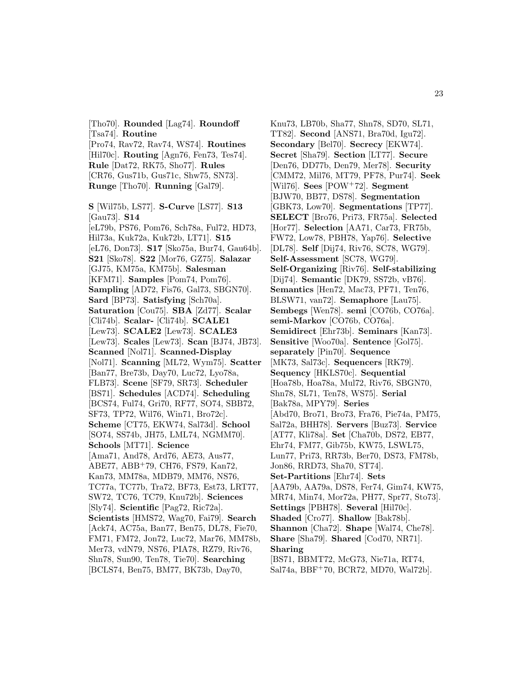[Tho70]. **Rounded** [Lag74]. **Roundoff** [Tsa74]. **Routine** [Pro74, Rav72, Rav74, WS74]. **Routines** [Hil70c]. **Routing** [Agn76, Fen73, Tes74]. **Rule** [Dat72, RK75, Sho77]. **Rules** [CR76, Gus71b, Gus71c, Shw75, SN73]. **Runge** [Tho70]. **Running** [Gal79]. **S** [Wil75b, LS77]. **S-Curve** [LS77]. **S13** [Gau73]. **S14** [eL79b, PS76, Pom76, Sch78a, Ful72, HD73, Hil73a, Kuk72a, Kuk72b, LT71]. **S15** [eL76, Don73]. **S17** [Sko75a, Bur74, Gau64b]. **S21** [Sko78]. **S22** [Mor76, GZ75]. **Salazar** [GJ75, KM75a, KM75b]. **Salesman** [KFM71]. **Samples** [Pom74, Pom76]. **Sampling** [AD72, Fis76, Gal73, SBGN70]. **Sard** [BP73]. **Satisfying** [Sch70a]. **Saturation** [Cou75]. **SBA** [Zd77]. **Scalar** [Cli74b]. **Scalar-** [Cli74b]. **SCALE1** [Lew73]. **SCALE2** [Lew73]. **SCALE3** [Lew73]. **Scales** [Lew73]. **Scan** [BJ74, JB73]. **Scanned** [Nol71]. **Scanned-Display** [Nol71]. **Scanning** [ML72, Wym75]. **Scatter** [Ban77, Bre73b, Day70, Luc72, Lyo78a, FLB73]. **Scene** [SF79, SR73]. **Scheduler** [BS71]. **Schedules** [ACD74]. **Scheduling** [BCS74, Ful74, Gri70, RF77, SO74, SBB72, SF73, TP72, Wil76, Win71, Bro72c]. **Scheme** [CT75, EKW74, Sal73d]. **School** [SO74, SS74b, JH75, LML74, NGMM70]. **Schools** [MT71]. **Science** [Ama71, And78, Ard76, AE73, Aus77, ABE77, ABB<sup>+</sup>79, CH76, FS79, Kan72, Kan73, MM78a, MDB79, MM76, NS76, TC77a, TC77b, Tra72, BF73, Est73, LRT77, SW72, TC76, TC79, Knu72b]. **Sciences** [Sly74]. **Scientific** [Pag72, Ric72a]. **Scientists** [HMS72, Wag70, Fai79]. **Search** [Ack74, AC75a, Ban77, Ben75, DL78, Fie70, FM71, FM72, Jon72, Luc72, Mar76, MM78b, Mer73, vdN79, NS76, PIA78, RZ79, Riv76, Shn78, Sun90, Ten78, Tie70]. **Searching** [BCLS74, Ben75, BM77, BK73b, Day70,

Knu73, LB70b, Sha77, Shn78, SD70, SL71, TT82]. **Second** [ANS71, Bra70d, Igu72]. **Secondary** [Bel70]. **Secrecy** [EKW74]. **Secret** [Sha79]. **Section** [LT77]. **Secure** [Den76, DD77b, Den79, Mer78]. **Security** [CMM72, Mil76, MT79, PF78, Pur74]. **Seek** [Wil76]. **Sees** [POW<sup>+</sup>72]. **Segment** [BJW70, BB77, DS78]. **Segmentation** [GBK73, Low70]. **Segmentations** [TP77]. **SELECT** [Bro76, Pri73, FR75a]. **Selected** [Hor77]. **Selection** [AA71, Car73, FR75b, FW72, Low78, PBH78, Yap76]. **Selective** [DL78]. **Self** [Dij74, Riv76, SC78, WG79]. **Self-Assessment** [SC78, WG79]. **Self-Organizing** [Riv76]. **Self-stabilizing** [Dij74]. **Semantic** [DK79, SS72b, vB76]. **Semantics** [Hen72, Mac73, PF71, Ten76, BLSW71, van72]. **Semaphore** [Lau75]. **Sembegs** [Wen78]. **semi** [CO76b, CO76a]. **semi-Markov** [CO76b, CO76a]. **Semidirect** [Ehr73b]. **Seminars** [Kan73]. **Sensitive** [Woo70a]. **Sentence** [Gol75]. **separately** [Pin70]. **Sequence** [MK73, Sal73c]. **Sequencers** [RK79]. **Sequency** [HKLS70c]. **Sequential** [Hoa78b, Hoa78a, Mul72, Riv76, SBGN70, Shn78, SL71, Ten78, WS75]. **Serial** [Bak78a, MPY79]. **Series** [Abd70, Bro71, Bro73, Fra76, Pie74a, PM75, Sal72a, BHH78]. **Servers** [Buz73]. **Service** [AT77, Kli78a]. **Set** [Cha70b, DS72, EB77, Ehr74, FM77, Gib75b, KW75, LSWL75, Lun77, Pri73, RR73b, Ber70, DS73, FM78b, Jon86, RRD73, Sha70, ST74]. **Set-Partitions** [Ehr74]. **Sets** [AA79b, AA79a, DS78, Fer74, Gim74, KW75, MR74, Min74, Mor72a, PH77, Spr77, Sto73]. **Settings** [PBH78]. **Several** [Hil70c]. **Shaded** [Cro77]. **Shallow** [Bak78b]. **Shannon** [Cha72]. **Shape** [Wal74, Che78]. **Share** [Sha79]. **Shared** [Cod70, NR71]. **Sharing** [BS71, BBMT72, McG73, Nie71a, RT74, Sal74a, BBF<sup>+</sup>70, BCR72, MD70, Wal72b].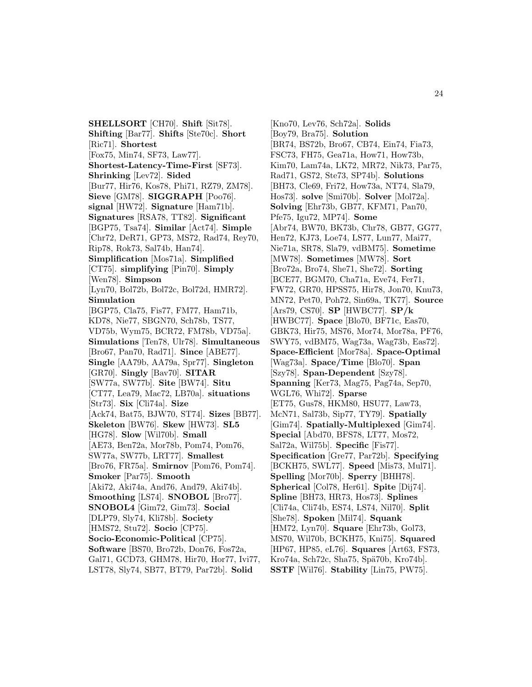**SHELLSORT** [CH70]. **Shift** [Sit78]. **Shifting** [Bar77]. **Shifts** [Ste70c]. **Short** [Ric71]. **Shortest** [Fox75, Min74, SF73, Law77]. **Shortest-Latency-Time-First** [SF73]. **Shrinking** [Lev72]. **Sided** [Bur77, Hir76, Kos78, Phi71, RZ79, ZM78]. **Sieve** [GM78]. **SIGGRAPH** [Poo76]. **signal** [HW72]. **Signature** [Ham71b]. **Signatures** [RSA78, TT82]. **Significant** [BGP75, Tsa74]. **Similar** [Act74]. **Simple** [Chr72, DeR71, GP73, MS72, Rad74, Rey70, Rip78, Rok73, Sal74b, Han74]. **Simplification** [Mos71a]. **Simplified** [CT75]. **simplifying** [Pin70]. **Simply** [Wen78]. **Simpson** [Lyn70, Bol72b, Bol72c, Bol72d, HMR72]. **Simulation** [BGP75, Cla75, Fis77, FM77, Ham71b, KD78, Nie77, SBGN70, Sch78b, TS77, VD75b, Wym75, BCR72, FM78b, VD75a]. **Simulations** [Ten78, Ulr78]. **Simultaneous** [Bro67, Pan70, Rad71]. **Since** [ABE77]. **Single** [AA79b, AA79a, Spr77]. **Singleton** [GR70]. **Singly** [Bav70]. **SITAR** [SW77a, SW77b]. **Site** [BW74]. **Situ** [CT77, Lea79, Mac72, LB70a]. **situations** [Str73]. **Six** [Cli74a]. **Size** [Ack74, Bat75, BJW70, ST74]. **Sizes** [BB77]. **Skeleton** [BW76]. **Skew** [HW73]. **SL5** [HG78]. **Slow** [Wil70b]. **Small** [AE73, Ben72a, Mor78b, Pom74, Pom76, SW77a, SW77b, LRT77]. **Smallest** [Bro76, FR75a]. **Smirnov** [Pom76, Pom74]. **Smoker** [Par75]. **Smooth** [Aki72, Aki74a, And76, And79, Aki74b]. **Smoothing** [LS74]. **SNOBOL** [Bro77]. **SNOBOL4** [Gim72, Gim73]. **Social** [DLP79, Sly74, Kli78b]. **Society** [HMS72, Stu72]. **Socio** [CP75]. **Socio-Economic-Political** [CP75]. **Software** [BS70, Bro72b, Don76, Fos72a, Gal71, GCD73, GHM78, Hir70, Hor77, Ivi77, LST78, Sly74, SB77, BT79, Par72b]. **Solid**

[Kno70, Lev76, Sch72a]. **Solids** [Boy79, Bra75]. **Solution** [BR74, BS72b, Bro67, CB74, Ein74, Fia73, FSC73, FH75, Gea71a, How71, How73b, Kim70, Lam74a, LK72, MR72, Nik73, Par75, Rad71, GS72, Ste73, SP74b]. **Solutions** [BH73, Cle69, Fri72, How73a, NT74, Sla79, Hos73]. **solve** [Smi70b]. **Solver** [Mol72a]. **Solving** [Ehr73b, GB77, KFM71, Pan70, Pfe75, Igu72, MP74]. **Some** [Abr74, BW70, BK73b, Chr78, GB77, GG77, Hen72, KJ73, Loe74, LS77, Lun77, Mai77, Nie71a, SR78, Sla79, vdBM75]. **Sometime** [MW78]. **Sometimes** [MW78]. **Sort** [Bro72a, Bro74, She71, She72]. **Sorting** [BCE77, BGM70, Cha71a, Eve74, Fer71, FW72, GR70, HPSS75, Hir78, Jon70, Knu73, MN72, Pet70, Poh72, Sin69a, TK77]. **Source** [Ars79, CS70]. **SP** [HWBC77]. **SP/k** [HWBC77]. **Space** [Blo70, BF71c, Eas70, GBK73, Hir75, MS76, Mor74, Mor78a, PF76, SWY75, vdBM75, Wag73a, Wag73b, Eas72]. **Space-Efficient** [Mor78a]. **Space-Optimal** [Wag73a]. **Space/Time** [Blo70]. **Span** [Szy78]. **Span-Dependent** [Szy78]. **Spanning** [Ker73, Mag75, Pag74a, Sep70, WGL76, Whi72]. **Sparse** [ET75, Gus78, HKM80, HSU77, Law73, McN71, Sal73b, Sip77, TY79]. **Spatially** [Gim74]. **Spatially-Multiplexed** [Gim74]. **Special** [Abd70, BFS78, LT77, Mos72, Sal72a, Wil75b]. **Specific** [Fis77]. **Specification** [Gre77, Par72b]. **Specifying** [BCKH75, SWL77]. **Speed** [Mis73, Mul71]. **Spelling** [Mor70b]. **Sperry** [BHH78]. **Spherical** [Col78, Her61]. **Spite** [Dij74]. **Spline** [BH73, HR73, Hos73]. **Splines** [Cli74a, Cli74b, ES74, LS74, Nil70]. **Split** [She78]. **Spoken** [Mil74]. **Squank** [HM72, Lyn70]. **Square** [Ehr73b, Gol73, MS70, Wil70b, BCKH75, Kni75]. **Squared** [HP67, HP85, eL76]. **Squares** [Art63, FS73, Kro74a, Sch72c, Sha75, Spä70b, Kro74b]. **SSTF** [Wil76]. **Stability** [Lin75, PW75].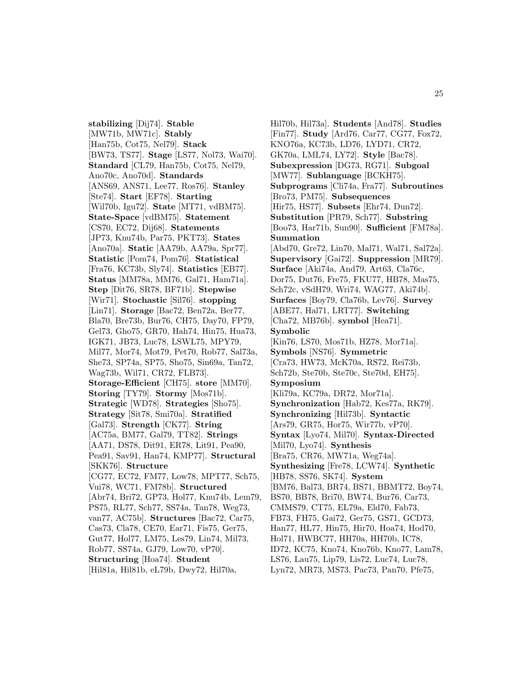**stabilizing** [Dij74]. **Stable** [MW71b, MW71c]. **Stably** [Han75b, Cot75, Nel79]. **Stack** [BW73, TS77]. **Stage** [LS77, Nol73, Wai70]. **Standard** [CL79, Han75b, Cot75, Nel79, Ano70c, Ano70d]. **Standards** [ANS69, ANS71, Lee77, Ros76]. **Stanley** [Ste74]. **Start** [EF78]. **Starting** [Wil70b, Igu72]. **State** [MT71, vdBM75]. **State-Space** [vdBM75]. **Statement** [CS70, EC72, Dij68]. **Statements** [JP73, Knu74b, Par75, PKT73]. **States** [Ano70a]. **Static** [AA79b, AA79a, Spr77]. **Statistic** [Pom74, Pom76]. **Statistical** [Fra76, KC73b, Sly74]. **Statistics** [EB77]. **Status** [MM78a, MM76, Gal71, Ham71a]. **Step** [Dit76, SR78, BF71b]. **Stepwise** [Wir71]. **Stochastic** [Sil76]. **stopping** [Lin71]. **Storage** [Bac72, Ben72a, Ber77, Bla70, Bre73b, Bur76, CH75, Day70, FP79, Gel73, Gho75, GR70, Hah74, Hin75, Hua73, IGK71, JB73, Luc78, LSWL75, MPY79, Mil77, Mor74, Mot79, Pet70, Rob77, Sal73a, She73, SP74a, SP75, Sho75, Sin69a, Tan72, Wag73b, Wil71, CR72, FLB73]. **Storage-Efficient** [CH75]. **store** [MM70]. **Storing** [TY79]. **Stormy** [Mos71b]. **Strategic** [WD78]. **Strategies** [Sho75]. **Strategy** [Sit78, Smi70a]. **Stratified** [Gal73]. **Strength** [CK77]. **String** [AC75a, BM77, Gal79, TT82]. **Strings** [AA71, DS78, Dit91, ER78, Lit91, Pea90, Pea91, Sav91, Han74, KMP77]. **Structural** [SKK76]. **Structure** [CG77, EC72, FM77, Low78, MPT77, Sch75, Vui78, WC71, FM78b]. **Structured** [Abr74, Bri72, GP73, Hol77, Knu74b, Lem79, PS75, RL77, Sch77, SS74a, Tan78, Weg73, van77, AC75b]. **Structures** [Bac72, Car75, Cas73, Cla78, CE70, Ear71, Fis75, Ger75, Gut77, Hol77, LM75, Les79, Lin74, Mil73, Rob77, SS74a, GJ79, Low70, vP70]. **Structuring** [Hoa74]. **Student** [Hil81a, Hil81b, eL79b, Dwy72, Hil70a,

Hil70b, Hil73a]. **Students** [And78]. **Studies** [Fin77]. **Study** [Ard76, Car77, CG77, Fox72, KNO76a, KC73b, LD76, LYD71, CR72, GK70a, LML74, LY72]. **Style** [Bac78]. **Subexpression** [DG73, RG71]. **Subgoal** [MW77]. **Sublanguage** [BCKH75]. **Subprograms** [Cli74a, Fra77]. **Subroutines** [Bro73, PM75]. **Subsequences** [Hir75, HS77]. **Subsets** [Ehr74, Dun72]. **Substitution** [PR79, Sch77]. **Substring** [Boo73, Har71b, Sun90]. **Sufficient** [FM78a]. **Summation** [Abd70, Gre72, Lin70, Mal71, Wal71, Sal72a]. **Supervisory** [Gai72]. **Suppression** [MR79]. **Surface** [Aki74a, And79, Art63, Cla76c, Dor75, Dut76, Fre75, FKU77, HB78, Mas75, Sch72c, vSdH79, Wri74, WAG77, Aki74b]. **Surfaces** [Boy79, Cla76b, Lev76]. **Survey** [ABE77, Hal71, LRT77]. **Switching** [Cha72, MB76b]. **symbol** [Hea71]. **Symbolic** [Kin76, LS70, Mos71b, HZ78, Mor71a]. **Symbols** [NS76]. **Symmetric** [Cra73, HW73, McK70a, RS72, Rei73b, Sch72b, Ste70b, Ste70c, Ste70d, EH75]. **Symposium** [Kli79a, KC79a, DR72, Mor71a]. **Synchronization** [Hab72, Kes77a, RK79]. **Synchronizing** [Hil73b]. **Syntactic** [Ars79, GR75, Hor75, Wir77b, vP70]. **Syntax** [Lyo74, Mil70]. **Syntax-Directed** [Mil70, Lyo74]. **Synthesis** [Bra75, CR76, MW71a, Weg74a]. **Synthesizing** [Fre78, LCW74]. **Synthetic** [HB78, SS76, SK74]. **System** [BM76, Bal73, BR74, BS71, BBMT72, Boy74, BS70, BB78, Bri70, BW74, Bur76, Car73, CMMS79, CT75, EL79a, Eld70, Fab73, FB73, FH75, Gai72, Ger75, GS71, GCD73, Han77, HL77, Hin75, Hir70, Hoa74, Hod70, Hol71, HWBC77, HH70a, HH70b, IC78, ID72, KC75, Kno74, Kno76b, Kno77, Lam78, LS76, Lau75, Lip79, Lis72, Luc74, Luc78, Lyn72, MR73, MS73, Pac73, Pan70, Pfe75,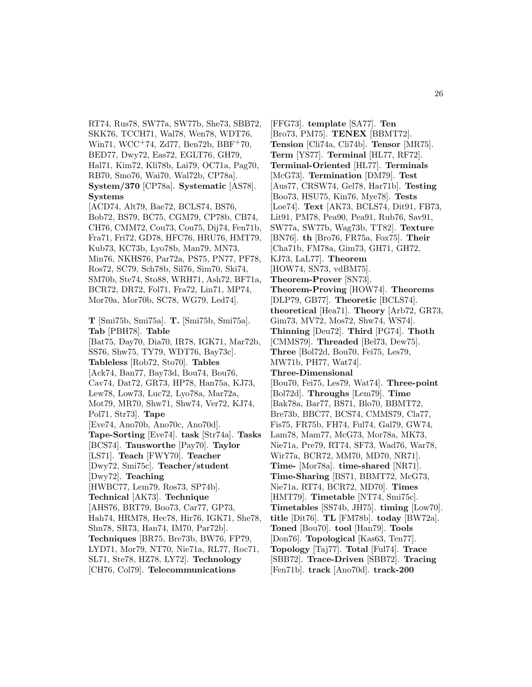RT74, Rus78, SW77a, SW77b, She73, SBB72, SKK76, TCCH71, Wal78, Wen78, WDT76, Win71, WCC<sup>+</sup>74, Zd77, Ben72b, BBF<sup>+</sup>70, BED77, Dwy72, Eas72, EGLT76, GH79, Hal71, Kim72, Kli78b, Lai79, OC71a, Pag70, RB70, Smo76, Wai70, Wal72b, CP78a]. **System/370** [CP78a]. **Systematic** [AS78]. **Systems**

[ACD74, Alt79, Bae72, BCLS74, BS76, Bob72, BS79, BC75, CGM79, CP78b, CB74, CH76, CMM72, Cou73, Cou75, Dij74, Fen71b, Fra71, Fri72, GD78, HFC76, HRU76, HMT79, Kub73, KC73b, Lyo78b, Man79, MN73, Min76, NKHS76, Par72a, PS75, PN77, PF78, Ros72, SC79, Sch78b, Sil76, Sim70, Ski74, SM70b, Ste74, Sto88, WRH71, Ash72, BF71a, BCR72, DR72, Fol71, Fra72, Lin71, MP74, Mor70a, Mor70b, SC78, WG79, Led74].

**T** [Smi75b, Smi75a]. **T.** [Smi75b, Smi75a]. **Tab** [PBH78]. **Table** [Bat75, Day70, Dia70, IR78, IGK71, Mar72b, SS76, Shw75, TY79, WDT76, Bay73c]. **Tableless** [Rob72, Sto70]. **Tables** [Ack74, Ban77, Bay73d, Bou74, Bou76, Cav74, Dat72, GR73, HP78, Han75a, KJ73, Lew78, Low73, Luc72, Lyo78a, Mar72a, Mot79, MR70, Shw71, Shw74, Ver72, KJ74, Pol71, Str73]. **Tape** [Eve74, Ano70b, Ano70c, Ano70d]. **Tape-Sorting** [Eve74]. **task** [Str74a]. **Tasks** [BCS74]. **Tausworthe** [Pay70]. **Taylor** [LS71]. **Teach** [FWY70]. **Teacher** [Dwy72, Smi75c]. **Teacher/student** [Dwy72]. **Teaching** [HWBC77, Lem79, Ros73, SP74b]. **Technical** [AK73]. **Technique** [AHS76, BRT79, Boo73, Car77, GP73, Hah74, HRM78, Hec78, Hir76, IGK71, She78, Shn78, SR73, Han74, IM70, Par72b]. **Techniques** [BR75, Bre73b, BW76, FP79, LYD71, Mor79, NT70, Nie71a, RL77, Roc71, SL71, Ste78, HZ78, LY72]. **Technology**

[CH76, Col79]. **Telecommunications**

[FFG73]. **template** [SA77]. **Ten** [Bro73, PM75]. **TENEX** [BBMT72]. **Tension** [Cli74a, Cli74b]. **Tensor** [MR75]. **Term** [YS77]. **Terminal** [HL77, RF72]. **Terminal-Oriented** [HL77]. **Terminals** [McG73]. **Termination** [DM79]. **Test** [Aus77, CRSW74, Gel78, Har71b]. **Testing** [Boo73, HSU75, Kin76, Mye78]. **Tests** [Loe74]. **Text** [AK73, BCLS74, Dit91, FB73, Lit91, PM78, Pea90, Pea91, Rub76, Sav91, SW77a, SW77b, Wag73b, TT82]. **Texture** [BN76]. **th** [Bro76, FR75a, Fox75]. **Their** [Cha71b, FM78a, Gim73, GH71, GH72, KJ73, LaL77]. **Theorem** [HOW74, SN73, vdBM75]. **Theorem-Prover** [SN73]. **Theorem-Proving** [HOW74]. **Theorems** [DLP79, GB77]. **Theoretic** [BCLS74]. **theoretical** [Hea71]. **Theory** [Arb72, GR73, Gim73, MV72, Mos72, Shw74, WS74]. **Thinning** [Deu72]. **Third** [PG74]. **Thoth** [CMMS79]. **Threaded** [Bel73, Dew75]. **Three** [Bol72d, Bou70, Fei75, Les79, MW71b, PH77, Wat74]. **Three-Dimensional** [Bou70, Fei75, Les79, Wat74]. **Three-point** [Bol72d]. **Throughs** [Lem79]. **Time** [Bak78a, Bar77, BS71, Blo70, BBMT72, Bre73b, BBC77, BCS74, CMMS79, Cla77, Fis75, FR75b, FH74, Ful74, Gal79, GW74, Lam78, Mam77, McG73, Mor78a, MK73, Nie71a, Pre79, RT74, SF73, Wad76, War78, Wir77a, BCR72, MM70, MD70, NR71]. **Time-** [Mor78a]. **time-shared** [NR71]. **Time-Sharing** [BS71, BBMT72, McG73, Nie71a, RT74, BCR72, MD70]. **Times** [HMT79]. **Timetable** [NT74, Smi75c]. **Timetables** [SS74b, JH75]. **timing** [Low70]. **title** [Dit76]. **TL** [FM78b]. **today** [BW72a]. **Toned** [Bou70]. **tool** [Han79]. **Tools** [Don76]. **Topological** [Kas63, Ten77]. **Topology** [Taj77]. **Total** [Ful74]. **Trace** [SBB72]. **Trace-Driven** [SBB72]. **Tracing** [Fen71b]. **track** [Ano70d]. **track-200**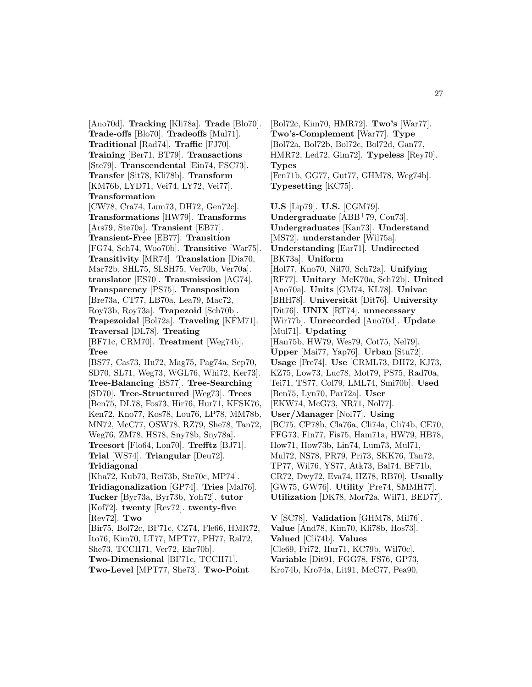[Ano70d]. **Tracking** [Kli78a]. **Trade** [Blo70]. **Trade-offs** [Blo70]. **Tradeoffs** [Mul71]. **Traditional** [Rad74]. **Traffic** [FJ70]. **Training** [Ber71, BT79]. **Transactions** [Ste79]. **Transcendental** [Ein74, FSC73]. **Transfer** [Sit78, Kli78b]. **Transform** [KM76b, LYD71, Vei74, LY72, Vei77]. **Transformation** [CW78, Cra74, Lum73, DH72, Gen72c]. **Transformations** [HW79]. **Transforms** [Ars79, Ste70a]. **Transient** [EB77]. **Transient-Free** [EB77]. **Transition** [FG74, Sch74, Woo70b]. **Transitive** [War75]. **Transitivity** [MR74]. **Translation** [Dia70, Mar72b, SHL75, SLSH75, Ver70b, Ver70a]. **translator** [ES70]. **Transmission** [AG74]. **Transparency** [PS75]. **Transposition** [Bre73a, CT77, LB70a, Lea79, Mac72, Roy73b, Roy73a]. **Trapezoid** [Sch70b]. **Trapezoidal** [Bol72a]. **Traveling** [KFM71]. **Traversal** [DL78]. **Treating** [BF71c, CRM70]. **Treatment** [Weg74b]. **Tree** [BS77, Cas73, Hu72, Mag75, Pag74a, Sep70, SD70, SL71, Weg73, WGL76, Whi72, Ker73]. **Tree-Balancing** [BS77]. **Tree-Searching** [SD70]. **Tree-Structured** [Weg73]. **Trees** [Ben75, DL78, Fos73, Hir76, Hur71, KFSK76, Ken72, Kno77, Kos78, Lou76, LP78, MM78b, MN72, McC77, OSW78, RZ79, She78, Tan72, Weg76, ZM78, HS78, Sny78b, Sny78a]. **Treesort** [Flo64, Lon70]. **Trefftz** [BJ71]. **Trial** [WS74]. **Triangular** [Deu72]. **Tridiagonal** [Kha72, Kub73, Rei73b, Ste70c, MP74]. **Tridiagonalization** [GP74]. **Tries** [Mal76]. **Tucker** [Byr73a, Byr73b, Yoh72]. **tutor** [Kof72]. **twenty** [Rev72]. **twenty-five** [Rev72]. **Two** [Bir75, Bol72c, BF71c, CZ74, Fle66, HMR72,

Ito76, Kim70, LT77, MPT77, PH77, Ral72, She73, TCCH71, Ver72, Ehr70b]. **Two-Dimensional** [BF71c, TCCH71].

**Two-Level** [MPT77, She73]. **Two-Point**

[Bol72c, Kim70, HMR72]. **Two's** [War77]. **Two's-Complement** [War77]. **Type** [Bol72a, Bol72b, Bol72c, Bol72d, Gan77, HMR72, Led72, Gim72]. **Typeless** [Rey70]. **Types** [Fen71b, GG77, Gut77, GHM78, Weg74b]. **Typesetting** [KC75].

**U.S** [Lip79]. **U.S.** [CGM79]. **Undergraduate** [ABB<sup>+</sup>79, Cou73]. **Undergraduates** [Kan73]. **Understand** [MS72]. **understander** [Wil75a]. **Understanding** [Ear71]. **Undirected** [BK73a]. **Uniform** [Hol77, Kno70, Nil70, Sch72a]. **Unifying** [RF77]. **Unitary** [McK70a, Sch72b]. **United** [Ano70a]. **Units** [GM74, KL78]. **Univac** [BHH78]. **Universit¨at** [Dit76]. **University** [Dit76]. **UNIX** [RT74]. **unnecessary** [Wir77b]. **Unrecorded** [Ano70d]. **Update** [Mul71]. **Updating** [Han75b, HW79, Wes79, Cot75, Nel79]. **Upper** [Mai77, Yap76]. **Urban** [Stu72]. **Usage** [Fre74]. **Use** [CRML73, DH72, KJ73, KZ75, Low73, Luc78, Mot79, PS75, Rad70a, Tei71, TS77, Col79, LML74, Smi70b]. **Used** [Ben75, Lyn70, Par72a]. **User** [EKW74, McG73, NR71, Nol77]. **User/Manager** [Nol77]. **Using** [BC75, CP78b, Cla76a, Cli74a, Cli74b, CE70, FFG73, Fin77, Fis75, Ham71a, HW79, HB78, How71, How73b, Lin74, Lum73, Mul71, Mul72, NS78, PR79, Pri73, SKK76, Tan72, TP77, Wil76, YS77, Atk73, Bal74, BF71b, CR72, Dwy72, Eva74, HZ78, RB70]. **Usually** [GW75, GW76]. **Utility** [Pre74, SMMH77]. **Utilization** [DK78, Mor72a, Wil71, BED77].

**V** [SC78]. **Validation** [GHM78, Mil76]. **Value** [And78, Kim70, Kli78b, Hos73]. **Valued** [Cli74b]. **Values** [Cle69, Fri72, Hur71, KC79b, Wil70c]. **Variable** [Dit91, FGG78, FS76, GP73, Kro74b, Kro74a, Lit91, McC77, Pea90,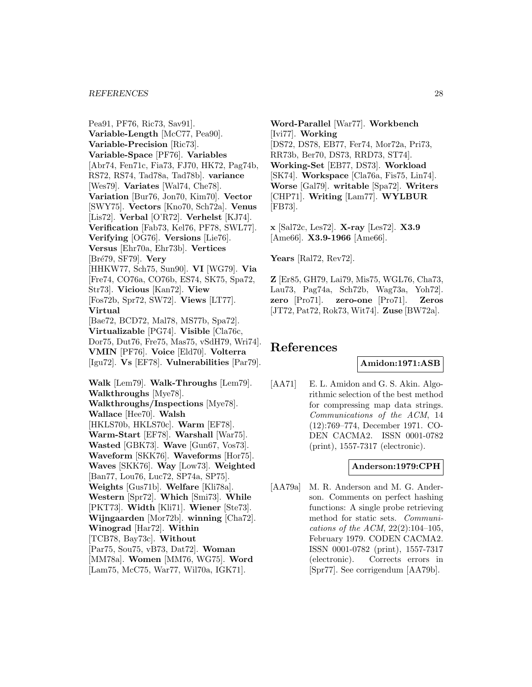#### *REFERENCES* 28

Pea91, PF76, Ric73, Sav91]. **Variable-Length** [McC77, Pea90]. **Variable-Precision** [Ric73]. **Variable-Space** [PF76]. **Variables** [Abr74, Fen71c, Fia73, FJ70, HK72, Pag74b, RS72, RS74, Tad78a, Tad78b]. **variance** [Wes79]. **Variates** [Wal74, Che78]. **Variation** [Bur76, Jon70, Kim70]. **Vector** [SWY75]. **Vectors** [Kno70, Sch72a]. **Venus** [Lis72]. **Verbal** [O'R72]. **Verhelst** [KJ74]. **Verification** [Fab73, Kel76, PF78, SWL77]. **Verifying** [OG76]. **Versions** [Lie76]. **Versus** [Ehr70a, Ehr73b]. **Vertices** [Br´e79, SF79]. **Very** [HHKW77, Sch75, Sun90]. **VI** [WG79]. **Via** [Fre74, CO76a, CO76b, ES74, SK75, Spa72, Str73]. **Vicious** [Kan72]. **View** [Fos72b, Spr72, SW72]. **Views** [LT77]. **Virtual** [Bae72, BCD72, Mal78, MS77b, Spa72]. **Virtualizable** [PG74]. **Visible** [Cla76c, Dor75, Dut76, Fre75, Mas75, vSdH79, Wri74]. **VMIN** [PF76]. **Voice** [Eld70]. **Volterra** [Igu72]. **Vs** [EF78]. **Vulnerabilities** [Par79]. **Walk** [Lem79]. **Walk-Throughs** [Lem79]. **Walkthroughs** [Mye78]. **Walkthroughs/Inspections** [Mye78]. **Wallace** [Hee70]. **Walsh** [HKLS70b, HKLS70c]. **Warm** [EF78]. **Warm-Start** [EF78]. **Warshall** [War75]. **Wasted** [GBK73]. **Wave** [Gun67, Vos73]. **Waveform** [SKK76]. **Waveforms** [Hor75]. **Waves** [SKK76]. **Way** [Low73]. **Weighted** [Ban77, Lou76, Luc72, SP74a, SP75]. **Weights** [Gus71b]. **Welfare** [Kli78a]. **Western** [Spr72]. **Which** [Smi73]. **While** [PKT73]. **Width** [Kli71]. **Wiener** [Ste73]. **Wijngaarden** [Mor72b]. **winning** [Cha72]. **Winograd** [Har72]. **Within** [TCB78, Bay73c]. **Without** [Par75, Sou75, vB73, Dat72]. **Woman** [MM78a]. **Women** [MM76, WG75]. **Word** [Lam75, McC75, War77, Wil70a, IGK71].

**Word-Parallel** [War77]. **Workbench** [Ivi77]. **Working** [DS72, DS78, EB77, Fer74, Mor72a, Pri73, RR73b, Ber70, DS73, RRD73, ST74]. **Working-Set** [EB77, DS73]. **Workload** [SK74]. **Workspace** [Cla76a, Fis75, Lin74]. **Worse** [Gal79]. **writable** [Spa72]. **Writers** [CHP71]. **Writing** [Lam77]. **WYLBUR** [FB73].

**x** [Sal72c, Les72]. **X-ray** [Les72]. **X3.9** [Ame66]. **X3.9-1966** [Ame66].

**Years** [Ral72, Rev72].

**Z** [Er85, GH79, Lai79, Mis75, WGL76, Cha73, Lau73, Pag74a, Sch72b, Wag73a, Yoh72]. **zero** [Pro71]. **zero-one** [Pro71]. **Zeros** [JT72, Pat72, Rok73, Wit74]. **Zuse** [BW72a].

# **References**

**Amidon:1971:ASB**

[AA71] E. L. Amidon and G. S. Akin. Algorithmic selection of the best method for compressing map data strings. Communications of the ACM, 14 (12):769–774, December 1971. CO-DEN CACMA2. ISSN 0001-0782 (print), 1557-7317 (electronic).

## **Anderson:1979:CPH**

[AA79a] M. R. Anderson and M. G. Anderson. Comments on perfect hashing functions: A single probe retrieving method for static sets. Communications of the ACM,  $22(2):104-105$ , February 1979. CODEN CACMA2. ISSN 0001-0782 (print), 1557-7317 (electronic). Corrects errors in [Spr77]. See corrigendum [AA79b].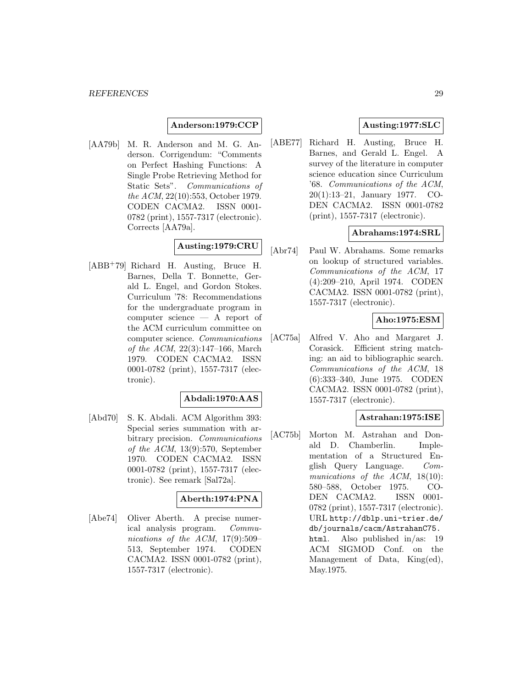#### **Anderson:1979:CCP**

[AA79b] M. R. Anderson and M. G. Anderson. Corrigendum: "Comments on Perfect Hashing Functions: A Single Probe Retrieving Method for Static Sets". Communications of the ACM, 22(10):553, October 1979. CODEN CACMA2. ISSN 0001- 0782 (print), 1557-7317 (electronic). Corrects [AA79a].

# **Austing:1979:CRU**

[ABB<sup>+</sup>79] Richard H. Austing, Bruce H. Barnes, Della T. Bonnette, Gerald L. Engel, and Gordon Stokes. Curriculum '78: Recommendations for the undergraduate program in computer science — A report of the ACM curriculum committee on computer science. Communications of the ACM, 22(3):147–166, March 1979. CODEN CACMA2. ISSN 0001-0782 (print), 1557-7317 (electronic).

## **Abdali:1970:AAS**

[Abd70] S. K. Abdali. ACM Algorithm 393: Special series summation with arbitrary precision. Communications of the ACM, 13(9):570, September 1970. CODEN CACMA2. ISSN 0001-0782 (print), 1557-7317 (electronic). See remark [Sal72a].

## **Aberth:1974:PNA**

[Abe74] Oliver Aberth. A precise numerical analysis program. Communications of the ACM, 17(9):509– 513, September 1974. CODEN CACMA2. ISSN 0001-0782 (print), 1557-7317 (electronic).

## **Austing:1977:SLC**

[ABE77] Richard H. Austing, Bruce H. Barnes, and Gerald L. Engel. A survey of the literature in computer science education since Curriculum '68. Communications of the ACM, 20(1):13–21, January 1977. CO-DEN CACMA2. ISSN 0001-0782 (print), 1557-7317 (electronic).

## **Abrahams:1974:SRL**

[Abr74] Paul W. Abrahams. Some remarks on lookup of structured variables. Communications of the ACM, 17 (4):209–210, April 1974. CODEN CACMA2. ISSN 0001-0782 (print), 1557-7317 (electronic).

## **Aho:1975:ESM**

[AC75a] Alfred V. Aho and Margaret J. Corasick. Efficient string matching: an aid to bibliographic search. Communications of the ACM, 18 (6):333–340, June 1975. CODEN CACMA2. ISSN 0001-0782 (print), 1557-7317 (electronic).

## **Astrahan:1975:ISE**

[AC75b] Morton M. Astrahan and Donald D. Chamberlin. Implementation of a Structured English Query Language. Communications of the ACM, 18(10): 580–588, October 1975. CO-DEN CACMA2. ISSN 0001- 0782 (print), 1557-7317 (electronic). URL http://dblp.uni-trier.de/ db/journals/cacm/AstrahanC75. html. Also published in/as: 19 ACM SIGMOD Conf. on the Management of Data, King(ed), May.1975.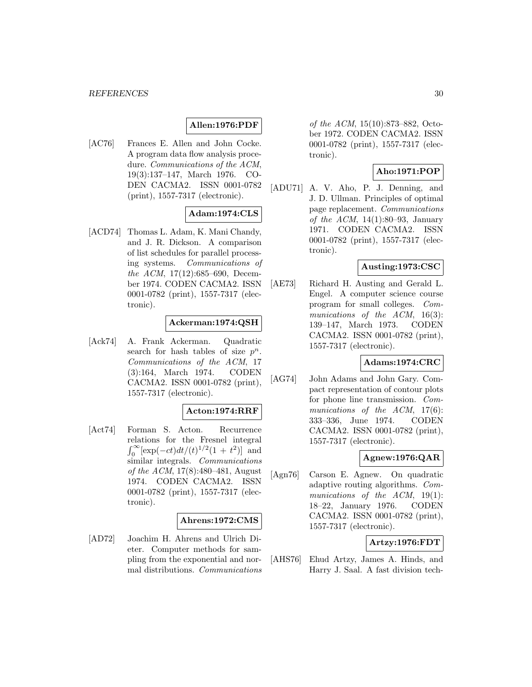## **Allen:1976:PDF**

[AC76] Frances E. Allen and John Cocke. A program data flow analysis procedure. Communications of the ACM, 19(3):137–147, March 1976. CO-DEN CACMA2. ISSN 0001-0782 (print), 1557-7317 (electronic).

# **Adam:1974:CLS**

[ACD74] Thomas L. Adam, K. Mani Chandy, and J. R. Dickson. A comparison of list schedules for parallel processing systems. Communications of the ACM, 17(12):685–690, December 1974. CODEN CACMA2. ISSN 0001-0782 (print), 1557-7317 (electronic).

#### **Ackerman:1974:QSH**

[Ack74] A. Frank Ackerman. Quadratic search for hash tables of size  $p^n$ . Communications of the ACM, 17 (3):164, March 1974. CODEN CACMA2. ISSN 0001-0782 (print), 1557-7317 (electronic).

## **Acton:1974:RRF**

[Act74] Forman S. Acton. Recurrence relations for the Fresnel integral  $\int_0^\infty [\exp(-ct)dt/(t)^{1/2}(1+t^2)]$  and similar integrals. Communications of the ACM, 17(8):480–481, August 1974. CODEN CACMA2. ISSN 0001-0782 (print), 1557-7317 (electronic).

#### **Ahrens:1972:CMS**

[AD72] Joachim H. Ahrens and Ulrich Dieter. Computer methods for sampling from the exponential and normal distributions. Communications

of the ACM, 15(10):873–882, October 1972. CODEN CACMA2. ISSN 0001-0782 (print), 1557-7317 (electronic).

## **Aho:1971:POP**

[ADU71] A. V. Aho, P. J. Denning, and J. D. Ullman. Principles of optimal page replacement. Communications of the ACM,  $14(1):80-93$ , January 1971. CODEN CACMA2. ISSN 0001-0782 (print), 1557-7317 (electronic).

## **Austing:1973:CSC**

[AE73] Richard H. Austing and Gerald L. Engel. A computer science course program for small colleges. Communications of the ACM, 16(3): 139–147, March 1973. CODEN CACMA2. ISSN 0001-0782 (print), 1557-7317 (electronic).

## **Adams:1974:CRC**

[AG74] John Adams and John Gary. Compact representation of contour plots for phone line transmission. Communications of the ACM, 17(6): 333–336, June 1974. CODEN CACMA2. ISSN 0001-0782 (print), 1557-7317 (electronic).

## **Agnew:1976:QAR**

[Agn76] Carson E. Agnew. On quadratic adaptive routing algorithms. Communications of the ACM, 19(1): 18–22, January 1976. CODEN CACMA2. ISSN 0001-0782 (print), 1557-7317 (electronic).

## **Artzy:1976:FDT**

[AHS76] Ehud Artzy, James A. Hinds, and Harry J. Saal. A fast division tech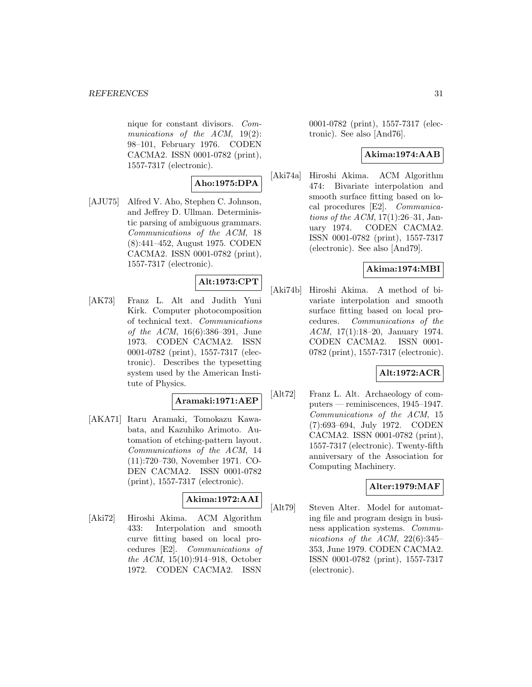nique for constant divisors. Communications of the ACM, 19(2): 98–101, February 1976. CODEN CACMA2. ISSN 0001-0782 (print), 1557-7317 (electronic).

## **Aho:1975:DPA**

[AJU75] Alfred V. Aho, Stephen C. Johnson, and Jeffrey D. Ullman. Deterministic parsing of ambiguous grammars. Communications of the ACM, 18 (8):441–452, August 1975. CODEN CACMA2. ISSN 0001-0782 (print), 1557-7317 (electronic).

# **Alt:1973:CPT**

[AK73] Franz L. Alt and Judith Yuni Kirk. Computer photocomposition of technical text. Communications of the ACM, 16(6):386–391, June 1973. CODEN CACMA2. ISSN 0001-0782 (print), 1557-7317 (electronic). Describes the typesetting system used by the American Institute of Physics.

## **Aramaki:1971:AEP**

[AKA71] Itaru Aramaki, Tomokazu Kawabata, and Kazuhiko Arimoto. Automation of etching-pattern layout. Communications of the ACM, 14 (11):720–730, November 1971. CO-DEN CACMA2. ISSN 0001-0782 (print), 1557-7317 (electronic).

# **Akima:1972:AAI**

[Aki72] Hiroshi Akima. ACM Algorithm 433: Interpolation and smooth curve fitting based on local procedures [E2]. Communications of the ACM, 15(10):914–918, October 1972. CODEN CACMA2. ISSN

0001-0782 (print), 1557-7317 (electronic). See also [And76].

## **Akima:1974:AAB**

[Aki74a] Hiroshi Akima. ACM Algorithm 474: Bivariate interpolation and smooth surface fitting based on local procedures [E2]. Communications of the ACM,  $17(1):26-31$ , January 1974. CODEN CACMA2. ISSN 0001-0782 (print), 1557-7317 (electronic). See also [And79].

## **Akima:1974:MBI**

[Aki74b] Hiroshi Akima. A method of bivariate interpolation and smooth surface fitting based on local procedures. Communications of the ACM, 17(1):18–20, January 1974. CODEN CACMA2. ISSN 0001- 0782 (print), 1557-7317 (electronic).

# **Alt:1972:ACR**

[Alt72] Franz L. Alt. Archaeology of computers — reminiscences, 1945–1947. Communications of the ACM, 15 (7):693–694, July 1972. CODEN CACMA2. ISSN 0001-0782 (print), 1557-7317 (electronic). Twenty-fifth anniversary of the Association for Computing Machinery.

## **Alter:1979:MAF**

[Alt79] Steven Alter. Model for automating file and program design in business application systems. Communications of the ACM, 22(6):345– 353, June 1979. CODEN CACMA2. ISSN 0001-0782 (print), 1557-7317 (electronic).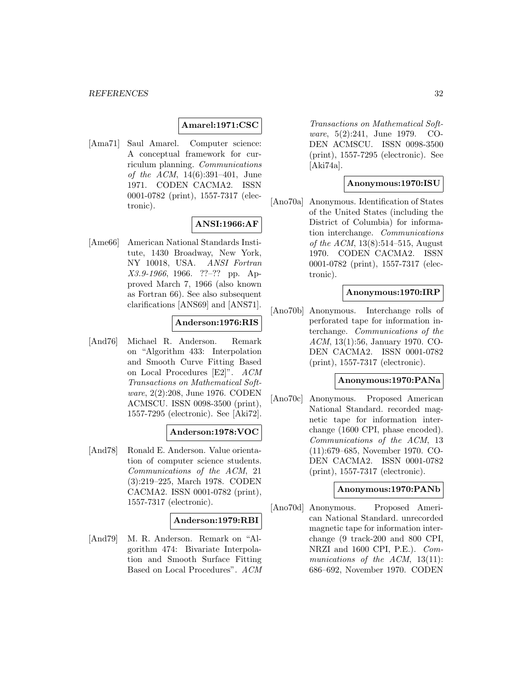#### **Amarel:1971:CSC**

[Ama71] Saul Amarel. Computer science: A conceptual framework for curriculum planning. Communications of the ACM, 14(6):391–401, June 1971. CODEN CACMA2. ISSN 0001-0782 (print), 1557-7317 (electronic).

## **ANSI:1966:AF**

[Ame66] American National Standards Institute, 1430 Broadway, New York, NY 10018, USA. ANSI Fortran X3.9-1966, 1966. ??–?? pp. Approved March 7, 1966 (also known as Fortran 66). See also subsequent clarifications [ANS69] and [ANS71].

## **Anderson:1976:RIS**

[And76] Michael R. Anderson. Remark on "Algorithm 433: Interpolation and Smooth Curve Fitting Based on Local Procedures [E2]". ACM Transactions on Mathematical Software, 2(2):208, June 1976. CODEN ACMSCU. ISSN 0098-3500 (print), 1557-7295 (electronic). See [Aki72].

## **Anderson:1978:VOC**

[And78] Ronald E. Anderson. Value orientation of computer science students. Communications of the ACM, 21 (3):219–225, March 1978. CODEN CACMA2. ISSN 0001-0782 (print), 1557-7317 (electronic).

## **Anderson:1979:RBI**

[And79] M. R. Anderson. Remark on "Algorithm 474: Bivariate Interpolation and Smooth Surface Fitting Based on Local Procedures". ACM

Transactions on Mathematical Software, 5(2):241, June 1979. CO-DEN ACMSCU. ISSN 0098-3500 (print), 1557-7295 (electronic). See [Aki74a].

#### **Anonymous:1970:ISU**

[Ano70a] Anonymous. Identification of States of the United States (including the District of Columbia) for information interchange. Communications of the ACM, 13(8):514–515, August 1970. CODEN CACMA2. ISSN 0001-0782 (print), 1557-7317 (electronic).

#### **Anonymous:1970:IRP**

[Ano70b] Anonymous. Interchange rolls of perforated tape for information interchange. Communications of the ACM, 13(1):56, January 1970. CO-DEN CACMA2. ISSN 0001-0782 (print), 1557-7317 (electronic).

#### **Anonymous:1970:PANa**

[Ano70c] Anonymous. Proposed American National Standard. recorded magnetic tape for information interchange (1600 CPI, phase encoded). Communications of the ACM, 13 (11):679–685, November 1970. CO-DEN CACMA2. ISSN 0001-0782 (print), 1557-7317 (electronic).

#### **Anonymous:1970:PANb**

[Ano70d] Anonymous. Proposed American National Standard. unrecorded magnetic tape for information interchange (9 track-200 and 800 CPI, NRZI and 1600 CPI, P.E.). Communications of the ACM, 13(11): 686–692, November 1970. CODEN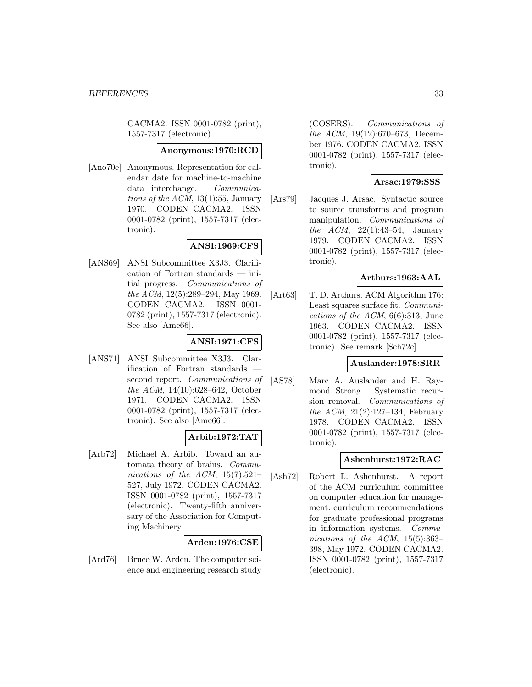CACMA2. ISSN 0001-0782 (print), 1557-7317 (electronic).

#### **Anonymous:1970:RCD**

[Ano70e] Anonymous. Representation for calendar date for machine-to-machine data interchange. Communications of the  $ACM$ , 13(1):55, January 1970. CODEN CACMA2. ISSN 0001-0782 (print), 1557-7317 (electronic).

## **ANSI:1969:CFS**

[ANS69] ANSI Subcommittee X3J3. Clarification of Fortran standards — initial progress. Communications of the ACM, 12(5):289–294, May 1969. CODEN CACMA2. ISSN 0001- 0782 (print), 1557-7317 (electronic). See also [Ame66].

## **ANSI:1971:CFS**

[ANS71] ANSI Subcommittee X3J3. Clarification of Fortran standards second report. Communications of the ACM, 14(10):628–642, October 1971. CODEN CACMA2. ISSN 0001-0782 (print), 1557-7317 (electronic). See also [Ame66].

## **Arbib:1972:TAT**

[Arb72] Michael A. Arbib. Toward an automata theory of brains. Communications of the ACM,  $15(7):521-$ 527, July 1972. CODEN CACMA2. ISSN 0001-0782 (print), 1557-7317 (electronic). Twenty-fifth anniversary of the Association for Computing Machinery.

# **Arden:1976:CSE**

[Ard76] Bruce W. Arden. The computer science and engineering research study

(COSERS). Communications of the ACM, 19(12):670–673, December 1976. CODEN CACMA2. ISSN 0001-0782 (print), 1557-7317 (electronic).

## **Arsac:1979:SSS**

[Ars79] Jacques J. Arsac. Syntactic source to source transforms and program manipulation. Communications of the ACM,  $22(1):43-54$ , January 1979. CODEN CACMA2. ISSN 0001-0782 (print), 1557-7317 (electronic).

## **Arthurs:1963:AAL**

[Art63] T. D. Arthurs. ACM Algorithm 176: Least squares surface fit. Communications of the ACM,  $6(6)$ :313, June 1963. CODEN CACMA2. ISSN 0001-0782 (print), 1557-7317 (electronic). See remark [Sch72c].

## **Auslander:1978:SRR**

[AS78] Marc A. Auslander and H. Raymond Strong. Systematic recursion removal. Communications of *the ACM*,  $21(2):127-134$ , February 1978. CODEN CACMA2. ISSN 0001-0782 (print), 1557-7317 (electronic).

## **Ashenhurst:1972:RAC**

[Ash72] Robert L. Ashenhurst. A report of the ACM curriculum committee on computer education for management. curriculum recommendations for graduate professional programs in information systems. Communications of the ACM, 15(5):363– 398, May 1972. CODEN CACMA2. ISSN 0001-0782 (print), 1557-7317 (electronic).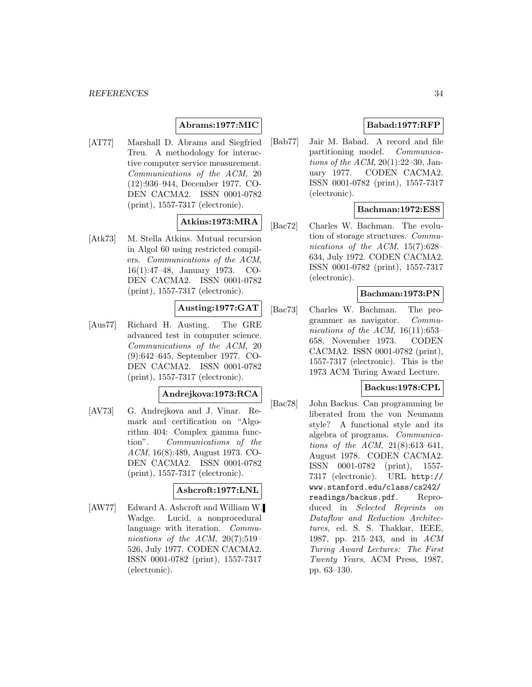## **Abrams:1977:MIC**

[AT77] Marshall D. Abrams and Siegfried Treu. A methodology for interactive computer service measurement. Communications of the ACM, 20 (12):936–944, December 1977. CO-DEN CACMA2. ISSN 0001-0782 (print), 1557-7317 (electronic).

## **Atkins:1973:MRA**

[Atk73] M. Stella Atkins. Mutual recursion in Algol 60 using restricted compilers. Communications of the ACM, 16(1):47–48, January 1973. CO-DEN CACMA2. ISSN 0001-0782 (print), 1557-7317 (electronic).

# **Austing:1977:GAT**

[Aus77] Richard H. Austing. The GRE advanced test in computer science. Communications of the ACM, 20 (9):642–645, September 1977. CO-DEN CACMA2. ISSN 0001-0782 (print), 1557-7317 (electronic).

## **Andrejkova:1973:RCA**

[AV73] G. Andrejkova and J. Vinar. Remark and certification on "Algorithm 404: Complex gamma function". Communications of the ACM, 16(8):489, August 1973. CO-DEN CACMA2. ISSN 0001-0782 (print), 1557-7317 (electronic).

## **Ashcroft:1977:LNL**

[AW77] Edward A. Ashcroft and William W. Wadge. Lucid, a nonprocedural language with iteration. Communications of the ACM, 20(7):519– 526, July 1977. CODEN CACMA2. ISSN 0001-0782 (print), 1557-7317 (electronic).

## **Babad:1977:RFP**

[Bab77] Jair M. Babad. A record and file partitioning model. Communications of the ACM,  $20(1):22-30$ , January 1977. CODEN CACMA2. ISSN 0001-0782 (print), 1557-7317 (electronic).

## **Bachman:1972:ESS**

[Bac72] Charles W. Bachman. The evolution of storage structures. Communications of the ACM, 15(7):628– 634, July 1972. CODEN CACMA2. ISSN 0001-0782 (print), 1557-7317 (electronic).

## **Bachman:1973:PN**

[Bac73] Charles W. Bachman. The programmer as navigator. Communications of the ACM,  $16(11):653-$ 658, November 1973. CODEN CACMA2. ISSN 0001-0782 (print), 1557-7317 (electronic). This is the 1973 ACM Turing Award Lecture.

## **Backus:1978:CPL**

[Bac78] John Backus. Can programming be liberated from the von Neumann style? A functional style and its algebra of programs. Communications of the ACM, 21(8):613–641, August 1978. CODEN CACMA2. ISSN 0001-0782 (print), 1557- 7317 (electronic). URL http:// www.stanford.edu/class/cs242/ readings/backus.pdf. Reproduced in Selected Reprints on Dataflow and Reduction Architectures, ed. S. S. Thakkar, IEEE, 1987, pp. 215–243, and in ACM Turing Award Lectures: The First Twenty Years, ACM Press, 1987, pp. 63–130.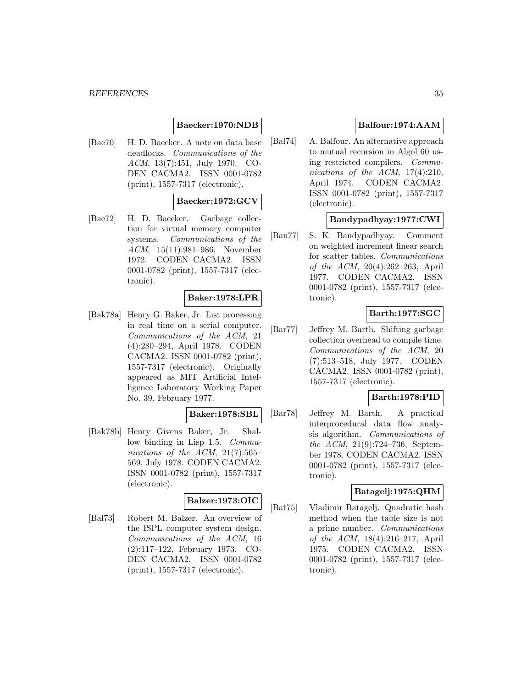## **Baecker:1970:NDB**

[Bae70] H. D. Baecker. A note on data base deadlocks. Communications of the ACM, 13(7):451, July 1970. CO-DEN CACMA2. ISSN 0001-0782 (print), 1557-7317 (electronic).

#### **Baecker:1972:GCV**

[Bae72] H. D. Baecker. Garbage collection for virtual memory computer systems. Communications of the ACM, 15(11):981–986, November 1972. CODEN CACMA2. ISSN 0001-0782 (print), 1557-7317 (electronic).

## **Baker:1978:LPR**

[Bak78a] Henry G. Baker, Jr. List processing in real time on a serial computer. Communications of the ACM, 21 (4):280–294, April 1978. CODEN CACMA2. ISSN 0001-0782 (print), 1557-7317 (electronic). Originally appeared as MIT Artificial Intelligence Laboratory Working Paper No. 39, February 1977.

## **Baker:1978:SBL**

[Bak78b] Henry Givens Baker, Jr. Shallow binding in Lisp 1.5. Communications of the ACM,  $21(7):565-$ 569, July 1978. CODEN CACMA2. ISSN 0001-0782 (print), 1557-7317 (electronic).

# **Balzer:1973:OIC**

[Bal73] Robert M. Balzer. An overview of the ISPL computer system design. Communications of the ACM, 16 (2):117–122, February 1973. CO-DEN CACMA2. ISSN 0001-0782 (print), 1557-7317 (electronic).

# **Balfour:1974:AAM**

[Bal74] A. Balfour. An alternative approach to mutual recursion in Algol 60 using restricted compilers. Communications of the ACM, 17(4):210, April 1974. CODEN CACMA2. ISSN 0001-0782 (print), 1557-7317 (electronic).

## **Bandypadhyay:1977:CWI**

[Ban77] S. K. Bandypadhyay. Comment on weighted increment linear search for scatter tables. Communications of the ACM, 20(4):262–263, April 1977. CODEN CACMA2. ISSN 0001-0782 (print), 1557-7317 (electronic).

## **Barth:1977:SGC**

[Bar77] Jeffrey M. Barth. Shifting garbage collection overhead to compile time. Communications of the ACM, 20 (7):513–518, July 1977. CODEN CACMA2. ISSN 0001-0782 (print), 1557-7317 (electronic).

## **Barth:1978:PID**

[Bar78] Jeffrey M. Barth. A practical interprocedural data flow analysis algorithm. Communications of the ACM, 21(9):724–736, September 1978. CODEN CACMA2. ISSN 0001-0782 (print), 1557-7317 (electronic).

## **Batagelj:1975:QHM**

[Bat75] Vladimir Batagelj. Quadratic hash method when the table size is not a prime number. Communications of the ACM, 18(4):216–217, April 1975. CODEN CACMA2. ISSN 0001-0782 (print), 1557-7317 (electronic).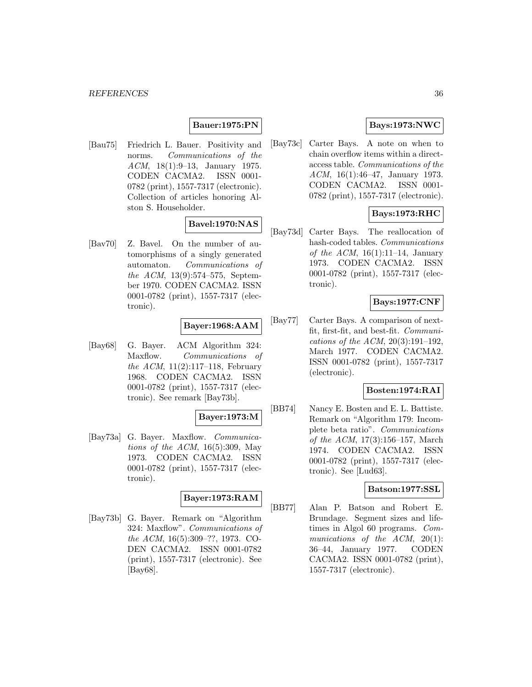## **Bauer:1975:PN**

[Bau75] Friedrich L. Bauer. Positivity and norms. Communications of the ACM, 18(1):9–13, January 1975. CODEN CACMA2. ISSN 0001- 0782 (print), 1557-7317 (electronic). Collection of articles honoring Alston S. Householder.

## **Bavel:1970:NAS**

[Bav70] Z. Bavel. On the number of automorphisms of a singly generated automaton. Communications of the ACM, 13(9):574–575, September 1970. CODEN CACMA2. ISSN 0001-0782 (print), 1557-7317 (electronic).

## **Bayer:1968:AAM**

[Bay68] G. Bayer. ACM Algorithm 324: Maxflow. Communications of the ACM,  $11(2):117-118$ , February 1968. CODEN CACMA2. ISSN 0001-0782 (print), 1557-7317 (electronic). See remark [Bay73b].

#### **Bayer:1973:M**

[Bay73a] G. Bayer. Maxflow. Communications of the ACM,  $16(5):309$ , May 1973. CODEN CACMA2. ISSN 0001-0782 (print), 1557-7317 (electronic).

## **Bayer:1973:RAM**

[Bay73b] G. Bayer. Remark on "Algorithm 324: Maxflow". Communications of the ACM, 16(5):309–??, 1973. CO-DEN CACMA2. ISSN 0001-0782 (print), 1557-7317 (electronic). See [Bay68].

# **Bays:1973:NWC**

[Bay73c] Carter Bays. A note on when to chain overflow items within a directaccess table. Communications of the ACM, 16(1):46–47, January 1973. CODEN CACMA2. ISSN 0001- 0782 (print), 1557-7317 (electronic).

# **Bays:1973:RHC**

[Bay73d] Carter Bays. The reallocation of hash-coded tables. Communications of the ACM,  $16(1):11-14$ , January 1973. CODEN CACMA2. ISSN 0001-0782 (print), 1557-7317 (electronic).

## **Bays:1977:CNF**

[Bay77] Carter Bays. A comparison of nextfit, first-fit, and best-fit. Communications of the ACM, 20(3):191–192, March 1977. CODEN CACMA2. ISSN 0001-0782 (print), 1557-7317 (electronic).

## **Bosten:1974:RAI**

[BB74] Nancy E. Bosten and E. L. Battiste. Remark on "Algorithm 179: Incomplete beta ratio". Communications of the ACM, 17(3):156–157, March 1974. CODEN CACMA2. ISSN 0001-0782 (print), 1557-7317 (electronic). See [Lud63].

#### **Batson:1977:SSL**

[BB77] Alan P. Batson and Robert E. Brundage. Segment sizes and lifetimes in Algol 60 programs. Communications of the ACM, 20(1): 36–44, January 1977. CODEN CACMA2. ISSN 0001-0782 (print), 1557-7317 (electronic).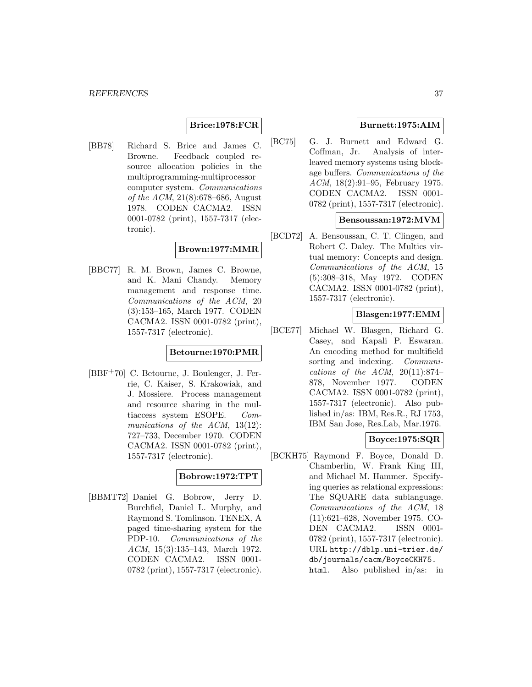## **Brice:1978:FCR**

[BB78] Richard S. Brice and James C. Browne. Feedback coupled resource allocation policies in the multiprogramming-multiprocessor computer system. Communications of the ACM, 21(8):678–686, August 1978. CODEN CACMA2. ISSN 0001-0782 (print), 1557-7317 (electronic).

#### **Brown:1977:MMR**

[BBC77] R. M. Brown, James C. Browne, and K. Mani Chandy. Memory management and response time. Communications of the ACM, 20 (3):153–165, March 1977. CODEN CACMA2. ISSN 0001-0782 (print), 1557-7317 (electronic).

#### **Betourne:1970:PMR**

[BBF<sup>+</sup>70] C. Betourne, J. Boulenger, J. Ferrie, C. Kaiser, S. Krakowiak, and J. Mossiere. Process management and resource sharing in the multiaccess system ESOPE. Communications of the ACM, 13(12): 727–733, December 1970. CODEN CACMA2. ISSN 0001-0782 (print), 1557-7317 (electronic).

## **Bobrow:1972:TPT**

[BBMT72] Daniel G. Bobrow, Jerry D. Burchfiel, Daniel L. Murphy, and Raymond S. Tomlinson. TENEX, A paged time-sharing system for the PDP-10. Communications of the ACM, 15(3):135–143, March 1972. CODEN CACMA2. ISSN 0001- 0782 (print), 1557-7317 (electronic).

# **Burnett:1975:AIM**

[BC75] G. J. Burnett and Edward G. Coffman, Jr. Analysis of interleaved memory systems using blockage buffers. Communications of the ACM, 18(2):91–95, February 1975. CODEN CACMA2. ISSN 0001- 0782 (print), 1557-7317 (electronic).

#### **Bensoussan:1972:MVM**

[BCD72] A. Bensoussan, C. T. Clingen, and Robert C. Daley. The Multics virtual memory: Concepts and design. Communications of the ACM, 15 (5):308–318, May 1972. CODEN CACMA2. ISSN 0001-0782 (print), 1557-7317 (electronic).

#### **Blasgen:1977:EMM**

[BCE77] Michael W. Blasgen, Richard G. Casey, and Kapali P. Eswaran. An encoding method for multifield sorting and indexing. *Communi*cations of the ACM,  $20(11):874-$ 878, November 1977. CODEN CACMA2. ISSN 0001-0782 (print), 1557-7317 (electronic). Also published in/as: IBM, Res.R., RJ 1753, IBM San Jose, Res.Lab, Mar.1976.

### **Boyce:1975:SQR**

[BCKH75] Raymond F. Boyce, Donald D. Chamberlin, W. Frank King III, and Michael M. Hammer. Specifying queries as relational expressions: The SQUARE data sublanguage. Communications of the ACM, 18 (11):621–628, November 1975. CO-DEN CACMA2. ISSN 0001- 0782 (print), 1557-7317 (electronic). URL http://dblp.uni-trier.de/ db/journals/cacm/BoyceCKH75. html. Also published in/as: in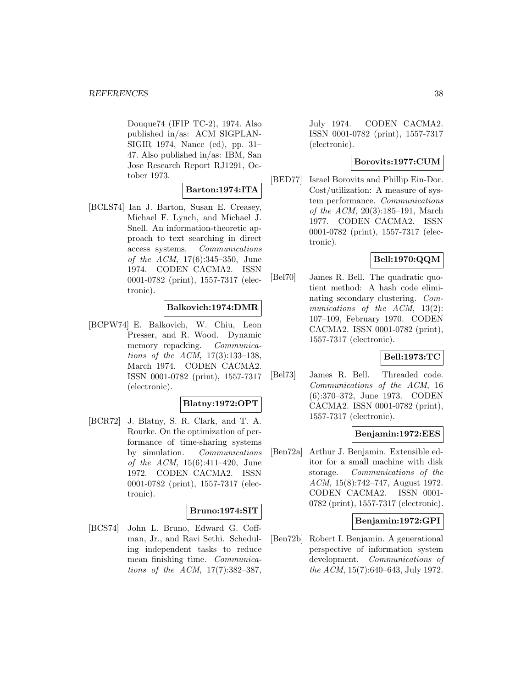Douque74 (IFIP TC-2), 1974. Also published in/as: ACM SIGPLAN-SIGIR 1974, Nance (ed), pp. 31– 47. Also published in/as: IBM, San Jose Research Report RJ1291, October 1973.

## **Barton:1974:ITA**

[BCLS74] Ian J. Barton, Susan E. Creasey, Michael F. Lynch, and Michael J. Snell. An information-theoretic approach to text searching in direct access systems. Communications of the ACM, 17(6):345–350, June 1974. CODEN CACMA2. ISSN 0001-0782 (print), 1557-7317 (electronic).

#### **Balkovich:1974:DMR**

[BCPW74] E. Balkovich, W. Chiu, Leon Presser, and R. Wood. Dynamic memory repacking. Communications of the ACM, 17(3):133–138, March 1974. CODEN CACMA2. ISSN 0001-0782 (print), 1557-7317 (electronic).

### **Blatny:1972:OPT**

[BCR72] J. Blatny, S. R. Clark, and T. A. Rourke. On the optimization of performance of time-sharing systems by simulation. Communications of the ACM, 15(6):411–420, June 1972. CODEN CACMA2. ISSN 0001-0782 (print), 1557-7317 (electronic).

### **Bruno:1974:SIT**

[BCS74] John L. Bruno, Edward G. Coffman, Jr., and Ravi Sethi. Scheduling independent tasks to reduce mean finishing time. Communications of the ACM, 17(7):382–387,

July 1974. CODEN CACMA2. ISSN 0001-0782 (print), 1557-7317 (electronic).

#### **Borovits:1977:CUM**

[BED77] Israel Borovits and Phillip Ein-Dor. Cost/utilization: A measure of system performance. Communications of the ACM, 20(3):185–191, March 1977. CODEN CACMA2. ISSN 0001-0782 (print), 1557-7317 (electronic).

### **Bell:1970:QQM**

[Bel70] James R. Bell. The quadratic quotient method: A hash code eliminating secondary clustering. Communications of the ACM, 13(2): 107–109, February 1970. CODEN CACMA2. ISSN 0001-0782 (print), 1557-7317 (electronic).

# **Bell:1973:TC**

[Bel73] James R. Bell. Threaded code. Communications of the ACM, 16 (6):370–372, June 1973. CODEN CACMA2. ISSN 0001-0782 (print), 1557-7317 (electronic).

### **Benjamin:1972:EES**

[Ben72a] Arthur J. Benjamin. Extensible editor for a small machine with disk storage. Communications of the ACM, 15(8):742–747, August 1972. CODEN CACMA2. ISSN 0001- 0782 (print), 1557-7317 (electronic).

### **Benjamin:1972:GPI**

[Ben72b] Robert I. Benjamin. A generational perspective of information system development. Communications of the ACM, 15(7):640–643, July 1972.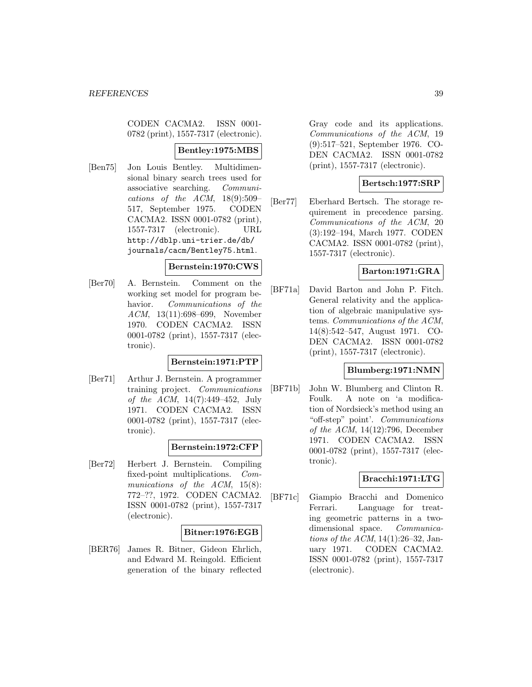CODEN CACMA2. ISSN 0001- 0782 (print), 1557-7317 (electronic).

### **Bentley:1975:MBS**

[Ben75] Jon Louis Bentley. Multidimensional binary search trees used for associative searching. Communications of the ACM, 18(9):509– 517, September 1975. CODEN CACMA2. ISSN 0001-0782 (print), 1557-7317 (electronic). URL http://dblp.uni-trier.de/db/ journals/cacm/Bentley75.html.

#### **Bernstein:1970:CWS**

[Ber70] A. Bernstein. Comment on the working set model for program behavior. Communications of the ACM, 13(11):698–699, November 1970. CODEN CACMA2. ISSN 0001-0782 (print), 1557-7317 (electronic).

### **Bernstein:1971:PTP**

[Ber71] Arthur J. Bernstein. A programmer training project. Communications of the ACM, 14(7):449–452, July 1971. CODEN CACMA2. ISSN 0001-0782 (print), 1557-7317 (electronic).

#### **Bernstein:1972:CFP**

[Ber72] Herbert J. Bernstein. Compiling fixed-point multiplications. Communications of the ACM, 15(8): 772–??, 1972. CODEN CACMA2. ISSN 0001-0782 (print), 1557-7317 (electronic).

### **Bitner:1976:EGB**

[BER76] James R. Bitner, Gideon Ehrlich, and Edward M. Reingold. Efficient generation of the binary reflected

Gray code and its applications. Communications of the ACM, 19 (9):517–521, September 1976. CO-DEN CACMA2. ISSN 0001-0782 (print), 1557-7317 (electronic).

### **Bertsch:1977:SRP**

[Ber77] Eberhard Bertsch. The storage requirement in precedence parsing. Communications of the ACM, 20 (3):192–194, March 1977. CODEN CACMA2. ISSN 0001-0782 (print), 1557-7317 (electronic).

# **Barton:1971:GRA**

[BF71a] David Barton and John P. Fitch. General relativity and the application of algebraic manipulative systems. Communications of the ACM, 14(8):542–547, August 1971. CO-DEN CACMA2. ISSN 0001-0782 (print), 1557-7317 (electronic).

#### **Blumberg:1971:NMN**

[BF71b] John W. Blumberg and Clinton R. Foulk. A note on 'a modification of Nordsieck's method using an "off-step" point'. Communications of the ACM, 14(12):796, December 1971. CODEN CACMA2. ISSN 0001-0782 (print), 1557-7317 (electronic).

### **Bracchi:1971:LTG**

[BF71c] Giampio Bracchi and Domenico Ferrari. Language for treating geometric patterns in a twodimensional space. Communications of the ACM, 14(1):26–32, January 1971. CODEN CACMA2. ISSN 0001-0782 (print), 1557-7317 (electronic).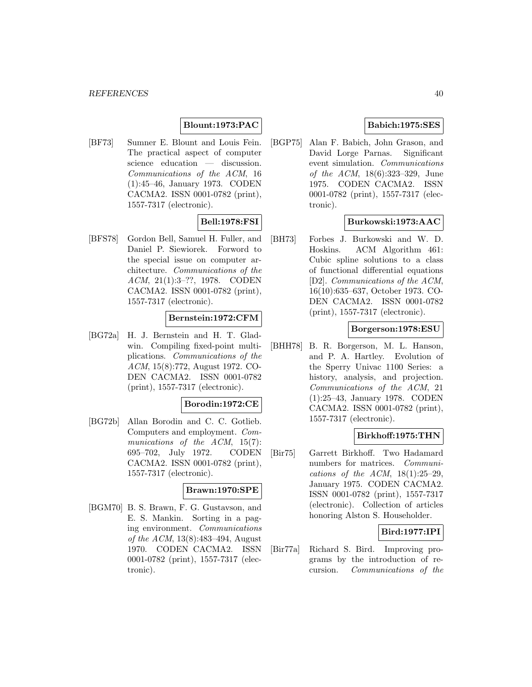# **Blount:1973:PAC**

[BF73] Sumner E. Blount and Louis Fein. The practical aspect of computer science education — discussion. Communications of the ACM, 16 (1):45–46, January 1973. CODEN CACMA2. ISSN 0001-0782 (print), 1557-7317 (electronic).

# **Bell:1978:FSI**

[BFS78] Gordon Bell, Samuel H. Fuller, and Daniel P. Siewiorek. Forword to the special issue on computer architecture. Communications of the ACM, 21(1):3–??, 1978. CODEN CACMA2. ISSN 0001-0782 (print), 1557-7317 (electronic).

### **Bernstein:1972:CFM**

[BG72a] H. J. Bernstein and H. T. Gladwin. Compiling fixed-point multiplications. Communications of the ACM, 15(8):772, August 1972. CO-DEN CACMA2. ISSN 0001-0782 (print), 1557-7317 (electronic).

#### **Borodin:1972:CE**

[BG72b] Allan Borodin and C. C. Gotlieb. Computers and employment. Communications of the ACM, 15(7): 695–702, July 1972. CODEN CACMA2. ISSN 0001-0782 (print), 1557-7317 (electronic).

#### **Brawn:1970:SPE**

[BGM70] B. S. Brawn, F. G. Gustavson, and E. S. Mankin. Sorting in a paging environment. Communications of the ACM, 13(8):483–494, August 1970. CODEN CACMA2. ISSN 0001-0782 (print), 1557-7317 (electronic).

## **Babich:1975:SES**

[BGP75] Alan F. Babich, John Grason, and David Lorge Parnas. Significant event simulation. Communications of the ACM, 18(6):323–329, June 1975. CODEN CACMA2. ISSN 0001-0782 (print), 1557-7317 (electronic).

### **Burkowski:1973:AAC**

[BH73] Forbes J. Burkowski and W. D. Hoskins. ACM Algorithm 461: Cubic spline solutions to a class of functional differential equations [D2]. Communications of the ACM, 16(10):635–637, October 1973. CO-DEN CACMA2. ISSN 0001-0782 (print), 1557-7317 (electronic).

#### **Borgerson:1978:ESU**

[BHH78] B. R. Borgerson, M. L. Hanson, and P. A. Hartley. Evolution of the Sperry Univac 1100 Series: a history, analysis, and projection. Communications of the ACM, 21 (1):25–43, January 1978. CODEN CACMA2. ISSN 0001-0782 (print), 1557-7317 (electronic).

#### **Birkhoff:1975:THN**

[Bir75] Garrett Birkhoff. Two Hadamard numbers for matrices. Communications of the ACM,  $18(1):25-29$ , January 1975. CODEN CACMA2. ISSN 0001-0782 (print), 1557-7317 (electronic). Collection of articles honoring Alston S. Householder.

### **Bird:1977:IPI**

[Bir77a] Richard S. Bird. Improving programs by the introduction of recursion. Communications of the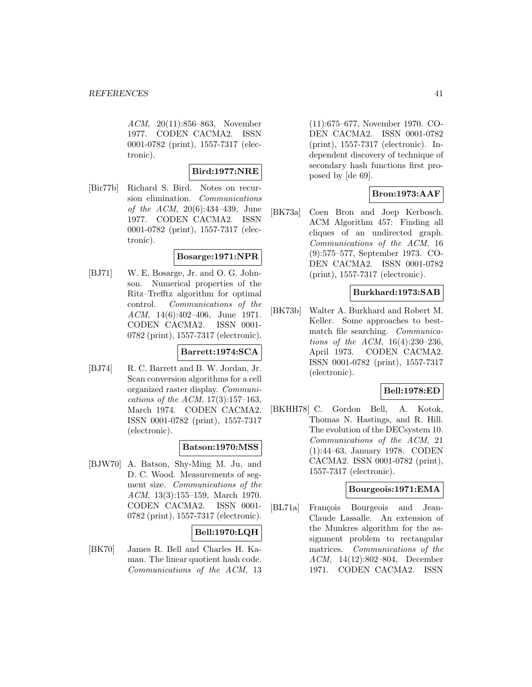ACM, 20(11):856–863, November 1977. CODEN CACMA2. ISSN 0001-0782 (print), 1557-7317 (electronic).

# **Bird:1977:NRE**

[Bir77b] Richard S. Bird. Notes on recursion elimination. Communications of the ACM, 20(6):434–439, June 1977. CODEN CACMA2. ISSN 0001-0782 (print), 1557-7317 (electronic).

## **Bosarge:1971:NPR**

[BJ71] W. E. Bosarge, Jr. and O. G. Johnson. Numerical properties of the Ritz–Trefftz algorithm for optimal control. Communications of the ACM, 14(6):402–406, June 1971. CODEN CACMA2. ISSN 0001- 0782 (print), 1557-7317 (electronic).

### **Barrett:1974:SCA**

[BJ74] R. C. Barrett and B. W. Jordan, Jr. Scan conversion algorithms for a cell organized raster display. Communications of the ACM,  $17(3):157-163$ , March 1974. CODEN CACMA2. ISSN 0001-0782 (print), 1557-7317 (electronic).

# **Batson:1970:MSS**

[BJW70] A. Batson, Shy-Ming M. Ju, and D. C. Wood. Measurements of segment size. Communications of the ACM, 13(3):155–159, March 1970. CODEN CACMA2. ISSN 0001- 0782 (print), 1557-7317 (electronic).

# **Bell:1970:LQH**

[BK70] James R. Bell and Charles H. Kaman. The linear quotient hash code. Communications of the ACM, 13

(11):675–677, November 1970. CO-DEN CACMA2. ISSN 0001-0782 (print), 1557-7317 (electronic). Independent discovery of technique of secondary hash functions first proposed by [de 69].

# **Bron:1973:AAF**

[BK73a] Coen Bron and Joep Kerbosch. ACM Algorithm 457: Finding all cliques of an undirected graph. Communications of the ACM, 16 (9):575–577, September 1973. CO-DEN CACMA2. ISSN 0001-0782 (print), 1557-7317 (electronic).

## **Burkhard:1973:SAB**

[BK73b] Walter A. Burkhard and Robert M. Keller. Some approaches to bestmatch file searching. Communications of the ACM, 16(4):230–236, April 1973. CODEN CACMA2. ISSN 0001-0782 (print), 1557-7317 (electronic).

## **Bell:1978:ED**

[BKHH78] C. Gordon Bell, A. Kotok, Thomas N. Hastings, and R. Hill. The evolution of the DECsystem 10. Communications of the ACM, 21 (1):44–63, January 1978. CODEN CACMA2. ISSN 0001-0782 (print), 1557-7317 (electronic).

### **Bourgeois:1971:EMA**

[BL71a] François Bourgeois and Jean-Claude Lassalle. An extension of the Munkres algorithm for the assignment problem to rectangular matrices. Communications of the ACM, 14(12):802–804, December 1971. CODEN CACMA2. ISSN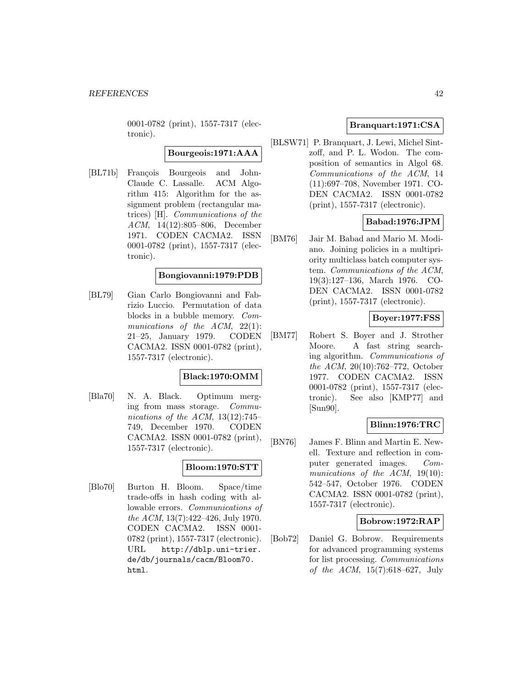0001-0782 (print), 1557-7317 (electronic).

**Bourgeois:1971:AAA**

[BL71b] François Bourgeois and John-Claude C. Lassalle. ACM Algorithm 415: Algorithm for the assignment problem (rectangular matrices) [H]. Communications of the ACM, 14(12):805–806, December 1971. CODEN CACMA2. ISSN 0001-0782 (print), 1557-7317 (electronic).

### **Bongiovanni:1979:PDB**

[BL79] Gian Carlo Bongiovanni and Fabrizio Luccio. Permutation of data blocks in a bubble memory. Communications of the  $ACM$ ,  $22(1)$ : 21–25, January 1979. CODEN CACMA2. ISSN 0001-0782 (print), 1557-7317 (electronic).

### **Black:1970:OMM**

[Bla70] N. A. Black. Optimum merging from mass storage. Communications of the ACM,  $13(12):745-$ 749, December 1970. CODEN CACMA2. ISSN 0001-0782 (print), 1557-7317 (electronic).

# **Bloom:1970:STT**

[Blo70] Burton H. Bloom. Space/time trade-offs in hash coding with allowable errors. Communications of the ACM, 13(7):422–426, July 1970. CODEN CACMA2. ISSN 0001- 0782 (print), 1557-7317 (electronic). URL http://dblp.uni-trier. de/db/journals/cacm/Bloom70. html.

## **Branquart:1971:CSA**

[BLSW71] P. Branquart, J. Lewi, Michel Sintzoff, and P. L. Wodon. The composition of semantics in Algol 68. Communications of the ACM, 14 (11):697–708, November 1971. CO-DEN CACMA2. ISSN 0001-0782 (print), 1557-7317 (electronic).

## **Babad:1976:JPM**

[BM76] Jair M. Babad and Mario M. Modiano. Joining policies in a multipriority multiclass batch computer system. Communications of the ACM, 19(3):127–136, March 1976. CO-DEN CACMA2. ISSN 0001-0782 (print), 1557-7317 (electronic).

# **Boyer:1977:FSS**

[BM77] Robert S. Boyer and J. Strother Moore. A fast string searching algorithm. Communications of the ACM, 20(10):762–772, October 1977. CODEN CACMA2. ISSN 0001-0782 (print), 1557-7317 (electronic). See also [KMP77] and [Sun90].

### **Blinn:1976:TRC**

[BN76] James F. Blinn and Martin E. Newell. Texture and reflection in computer generated images. Communications of the ACM, 19(10): 542–547, October 1976. CODEN CACMA2. ISSN 0001-0782 (print), 1557-7317 (electronic).

### **Bobrow:1972:RAP**

[Bob72] Daniel G. Bobrow. Requirements for advanced programming systems for list processing. Communications of the ACM, 15(7):618–627, July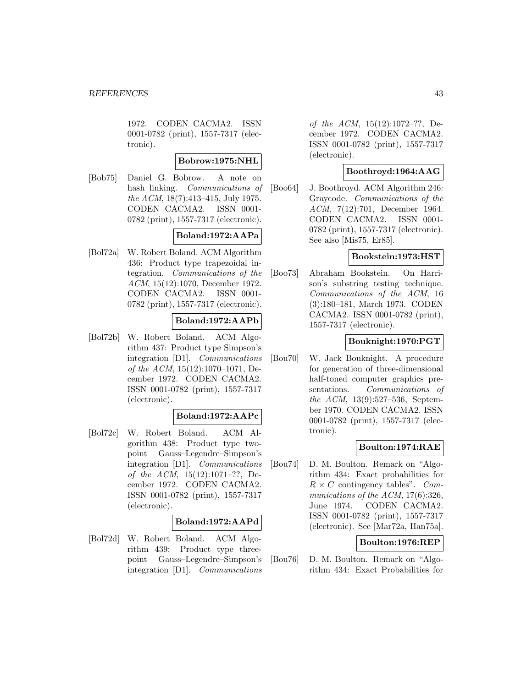1972. CODEN CACMA2. ISSN 0001-0782 (print), 1557-7317 (electronic).

### **Bobrow:1975:NHL**

[Bob75] Daniel G. Bobrow. A note on hash linking. Communications of the ACM, 18(7):413–415, July 1975. CODEN CACMA2. ISSN 0001- 0782 (print), 1557-7317 (electronic).

#### **Boland:1972:AAPa**

[Bol72a] W. Robert Boland. ACM Algorithm 436: Product type trapezoidal integration. Communications of the ACM, 15(12):1070, December 1972. CODEN CACMA2. ISSN 0001- 0782 (print), 1557-7317 (electronic).

## **Boland:1972:AAPb**

[Bol72b] W. Robert Boland. ACM Algorithm 437: Product type Simpson's integration [D1]. Communications of the ACM, 15(12):1070–1071, December 1972. CODEN CACMA2. ISSN 0001-0782 (print), 1557-7317 (electronic).

#### **Boland:1972:AAPc**

[Bol72c] W. Robert Boland. ACM Algorithm 438: Product type twopoint Gauss–Legendre–Simpson's integration [D1]. Communications of the ACM, 15(12):1071–??, December 1972. CODEN CACMA2. ISSN 0001-0782 (print), 1557-7317 (electronic).

### **Boland:1972:AAPd**

[Bol72d] W. Robert Boland. ACM Algorithm 439: Product type threepoint Gauss–Legendre–Simpson's integration [D1]. Communications

of the ACM, 15(12):1072–??, December 1972. CODEN CACMA2. ISSN 0001-0782 (print), 1557-7317 (electronic).

# **Boothroyd:1964:AAG**

[Boo64] J. Boothroyd. ACM Algorithm 246: Graycode. Communications of the ACM, 7(12):701, December 1964. CODEN CACMA2. ISSN 0001- 0782 (print), 1557-7317 (electronic). See also [Mis75, Er85].

## **Bookstein:1973:HST**

[Boo73] Abraham Bookstein. On Harrison's substring testing technique. Communications of the ACM, 16 (3):180–181, March 1973. CODEN CACMA2. ISSN 0001-0782 (print), 1557-7317 (electronic).

### **Bouknight:1970:PGT**

[Bou70] W. Jack Bouknight. A procedure for generation of three-dimensional half-toned computer graphics presentations. Communications of the ACM, 13(9):527–536, September 1970. CODEN CACMA2. ISSN 0001-0782 (print), 1557-7317 (electronic).

### **Boulton:1974:RAE**

[Bou74] D. M. Boulton. Remark on "Algorithm 434: Exact probabilities for  $R \times C$  contingency tables". Communications of the ACM, 17(6):326, June 1974. CODEN CACMA2. ISSN 0001-0782 (print), 1557-7317 (electronic). See [Mar72a, Han75a].

## **Boulton:1976:REP**

[Bou76] D. M. Boulton. Remark on "Algorithm 434: Exact Probabilities for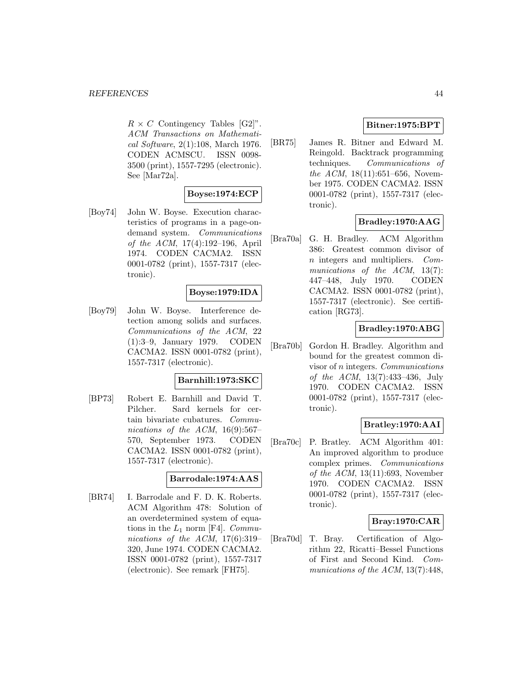$R \times C$  Contingency Tables [G2]". ACM Transactions on Mathematical Software, 2(1):108, March 1976. CODEN ACMSCU. ISSN 0098- 3500 (print), 1557-7295 (electronic). See [Mar72a].

### **Boyse:1974:ECP**

[Boy74] John W. Boyse. Execution characteristics of programs in a page-ondemand system. Communications of the ACM, 17(4):192–196, April 1974. CODEN CACMA2. ISSN 0001-0782 (print), 1557-7317 (electronic).

### **Boyse:1979:IDA**

[Boy79] John W. Boyse. Interference detection among solids and surfaces. Communications of the ACM, 22 (1):3–9, January 1979. CODEN CACMA2. ISSN 0001-0782 (print), 1557-7317 (electronic).

### **Barnhill:1973:SKC**

[BP73] Robert E. Barnhill and David T. Pilcher. Sard kernels for certain bivariate cubatures. Communications of the ACM,  $16(9):567-$ 570, September 1973. CODEN CACMA2. ISSN 0001-0782 (print), 1557-7317 (electronic).

### **Barrodale:1974:AAS**

[BR74] I. Barrodale and F. D. K. Roberts. ACM Algorithm 478: Solution of an overdetermined system of equations in the  $L_1$  norm [F4]. Communications of the ACM,  $17(6):319-$ 320, June 1974. CODEN CACMA2. ISSN 0001-0782 (print), 1557-7317 (electronic). See remark [FH75].

# **Bitner:1975:BPT**

[BR75] James R. Bitner and Edward M. Reingold. Backtrack programming techniques. Communications of the ACM,  $18(11):651-656$ , November 1975. CODEN CACMA2. ISSN 0001-0782 (print), 1557-7317 (electronic).

# **Bradley:1970:AAG**

[Bra70a] G. H. Bradley. ACM Algorithm 386: Greatest common divisor of n integers and multipliers. Communications of the ACM, 13(7): 447–448, July 1970. CODEN CACMA2. ISSN 0001-0782 (print), 1557-7317 (electronic). See certification [RG73].

# **Bradley:1970:ABG**

[Bra70b] Gordon H. Bradley. Algorithm and bound for the greatest common divisor of n integers. Communications of the ACM, 13(7):433–436, July 1970. CODEN CACMA2. ISSN 0001-0782 (print), 1557-7317 (electronic).

# **Bratley:1970:AAI**

[Bra70c] P. Bratley. ACM Algorithm 401: An improved algorithm to produce complex primes. Communications of the ACM,  $13(11):693$ , November 1970. CODEN CACMA2. ISSN 0001-0782 (print), 1557-7317 (electronic).

### **Bray:1970:CAR**

[Bra70d] T. Bray. Certification of Algorithm 22, Ricatti–Bessel Functions of First and Second Kind. Communications of the ACM, 13(7):448,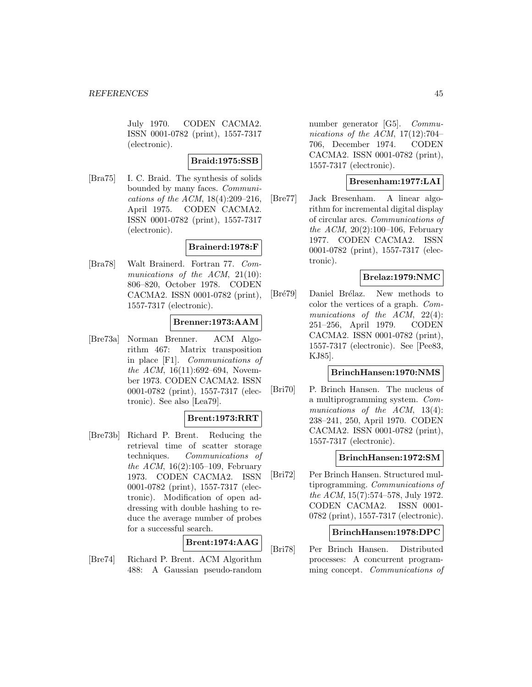July 1970. CODEN CACMA2. ISSN 0001-0782 (print), 1557-7317 (electronic).

### **Braid:1975:SSB**

[Bra75] I. C. Braid. The synthesis of solids bounded by many faces. Communications of the ACM, 18(4):209–216, April 1975. CODEN CACMA2. ISSN 0001-0782 (print), 1557-7317 (electronic).

### **Brainerd:1978:F**

[Bra78] Walt Brainerd. Fortran 77. Communications of the ACM, 21(10): 806–820, October 1978. CODEN CACMA2. ISSN 0001-0782 (print), 1557-7317 (electronic).

# **Brenner:1973:AAM**

[Bre73a] Norman Brenner. ACM Algorithm 467: Matrix transposition in place [F1]. Communications of the ACM,  $16(11):692-694$ , November 1973. CODEN CACMA2. ISSN 0001-0782 (print), 1557-7317 (electronic). See also [Lea79].

# **Brent:1973:RRT**

[Bre73b] Richard P. Brent. Reducing the retrieval time of scatter storage techniques. Communications of the ACM,  $16(2):105-109$ , February 1973. CODEN CACMA2. ISSN 0001-0782 (print), 1557-7317 (electronic). Modification of open addressing with double hashing to reduce the average number of probes for a successful search.

# **Brent:1974:AAG**

[Bre74] Richard P. Brent. ACM Algorithm 488: A Gaussian pseudo-random

number generator [G5]. Communications of the ACM,  $17(12):704-$ 706, December 1974. CODEN CACMA2. ISSN 0001-0782 (print), 1557-7317 (electronic).

# **Bresenham:1977:LAI**

[Bre77] Jack Bresenham. A linear algorithm for incremental digital display of circular arcs. Communications of the ACM,  $20(2):100-106$ , February 1977. CODEN CACMA2. ISSN 0001-0782 (print), 1557-7317 (electronic).

# **Brelaz:1979:NMC**

[Bré79] Daniel Brélaz. New methods to color the vertices of a graph. Communications of the ACM, 22(4): 251–256, April 1979. CODEN CACMA2. ISSN 0001-0782 (print), 1557-7317 (electronic). See [Pee83, KJ85].

### **BrinchHansen:1970:NMS**

[Bri70] P. Brinch Hansen. The nucleus of a multiprogramming system. Communications of the ACM, 13(4): 238–241, 250, April 1970. CODEN CACMA2. ISSN 0001-0782 (print), 1557-7317 (electronic).

### **BrinchHansen:1972:SM**

[Bri72] Per Brinch Hansen. Structured multiprogramming. Communications of the ACM, 15(7):574–578, July 1972. CODEN CACMA2. ISSN 0001- 0782 (print), 1557-7317 (electronic).

### **BrinchHansen:1978:DPC**

[Bri78] Per Brinch Hansen. Distributed processes: A concurrent programming concept. Communications of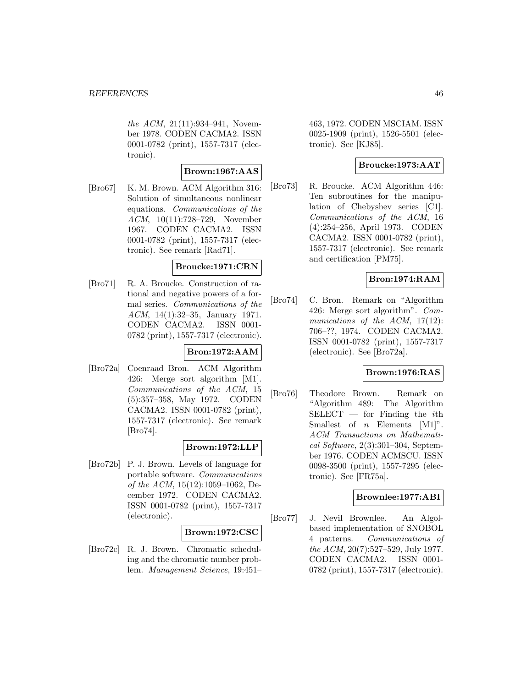the ACM, 21(11):934–941, November 1978. CODEN CACMA2. ISSN 0001-0782 (print), 1557-7317 (electronic).

# **Brown:1967:AAS**

[Bro67] K. M. Brown. ACM Algorithm 316: Solution of simultaneous nonlinear equations. Communications of the ACM, 10(11):728–729, November 1967. CODEN CACMA2. ISSN 0001-0782 (print), 1557-7317 (electronic). See remark [Rad71].

### **Broucke:1971:CRN**

[Bro71] R. A. Broucke. Construction of rational and negative powers of a formal series. Communications of the ACM, 14(1):32–35, January 1971. CODEN CACMA2. ISSN 0001- 0782 (print), 1557-7317 (electronic).

### **Bron:1972:AAM**

[Bro72a] Coenraad Bron. ACM Algorithm 426: Merge sort algorithm [M1]. Communications of the ACM, 15 (5):357–358, May 1972. CODEN CACMA2. ISSN 0001-0782 (print), 1557-7317 (electronic). See remark [Bro74].

## **Brown:1972:LLP**

[Bro72b] P. J. Brown. Levels of language for portable software. Communications of the ACM, 15(12):1059–1062, December 1972. CODEN CACMA2. ISSN 0001-0782 (print), 1557-7317 (electronic).

### **Brown:1972:CSC**

[Bro72c] R. J. Brown. Chromatic scheduling and the chromatic number problem. Management Science, 19:451–

463, 1972. CODEN MSCIAM. ISSN 0025-1909 (print), 1526-5501 (electronic). See [KJ85].

# **Broucke:1973:AAT**

[Bro73] R. Broucke. ACM Algorithm 446: Ten subroutines for the manipulation of Chebyshev series [C1]. Communications of the ACM, 16 (4):254–256, April 1973. CODEN CACMA2. ISSN 0001-0782 (print), 1557-7317 (electronic). See remark and certification [PM75].

# **Bron:1974:RAM**

[Bro74] C. Bron. Remark on "Algorithm 426: Merge sort algorithm". Communications of the ACM,  $17(12)$ : 706–??, 1974. CODEN CACMA2. ISSN 0001-0782 (print), 1557-7317 (electronic). See [Bro72a].

### **Brown:1976:RAS**

[Bro76] Theodore Brown. Remark on "Algorithm 489: The Algorithm  $SELECT$  — for Finding the *i*th Smallest of  $n$  Elements  $[M1]$ ". ACM Transactions on Mathematical Software, 2(3):301–304, September 1976. CODEN ACMSCU. ISSN 0098-3500 (print), 1557-7295 (electronic). See [FR75a].

### **Brownlee:1977:ABI**

[Bro77] J. Nevil Brownlee. An Algolbased implementation of SNOBOL 4 patterns. Communications of the ACM, 20(7):527–529, July 1977. CODEN CACMA2. ISSN 0001- 0782 (print), 1557-7317 (electronic).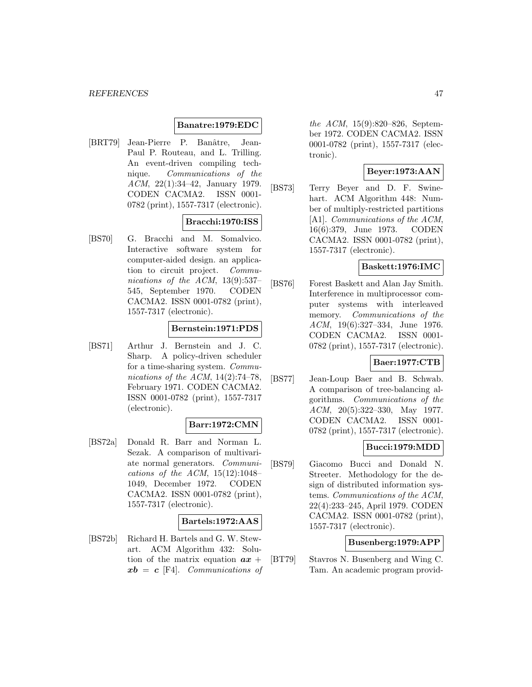#### **Banatre:1979:EDC**

[BRT79] Jean-Pierre P. Banâtre, Jean-Paul P. Routeau, and L. Trilling. An event-driven compiling technique. Communications of the ACM, 22(1):34–42, January 1979. CODEN CACMA2. ISSN 0001- 0782 (print), 1557-7317 (electronic).

## **Bracchi:1970:ISS**

[BS70] G. Bracchi and M. Somalvico. Interactive software system for computer-aided design. an application to circuit project. Communications of the ACM, 13(9):537– 545, September 1970. CODEN CACMA2. ISSN 0001-0782 (print), 1557-7317 (electronic).

#### **Bernstein:1971:PDS**

[BS71] Arthur J. Bernstein and J. C. Sharp. A policy-driven scheduler for a time-sharing system. Communications of the ACM,  $14(2)$ :74-78, February 1971. CODEN CACMA2. ISSN 0001-0782 (print), 1557-7317 (electronic).

### **Barr:1972:CMN**

[BS72a] Donald R. Barr and Norman L. Sezak. A comparison of multivariate normal generators. Communications of the ACM,  $15(12):1048-$ 1049, December 1972. CODEN CACMA2. ISSN 0001-0782 (print), 1557-7317 (electronic).

#### **Bartels:1972:AAS**

[BS72b] Richard H. Bartels and G. W. Stewart. ACM Algorithm 432: Solution of the matrix equation  $ax +$ *xb* = *c* [F4]. Communications of

the ACM, 15(9):820–826, September 1972. CODEN CACMA2. ISSN 0001-0782 (print), 1557-7317 (electronic).

## **Beyer:1973:AAN**

[BS73] Terry Beyer and D. F. Swinehart. ACM Algorithm 448: Number of multiply-restricted partitions [A1]. Communications of the ACM, 16(6):379, June 1973. CODEN CACMA2. ISSN 0001-0782 (print), 1557-7317 (electronic).

## **Baskett:1976:IMC**

[BS76] Forest Baskett and Alan Jay Smith. Interference in multiprocessor computer systems with interleaved memory. Communications of the ACM, 19(6):327–334, June 1976. CODEN CACMA2. ISSN 0001- 0782 (print), 1557-7317 (electronic).

### **Baer:1977:CTB**

[BS77] Jean-Loup Baer and B. Schwab. A comparison of tree-balancing algorithms. Communications of the ACM, 20(5):322–330, May 1977. CODEN CACMA2. ISSN 0001- 0782 (print), 1557-7317 (electronic).

### **Bucci:1979:MDD**

[BS79] Giacomo Bucci and Donald N. Streeter. Methodology for the design of distributed information systems. Communications of the ACM, 22(4):233–245, April 1979. CODEN CACMA2. ISSN 0001-0782 (print), 1557-7317 (electronic).

### **Busenberg:1979:APP**

[BT79] Stavros N. Busenberg and Wing C. Tam. An academic program provid-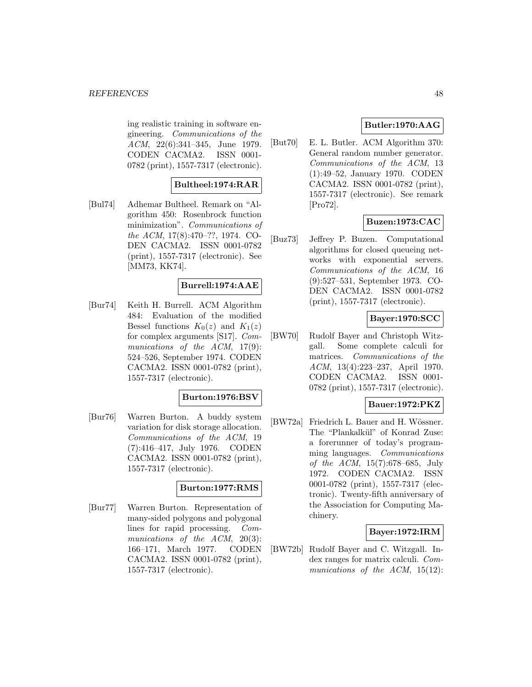ing realistic training in software engineering. Communications of the ACM, 22(6):341–345, June 1979. CODEN CACMA2. ISSN 0001- 0782 (print), 1557-7317 (electronic).

## **Bultheel:1974:RAR**

[Bul74] Adhemar Bultheel. Remark on "Algorithm 450: Rosenbrock function minimization". Communications of the ACM, 17(8):470–??, 1974. CO-DEN CACMA2. ISSN 0001-0782 (print), 1557-7317 (electronic). See [MM73, KK74].

# **Burrell:1974:AAE**

[Bur74] Keith H. Burrell. ACM Algorithm 484: Evaluation of the modified Bessel functions  $K_0(z)$  and  $K_1(z)$ for complex arguments [S17]. Communications of the ACM, 17(9): 524–526, September 1974. CODEN CACMA2. ISSN 0001-0782 (print), 1557-7317 (electronic).

### **Burton:1976:BSV**

[Bur76] Warren Burton. A buddy system variation for disk storage allocation. Communications of the ACM, 19 (7):416–417, July 1976. CODEN CACMA2. ISSN 0001-0782 (print), 1557-7317 (electronic).

#### **Burton:1977:RMS**

[Bur77] Warren Burton. Representation of many-sided polygons and polygonal lines for rapid processing. Communications of the ACM, 20(3): 166–171, March 1977. CODEN CACMA2. ISSN 0001-0782 (print), 1557-7317 (electronic).

# **Butler:1970:AAG**

[But70] E. L. Butler. ACM Algorithm 370: General random number generator. Communications of the ACM, 13 (1):49–52, January 1970. CODEN CACMA2. ISSN 0001-0782 (print), 1557-7317 (electronic). See remark [Pro72].

## **Buzen:1973:CAC**

[Buz73] Jeffrey P. Buzen. Computational algorithms for closed queueing networks with exponential servers. Communications of the ACM, 16 (9):527–531, September 1973. CO-DEN CACMA2. ISSN 0001-0782 (print), 1557-7317 (electronic).

## **Bayer:1970:SCC**

[BW70] Rudolf Bayer and Christoph Witzgall. Some complete calculi for matrices. Communications of the ACM, 13(4):223–237, April 1970. CODEN CACMA2. ISSN 0001- 0782 (print), 1557-7317 (electronic).

#### **Bauer:1972:PKZ**

[BW72a] Friedrich L. Bauer and H. Wössner. The "Plankalkül" of Konrad Zuse: a forerunner of today's programming languages. Communications of the ACM, 15(7):678–685, July 1972. CODEN CACMA2. ISSN 0001-0782 (print), 1557-7317 (electronic). Twenty-fifth anniversary of the Association for Computing Machinery.

### **Bayer:1972:IRM**

[BW72b] Rudolf Bayer and C. Witzgall. Index ranges for matrix calculi. Communications of the ACM, 15(12):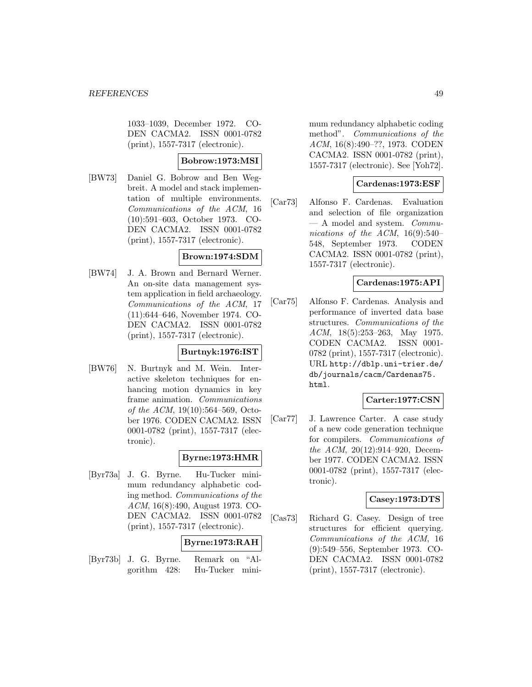1033–1039, December 1972. CO-DEN CACMA2. ISSN 0001-0782 (print), 1557-7317 (electronic).

# **Bobrow:1973:MSI**

[BW73] Daniel G. Bobrow and Ben Wegbreit. A model and stack implementation of multiple environments. Communications of the ACM, 16 (10):591–603, October 1973. CO-DEN CACMA2. ISSN 0001-0782 (print), 1557-7317 (electronic).

## **Brown:1974:SDM**

[BW74] J. A. Brown and Bernard Werner. An on-site data management system application in field archaeology. Communications of the ACM, 17 (11):644–646, November 1974. CO-DEN CACMA2. ISSN 0001-0782 (print), 1557-7317 (electronic).

### **Burtnyk:1976:IST**

[BW76] N. Burtnyk and M. Wein. Interactive skeleton techniques for enhancing motion dynamics in key frame animation. Communications of the ACM, 19(10):564–569, October 1976. CODEN CACMA2. ISSN 0001-0782 (print), 1557-7317 (electronic).

# **Byrne:1973:HMR**

[Byr73a] J. G. Byrne. Hu-Tucker minimum redundancy alphabetic coding method. Communications of the ACM, 16(8):490, August 1973. CO-DEN CACMA2. ISSN 0001-0782 (print), 1557-7317 (electronic).

### **Byrne:1973:RAH**

[Byr73b] J. G. Byrne. Remark on "Algorithm 428: Hu-Tucker mini-

mum redundancy alphabetic coding method". Communications of the ACM, 16(8):490–??, 1973. CODEN CACMA2. ISSN 0001-0782 (print), 1557-7317 (electronic). See [Yoh72].

## **Cardenas:1973:ESF**

[Car73] Alfonso F. Cardenas. Evaluation and selection of file organization  $-$  A model and system. Communications of the ACM, 16(9):540– 548, September 1973. CODEN CACMA2. ISSN 0001-0782 (print), 1557-7317 (electronic).

## **Cardenas:1975:API**

[Car75] Alfonso F. Cardenas. Analysis and performance of inverted data base structures. Communications of the ACM, 18(5):253–263, May 1975. CODEN CACMA2. ISSN 0001- 0782 (print), 1557-7317 (electronic). URL http://dblp.uni-trier.de/ db/journals/cacm/Cardenas75. html.

### **Carter:1977:CSN**

[Car77] J. Lawrence Carter. A case study of a new code generation technique for compilers. Communications of the ACM, 20(12):914–920, December 1977. CODEN CACMA2. ISSN 0001-0782 (print), 1557-7317 (electronic).

### **Casey:1973:DTS**

[Cas73] Richard G. Casey. Design of tree structures for efficient querying. Communications of the ACM, 16 (9):549–556, September 1973. CO-DEN CACMA2. ISSN 0001-0782 (print), 1557-7317 (electronic).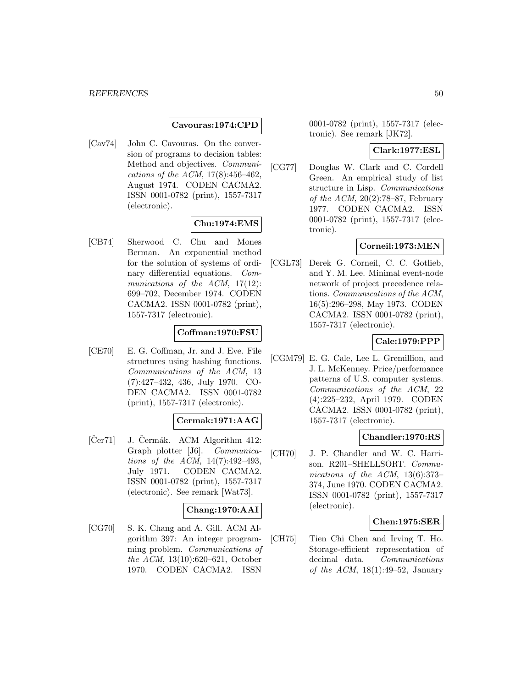#### **Cavouras:1974:CPD**

[Cav74] John C. Cavouras. On the conversion of programs to decision tables: Method and objectives. Communications of the ACM, 17(8):456–462, August 1974. CODEN CACMA2. ISSN 0001-0782 (print), 1557-7317 (electronic).

### **Chu:1974:EMS**

[CB74] Sherwood C. Chu and Mones Berman. An exponential method for the solution of systems of ordinary differential equations. Communications of the ACM, 17(12): 699–702, December 1974. CODEN CACMA2. ISSN 0001-0782 (print), 1557-7317 (electronic).

### **Coffman:1970:FSU**

[CE70] E. G. Coffman, Jr. and J. Eve. File structures using hashing functions. Communications of the ACM, 13 (7):427–432, 436, July 1970. CO-DEN CACMA2. ISSN 0001-0782 (print), 1557-7317 (electronic).

### **Cermak:1971:AAG**

 $[Cer71]$  J.  $Cermák$ . ACM Algorithm 412: Graph plotter [J6]. Communications of the ACM, 14(7):492–493, July 1971. CODEN CACMA2. ISSN 0001-0782 (print), 1557-7317 (electronic). See remark [Wat73].

## **Chang:1970:AAI**

[CG70] S. K. Chang and A. Gill. ACM Algorithm 397: An integer programming problem. Communications of the ACM, 13(10):620–621, October 1970. CODEN CACMA2. ISSN

0001-0782 (print), 1557-7317 (electronic). See remark [JK72].

#### **Clark:1977:ESL**

[CG77] Douglas W. Clark and C. Cordell Green. An empirical study of list structure in Lisp. Communications of the ACM,  $20(2):78-87$ , February 1977. CODEN CACMA2. ISSN 0001-0782 (print), 1557-7317 (electronic).

## **Corneil:1973:MEN**

[CGL73] Derek G. Corneil, C. C. Gotlieb, and Y. M. Lee. Minimal event-node network of project precedence relations. Communications of the ACM, 16(5):296–298, May 1973. CODEN CACMA2. ISSN 0001-0782 (print), 1557-7317 (electronic).

# **Cale:1979:PPP**

[CGM79] E. G. Cale, Lee L. Gremillion, and J. L. McKenney. Price/performance patterns of U.S. computer systems. Communications of the ACM, 22 (4):225–232, April 1979. CODEN CACMA2. ISSN 0001-0782 (print), 1557-7317 (electronic).

### **Chandler:1970:RS**

[CH70] J. P. Chandler and W. C. Harrison. R201–SHELLSORT. Communications of the ACM, 13(6):373– 374, June 1970. CODEN CACMA2. ISSN 0001-0782 (print), 1557-7317 (electronic).

#### **Chen:1975:SER**

[CH75] Tien Chi Chen and Irving T. Ho. Storage-efficient representation of decimal data. Communications of the ACM,  $18(1):49-52$ , January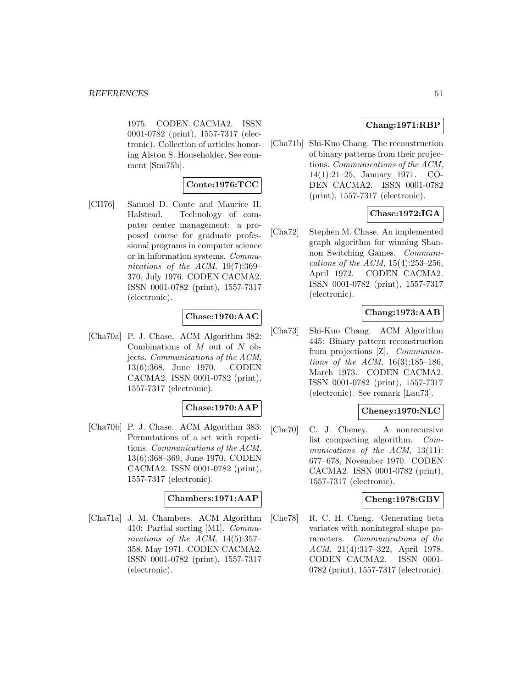1975. CODEN CACMA2. ISSN 0001-0782 (print), 1557-7317 (electronic). Collection of articles honoring Alston S. Householder. See comment [Smi75b].

## **Conte:1976:TCC**

[CH76] Samuel D. Conte and Maurice H. Halstead. Technology of computer center management: a proposed course for graduate professional programs in computer science or in information systems. Communications of the ACM, 19(7):369– 370, July 1976. CODEN CACMA2. ISSN 0001-0782 (print), 1557-7317 (electronic).

## **Chase:1970:AAC**

[Cha70a] P. J. Chase. ACM Algorithm 382: Combinations of  $M$  out of  $N$  objects. Communications of the ACM, 13(6):368, June 1970. CODEN CACMA2. ISSN 0001-0782 (print), 1557-7317 (electronic).

### **Chase:1970:AAP**

[Cha70b] P. J. Chase. ACM Algorithm 383: Permutations of a set with repetitions. Communications of the ACM, 13(6):368–369, June 1970. CODEN CACMA2. ISSN 0001-0782 (print), 1557-7317 (electronic).

### **Chambers:1971:AAP**

[Cha71a] J. M. Chambers. ACM Algorithm 410: Partial sorting [M1]. Communications of the ACM,  $14(5):357-$ 358, May 1971. CODEN CACMA2. ISSN 0001-0782 (print), 1557-7317 (electronic).

# **Chang:1971:RBP**

[Cha71b] Shi-Kuo Chang. The reconstruction of binary patterns from their projections. Communications of the ACM, 14(1):21–25, January 1971. CO-DEN CACMA2. ISSN 0001-0782 (print), 1557-7317 (electronic).

# **Chase:1972:IGA**

[Cha72] Stephen M. Chase. An implemented graph algorithm for winning Shannon Switching Games. Communications of the ACM, 15(4):253–256, April 1972. CODEN CACMA2. ISSN 0001-0782 (print), 1557-7317 (electronic).

# **Chang:1973:AAB**

[Cha73] Shi-Kuo Chang. ACM Algorithm 445: Binary pattern reconstruction from projections [Z]. Communications of the ACM, 16(3):185–186, March 1973. CODEN CACMA2. ISSN 0001-0782 (print), 1557-7317 (electronic). See remark [Lau73].

### **Cheney:1970:NLC**

[Che70] C. J. Cheney. A nonrecursive list compacting algorithm. Communications of the ACM, 13(11): 677–678, November 1970. CODEN CACMA2. ISSN 0001-0782 (print), 1557-7317 (electronic).

### **Cheng:1978:GBV**

[Che78] R. C. H. Cheng. Generating beta variates with nonintegral shape parameters. Communications of the ACM, 21(4):317–322, April 1978. CODEN CACMA2. ISSN 0001- 0782 (print), 1557-7317 (electronic).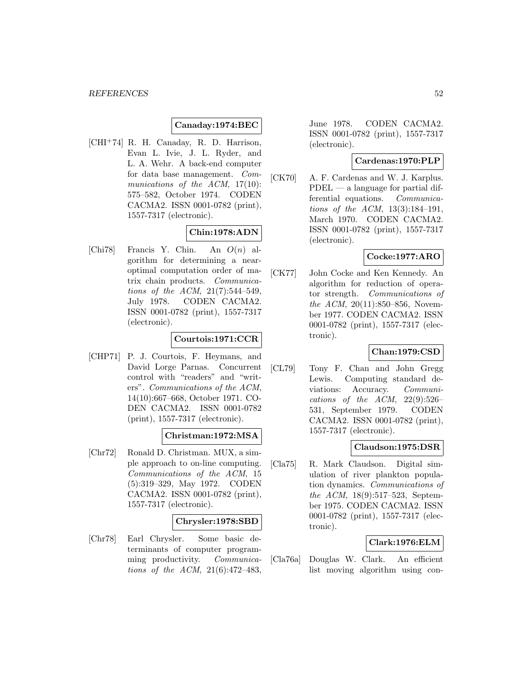## **Canaday:1974:BEC**

[CHI<sup>+</sup>74] R. H. Canaday, R. D. Harrison, Evan L. Ivie, J. L. Ryder, and L. A. Wehr. A back-end computer for data base management. Communications of the ACM, 17(10): 575–582, October 1974. CODEN CACMA2. ISSN 0001-0782 (print), 1557-7317 (electronic).

## **Chin:1978:ADN**

[Chi78] Francis Y. Chin. An  $O(n)$  algorithm for determining a nearoptimal computation order of matrix chain products. Communications of the ACM, 21(7):544–549, July 1978. CODEN CACMA2. ISSN 0001-0782 (print), 1557-7317 (electronic).

# **Courtois:1971:CCR**

[CHP71] P. J. Courtois, F. Heymans, and David Lorge Parnas. Concurrent control with "readers" and "writers". Communications of the ACM, 14(10):667–668, October 1971. CO-DEN CACMA2. ISSN 0001-0782 (print), 1557-7317 (electronic).

### **Christman:1972:MSA**

[Chr72] Ronald D. Christman. MUX, a simple approach to on-line computing. Communications of the ACM, 15 (5):319–329, May 1972. CODEN CACMA2. ISSN 0001-0782 (print), 1557-7317 (electronic).

### **Chrysler:1978:SBD**

[Chr78] Earl Chrysler. Some basic determinants of computer programming productivity. *Communica*tions of the ACM, 21(6):472–483,

June 1978. CODEN CACMA2. ISSN 0001-0782 (print), 1557-7317 (electronic).

### **Cardenas:1970:PLP**

[CK70] A. F. Cardenas and W. J. Karplus. PDEL — a language for partial differential equations. Communications of the ACM, 13(3):184–191, March 1970. CODEN CACMA2. ISSN 0001-0782 (print), 1557-7317 (electronic).

# **Cocke:1977:ARO**

[CK77] John Cocke and Ken Kennedy. An algorithm for reduction of operator strength. Communications of the ACM, 20(11):850–856, November 1977. CODEN CACMA2. ISSN 0001-0782 (print), 1557-7317 (electronic).

### **Chan:1979:CSD**

[CL79] Tony F. Chan and John Gregg Lewis. Computing standard deviations: Accuracy. Communications of the ACM,  $22(9):526-$ 531, September 1979. CODEN CACMA2. ISSN 0001-0782 (print), 1557-7317 (electronic).

### **Claudson:1975:DSR**

[Cla75] R. Mark Claudson. Digital simulation of river plankton population dynamics. Communications of the ACM, 18(9):517–523, September 1975. CODEN CACMA2. ISSN 0001-0782 (print), 1557-7317 (electronic).

### **Clark:1976:ELM**

[Cla76a] Douglas W. Clark. An efficient list moving algorithm using con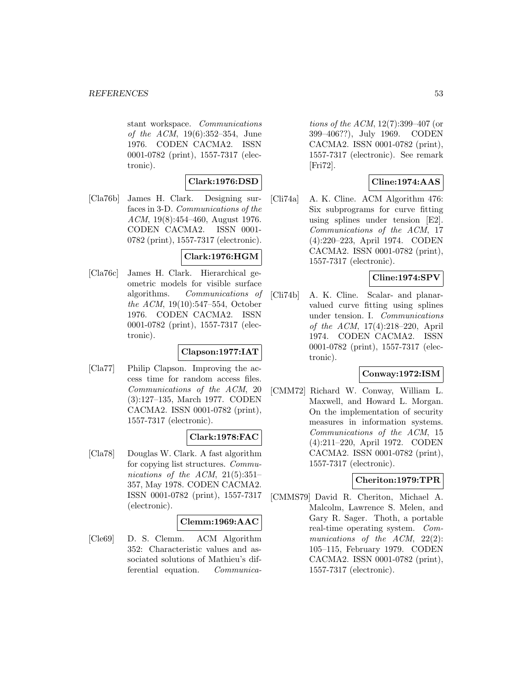stant workspace. Communications of the ACM, 19(6):352–354, June 1976. CODEN CACMA2. ISSN 0001-0782 (print), 1557-7317 (electronic).

# **Clark:1976:DSD**

[Cla76b] James H. Clark. Designing surfaces in 3-D. Communications of the ACM, 19(8):454–460, August 1976. CODEN CACMA2. ISSN 0001- 0782 (print), 1557-7317 (electronic).

## **Clark:1976:HGM**

[Cla76c] James H. Clark. Hierarchical geometric models for visible surface algorithms. Communications of the ACM, 19(10):547–554, October 1976. CODEN CACMA2. ISSN 0001-0782 (print), 1557-7317 (electronic).

# **Clapson:1977:IAT**

[Cla77] Philip Clapson. Improving the access time for random access files. Communications of the ACM, 20 (3):127–135, March 1977. CODEN CACMA2. ISSN 0001-0782 (print), 1557-7317 (electronic).

### **Clark:1978:FAC**

[Cla78] Douglas W. Clark. A fast algorithm for copying list structures. Communications of the ACM,  $21(5):351-$ 357, May 1978. CODEN CACMA2. ISSN 0001-0782 (print), 1557-7317 (electronic).

### **Clemm:1969:AAC**

[Cle69] D. S. Clemm. ACM Algorithm 352: Characteristic values and associated solutions of Mathieu's differential equation. Communica-

tions of the ACM, 12(7):399–407 (or 399–406??), July 1969. CODEN CACMA2. ISSN 0001-0782 (print), 1557-7317 (electronic). See remark [Fri72].

# **Cline:1974:AAS**

[Cli74a] A. K. Cline. ACM Algorithm 476: Six subprograms for curve fitting using splines under tension [E2]. Communications of the ACM, 17 (4):220–223, April 1974. CODEN CACMA2. ISSN 0001-0782 (print), 1557-7317 (electronic).

# **Cline:1974:SPV**

[Cli74b] A. K. Cline. Scalar- and planarvalued curve fitting using splines under tension. I. Communications of the ACM, 17(4):218–220, April 1974. CODEN CACMA2. ISSN 0001-0782 (print), 1557-7317 (electronic).

### **Conway:1972:ISM**

[CMM72] Richard W. Conway, William L. Maxwell, and Howard L. Morgan. On the implementation of security measures in information systems. Communications of the ACM, 15 (4):211–220, April 1972. CODEN CACMA2. ISSN 0001-0782 (print), 1557-7317 (electronic).

### **Cheriton:1979:TPR**

[CMMS79] David R. Cheriton, Michael A. Malcolm, Lawrence S. Melen, and Gary R. Sager. Thoth, a portable real-time operating system. Communications of the ACM, 22(2): 105–115, February 1979. CODEN CACMA2. ISSN 0001-0782 (print), 1557-7317 (electronic).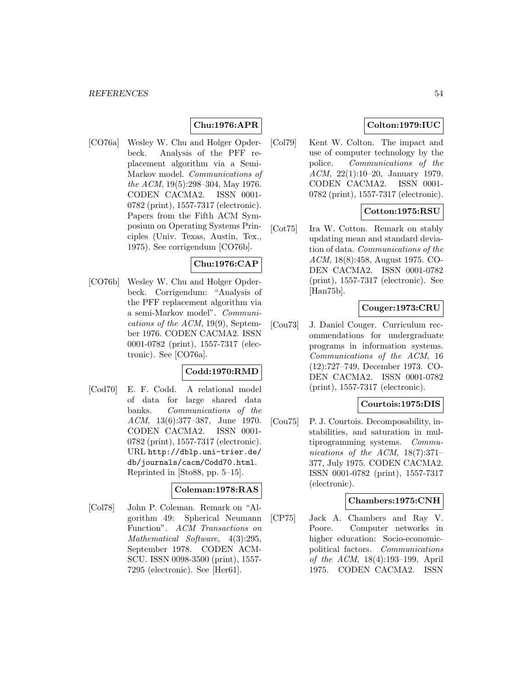# **Chu:1976:APR**

[CO76a] Wesley W. Chu and Holger Opderbeck. Analysis of the PFF replacement algorithm via a Semi-Markov model. Communications of the ACM, 19(5):298–304, May 1976. CODEN CACMA2. ISSN 0001- 0782 (print), 1557-7317 (electronic). Papers from the Fifth ACM Symposium on Operating Systems Principles (Univ. Texas, Austin, Tex., 1975). See corrigendum [CO76b].

## **Chu:1976:CAP**

[CO76b] Wesley W. Chu and Holger Opderbeck. Corrigendum: "Analysis of the PFF replacement algorithm via a semi-Markov model". Communications of the ACM, 19(9), September 1976. CODEN CACMA2. ISSN 0001-0782 (print), 1557-7317 (electronic). See [CO76a].

## **Codd:1970:RMD**

[Cod70] E. F. Codd. A relational model of data for large shared data banks. Communications of the ACM, 13(6):377–387, June 1970. CODEN CACMA2. ISSN 0001- 0782 (print), 1557-7317 (electronic). URL http://dblp.uni-trier.de/ db/journals/cacm/Codd70.html. Reprinted in [Sto88, pp. 5–15].

### **Coleman:1978:RAS**

[Col78] John P. Coleman. Remark on "Algorithm 49: Spherical Neumann Function". ACM Transactions on Mathematical Software, 4(3):295, September 1978. CODEN ACM-SCU. ISSN 0098-3500 (print), 1557- 7295 (electronic). See [Her61].

# **Colton:1979:IUC**

[Col79] Kent W. Colton. The impact and use of computer technology by the police. Communications of the ACM, 22(1):10–20, January 1979. CODEN CACMA2. ISSN 0001- 0782 (print), 1557-7317 (electronic).

# **Cotton:1975:RSU**

[Cot75] Ira W. Cotton. Remark on stably updating mean and standard deviation of data. Communications of the ACM, 18(8):458, August 1975. CO-DEN CACMA2. ISSN 0001-0782 (print), 1557-7317 (electronic). See [Han75b].

### **Couger:1973:CRU**

[Cou73] J. Daniel Couger. Curriculum recommendations for undergraduate programs in information systems. Communications of the ACM, 16 (12):727–749, December 1973. CO-DEN CACMA2. ISSN 0001-0782 (print), 1557-7317 (electronic).

### **Courtois:1975:DIS**

[Cou75] P. J. Courtois. Decomposability, instabilities, and saturation in multiprogramming systems. Communications of the ACM, 18(7):371– 377, July 1975. CODEN CACMA2. ISSN 0001-0782 (print), 1557-7317 (electronic).

### **Chambers:1975:CNH**

[CP75] Jack A. Chambers and Ray V. Poore. Computer networks in higher education: Socio-economicpolitical factors. Communications of the ACM, 18(4):193–199, April 1975. CODEN CACMA2. ISSN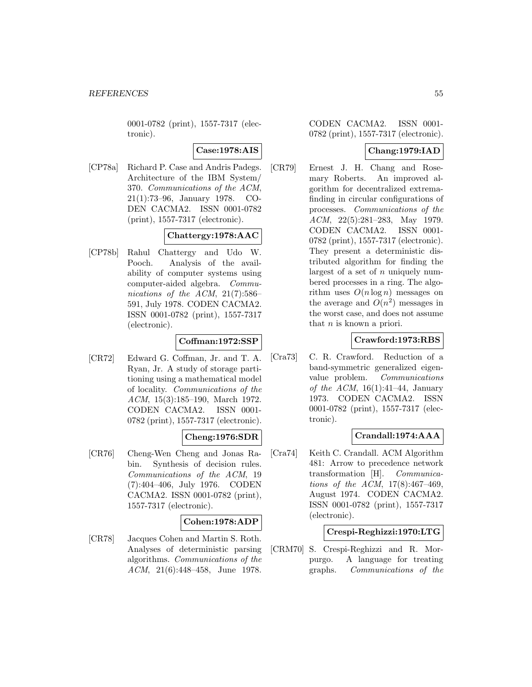0001-0782 (print), 1557-7317 (electronic).

# **Case:1978:AIS**

[CP78a] Richard P. Case and Andris Padegs. Architecture of the IBM System/ 370. Communications of the ACM, 21(1):73–96, January 1978. CO-DEN CACMA2. ISSN 0001-0782 (print), 1557-7317 (electronic).

# **Chattergy:1978:AAC**

[CP78b] Rahul Chattergy and Udo W. Pooch. Analysis of the availability of computer systems using computer-aided algebra. Communications of the ACM,  $21(7):586-$ 591, July 1978. CODEN CACMA2. ISSN 0001-0782 (print), 1557-7317 (electronic).

# **Coffman:1972:SSP**

[CR72] Edward G. Coffman, Jr. and T. A. Ryan, Jr. A study of storage partitioning using a mathematical model of locality. Communications of the ACM, 15(3):185–190, March 1972. CODEN CACMA2. ISSN 0001- 0782 (print), 1557-7317 (electronic).

# **Cheng:1976:SDR**

[CR76] Cheng-Wen Cheng and Jonas Rabin. Synthesis of decision rules. Communications of the ACM, 19 (7):404–406, July 1976. CODEN CACMA2. ISSN 0001-0782 (print), 1557-7317 (electronic).

### **Cohen:1978:ADP**

[CR78] Jacques Cohen and Martin S. Roth. Analyses of deterministic parsing algorithms. Communications of the ACM, 21(6):448–458, June 1978.

CODEN CACMA2. ISSN 0001- 0782 (print), 1557-7317 (electronic).

### **Chang:1979:IAD**

[CR79] Ernest J. H. Chang and Rosemary Roberts. An improved algorithm for decentralized extremafinding in circular configurations of processes. Communications of the ACM, 22(5):281–283, May 1979. CODEN CACMA2. ISSN 0001- 0782 (print), 1557-7317 (electronic). They present a deterministic distributed algorithm for finding the largest of a set of n uniquely numbered processes in a ring. The algorithm uses  $O(n \log n)$  messages on the average and  $O(n^2)$  messages in the worst case, and does not assume that  $n$  is known a priori.

## **Crawford:1973:RBS**

[Cra73] C. R. Crawford. Reduction of a band-symmetric generalized eigenvalue problem. Communications of the ACM,  $16(1):41-44$ , January 1973. CODEN CACMA2. ISSN 0001-0782 (print), 1557-7317 (electronic).

# **Crandall:1974:AAA**

[Cra74] Keith C. Crandall. ACM Algorithm 481: Arrow to precedence network transformation [H]. Communications of the ACM, 17(8):467–469, August 1974. CODEN CACMA2. ISSN 0001-0782 (print), 1557-7317 (electronic).

### **Crespi-Reghizzi:1970:LTG**

[CRM70] S. Crespi-Reghizzi and R. Morpurgo. A language for treating graphs. Communications of the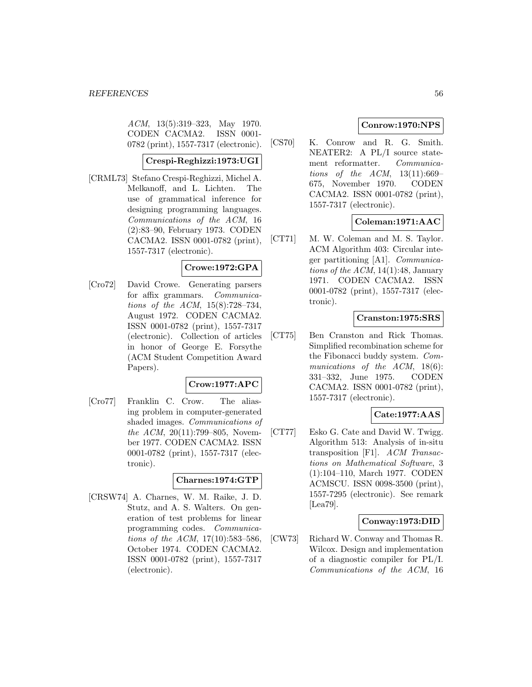ACM, 13(5):319–323, May 1970. CODEN CACMA2. ISSN 0001- 0782 (print), 1557-7317 (electronic).

# **Crespi-Reghizzi:1973:UGI**

[CRML73] Stefano Crespi-Reghizzi, Michel A. Melkanoff, and L. Lichten. The use of grammatical inference for designing programming languages. Communications of the ACM, 16 (2):83–90, February 1973. CODEN CACMA2. ISSN 0001-0782 (print), 1557-7317 (electronic).

# **Crowe:1972:GPA**

[Cro72] David Crowe. Generating parsers for affix grammars. Communications of the ACM, 15(8):728–734, August 1972. CODEN CACMA2. ISSN 0001-0782 (print), 1557-7317 (electronic). Collection of articles in honor of George E. Forsythe (ACM Student Competition Award Papers).

### **Crow:1977:APC**

[Cro77] Franklin C. Crow. The aliasing problem in computer-generated shaded images. Communications of the ACM,  $20(11)$ :799–805, November 1977. CODEN CACMA2. ISSN 0001-0782 (print), 1557-7317 (electronic).

# **Charnes:1974:GTP**

[CRSW74] A. Charnes, W. M. Raike, J. D. Stutz, and A. S. Walters. On generation of test problems for linear programming codes. Communications of the ACM, 17(10):583–586, October 1974. CODEN CACMA2. ISSN 0001-0782 (print), 1557-7317 (electronic).

# **Conrow:1970:NPS**

[CS70] K. Conrow and R. G. Smith. NEATER2: A PL/I source statement reformatter. Communications of the  $ACM$ ,  $13(11):669-$ 675, November 1970. CODEN CACMA2. ISSN 0001-0782 (print), 1557-7317 (electronic).

# **Coleman:1971:AAC**

[CT71] M. W. Coleman and M. S. Taylor. ACM Algorithm 403: Circular integer partitioning [A1]. Communications of the  $ACM$ , 14(1):48, January 1971. CODEN CACMA2. ISSN 0001-0782 (print), 1557-7317 (electronic).

## **Cranston:1975:SRS**

[CT75] Ben Cranston and Rick Thomas. Simplified recombination scheme for the Fibonacci buddy system. Communications of the ACM, 18(6): 331–332, June 1975. CODEN CACMA2. ISSN 0001-0782 (print), 1557-7317 (electronic).

# **Cate:1977:AAS**

[CT77] Esko G. Cate and David W. Twigg. Algorithm 513: Analysis of in-situ transposition [F1]. ACM Transactions on Mathematical Software, 3 (1):104–110, March 1977. CODEN ACMSCU. ISSN 0098-3500 (print), 1557-7295 (electronic). See remark [Lea79].

### **Conway:1973:DID**

[CW73] Richard W. Conway and Thomas R. Wilcox. Design and implementation of a diagnostic compiler for PL/I. Communications of the ACM, 16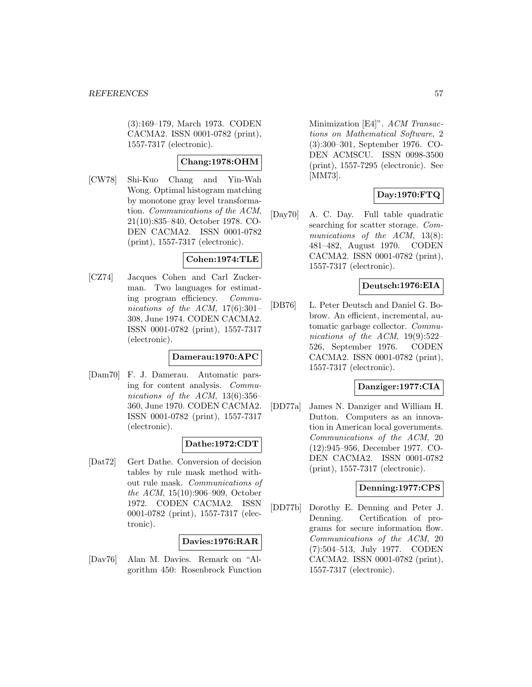(3):169–179, March 1973. CODEN CACMA2. ISSN 0001-0782 (print), 1557-7317 (electronic).

## **Chang:1978:OHM**

[CW78] Shi-Kuo Chang and Yin-Wah Wong. Optimal histogram matching by monotone gray level transformation. Communications of the ACM, 21(10):835–840, October 1978. CO-DEN CACMA2. ISSN 0001-0782 (print), 1557-7317 (electronic).

#### **Cohen:1974:TLE**

[CZ74] Jacques Cohen and Carl Zuckerman. Two languages for estimating program efficiency. Communications of the ACM,  $17(6):301-$ 308, June 1974. CODEN CACMA2. ISSN 0001-0782 (print), 1557-7317 (electronic).

#### **Damerau:1970:APC**

[Dam70] F. J. Damerau. Automatic parsing for content analysis. Communications of the ACM, 13(6):356– 360, June 1970. CODEN CACMA2. ISSN 0001-0782 (print), 1557-7317 (electronic).

# **Dathe:1972:CDT**

[Dat72] Gert Dathe. Conversion of decision tables by rule mask method without rule mask. Communications of the ACM, 15(10):906–909, October 1972. CODEN CACMA2. ISSN 0001-0782 (print), 1557-7317 (electronic).

### **Davies:1976:RAR**

[Dav76] Alan M. Davies. Remark on "Algorithm 450: Rosenbrock Function

Minimization [E4]". ACM Transactions on Mathematical Software, 2 (3):300–301, September 1976. CO-DEN ACMSCU. ISSN 0098-3500 (print), 1557-7295 (electronic). See [MM73].

# **Day:1970:FTQ**

[Day70] A. C. Day. Full table quadratic searching for scatter storage. Communications of the ACM, 13(8): 481–482, August 1970. CODEN CACMA2. ISSN 0001-0782 (print), 1557-7317 (electronic).

## **Deutsch:1976:EIA**

[DB76] L. Peter Deutsch and Daniel G. Bobrow. An efficient, incremental, automatic garbage collector. Communications of the ACM, 19(9):522– 526, September 1976. CODEN CACMA2. ISSN 0001-0782 (print), 1557-7317 (electronic).

# **Danziger:1977:CIA**

[DD77a] James N. Danziger and William H. Dutton. Computers as an innovation in American local governments. Communications of the ACM, 20 (12):945–956, December 1977. CO-DEN CACMA2. ISSN 0001-0782 (print), 1557-7317 (electronic).

## **Denning:1977:CPS**

[DD77b] Dorothy E. Denning and Peter J. Denning. Certification of programs for secure information flow. Communications of the ACM, 20 (7):504–513, July 1977. CODEN CACMA2. ISSN 0001-0782 (print), 1557-7317 (electronic).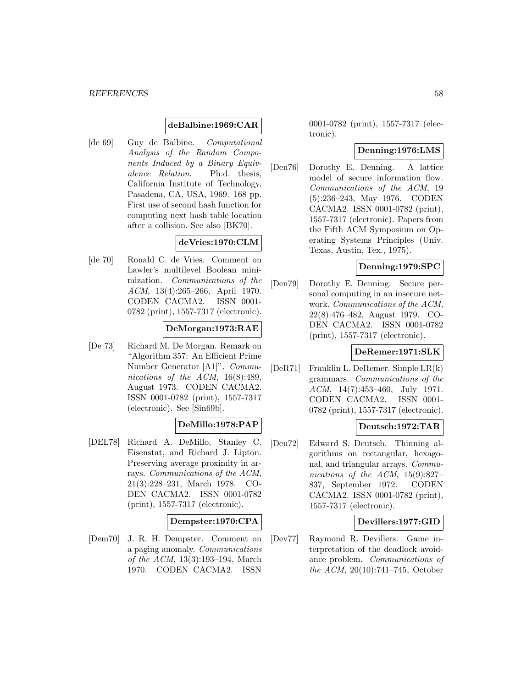### **deBalbine:1969:CAR**

[de 69] Guy de Balbine. Computational Analysis of the Random Components Induced by a Binary Equivalence Relation. Ph.d. thesis, California Institute of Technology, Pasadena, CA, USA, 1969. 168 pp. First use of second hash function for computing next hash table location after a collision. See also [BK70].

# **deVries:1970:CLM**

[de 70] Ronald C. de Vries. Comment on Lawler's multilevel Boolean minimization. Communications of the ACM, 13(4):265–266, April 1970. CODEN CACMA2. ISSN 0001- 0782 (print), 1557-7317 (electronic).

### **DeMorgan:1973:RAE**

[De 73] Richard M. De Morgan. Remark on "Algorithm 357: An Efficient Prime Number Generator [A1]". Communications of the ACM, 16(8):489, August 1973. CODEN CACMA2. ISSN 0001-0782 (print), 1557-7317 (electronic). See [Sin69b].

### **DeMillo:1978:PAP**

[DEL78] Richard A. DeMillo, Stanley C. Eisenstat, and Richard J. Lipton. Preserving average proximity in arrays. Communications of the ACM, 21(3):228–231, March 1978. CO-DEN CACMA2. ISSN 0001-0782 (print), 1557-7317 (electronic).

#### **Dempster:1970:CPA**

[Dem70] J. R. H. Dempster. Comment on a paging anomaly. Communications of the ACM, 13(3):193–194, March 1970. CODEN CACMA2. ISSN

0001-0782 (print), 1557-7317 (electronic).

#### **Denning:1976:LMS**

[Den76] Dorothy E. Denning. A lattice model of secure information flow. Communications of the ACM, 19 (5):236–243, May 1976. CODEN CACMA2. ISSN 0001-0782 (print), 1557-7317 (electronic). Papers from the Fifth ACM Symposium on Operating Systems Principles (Univ. Texas, Austin, Tex., 1975).

## **Denning:1979:SPC**

[Den79] Dorothy E. Denning. Secure personal computing in an insecure network. Communications of the ACM, 22(8):476–482, August 1979. CO-DEN CACMA2. ISSN 0001-0782 (print), 1557-7317 (electronic).

#### **DeRemer:1971:SLK**

[DeR71] Franklin L. DeRemer. Simple LR(k) grammars. Communications of the ACM, 14(7):453–460, July 1971. CODEN CACMA2. ISSN 0001- 0782 (print), 1557-7317 (electronic).

#### **Deutsch:1972:TAR**

[Deu72] Edward S. Deutsch. Thinning algorithms on rectangular, hexagonal, and triangular arrays. Communications of the ACM, 15(9):827– 837, September 1972. CODEN CACMA2. ISSN 0001-0782 (print), 1557-7317 (electronic).

#### **Devillers:1977:GID**

[Dev77] Raymond R. Devillers. Game interpretation of the deadlock avoidance problem. Communications of the ACM, 20(10):741–745, October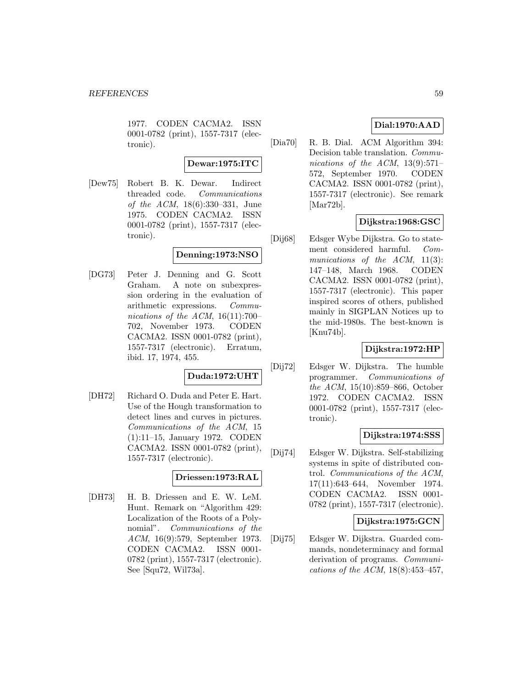1977. CODEN CACMA2. ISSN 0001-0782 (print), 1557-7317 (electronic).

### **Dewar:1975:ITC**

[Dew75] Robert B. K. Dewar. Indirect threaded code. Communications of the ACM, 18(6):330–331, June 1975. CODEN CACMA2. ISSN 0001-0782 (print), 1557-7317 (electronic).

# **Denning:1973:NSO**

[DG73] Peter J. Denning and G. Scott Graham. A note on subexpression ordering in the evaluation of arithmetic expressions. Communications of the ACM,  $16(11):700-$ 702, November 1973. CODEN CACMA2. ISSN 0001-0782 (print), 1557-7317 (electronic). Erratum, ibid. 17, 1974, 455.

# **Duda:1972:UHT**

[DH72] Richard O. Duda and Peter E. Hart. Use of the Hough transformation to detect lines and curves in pictures. Communications of the ACM, 15 (1):11–15, January 1972. CODEN CACMA2. ISSN 0001-0782 (print), 1557-7317 (electronic).

### **Driessen:1973:RAL**

[DH73] H. B. Driessen and E. W. LeM. Hunt. Remark on "Algorithm 429: Localization of the Roots of a Polynomial". Communications of the ACM, 16(9):579, September 1973. CODEN CACMA2. ISSN 0001- 0782 (print), 1557-7317 (electronic). See [Squ72, Wil73a].

# **Dial:1970:AAD**

[Dia70] R. B. Dial. ACM Algorithm 394: Decision table translation. Communications of the ACM,  $13(9):571-$ 572, September 1970. CODEN CACMA2. ISSN 0001-0782 (print), 1557-7317 (electronic). See remark [Mar72b].

# **Dijkstra:1968:GSC**

[Dij68] Edsger Wybe Dijkstra. Go to statement considered harmful. Communications of the  $ACM$ , 11(3): 147–148, March 1968. CODEN CACMA2. ISSN 0001-0782 (print), 1557-7317 (electronic). This paper inspired scores of others, published mainly in SIGPLAN Notices up to the mid-1980s. The best-known is [Knu74b].

# **Dijkstra:1972:HP**

[Dij72] Edsger W. Dijkstra. The humble programmer. Communications of the ACM, 15(10):859–866, October 1972. CODEN CACMA2. ISSN 0001-0782 (print), 1557-7317 (electronic).

### **Dijkstra:1974:SSS**

[Dij74] Edsger W. Dijkstra. Self-stabilizing systems in spite of distributed control. Communications of the ACM, 17(11):643–644, November 1974. CODEN CACMA2. ISSN 0001- 0782 (print), 1557-7317 (electronic).

#### **Dijkstra:1975:GCN**

[Dij75] Edsger W. Dijkstra. Guarded commands, nondeterminacy and formal derivation of programs. Communications of the ACM, 18(8):453–457,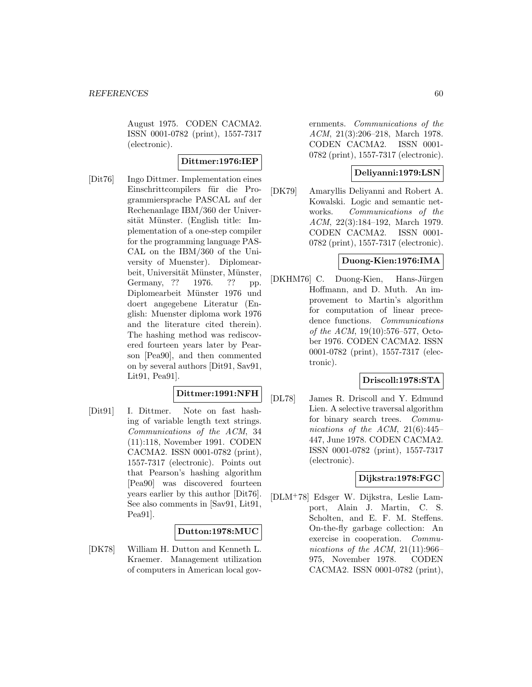August 1975. CODEN CACMA2. ISSN 0001-0782 (print), 1557-7317 (electronic).

## **Dittmer:1976:IEP**

[Dit76] Ingo Dittmer. Implementation eines Einschrittcompilers für die Programmiersprache PASCAL auf der Rechenanlage IBM/360 der Universität Münster. (English title: Implementation of a one-step compiler for the programming language PAS-CAL on the IBM/360 of the University of Muenster). Diplomearbeit, Universität Münster, Münster, Germany, ?? 1976. ?? pp. Diplomearbeit Münster 1976 und doert angegebene Literatur (English: Muenster diploma work 1976 and the literature cited therein). The hashing method was rediscovered fourteen years later by Pearson [Pea90], and then commented on by several authors [Dit91, Sav91, Lit91, Pea91].

# **Dittmer:1991:NFH**

[Dit91] I. Dittmer. Note on fast hashing of variable length text strings. Communications of the ACM, 34 (11):118, November 1991. CODEN CACMA2. ISSN 0001-0782 (print), 1557-7317 (electronic). Points out that Pearson's hashing algorithm [Pea90] was discovered fourteen years earlier by this author [Dit76]. See also comments in [Sav91, Lit91, Pea91].

### **Dutton:1978:MUC**

[DK78] William H. Dutton and Kenneth L. Kraemer. Management utilization of computers in American local governments. Communications of the ACM, 21(3):206–218, March 1978. CODEN CACMA2. ISSN 0001- 0782 (print), 1557-7317 (electronic).

## **Deliyanni:1979:LSN**

[DK79] Amaryllis Deliyanni and Robert A. Kowalski. Logic and semantic networks. Communications of the ACM, 22(3):184–192, March 1979. CODEN CACMA2. ISSN 0001- 0782 (print), 1557-7317 (electronic).

# **Duong-Kien:1976:IMA**

[DKHM76] C. Duong-Kien, Hans-Jürgen Hoffmann, and D. Muth. An improvement to Martin's algorithm for computation of linear precedence functions. *Communications* of the ACM, 19(10):576–577, October 1976. CODEN CACMA2. ISSN 0001-0782 (print), 1557-7317 (electronic).

### **Driscoll:1978:STA**

[DL78] James R. Driscoll and Y. Edmund Lien. A selective traversal algorithm for binary search trees. Communications of the ACM,  $21(6):445-$ 447, June 1978. CODEN CACMA2. ISSN 0001-0782 (print), 1557-7317 (electronic).

# **Dijkstra:1978:FGC**

[DLM<sup>+</sup>78] Edsger W. Dijkstra, Leslie Lamport, Alain J. Martin, C. S. Scholten, and E. F. M. Steffens. On-the-fly garbage collection: An exercise in cooperation. Communications of the ACM,  $21(11):966-$ 975, November 1978. CODEN CACMA2. ISSN 0001-0782 (print),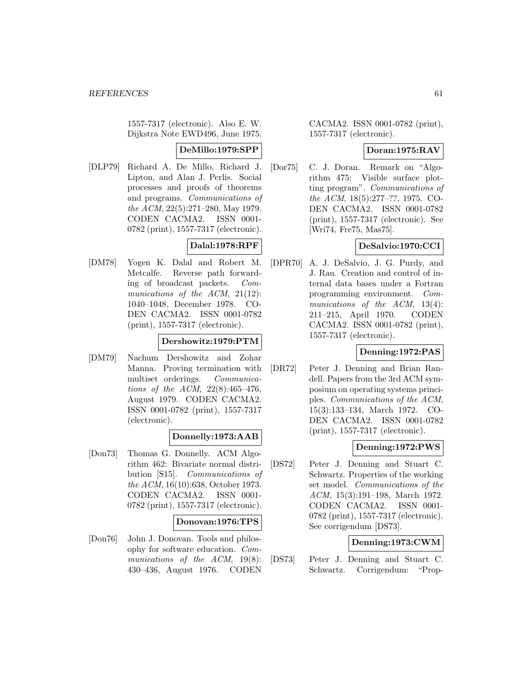1557-7317 (electronic). Also E. W. Dijkstra Note EWD496, June 1975.

#### **DeMillo:1979:SPP**

[DLP79] Richard A. De Millo, Richard J. Lipton, and Alan J. Perlis. Social processes and proofs of theorems and programs. Communications of the ACM, 22(5):271–280, May 1979. CODEN CACMA2. ISSN 0001- 0782 (print), 1557-7317 (electronic).

# **Dalal:1978:RPF**

[DM78] Yogen K. Dalal and Robert M. Metcalfe. Reverse path forwarding of broadcast packets. Communications of the ACM, 21(12): 1040–1048, December 1978. CO-DEN CACMA2. ISSN 0001-0782 (print), 1557-7317 (electronic).

# **Dershowitz:1979:PTM**

[DM79] Nachum Dershowitz and Zohar Manna. Proving termination with multiset orderings. Communications of the ACM, 22(8):465–476, August 1979. CODEN CACMA2. ISSN 0001-0782 (print), 1557-7317 (electronic).

# **Donnelly:1973:AAB**

[Don73] Thomas G. Donnelly. ACM Algorithm 462: Bivariate normal distribution [S15]. Communications of the ACM, 16(10):638, October 1973. CODEN CACMA2. ISSN 0001- 0782 (print), 1557-7317 (electronic).

### **Donovan:1976:TPS**

[Don76] John J. Donovan. Tools and philosophy for software education. Communications of the ACM, 19(8): 430–436, August 1976. CODEN

CACMA2. ISSN 0001-0782 (print), 1557-7317 (electronic).

### **Doran:1975:RAV**

[Dor75] C. J. Doran. Remark on "Algorithm 475: Visible surface plotting program". Communications of the ACM, 18(5):277–??, 1975. CO-DEN CACMA2. ISSN 0001-0782 (print), 1557-7317 (electronic). See [Wri74, Fre75, Mas75].

# **DeSalvio:1970:CCI**

[DPR70] A. J. DeSalvio, J. G. Purdy, and J. Rau. Creation and control of internal data bases under a Fortran programming environment. Communications of the ACM, 13(4): 211–215, April 1970. CODEN CACMA2. ISSN 0001-0782 (print), 1557-7317 (electronic).

# **Denning:1972:PAS**

[DR72] Peter J. Denning and Brian Randell. Papers from the 3rd ACM symposium on operating systems principles. Communications of the ACM, 15(3):133–134, March 1972. CO-DEN CACMA2. ISSN 0001-0782 (print), 1557-7317 (electronic).

### **Denning:1972:PWS**

[DS72] Peter J. Denning and Stuart C. Schwartz. Properties of the working set model. Communications of the ACM, 15(3):191–198, March 1972. CODEN CACMA2. ISSN 0001- 0782 (print), 1557-7317 (electronic). See corrigendum [DS73].

# **Denning:1973:CWM**

[DS73] Peter J. Denning and Stuart C. Schwartz. Corrigendum: "Prop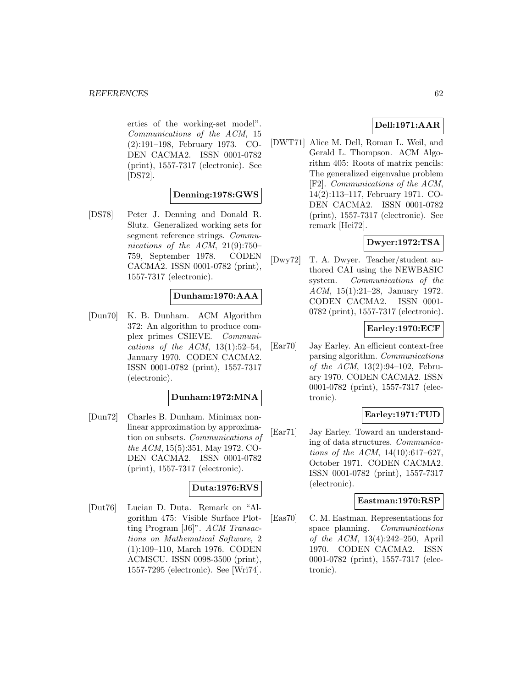erties of the working-set model". Communications of the ACM, 15 (2):191–198, February 1973. CO-DEN CACMA2. ISSN 0001-0782 (print), 1557-7317 (electronic). See [DS72].

## **Denning:1978:GWS**

[DS78] Peter J. Denning and Donald R. Slutz. Generalized working sets for segment reference strings. *Commu*nications of the ACM, 21(9):750– 759, September 1978. CODEN CACMA2. ISSN 0001-0782 (print), 1557-7317 (electronic).

# **Dunham:1970:AAA**

[Dun70] K. B. Dunham. ACM Algorithm 372: An algorithm to produce complex primes CSIEVE. Communications of the ACM,  $13(1):52-54$ , January 1970. CODEN CACMA2. ISSN 0001-0782 (print), 1557-7317 (electronic).

### **Dunham:1972:MNA**

[Dun72] Charles B. Dunham. Minimax nonlinear approximation by approximation on subsets. Communications of the ACM, 15(5):351, May 1972. CO-DEN CACMA2. ISSN 0001-0782 (print), 1557-7317 (electronic).

### **Duta:1976:RVS**

[Dut76] Lucian D. Duta. Remark on "Algorithm 475: Visible Surface Plotting Program [J6]". ACM Transactions on Mathematical Software, 2 (1):109–110, March 1976. CODEN ACMSCU. ISSN 0098-3500 (print), 1557-7295 (electronic). See [Wri74].

# **Dell:1971:AAR**

[DWT71] Alice M. Dell, Roman L. Weil, and Gerald L. Thompson. ACM Algorithm 405: Roots of matrix pencils: The generalized eigenvalue problem [F2]. Communications of the ACM, 14(2):113–117, February 1971. CO-DEN CACMA2. ISSN 0001-0782 (print), 1557-7317 (electronic). See remark [Hei72].

# **Dwyer:1972:TSA**

[Dwy72] T. A. Dwyer. Teacher/student authored CAI using the NEWBASIC system. Communications of the ACM, 15(1):21–28, January 1972. CODEN CACMA2. ISSN 0001- 0782 (print), 1557-7317 (electronic).

## **Earley:1970:ECF**

[Ear70] Jay Earley. An efficient context-free parsing algorithm. Communications of the ACM,  $13(2):94-102$ , February 1970. CODEN CACMA2. ISSN 0001-0782 (print), 1557-7317 (electronic).

# **Earley:1971:TUD**

[Ear71] Jay Earley. Toward an understanding of data structures. Communications of the ACM, 14(10):617–627, October 1971. CODEN CACMA2. ISSN 0001-0782 (print), 1557-7317 (electronic).

### **Eastman:1970:RSP**

[Eas70] C. M. Eastman. Representations for space planning. Communications of the ACM, 13(4):242–250, April 1970. CODEN CACMA2. ISSN 0001-0782 (print), 1557-7317 (electronic).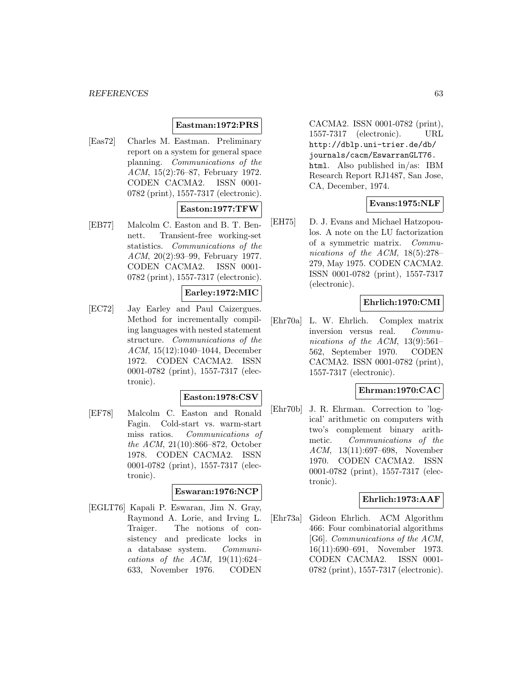#### *REFERENCES* 63

### **Eastman:1972:PRS**

[Eas72] Charles M. Eastman. Preliminary report on a system for general space planning. Communications of the ACM, 15(2):76–87, February 1972. CODEN CACMA2. ISSN 0001- 0782 (print), 1557-7317 (electronic).

## **Easton:1977:TFW**

[EB77] Malcolm C. Easton and B. T. Bennett. Transient-free working-set statistics. Communications of the ACM, 20(2):93–99, February 1977. CODEN CACMA2. ISSN 0001- 0782 (print), 1557-7317 (electronic).

#### **Earley:1972:MIC**

[EC72] Jay Earley and Paul Caizergues. Method for incrementally compiling languages with nested statement structure. Communications of the ACM, 15(12):1040–1044, December 1972. CODEN CACMA2. ISSN 0001-0782 (print), 1557-7317 (electronic).

#### **Easton:1978:CSV**

[EF78] Malcolm C. Easton and Ronald Fagin. Cold-start vs. warm-start miss ratios. Communications of the ACM, 21(10):866–872, October 1978. CODEN CACMA2. ISSN 0001-0782 (print), 1557-7317 (electronic).

#### **Eswaran:1976:NCP**

[EGLT76] Kapali P. Eswaran, Jim N. Gray, Raymond A. Lorie, and Irving L. Traiger. The notions of consistency and predicate locks in a database system. Communications of the ACM,  $19(11):624-$ 633, November 1976. CODEN

CACMA2. ISSN 0001-0782 (print), 1557-7317 (electronic). URL http://dblp.uni-trier.de/db/ journals/cacm/EswarranGLT76. html. Also published in/as: IBM Research Report RJ1487, San Jose, CA, December, 1974.

## **Evans:1975:NLF**

[EH75] D. J. Evans and Michael Hatzopoulos. A note on the LU factorization of a symmetric matrix. Communications of the ACM, 18(5):278– 279, May 1975. CODEN CACMA2. ISSN 0001-0782 (print), 1557-7317 (electronic).

## **Ehrlich:1970:CMI**

[Ehr70a] L. W. Ehrlich. Complex matrix inversion versus real. Communications of the ACM,  $13(9):561-$ 562, September 1970. CODEN CACMA2. ISSN 0001-0782 (print), 1557-7317 (electronic).

### **Ehrman:1970:CAC**

[Ehr70b] J. R. Ehrman. Correction to 'logical' arithmetic on computers with two's complement binary arithmetic. Communications of the ACM, 13(11):697–698, November 1970. CODEN CACMA2. ISSN 0001-0782 (print), 1557-7317 (electronic).

#### **Ehrlich:1973:AAF**

[Ehr73a] Gideon Ehrlich. ACM Algorithm 466: Four combinatorial algorithms [G6]. Communications of the ACM, 16(11):690–691, November 1973. CODEN CACMA2. ISSN 0001- 0782 (print), 1557-7317 (electronic).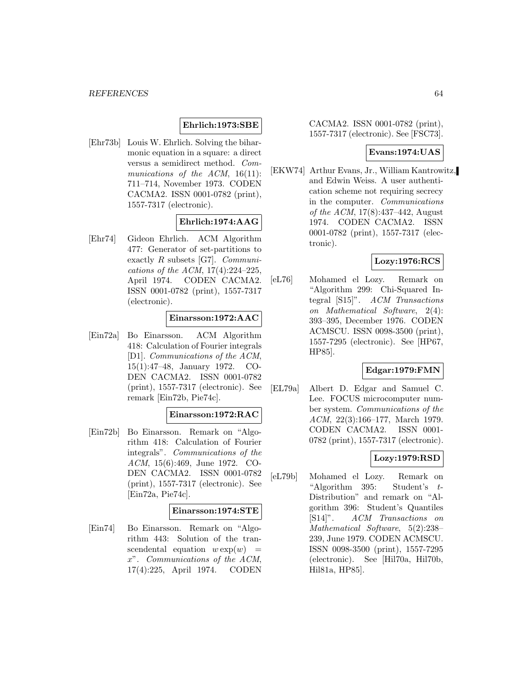## **Ehrlich:1973:SBE**

[Ehr73b] Louis W. Ehrlich. Solving the biharmonic equation in a square: a direct versus a semidirect method. Communications of the  $ACM$ , 16(11): 711–714, November 1973. CODEN CACMA2. ISSN 0001-0782 (print), 1557-7317 (electronic).

### **Ehrlich:1974:AAG**

[Ehr74] Gideon Ehrlich. ACM Algorithm 477: Generator of set-partitions to exactly R subsets [G7]. Communications of the ACM, 17(4):224–225, April 1974. CODEN CACMA2. ISSN 0001-0782 (print), 1557-7317 (electronic).

#### **Einarsson:1972:AAC**

[Ein72a] Bo Einarsson. ACM Algorithm 418: Calculation of Fourier integrals [D1]. Communications of the ACM, 15(1):47–48, January 1972. CO-DEN CACMA2. ISSN 0001-0782 (print), 1557-7317 (electronic). See remark [Ein72b, Pie74c].

### **Einarsson:1972:RAC**

[Ein72b] Bo Einarsson. Remark on "Algorithm 418: Calculation of Fourier integrals". Communications of the ACM, 15(6):469, June 1972. CO-DEN CACMA2. ISSN 0001-0782 (print), 1557-7317 (electronic). See [Ein72a, Pie74c].

#### **Einarsson:1974:STE**

[Ein74] Bo Einarsson. Remark on "Algorithm 443: Solution of the transcendental equation  $w \exp(w)$  = x". Communications of the ACM, 17(4):225, April 1974. CODEN

CACMA2. ISSN 0001-0782 (print), 1557-7317 (electronic). See [FSC73].

## **Evans:1974:UAS**

[EKW74] Arthur Evans, Jr., William Kantrowitz, and Edwin Weiss. A user authentication scheme not requiring secrecy in the computer. Communications of the ACM, 17(8):437–442, August 1974. CODEN CACMA2. ISSN 0001-0782 (print), 1557-7317 (electronic).

### **Lozy:1976:RCS**

[eL76] Mohamed el Lozy. Remark on "Algorithm 299: Chi-Squared Integral [S15]". ACM Transactions on Mathematical Software, 2(4): 393–395, December 1976. CODEN ACMSCU. ISSN 0098-3500 (print), 1557-7295 (electronic). See [HP67, HP85].

### **Edgar:1979:FMN**

[EL79a] Albert D. Edgar and Samuel C. Lee. FOCUS microcomputer number system. Communications of the ACM, 22(3):166–177, March 1979. CODEN CACMA2. ISSN 0001- 0782 (print), 1557-7317 (electronic).

# **Lozy:1979:RSD**

[eL79b] Mohamed el Lozy. Remark on "Algorithm 395: Student's t-Distribution" and remark on "Algorithm 396: Student's Quantiles [S14]". ACM Transactions on Mathematical Software, 5(2):238– 239, June 1979. CODEN ACMSCU. ISSN 0098-3500 (print), 1557-7295 (electronic). See [Hil70a, Hil70b, Hil81a, HP85].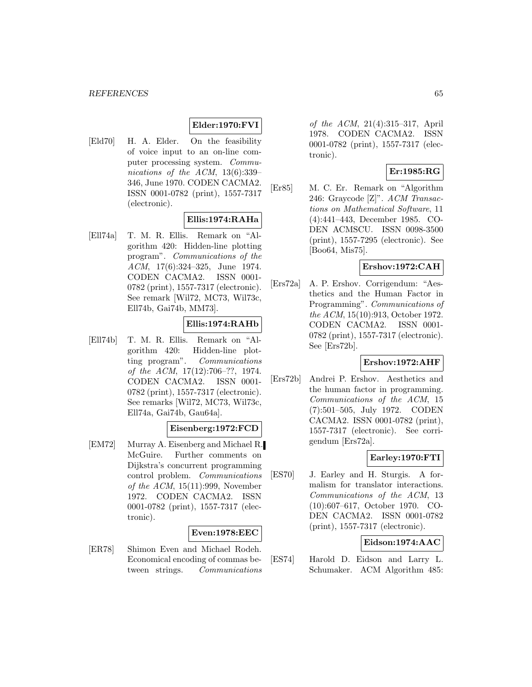# **Elder:1970:FVI**

[Eld70] H. A. Elder. On the feasibility of voice input to an on-line computer processing system. Communications of the ACM, 13(6):339– 346, June 1970. CODEN CACMA2. ISSN 0001-0782 (print), 1557-7317 (electronic).

### **Ellis:1974:RAHa**

[Ell74a] T. M. R. Ellis. Remark on "Algorithm 420: Hidden-line plotting program". Communications of the ACM, 17(6):324–325, June 1974. CODEN CACMA2. ISSN 0001- 0782 (print), 1557-7317 (electronic). See remark [Wil72, MC73, Wil73c, Ell74b, Gai74b, MM73].

# **Ellis:1974:RAHb**

[Ell74b] T. M. R. Ellis. Remark on "Algorithm 420: Hidden-line plotting program". Communications of the ACM, 17(12):706–??, 1974. CODEN CACMA2. ISSN 0001- 0782 (print), 1557-7317 (electronic). See remarks [Wil72, MC73, Wil73c, Ell74a, Gai74b, Gau64a].

# **Eisenberg:1972:FCD**

[EM72] Murray A. Eisenberg and Michael R. McGuire. Further comments on Dijkstra's concurrent programming control problem. Communications of the ACM, 15(11):999, November 1972. CODEN CACMA2. ISSN 0001-0782 (print), 1557-7317 (electronic).

#### **Even:1978:EEC**

[ER78] Shimon Even and Michael Rodeh. Economical encoding of commas between strings. Communications

of the ACM, 21(4):315–317, April 1978. CODEN CACMA2. ISSN 0001-0782 (print), 1557-7317 (electronic).

### **Er:1985:RG**

[Er85] M. C. Er. Remark on "Algorithm 246: Graycode [Z]". ACM Transactions on Mathematical Software, 11 (4):441–443, December 1985. CO-DEN ACMSCU. ISSN 0098-3500 (print), 1557-7295 (electronic). See [Boo64, Mis75].

#### **Ershov:1972:CAH**

[Ers72a] A. P. Ershov. Corrigendum: "Aesthetics and the Human Factor in Programming". Communications of the ACM, 15(10):913, October 1972. CODEN CACMA2. ISSN 0001- 0782 (print), 1557-7317 (electronic). See [Ers72b].

### **Ershov:1972:AHF**

[Ers72b] Andrei P. Ershov. Aesthetics and the human factor in programming. Communications of the ACM, 15 (7):501–505, July 1972. CODEN CACMA2. ISSN 0001-0782 (print), 1557-7317 (electronic). See corrigendum [Ers72a].

### **Earley:1970:FTI**

[ES70] J. Earley and H. Sturgis. A formalism for translator interactions. Communications of the ACM, 13 (10):607–617, October 1970. CO-DEN CACMA2. ISSN 0001-0782 (print), 1557-7317 (electronic).

## **Eidson:1974:AAC**

[ES74] Harold D. Eidson and Larry L. Schumaker. ACM Algorithm 485: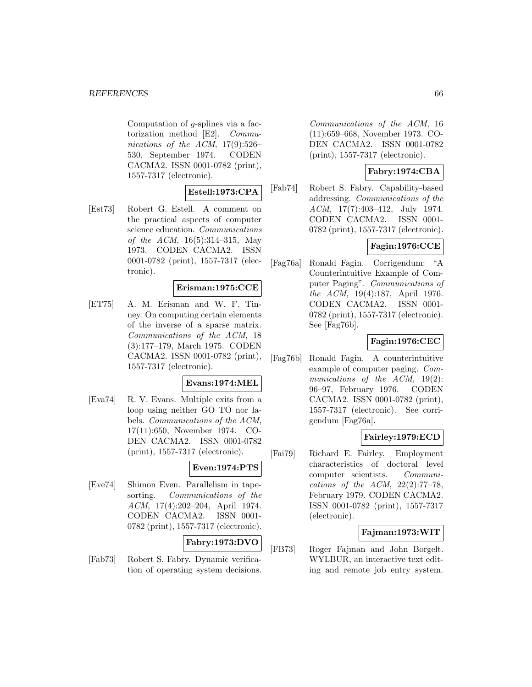Computation of  $q$ -splines via a factorization method [E2]. Communications of the ACM,  $17(9):526-$ 530, September 1974. CODEN CACMA2. ISSN 0001-0782 (print), 1557-7317 (electronic).

# **Estell:1973:CPA**

[Est73] Robert G. Estell. A comment on the practical aspects of computer science education. Communications of the ACM, 16(5):314–315, May 1973. CODEN CACMA2. ISSN 0001-0782 (print), 1557-7317 (electronic).

# **Erisman:1975:CCE**

[ET75] A. M. Erisman and W. F. Tinney. On computing certain elements of the inverse of a sparse matrix. Communications of the ACM, 18 (3):177–179, March 1975. CODEN CACMA2. ISSN 0001-0782 (print), 1557-7317 (electronic).

### **Evans:1974:MEL**

[Eva74] R. V. Evans. Multiple exits from a loop using neither GO TO nor labels. Communications of the ACM, 17(11):650, November 1974. CO-DEN CACMA2. ISSN 0001-0782 (print), 1557-7317 (electronic).

### **Even:1974:PTS**

[Eve74] Shimon Even. Parallelism in tapesorting. Communications of the ACM, 17(4):202–204, April 1974. CODEN CACMA2. ISSN 0001- 0782 (print), 1557-7317 (electronic).

## **Fabry:1973:DVO**

[Fab73] Robert S. Fabry. Dynamic verification of operating system decisions.

Communications of the ACM, 16 (11):659–668, November 1973. CO-DEN CACMA2. ISSN 0001-0782 (print), 1557-7317 (electronic).

## **Fabry:1974:CBA**

[Fab74] Robert S. Fabry. Capability-based addressing. Communications of the ACM, 17(7):403–412, July 1974. CODEN CACMA2. ISSN 0001- 0782 (print), 1557-7317 (electronic).

# **Fagin:1976:CCE**

[Fag76a] Ronald Fagin. Corrigendum: "A Counterintuitive Example of Computer Paging". Communications of the ACM, 19(4):187, April 1976. CODEN CACMA2. ISSN 0001- 0782 (print), 1557-7317 (electronic). See [Fag76b].

# **Fagin:1976:CEC**

[Fag76b] Ronald Fagin. A counterintuitive example of computer paging. Communications of the ACM, 19(2): 96–97, February 1976. CODEN CACMA2. ISSN 0001-0782 (print), 1557-7317 (electronic). See corrigendum [Fag76a].

# **Fairley:1979:ECD**

[Fai79] Richard E. Fairley. Employment characteristics of doctoral level computer scientists. Communications of the ACM,  $22(2):77-78$ , February 1979. CODEN CACMA2. ISSN 0001-0782 (print), 1557-7317 (electronic).

### **Fajman:1973:WIT**

[FB73] Roger Fajman and John Borgelt. WYLBUR, an interactive text editing and remote job entry system.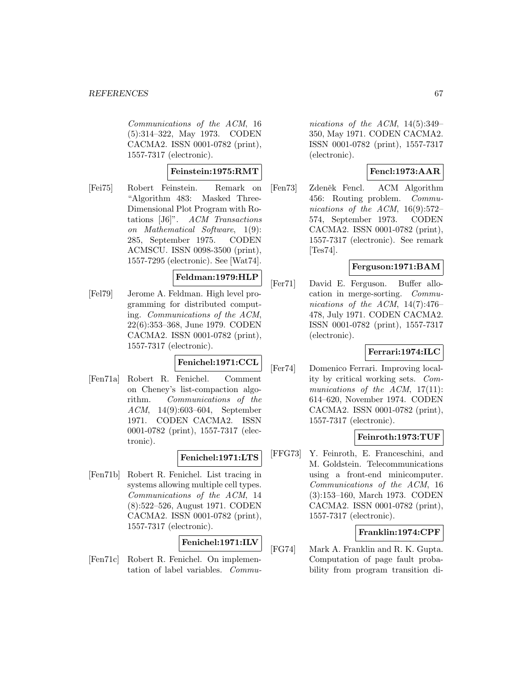Communications of the ACM, 16 (5):314–322, May 1973. CODEN CACMA2. ISSN 0001-0782 (print), 1557-7317 (electronic).

### **Feinstein:1975:RMT**

[Fei75] Robert Feinstein. Remark on "Algorithm 483: Masked Three-Dimensional Plot Program with Rotations [J6]". ACM Transactions on Mathematical Software, 1(9): 285, September 1975. CODEN ACMSCU. ISSN 0098-3500 (print), 1557-7295 (electronic). See [Wat74].

### **Feldman:1979:HLP**

[Fel79] Jerome A. Feldman. High level programming for distributed computing. Communications of the ACM, 22(6):353–368, June 1979. CODEN CACMA2. ISSN 0001-0782 (print), 1557-7317 (electronic).

# **Fenichel:1971:CCL**

[Fen71a] Robert R. Fenichel. Comment on Cheney's list-compaction algorithm. Communications of the ACM, 14(9):603–604, September 1971. CODEN CACMA2. ISSN 0001-0782 (print), 1557-7317 (electronic).

### **Fenichel:1971:LTS**

[Fen71b] Robert R. Fenichel. List tracing in systems allowing multiple cell types. Communications of the ACM, 14 (8):522–526, August 1971. CODEN CACMA2. ISSN 0001-0782 (print), 1557-7317 (electronic).

### **Fenichel:1971:ILV**

[Fen71c] Robert R. Fenichel. On implementation of label variables. Commu-

nications of the ACM, 14(5):349– 350, May 1971. CODEN CACMA2. ISSN 0001-0782 (print), 1557-7317 (electronic).

# **Fencl:1973:AAR**

[Fen73] Zdeněk Fencl. ACM Algorithm 456: Routing problem. Communications of the ACM, 16(9):572– 574, September 1973. CODEN CACMA2. ISSN 0001-0782 (print), 1557-7317 (electronic). See remark [Tes74].

### **Ferguson:1971:BAM**

[Fer71] David E. Ferguson. Buffer allocation in merge-sorting. Communications of the ACM, 14(7):476– 478, July 1971. CODEN CACMA2. ISSN 0001-0782 (print), 1557-7317 (electronic).

### **Ferrari:1974:ILC**

[Fer74] Domenico Ferrari. Improving locality by critical working sets. Communications of the ACM, 17(11): 614–620, November 1974. CODEN CACMA2. ISSN 0001-0782 (print), 1557-7317 (electronic).

### **Feinroth:1973:TUF**

[FFG73] Y. Feinroth, E. Franceschini, and M. Goldstein. Telecommunications using a front-end minicomputer. Communications of the ACM, 16 (3):153–160, March 1973. CODEN CACMA2. ISSN 0001-0782 (print), 1557-7317 (electronic).

### **Franklin:1974:CPF**

[FG74] Mark A. Franklin and R. K. Gupta. Computation of page fault probability from program transition di-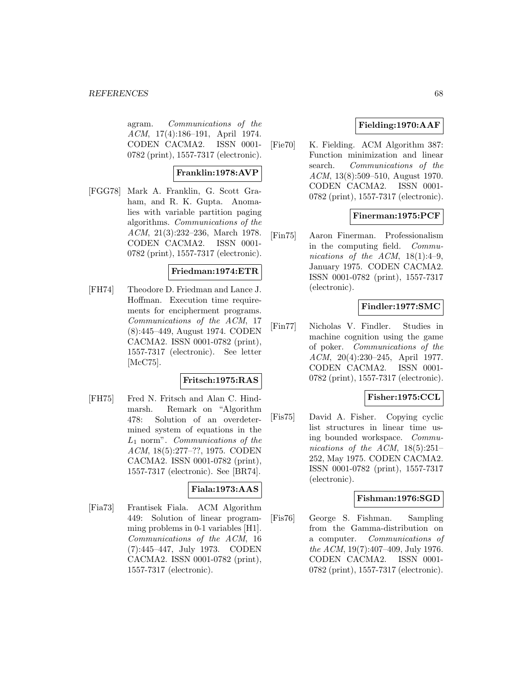#### *REFERENCES* 68

agram. Communications of the ACM, 17(4):186–191, April 1974. CODEN CACMA2. ISSN 0001- 0782 (print), 1557-7317 (electronic).

# **Franklin:1978:AVP**

[FGG78] Mark A. Franklin, G. Scott Graham, and R. K. Gupta. Anomalies with variable partition paging algorithms. Communications of the ACM, 21(3):232–236, March 1978. CODEN CACMA2. ISSN 0001- 0782 (print), 1557-7317 (electronic).

### **Friedman:1974:ETR**

[FH74] Theodore D. Friedman and Lance J. Hoffman. Execution time requirements for encipherment programs. Communications of the ACM, 17 (8):445–449, August 1974. CODEN CACMA2. ISSN 0001-0782 (print), 1557-7317 (electronic). See letter [McC75].

# **Fritsch:1975:RAS**

[FH75] Fred N. Fritsch and Alan C. Hindmarsh. Remark on "Algorithm 478: Solution of an overdetermined system of equations in the  $L_1$  norm". Communications of the ACM, 18(5):277–??, 1975. CODEN CACMA2. ISSN 0001-0782 (print), 1557-7317 (electronic). See [BR74].

### **Fiala:1973:AAS**

[Fia73] Frantisek Fiala. ACM Algorithm 449: Solution of linear programming problems in 0-1 variables [H1]. Communications of the ACM, 16 (7):445–447, July 1973. CODEN CACMA2. ISSN 0001-0782 (print), 1557-7317 (electronic).

# **Fielding:1970:AAF**

[Fie70] K. Fielding. ACM Algorithm 387: Function minimization and linear search. Communications of the ACM, 13(8):509–510, August 1970. CODEN CACMA2. ISSN 0001- 0782 (print), 1557-7317 (electronic).

## **Finerman:1975:PCF**

[Fin75] Aaron Finerman. Professionalism in the computing field. Communications of the ACM,  $18(1):4-9$ , January 1975. CODEN CACMA2. ISSN 0001-0782 (print), 1557-7317 (electronic).

## **Findler:1977:SMC**

[Fin77] Nicholas V. Findler. Studies in machine cognition using the game of poker. Communications of the ACM, 20(4):230–245, April 1977. CODEN CACMA2. ISSN 0001- 0782 (print), 1557-7317 (electronic).

### **Fisher:1975:CCL**

[Fis75] David A. Fisher. Copying cyclic list structures in linear time using bounded workspace. Communications of the ACM, 18(5):251– 252, May 1975. CODEN CACMA2. ISSN 0001-0782 (print), 1557-7317 (electronic).

#### **Fishman:1976:SGD**

[Fis76] George S. Fishman. Sampling from the Gamma-distribution on a computer. Communications of the ACM, 19(7):407–409, July 1976. CODEN CACMA2. ISSN 0001- 0782 (print), 1557-7317 (electronic).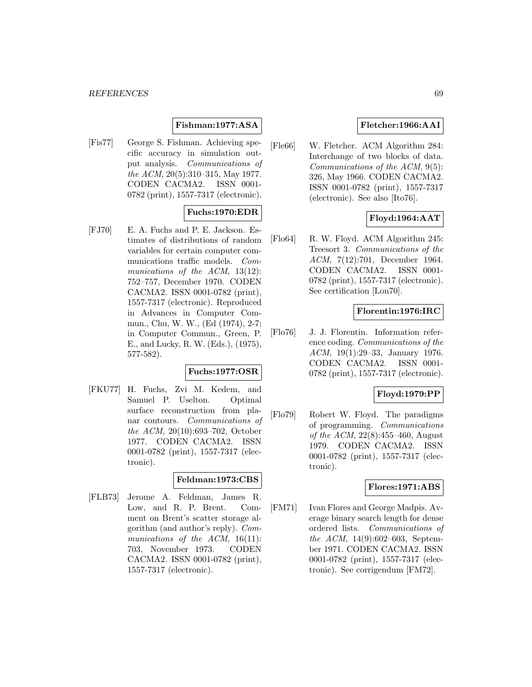### **Fishman:1977:ASA**

[Fis77] George S. Fishman. Achieving specific accuracy in simulation output analysis. Communications of the ACM, 20(5):310–315, May 1977. CODEN CACMA2. ISSN 0001- 0782 (print), 1557-7317 (electronic).

## **Fuchs:1970:EDR**

[FJ70] E. A. Fuchs and P. E. Jackson. Estimates of distributions of random variables for certain computer communications traffic models. Communications of the ACM, 13(12): 752–757, December 1970. CODEN CACMA2. ISSN 0001-0782 (print), 1557-7317 (electronic). Reproduced in Advances in Computer Commun., Chu, W. W., (Ed (1974), 2-7; in Computer Commun., Green, P. E., and Lucky, R. W. (Eds.), (1975), 577-582).

### **Fuchs:1977:OSR**

[FKU77] H. Fuchs, Zvi M. Kedem, and Samuel P. Uselton. Optimal surface reconstruction from planar contours. Communications of the ACM, 20(10):693–702, October 1977. CODEN CACMA2. ISSN 0001-0782 (print), 1557-7317 (electronic).

### **Feldman:1973:CBS**

[FLB73] Jerome A. Feldman, James R. Low, and R. P. Brent. Comment on Brent's scatter storage algorithm (and author's reply). Communications of the ACM, 16(11): 703, November 1973. CODEN CACMA2. ISSN 0001-0782 (print), 1557-7317 (electronic).

### **Fletcher:1966:AAI**

[Fle66] W. Fletcher. ACM Algorithm 284: Interchange of two blocks of data. Communications of the ACM, 9(5): 326, May 1966. CODEN CACMA2. ISSN 0001-0782 (print), 1557-7317 (electronic). See also [Ito76].

# **Floyd:1964:AAT**

[Flo64] R. W. Floyd. ACM Algorithm 245: Treesort 3. Communications of the ACM, 7(12):701, December 1964. CODEN CACMA2. ISSN 0001- 0782 (print), 1557-7317 (electronic). See certification [Lon70].

#### **Florentin:1976:IRC**

[Flo76] J. J. Florentin. Information reference coding. Communications of the ACM, 19(1):29–33, January 1976. CODEN CACMA2. ISSN 0001- 0782 (print), 1557-7317 (electronic).

### **Floyd:1979:PP**

[Flo79] Robert W. Floyd. The paradigms of programming. Communications of the ACM, 22(8):455–460, August 1979. CODEN CACMA2. ISSN 0001-0782 (print), 1557-7317 (electronic).

#### **Flores:1971:ABS**

[FM71] Ivan Flores and George Madpis. Average binary search length for dense ordered lists. Communications of the ACM, 14(9):602–603, September 1971. CODEN CACMA2. ISSN 0001-0782 (print), 1557-7317 (electronic). See corrigendum [FM72].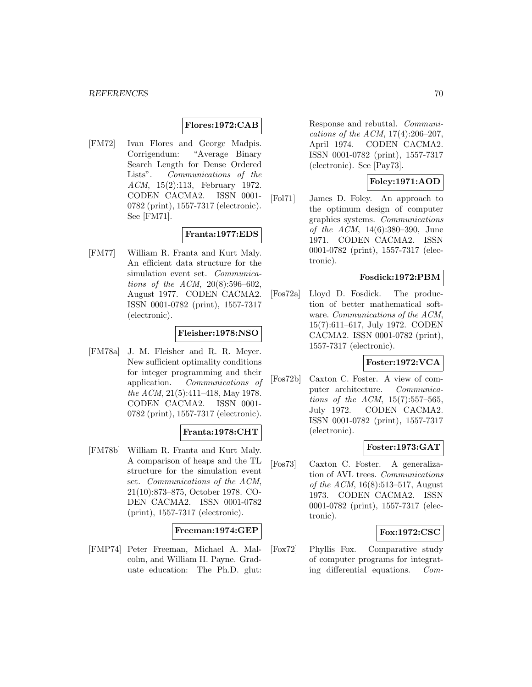#### **Flores:1972:CAB**

[FM72] Ivan Flores and George Madpis. Corrigendum: "Average Binary Search Length for Dense Ordered Lists". Communications of the ACM, 15(2):113, February 1972. CODEN CACMA2. ISSN 0001- 0782 (print), 1557-7317 (electronic). See [FM71].

### **Franta:1977:EDS**

[FM77] William R. Franta and Kurt Maly. An efficient data structure for the simulation event set. Communications of the ACM, 20(8):596–602, August 1977. CODEN CACMA2. ISSN 0001-0782 (print), 1557-7317 (electronic).

#### **Fleisher:1978:NSO**

[FM78a] J. M. Fleisher and R. R. Meyer. New sufficient optimality conditions for integer programming and their application. Communications of the ACM, 21(5):411–418, May 1978. CODEN CACMA2. ISSN 0001- 0782 (print), 1557-7317 (electronic).

### **Franta:1978:CHT**

[FM78b] William R. Franta and Kurt Maly. A comparison of heaps and the TL structure for the simulation event set. Communications of the ACM, 21(10):873–875, October 1978. CO-DEN CACMA2. ISSN 0001-0782 (print), 1557-7317 (electronic).

### **Freeman:1974:GEP**

[FMP74] Peter Freeman, Michael A. Malcolm, and William H. Payne. Graduate education: The Ph.D. glut:

Response and rebuttal. Communications of the ACM, 17(4):206–207, April 1974. CODEN CACMA2. ISSN 0001-0782 (print), 1557-7317 (electronic). See [Pay73].

### **Foley:1971:AOD**

[Fol71] James D. Foley. An approach to the optimum design of computer graphics systems. Communications of the ACM, 14(6):380–390, June 1971. CODEN CACMA2. ISSN 0001-0782 (print), 1557-7317 (electronic).

#### **Fosdick:1972:PBM**

[Fos72a] Lloyd D. Fosdick. The production of better mathematical software. Communications of the ACM, 15(7):611–617, July 1972. CODEN CACMA2. ISSN 0001-0782 (print), 1557-7317 (electronic).

# **Foster:1972:VCA**

[Fos72b] Caxton C. Foster. A view of computer architecture. Communications of the ACM,  $15(7):557-565$ , July 1972. CODEN CACMA2. ISSN 0001-0782 (print), 1557-7317 (electronic).

#### **Foster:1973:GAT**

[Fos73] Caxton C. Foster. A generalization of AVL trees. Communications of the ACM, 16(8):513–517, August 1973. CODEN CACMA2. ISSN 0001-0782 (print), 1557-7317 (electronic).

### **Fox:1972:CSC**

[Fox72] Phyllis Fox. Comparative study of computer programs for integrating differential equations. Com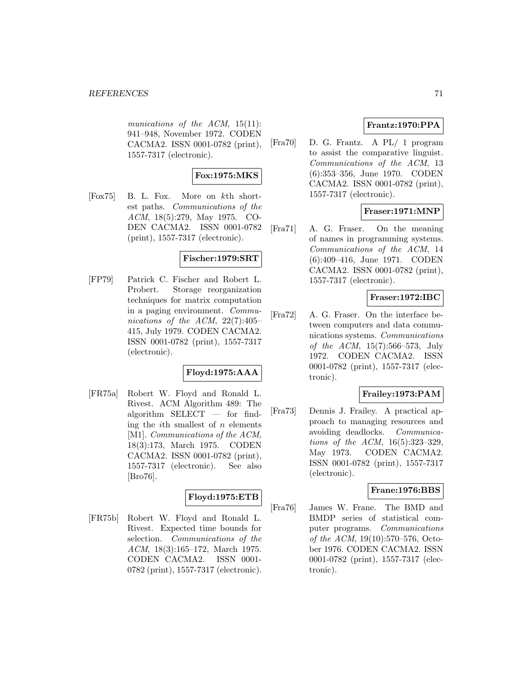munications of the ACM, 15(11): 941–948, November 1972. CODEN CACMA2. ISSN 0001-0782 (print), 1557-7317 (electronic).

# **Fox:1975:MKS**

[Fox75] B. L. Fox. More on kth shortest paths. Communications of the ACM, 18(5):279, May 1975. CO-DEN CACMA2. ISSN 0001-0782 (print), 1557-7317 (electronic).

## **Fischer:1979:SRT**

[FP79] Patrick C. Fischer and Robert L. Probert. Storage reorganization techniques for matrix computation in a paging environment. Communications of the ACM,  $22(7):405-$ 415, July 1979. CODEN CACMA2. ISSN 0001-0782 (print), 1557-7317 (electronic).

# **Floyd:1975:AAA**

[FR75a] Robert W. Floyd and Ronald L. Rivest. ACM Algorithm 489: The algorithm SELECT — for finding the *i*th smallest of  $n$  elements [M1]. *Communications of the ACM*, 18(3):173, March 1975. CODEN CACMA2. ISSN 0001-0782 (print), 1557-7317 (electronic). See also [Bro76].

# **Floyd:1975:ETB**

[FR75b] Robert W. Floyd and Ronald L. Rivest. Expected time bounds for selection. Communications of the ACM, 18(3):165–172, March 1975. CODEN CACMA2. ISSN 0001- 0782 (print), 1557-7317 (electronic).

# **Frantz:1970:PPA**

[Fra70] D. G. Frantz. A PL/ 1 program to assist the comparative linguist. Communications of the ACM, 13 (6):353–356, June 1970. CODEN CACMA2. ISSN 0001-0782 (print), 1557-7317 (electronic).

# **Fraser:1971:MNP**

[Fra71] A. G. Fraser. On the meaning of names in programming systems. Communications of the ACM, 14 (6):409–416, June 1971. CODEN CACMA2. ISSN 0001-0782 (print), 1557-7317 (electronic).

## **Fraser:1972:IBC**

[Fra72] A. G. Fraser. On the interface between computers and data communications systems. Communications of the ACM, 15(7):566–573, July 1972. CODEN CACMA2. ISSN 0001-0782 (print), 1557-7317 (electronic).

# **Frailey:1973:PAM**

[Fra73] Dennis J. Frailey. A practical approach to managing resources and avoiding deadlocks. Communications of the ACM, 16(5):323–329, May 1973. CODEN CACMA2. ISSN 0001-0782 (print), 1557-7317 (electronic).

### **Frane:1976:BBS**

[Fra76] James W. Frane. The BMD and BMDP series of statistical computer programs. Communications of the ACM, 19(10):570–576, October 1976. CODEN CACMA2. ISSN 0001-0782 (print), 1557-7317 (electronic).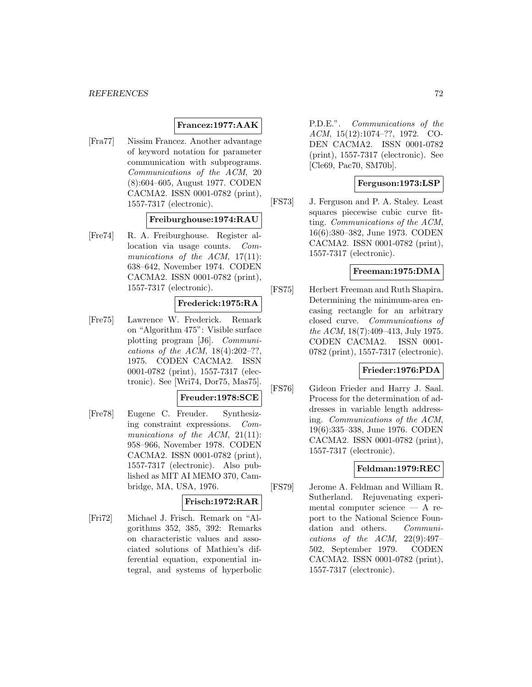### **Francez:1977:AAK**

[Fra77] Nissim Francez. Another advantage of keyword notation for parameter communication with subprograms. Communications of the ACM, 20 (8):604–605, August 1977. CODEN CACMA2. ISSN 0001-0782 (print), 1557-7317 (electronic).

## **Freiburghouse:1974:RAU**

[Fre74] R. A. Freiburghouse. Register allocation via usage counts. Communications of the ACM, 17(11): 638–642, November 1974. CODEN CACMA2. ISSN 0001-0782 (print), 1557-7317 (electronic).

# **Frederick:1975:RA**

[Fre75] Lawrence W. Frederick. Remark on "Algorithm 475": Visible surface plotting program [J6]. Communications of the ACM,  $18(4):202-??$ , 1975. CODEN CACMA2. ISSN 0001-0782 (print), 1557-7317 (electronic). See [Wri74, Dor75, Mas75].

### **Freuder:1978:SCE**

[Fre78] Eugene C. Freuder. Synthesizing constraint expressions. Communications of the ACM, 21(11): 958–966, November 1978. CODEN CACMA2. ISSN 0001-0782 (print), 1557-7317 (electronic). Also published as MIT AI MEMO 370, Cambridge, MA, USA, 1976.

### **Frisch:1972:RAR**

[Fri72] Michael J. Frisch. Remark on "Algorithms 352, 385, 392: Remarks on characteristic values and associated solutions of Mathieu's differential equation, exponential integral, and systems of hyperbolic

P.D.E.". Communications of the ACM, 15(12):1074–??, 1972. CO-DEN CACMA2. ISSN 0001-0782 (print), 1557-7317 (electronic). See [Cle69, Pac70, SM70b].

### **Ferguson:1973:LSP**

[FS73] J. Ferguson and P. A. Staley. Least squares piecewise cubic curve fitting. Communications of the ACM, 16(6):380–382, June 1973. CODEN CACMA2. ISSN 0001-0782 (print), 1557-7317 (electronic).

### **Freeman:1975:DMA**

[FS75] Herbert Freeman and Ruth Shapira. Determining the minimum-area encasing rectangle for an arbitrary closed curve. Communications of the ACM, 18(7):409–413, July 1975. CODEN CACMA2. ISSN 0001- 0782 (print), 1557-7317 (electronic).

#### **Frieder:1976:PDA**

[FS76] Gideon Frieder and Harry J. Saal. Process for the determination of addresses in variable length addressing. Communications of the ACM, 19(6):335–338, June 1976. CODEN CACMA2. ISSN 0001-0782 (print), 1557-7317 (electronic).

#### **Feldman:1979:REC**

[FS79] Jerome A. Feldman and William R. Sutherland. Rejuvenating experimental computer science — A report to the National Science Foundation and others. Communications of the ACM,  $22(9):497-$ 502, September 1979. CODEN CACMA2. ISSN 0001-0782 (print), 1557-7317 (electronic).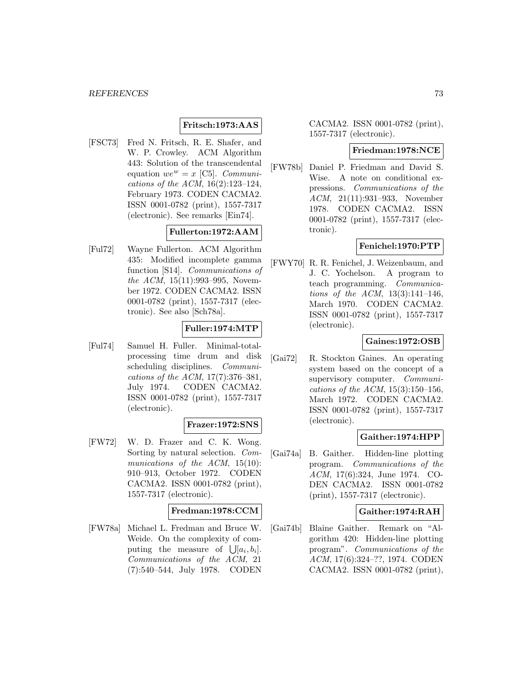## **Fritsch:1973:AAS**

[FSC73] Fred N. Fritsch, R. E. Shafer, and W. P. Crowley. ACM Algorithm 443: Solution of the transcendental equation  $we^w = x$  [C5]. *Communi*cations of the ACM, 16(2):123–124, February 1973. CODEN CACMA2. ISSN 0001-0782 (print), 1557-7317 (electronic). See remarks [Ein74].

### **Fullerton:1972:AAM**

[Ful72] Wayne Fullerton. ACM Algorithm 435: Modified incomplete gamma function [S14]. Communications of the ACM, 15(11):993–995, November 1972. CODEN CACMA2. ISSN 0001-0782 (print), 1557-7317 (electronic). See also [Sch78a].

### **Fuller:1974:MTP**

[Ful74] Samuel H. Fuller. Minimal-totalprocessing time drum and disk scheduling disciplines. Communications of the ACM, 17(7):376–381, July 1974. CODEN CACMA2. ISSN 0001-0782 (print), 1557-7317 (electronic).

### **Frazer:1972:SNS**

[FW72] W. D. Frazer and C. K. Wong. Sorting by natural selection. Communications of the ACM, 15(10): 910–913, October 1972. CODEN CACMA2. ISSN 0001-0782 (print), 1557-7317 (electronic).

#### **Fredman:1978:CCM**

[FW78a] Michael L. Fredman and Bruce W. Weide. On the complexity of computing the measure of  $\iint [a_i, b_i]$ . Communications of the ACM, 21 (7):540–544, July 1978. CODEN

CACMA2. ISSN 0001-0782 (print), 1557-7317 (electronic).

#### **Friedman:1978:NCE**

[FW78b] Daniel P. Friedman and David S. Wise. A note on conditional expressions. Communications of the ACM, 21(11):931–933, November 1978. CODEN CACMA2. ISSN 0001-0782 (print), 1557-7317 (electronic).

### **Fenichel:1970:PTP**

[FWY70] R. R. Fenichel, J. Weizenbaum, and J. C. Yochelson. A program to teach programming. Communications of the ACM, 13(3):141–146, March 1970. CODEN CACMA2. ISSN 0001-0782 (print), 1557-7317 (electronic).

## **Gaines:1972:OSB**

[Gai72] R. Stockton Gaines. An operating system based on the concept of a supervisory computer. Communications of the ACM,  $15(3):150-156$ , March 1972. CODEN CACMA2. ISSN 0001-0782 (print), 1557-7317 (electronic).

### **Gaither:1974:HPP**

[Gai74a] B. Gaither. Hidden-line plotting program. Communications of the ACM, 17(6):324, June 1974. CO-DEN CACMA2. ISSN 0001-0782 (print), 1557-7317 (electronic).

#### **Gaither:1974:RAH**

[Gai74b] Blaine Gaither. Remark on "Algorithm 420: Hidden-line plotting program". Communications of the ACM, 17(6):324–??, 1974. CODEN CACMA2. ISSN 0001-0782 (print),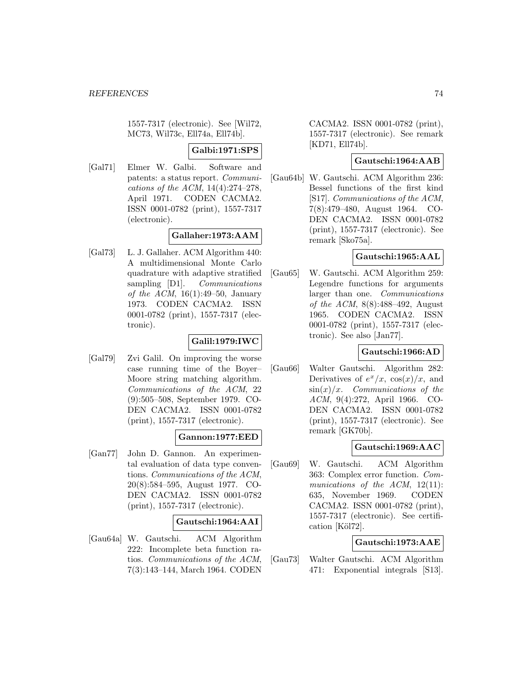1557-7317 (electronic). See [Wil72, MC73, Wil73c, Ell74a, Ell74b].

### **Galbi:1971:SPS**

[Gal71] Elmer W. Galbi. Software and patents: a status report. Communications of the ACM, 14(4):274–278, April 1971. CODEN CACMA2. ISSN 0001-0782 (print), 1557-7317 (electronic).

### **Gallaher:1973:AAM**

[Gal73] L. J. Gallaher. ACM Algorithm 440: A multidimensional Monte Carlo quadrature with adaptive stratified sampling [D1]. *Communications* of the ACM,  $16(1):49-50$ , January 1973. CODEN CACMA2. ISSN 0001-0782 (print), 1557-7317 (electronic).

## **Galil:1979:IWC**

[Gal79] Zvi Galil. On improving the worse case running time of the Boyer– Moore string matching algorithm. Communications of the ACM, 22 (9):505–508, September 1979. CO-DEN CACMA2. ISSN 0001-0782 (print), 1557-7317 (electronic).

## **Gannon:1977:EED**

[Gan77] John D. Gannon. An experimental evaluation of data type conventions. Communications of the ACM, 20(8):584–595, August 1977. CO-DEN CACMA2. ISSN 0001-0782 (print), 1557-7317 (electronic).

### **Gautschi:1964:AAI**

[Gau64a] W. Gautschi. ACM Algorithm 222: Incomplete beta function ratios. Communications of the ACM, 7(3):143–144, March 1964. CODEN

CACMA2. ISSN 0001-0782 (print), 1557-7317 (electronic). See remark [KD71, Ell74b].

# **Gautschi:1964:AAB**

[Gau64b] W. Gautschi. ACM Algorithm 236: Bessel functions of the first kind [S17]. Communications of the ACM, 7(8):479–480, August 1964. CO-DEN CACMA2. ISSN 0001-0782 (print), 1557-7317 (electronic). See remark [Sko75a].

### **Gautschi:1965:AAL**

[Gau65] W. Gautschi. ACM Algorithm 259: Legendre functions for arguments larger than one. Communications of the ACM, 8(8):488–492, August 1965. CODEN CACMA2. ISSN 0001-0782 (print), 1557-7317 (electronic). See also [Jan77].

### **Gautschi:1966:AD**

[Gau66] Walter Gautschi. Algorithm 282: Derivatives of  $e^x/x$ ,  $\cos(x)/x$ , and  $\sin(x)/x$ . Communications of the ACM, 9(4):272, April 1966. CO-DEN CACMA2. ISSN 0001-0782 (print), 1557-7317 (electronic). See remark [GK70b].

### **Gautschi:1969:AAC**

[Gau69] W. Gautschi. ACM Algorithm 363: Complex error function. Communications of the ACM,  $12(11)$ : 635, November 1969. CODEN CACMA2. ISSN 0001-0782 (print), 1557-7317 (electronic). See certification [Köl72].

## **Gautschi:1973:AAE**

[Gau73] Walter Gautschi. ACM Algorithm 471: Exponential integrals [S13].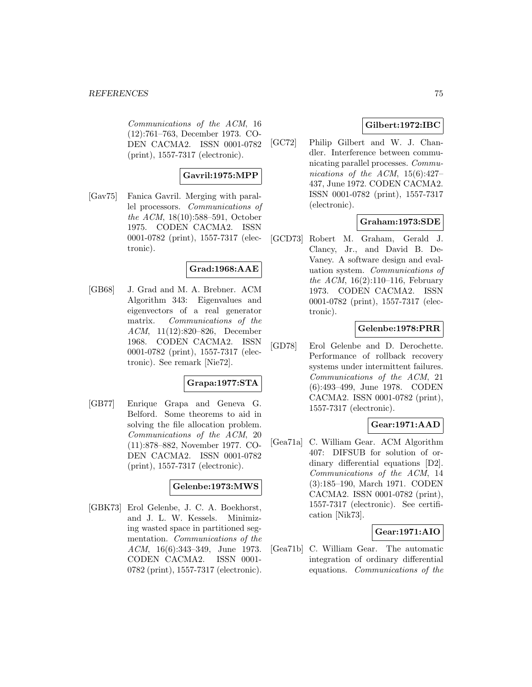#### *REFERENCES* 75

Communications of the ACM, 16 (12):761–763, December 1973. CO-DEN CACMA2. ISSN 0001-0782 (print), 1557-7317 (electronic).

# **Gavril:1975:MPP**

[Gav75] Fanica Gavril. Merging with parallel processors. Communications of the ACM, 18(10):588–591, October 1975. CODEN CACMA2. ISSN 0001-0782 (print), 1557-7317 (electronic).

### **Grad:1968:AAE**

[GB68] J. Grad and M. A. Brebner. ACM Algorithm 343: Eigenvalues and eigenvectors of a real generator matrix. Communications of the ACM, 11(12):820–826, December 1968. CODEN CACMA2. ISSN 0001-0782 (print), 1557-7317 (electronic). See remark [Nie72].

## **Grapa:1977:STA**

[GB77] Enrique Grapa and Geneva G. Belford. Some theorems to aid in solving the file allocation problem. Communications of the ACM, 20 (11):878–882, November 1977. CO-DEN CACMA2. ISSN 0001-0782 (print), 1557-7317 (electronic).

### **Gelenbe:1973:MWS**

[GBK73] Erol Gelenbe, J. C. A. Boekhorst, and J. L. W. Kessels. Minimizing wasted space in partitioned segmentation. Communications of the ACM, 16(6):343–349, June 1973. CODEN CACMA2. ISSN 0001- 0782 (print), 1557-7317 (electronic).

## **Gilbert:1972:IBC**

[GC72] Philip Gilbert and W. J. Chandler. Interference between communicating parallel processes. Communications of the ACM, 15(6):427– 437, June 1972. CODEN CACMA2. ISSN 0001-0782 (print), 1557-7317 (electronic).

### **Graham:1973:SDE**

[GCD73] Robert M. Graham, Gerald J. Clancy, Jr., and David B. De-Vaney. A software design and evaluation system. Communications of the ACM,  $16(2):110-116$ , February 1973. CODEN CACMA2. ISSN 0001-0782 (print), 1557-7317 (electronic).

## **Gelenbe:1978:PRR**

[GD78] Erol Gelenbe and D. Derochette. Performance of rollback recovery systems under intermittent failures. Communications of the ACM, 21 (6):493–499, June 1978. CODEN CACMA2. ISSN 0001-0782 (print), 1557-7317 (electronic).

### **Gear:1971:AAD**

[Gea71a] C. William Gear. ACM Algorithm 407: DIFSUB for solution of ordinary differential equations [D2]. Communications of the ACM, 14 (3):185–190, March 1971. CODEN CACMA2. ISSN 0001-0782 (print), 1557-7317 (electronic). See certification [Nik73].

## **Gear:1971:AIO**

[Gea71b] C. William Gear. The automatic integration of ordinary differential equations. Communications of the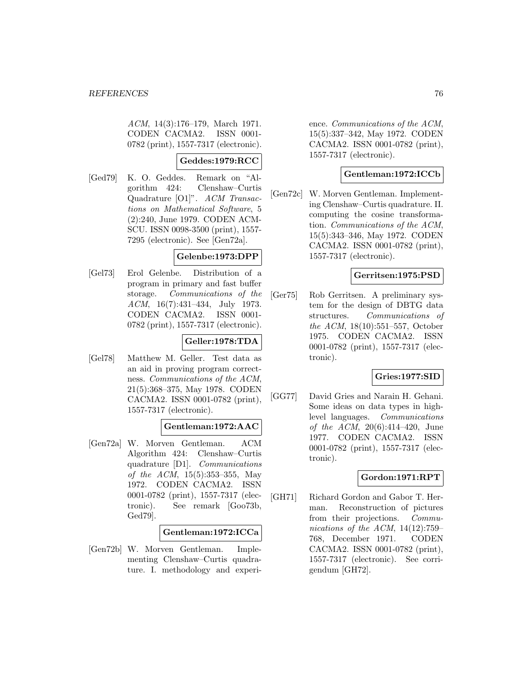ACM, 14(3):176–179, March 1971. CODEN CACMA2. ISSN 0001- 0782 (print), 1557-7317 (electronic).

### **Geddes:1979:RCC**

[Ged79] K. O. Geddes. Remark on "Algorithm 424: Clenshaw–Curtis Quadrature [O1]". ACM Transactions on Mathematical Software, 5 (2):240, June 1979. CODEN ACM-SCU. ISSN 0098-3500 (print), 1557- 7295 (electronic). See [Gen72a].

### **Gelenbe:1973:DPP**

[Gel73] Erol Gelenbe. Distribution of a program in primary and fast buffer storage. Communications of the ACM, 16(7):431–434, July 1973. CODEN CACMA2. ISSN 0001- 0782 (print), 1557-7317 (electronic).

### **Geller:1978:TDA**

[Gel78] Matthew M. Geller. Test data as an aid in proving program correctness. Communications of the ACM, 21(5):368–375, May 1978. CODEN CACMA2. ISSN 0001-0782 (print), 1557-7317 (electronic).

### **Gentleman:1972:AAC**

[Gen72a] W. Morven Gentleman. ACM Algorithm 424: Clenshaw–Curtis quadrature [D1]. Communications of the ACM, 15(5):353–355, May 1972. CODEN CACMA2. ISSN 0001-0782 (print), 1557-7317 (electronic). See remark [Goo73b, Ged79].

#### **Gentleman:1972:ICCa**

[Gen72b] W. Morven Gentleman. Implementing Clenshaw–Curtis quadrature. I. methodology and experience. Communications of the ACM, 15(5):337–342, May 1972. CODEN CACMA2. ISSN 0001-0782 (print), 1557-7317 (electronic).

### **Gentleman:1972:ICCb**

[Gen72c] W. Morven Gentleman. Implementing Clenshaw–Curtis quadrature. II. computing the cosine transformation. Communications of the ACM, 15(5):343–346, May 1972. CODEN CACMA2. ISSN 0001-0782 (print), 1557-7317 (electronic).

#### **Gerritsen:1975:PSD**

[Ger75] Rob Gerritsen. A preliminary system for the design of DBTG data structures. Communications of the ACM, 18(10):551–557, October 1975. CODEN CACMA2. ISSN 0001-0782 (print), 1557-7317 (electronic).

### **Gries:1977:SID**

[GG77] David Gries and Narain H. Gehani. Some ideas on data types in highlevel languages. Communications of the ACM,  $20(6):414-420$ , June 1977. CODEN CACMA2. ISSN 0001-0782 (print), 1557-7317 (electronic).

### **Gordon:1971:RPT**

[GH71] Richard Gordon and Gabor T. Herman. Reconstruction of pictures from their projections. Communications of the ACM,  $14(12):759-$ 768, December 1971. CODEN CACMA2. ISSN 0001-0782 (print), 1557-7317 (electronic). See corrigendum [GH72].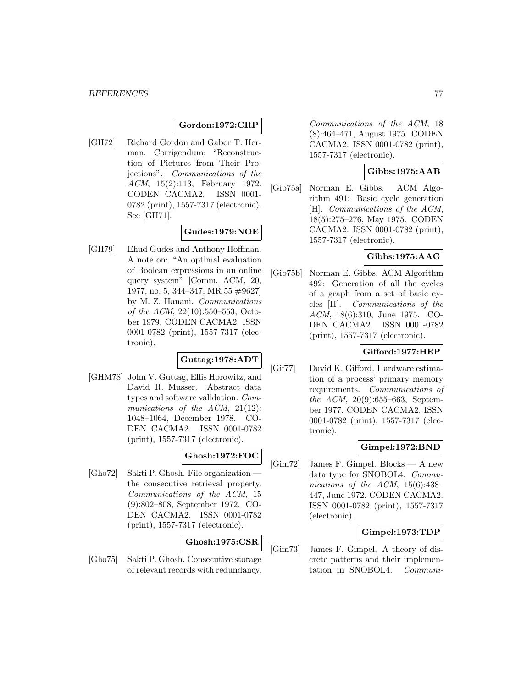#### **Gordon:1972:CRP**

[GH72] Richard Gordon and Gabor T. Herman. Corrigendum: "Reconstruction of Pictures from Their Projections". Communications of the ACM, 15(2):113, February 1972. CODEN CACMA2. ISSN 0001- 0782 (print), 1557-7317 (electronic). See [GH71].

## **Gudes:1979:NOE**

[GH79] Ehud Gudes and Anthony Hoffman. A note on: "An optimal evaluation of Boolean expressions in an online query system" [Comm. ACM, 20, 1977, no. 5, 344–347, MR 55 #9627] by M. Z. Hanani. Communications of the ACM, 22(10):550–553, October 1979. CODEN CACMA2. ISSN 0001-0782 (print), 1557-7317 (electronic).

## **Guttag:1978:ADT**

[GHM78] John V. Guttag, Ellis Horowitz, and David R. Musser. Abstract data types and software validation. Communications of the ACM, 21(12): 1048–1064, December 1978. CO-DEN CACMA2. ISSN 0001-0782 (print), 1557-7317 (electronic).

## **Ghosh:1972:FOC**

[Gho72] Sakti P. Ghosh. File organization the consecutive retrieval property. Communications of the ACM, 15 (9):802–808, September 1972. CO-DEN CACMA2. ISSN 0001-0782 (print), 1557-7317 (electronic).

**Ghosh:1975:CSR**

[Gho75] Sakti P. Ghosh. Consecutive storage of relevant records with redundancy.

Communications of the ACM, 18 (8):464–471, August 1975. CODEN CACMA2. ISSN 0001-0782 (print), 1557-7317 (electronic).

## **Gibbs:1975:AAB**

[Gib75a] Norman E. Gibbs. ACM Algorithm 491: Basic cycle generation [H]. Communications of the ACM, 18(5):275–276, May 1975. CODEN CACMA2. ISSN 0001-0782 (print), 1557-7317 (electronic).

## **Gibbs:1975:AAG**

[Gib75b] Norman E. Gibbs. ACM Algorithm 492: Generation of all the cycles of a graph from a set of basic cycles [H]. Communications of the ACM, 18(6):310, June 1975. CO-DEN CACMA2. ISSN 0001-0782 (print), 1557-7317 (electronic).

### **Gifford:1977:HEP**

[Gif77] David K. Gifford. Hardware estimation of a process' primary memory requirements. Communications of the ACM, 20(9):655–663, September 1977. CODEN CACMA2. ISSN 0001-0782 (print), 1557-7317 (electronic).

### **Gimpel:1972:BND**

[Gim72] James F. Gimpel. Blocks — A new data type for SNOBOL4. Communications of the ACM, 15(6):438– 447, June 1972. CODEN CACMA2. ISSN 0001-0782 (print), 1557-7317 (electronic).

### **Gimpel:1973:TDP**

[Gim73] James F. Gimpel. A theory of discrete patterns and their implementation in SNOBOL4. Communi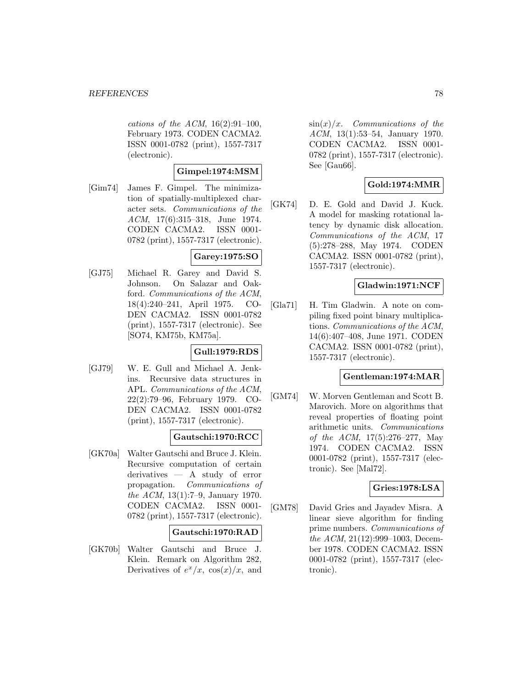cations of the ACM,  $16(2):91-100$ , February 1973. CODEN CACMA2. ISSN 0001-0782 (print), 1557-7317 (electronic).

### **Gimpel:1974:MSM**

[Gim74] James F. Gimpel. The minimization of spatially-multiplexed character sets. Communications of the ACM, 17(6):315–318, June 1974. CODEN CACMA2. ISSN 0001- 0782 (print), 1557-7317 (electronic).

## **Garey:1975:SO**

[GJ75] Michael R. Garey and David S. Johnson. On Salazar and Oakford. Communications of the ACM, 18(4):240–241, April 1975. CO-DEN CACMA2. ISSN 0001-0782 (print), 1557-7317 (electronic). See [SO74, KM75b, KM75a].

## **Gull:1979:RDS**

[GJ79] W. E. Gull and Michael A. Jenkins. Recursive data structures in APL. Communications of the ACM, 22(2):79–96, February 1979. CO-DEN CACMA2. ISSN 0001-0782 (print), 1557-7317 (electronic).

## **Gautschi:1970:RCC**

[GK70a] Walter Gautschi and Bruce J. Klein. Recursive computation of certain derivatives — A study of error propagation. Communications of the ACM, 13(1):7–9, January 1970. CODEN CACMA2. ISSN 0001- 0782 (print), 1557-7317 (electronic).

### **Gautschi:1970:RAD**

[GK70b] Walter Gautschi and Bruce J. Klein. Remark on Algorithm 282, Derivatives of  $e^x/x$ ,  $\cos(x)/x$ , and  $\sin(x)/x$ . Communications of the ACM, 13(1):53–54, January 1970. CODEN CACMA2. ISSN 0001- 0782 (print), 1557-7317 (electronic). See [Gau66].

## **Gold:1974:MMR**

[GK74] D. E. Gold and David J. Kuck. A model for masking rotational latency by dynamic disk allocation. Communications of the ACM, 17 (5):278–288, May 1974. CODEN CACMA2. ISSN 0001-0782 (print), 1557-7317 (electronic).

## **Gladwin:1971:NCF**

[Gla71] H. Tim Gladwin. A note on compiling fixed point binary multiplications. Communications of the ACM, 14(6):407–408, June 1971. CODEN CACMA2. ISSN 0001-0782 (print), 1557-7317 (electronic).

#### **Gentleman:1974:MAR**

[GM74] W. Morven Gentleman and Scott B. Marovich. More on algorithms that reveal properties of floating point arithmetic units. Communications of the ACM, 17(5):276–277, May 1974. CODEN CACMA2. ISSN 0001-0782 (print), 1557-7317 (electronic). See [Mal72].

### **Gries:1978:LSA**

[GM78] David Gries and Jayadev Misra. A linear sieve algorithm for finding prime numbers. Communications of the ACM, 21(12):999-1003, December 1978. CODEN CACMA2. ISSN 0001-0782 (print), 1557-7317 (electronic).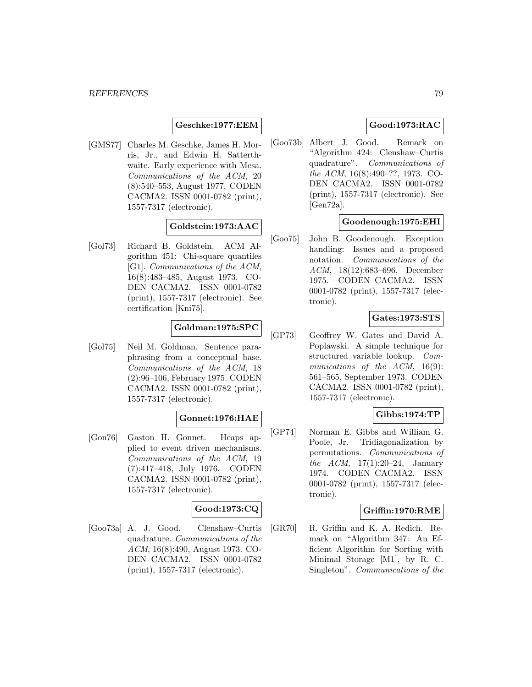### **Geschke:1977:EEM**

[GMS77] Charles M. Geschke, James H. Morris, Jr., and Edwin H. Satterthwaite. Early experience with Mesa. Communications of the ACM, 20 (8):540–553, August 1977. CODEN CACMA2. ISSN 0001-0782 (print), 1557-7317 (electronic).

### **Goldstein:1973:AAC**

[Gol73] Richard B. Goldstein. ACM Algorithm 451: Chi-square quantiles [G1]. Communications of the ACM, 16(8):483–485, August 1973. CO-DEN CACMA2. ISSN 0001-0782 (print), 1557-7317 (electronic). See certification [Kni75].

### **Goldman:1975:SPC**

[Gol75] Neil M. Goldman. Sentence paraphrasing from a conceptual base. Communications of the ACM, 18 (2):96–106, February 1975. CODEN CACMA2. ISSN 0001-0782 (print), 1557-7317 (electronic).

## **Gonnet:1976:HAE**

[Gon76] Gaston H. Gonnet. Heaps applied to event driven mechanisms. Communications of the ACM, 19 (7):417–418, July 1976. CODEN CACMA2. ISSN 0001-0782 (print), 1557-7317 (electronic).

### **Good:1973:CQ**

[Goo73a] A. J. Good. Clenshaw–Curtis quadrature. Communications of the ACM, 16(8):490, August 1973. CO-DEN CACMA2. ISSN 0001-0782 (print), 1557-7317 (electronic).

### **Good:1973:RAC**

[Goo73b] Albert J. Good. Remark on "Algorithm 424: Clenshaw–Curtis quadrature". Communications of the ACM, 16(8):490–??, 1973. CO-DEN CACMA2. ISSN 0001-0782 (print), 1557-7317 (electronic). See [Gen72a].

### **Goodenough:1975:EHI**

[Goo75] John B. Goodenough. Exception handling: Issues and a proposed notation. Communications of the ACM, 18(12):683–696, December 1975. CODEN CACMA2. ISSN 0001-0782 (print), 1557-7317 (electronic).

## **Gates:1973:STS**

[GP73] Geoffrey W. Gates and David A. Poplawski. A simple technique for structured variable lookup. Communications of the ACM, 16(9): 561–565, September 1973. CODEN CACMA2. ISSN 0001-0782 (print), 1557-7317 (electronic).

# **Gibbs:1974:TP**

[GP74] Norman E. Gibbs and William G. Poole, Jr. Tridiagonalization by permutations. Communications of *the ACM*,  $17(1):20-24$ , January 1974. CODEN CACMA2. ISSN 0001-0782 (print), 1557-7317 (electronic).

### **Griffin:1970:RME**

[GR70] R. Griffin and K. A. Redich. Remark on "Algorithm 347: An Efficient Algorithm for Sorting with Minimal Storage [M1], by R. C. Singleton". Communications of the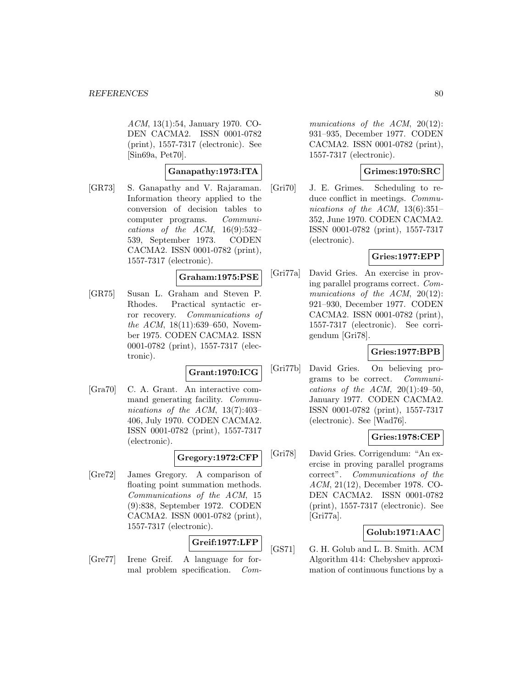ACM, 13(1):54, January 1970. CO-DEN CACMA2. ISSN 0001-0782 (print), 1557-7317 (electronic). See [Sin69a, Pet70].

#### **Ganapathy:1973:ITA**

[GR73] S. Ganapathy and V. Rajaraman. Information theory applied to the conversion of decision tables to computer programs. Communications of the  $ACM$ ,  $16(9):532-$ 539, September 1973. CODEN CACMA2. ISSN 0001-0782 (print), 1557-7317 (electronic).

### **Graham:1975:PSE**

[GR75] Susan L. Graham and Steven P. Rhodes. Practical syntactic error recovery. Communications of the ACM, 18(11):639–650, November 1975. CODEN CACMA2. ISSN 0001-0782 (print), 1557-7317 (electronic).

### **Grant:1970:ICG**

[Gra70] C. A. Grant. An interactive command generating facility. Communications of the ACM, 13(7):403– 406, July 1970. CODEN CACMA2. ISSN 0001-0782 (print), 1557-7317 (electronic).

### **Gregory:1972:CFP**

[Gre72] James Gregory. A comparison of floating point summation methods. Communications of the ACM, 15 (9):838, September 1972. CODEN CACMA2. ISSN 0001-0782 (print), 1557-7317 (electronic).

## **Greif:1977:LFP**

[Gre77] Irene Greif. A language for formal problem specification. Com-

munications of the ACM, 20(12): 931–935, December 1977. CODEN CACMA2. ISSN 0001-0782 (print), 1557-7317 (electronic).

### **Grimes:1970:SRC**

[Gri70] J. E. Grimes. Scheduling to reduce conflict in meetings. Communications of the ACM,  $13(6):351-$ 352, June 1970. CODEN CACMA2. ISSN 0001-0782 (print), 1557-7317 (electronic).

### **Gries:1977:EPP**

[Gri77a] David Gries. An exercise in proving parallel programs correct. Communications of the ACM, 20(12): 921–930, December 1977. CODEN CACMA2. ISSN 0001-0782 (print), 1557-7317 (electronic). See corrigendum [Gri78].

### **Gries:1977:BPB**

[Gri77b] David Gries. On believing programs to be correct. Communications of the ACM,  $20(1):49-50$ , January 1977. CODEN CACMA2. ISSN 0001-0782 (print), 1557-7317 (electronic). See [Wad76].

### **Gries:1978:CEP**

[Gri78] David Gries. Corrigendum: "An exercise in proving parallel programs correct". Communications of the ACM, 21(12), December 1978. CO-DEN CACMA2. ISSN 0001-0782 (print), 1557-7317 (electronic). See [Gri77a].

### **Golub:1971:AAC**

[GS71] G. H. Golub and L. B. Smith. ACM Algorithm 414: Chebyshev approximation of continuous functions by a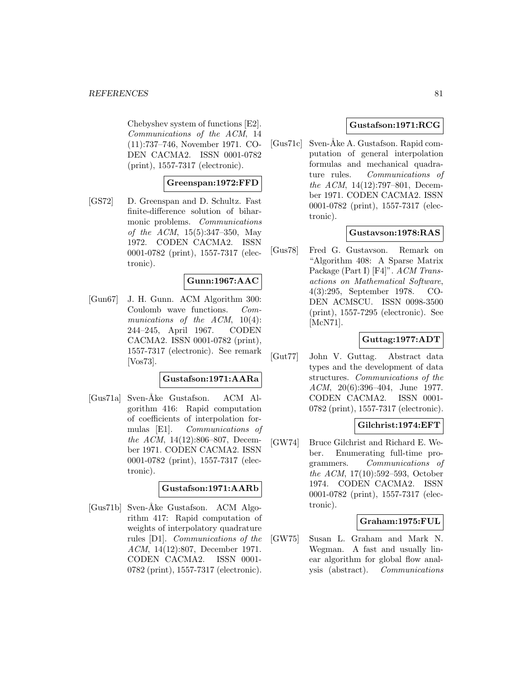Chebyshev system of functions [E2]. Communications of the ACM, 14 (11):737–746, November 1971. CO-DEN CACMA2. ISSN 0001-0782 (print), 1557-7317 (electronic).

### **Greenspan:1972:FFD**

[GS72] D. Greenspan and D. Schultz. Fast finite-difference solution of biharmonic problems. Communications of the ACM, 15(5):347–350, May 1972. CODEN CACMA2. ISSN 0001-0782 (print), 1557-7317 (electronic).

### **Gunn:1967:AAC**

[Gun67] J. H. Gunn. ACM Algorithm 300: Coulomb wave functions. Communications of the ACM,  $10(4)$ : 244–245, April 1967. CODEN CACMA2. ISSN 0001-0782 (print), 1557-7317 (electronic). See remark [Vos73].

### **Gustafson:1971:AARa**

[Gus71a] Sven-Åke Gustafson. ACM Algorithm 416: Rapid computation of coefficients of interpolation formulas [E1]. Communications of the ACM, 14(12):806–807, December 1971. CODEN CACMA2. ISSN 0001-0782 (print), 1557-7317 (electronic).

### **Gustafson:1971:AARb**

[Gus71b] Sven-Åke Gustafson. ACM Algorithm 417: Rapid computation of weights of interpolatory quadrature rules [D1]. Communications of the ACM, 14(12):807, December 1971. CODEN CACMA2. ISSN 0001- 0782 (print), 1557-7317 (electronic).

### **Gustafson:1971:RCG**

[Gus71c] Sven-Åke A. Gustafson. Rapid computation of general interpolation formulas and mechanical quadrature rules. Communications of the ACM, 14(12):797–801, December 1971. CODEN CACMA2. ISSN 0001-0782 (print), 1557-7317 (electronic).

### **Gustavson:1978:RAS**

[Gus78] Fred G. Gustavson. Remark on "Algorithm 408: A Sparse Matrix Package (Part I) [F4]". ACM Transactions on Mathematical Software, 4(3):295, September 1978. CO-DEN ACMSCU. ISSN 0098-3500 (print), 1557-7295 (electronic). See [McN71].

## **Guttag:1977:ADT**

[Gut77] John V. Guttag. Abstract data types and the development of data structures. Communications of the ACM, 20(6):396–404, June 1977. CODEN CACMA2. ISSN 0001- 0782 (print), 1557-7317 (electronic).

### **Gilchrist:1974:EFT**

[GW74] Bruce Gilchrist and Richard E. Weber. Enumerating full-time programmers. Communications of the ACM, 17(10):592–593, October 1974. CODEN CACMA2. ISSN 0001-0782 (print), 1557-7317 (electronic).

### **Graham:1975:FUL**

[GW75] Susan L. Graham and Mark N. Wegman. A fast and usually linear algorithm for global flow analysis (abstract). Communications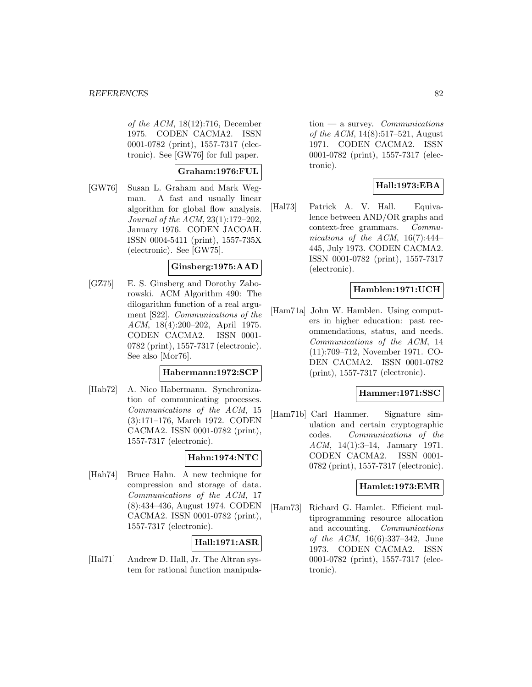of the ACM, 18(12):716, December 1975. CODEN CACMA2. ISSN 0001-0782 (print), 1557-7317 (electronic). See [GW76] for full paper.

## **Graham:1976:FUL**

[GW76] Susan L. Graham and Mark Wegman. A fast and usually linear algorithm for global flow analysis. Journal of the ACM, 23(1):172–202, January 1976. CODEN JACOAH. ISSN 0004-5411 (print), 1557-735X (electronic). See [GW75].

### **Ginsberg:1975:AAD**

[GZ75] E. S. Ginsberg and Dorothy Zaborowski. ACM Algorithm 490: The dilogarithm function of a real argument [S22]. Communications of the ACM, 18(4):200–202, April 1975. CODEN CACMA2. ISSN 0001- 0782 (print), 1557-7317 (electronic). See also [Mor76].

### **Habermann:1972:SCP**

[Hab72] A. Nico Habermann. Synchronization of communicating processes. Communications of the ACM, 15 (3):171–176, March 1972. CODEN CACMA2. ISSN 0001-0782 (print), 1557-7317 (electronic).

### **Hahn:1974:NTC**

[Hah74] Bruce Hahn. A new technique for compression and storage of data. Communications of the ACM, 17 (8):434–436, August 1974. CODEN CACMA2. ISSN 0001-0782 (print), 1557-7317 (electronic).

## **Hall:1971:ASR**

[Hal71] Andrew D. Hall, Jr. The Altran system for rational function manipula-

 $tion$  — a survey. *Communications* of the ACM, 14(8):517–521, August 1971. CODEN CACMA2. ISSN 0001-0782 (print), 1557-7317 (electronic).

# **Hall:1973:EBA**

[Hal73] Patrick A. V. Hall. Equivalence between AND/OR graphs and context-free grammars. Communications of the ACM,  $16(7):444-$ 445, July 1973. CODEN CACMA2. ISSN 0001-0782 (print), 1557-7317 (electronic).

### **Hamblen:1971:UCH**

[Ham71a] John W. Hamblen. Using computers in higher education: past recommendations, status, and needs. Communications of the ACM, 14 (11):709–712, November 1971. CO-DEN CACMA2. ISSN 0001-0782 (print), 1557-7317 (electronic).

### **Hammer:1971:SSC**

[Ham71b] Carl Hammer. Signature simulation and certain cryptographic codes. Communications of the ACM, 14(1):3–14, January 1971. CODEN CACMA2. ISSN 0001- 0782 (print), 1557-7317 (electronic).

### **Hamlet:1973:EMR**

[Ham73] Richard G. Hamlet. Efficient multiprogramming resource allocation and accounting. Communications of the ACM, 16(6):337–342, June 1973. CODEN CACMA2. ISSN 0001-0782 (print), 1557-7317 (electronic).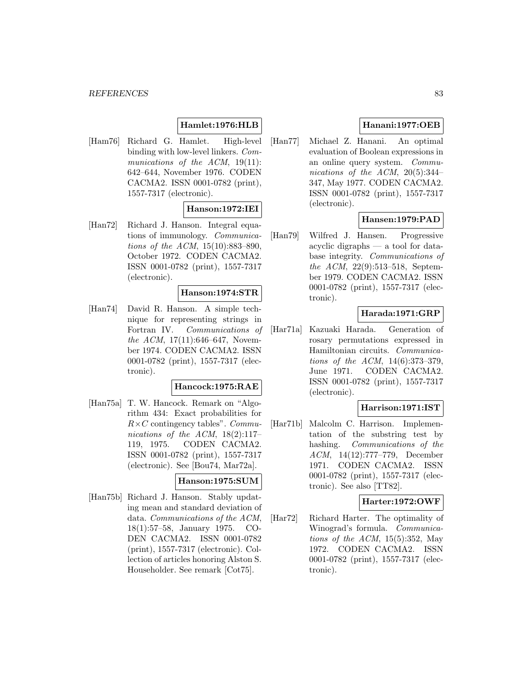#### *REFERENCES* 83

# **Hamlet:1976:HLB**

[Ham76] Richard G. Hamlet. High-level binding with low-level linkers. Communications of the ACM, 19(11): 642–644, November 1976. CODEN CACMA2. ISSN 0001-0782 (print), 1557-7317 (electronic).

### **Hanson:1972:IEI**

[Han72] Richard J. Hanson. Integral equations of immunology. Communications of the ACM, 15(10):883–890, October 1972. CODEN CACMA2. ISSN 0001-0782 (print), 1557-7317 (electronic).

#### **Hanson:1974:STR**

[Han74] David R. Hanson. A simple technique for representing strings in Fortran IV. Communications of the ACM,  $17(11):646-647$ , November 1974. CODEN CACMA2. ISSN 0001-0782 (print), 1557-7317 (electronic).

#### **Hancock:1975:RAE**

[Han75a] T. W. Hancock. Remark on "Algorithm 434: Exact probabilities for  $R\times C$  contingency tables". Communications of the ACM, 18(2):117– 119, 1975. CODEN CACMA2. ISSN 0001-0782 (print), 1557-7317 (electronic). See [Bou74, Mar72a].

## **Hanson:1975:SUM**

[Han75b] Richard J. Hanson. Stably updating mean and standard deviation of data. Communications of the ACM, 18(1):57–58, January 1975. CO-DEN CACMA2. ISSN 0001-0782 (print), 1557-7317 (electronic). Collection of articles honoring Alston S. Householder. See remark [Cot75].

# **Hanani:1977:OEB**

[Han77] Michael Z. Hanani. An optimal evaluation of Boolean expressions in an online query system. Communications of the ACM, 20(5):344– 347, May 1977. CODEN CACMA2. ISSN 0001-0782 (print), 1557-7317 (electronic).

## **Hansen:1979:PAD**

[Han79] Wilfred J. Hansen. Progressive acyclic digraphs — a tool for database integrity. Communications of the ACM, 22(9):513–518, September 1979. CODEN CACMA2. ISSN 0001-0782 (print), 1557-7317 (electronic).

### **Harada:1971:GRP**

[Har71a] Kazuaki Harada. Generation of rosary permutations expressed in Hamiltonian circuits. Communications of the ACM, 14(6):373–379, June 1971. CODEN CACMA2. ISSN 0001-0782 (print), 1557-7317 (electronic).

#### **Harrison:1971:IST**

[Har71b] Malcolm C. Harrison. Implementation of the substring test by hashing. Communications of the ACM, 14(12):777–779, December 1971. CODEN CACMA2. ISSN 0001-0782 (print), 1557-7317 (electronic). See also [TT82].

#### **Harter:1972:OWF**

[Har72] Richard Harter. The optimality of Winograd's formula. Communications of the ACM,  $15(5):352$ , May 1972. CODEN CACMA2. ISSN 0001-0782 (print), 1557-7317 (electronic).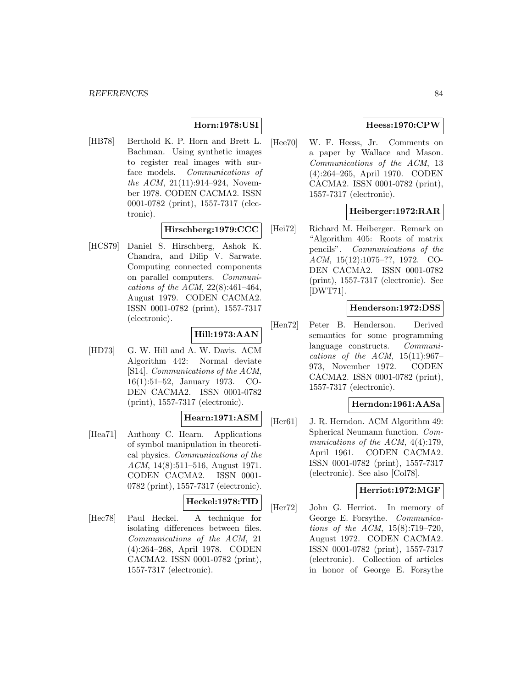# **Horn:1978:USI**

[HB78] Berthold K. P. Horn and Brett L. Bachman. Using synthetic images to register real images with surface models. Communications of the ACM, 21(11):914–924, November 1978. CODEN CACMA2. ISSN 0001-0782 (print), 1557-7317 (electronic).

### **Hirschberg:1979:CCC**

[HCS79] Daniel S. Hirschberg, Ashok K. Chandra, and Dilip V. Sarwate. Computing connected components on parallel computers. Communications of the ACM, 22(8):461–464, August 1979. CODEN CACMA2. ISSN 0001-0782 (print), 1557-7317 (electronic).

### **Hill:1973:AAN**

[HD73] G. W. Hill and A. W. Davis. ACM Algorithm 442: Normal deviate [S14]. Communications of the ACM, 16(1):51–52, January 1973. CO-DEN CACMA2. ISSN 0001-0782 (print), 1557-7317 (electronic).

### **Hearn:1971:ASM**

[Hea71] Anthony C. Hearn. Applications of symbol manipulation in theoretical physics. Communications of the ACM, 14(8):511–516, August 1971. CODEN CACMA2. ISSN 0001- 0782 (print), 1557-7317 (electronic).

### **Heckel:1978:TID**

[Hec78] Paul Heckel. A technique for isolating differences between files. Communications of the ACM, 21 (4):264–268, April 1978. CODEN CACMA2. ISSN 0001-0782 (print), 1557-7317 (electronic).

### **Heess:1970:CPW**

[Hee70] W. F. Heess, Jr. Comments on a paper by Wallace and Mason. Communications of the ACM, 13 (4):264–265, April 1970. CODEN CACMA2. ISSN 0001-0782 (print), 1557-7317 (electronic).

## **Heiberger:1972:RAR**

[Hei72] Richard M. Heiberger. Remark on "Algorithm 405: Roots of matrix pencils". Communications of the ACM, 15(12):1075–??, 1972. CO-DEN CACMA2. ISSN 0001-0782 (print), 1557-7317 (electronic). See [DWT71].

#### **Henderson:1972:DSS**

[Hen72] Peter B. Henderson. Derived semantics for some programming language constructs. Communications of the ACM,  $15(11):967-$ 973, November 1972. CODEN CACMA2. ISSN 0001-0782 (print), 1557-7317 (electronic).

#### **Herndon:1961:AASa**

[Her61] J. R. Herndon. ACM Algorithm 49: Spherical Neumann function. Communications of the ACM,  $4(4):179$ , April 1961. CODEN CACMA2. ISSN 0001-0782 (print), 1557-7317 (electronic). See also [Col78].

#### **Herriot:1972:MGF**

[Her72] John G. Herriot. In memory of George E. Forsythe. Communications of the ACM, 15(8):719–720, August 1972. CODEN CACMA2. ISSN 0001-0782 (print), 1557-7317 (electronic). Collection of articles in honor of George E. Forsythe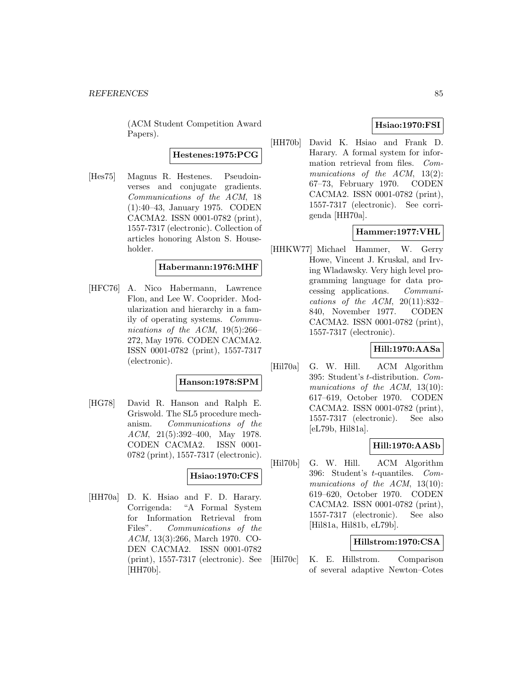(ACM Student Competition Award Papers).

**Hestenes:1975:PCG**

[Hes75] Magnus R. Hestenes. Pseudoinverses and conjugate gradients. Communications of the ACM, 18 (1):40–43, January 1975. CODEN CACMA2. ISSN 0001-0782 (print), 1557-7317 (electronic). Collection of articles honoring Alston S. Householder.

### **Habermann:1976:MHF**

[HFC76] A. Nico Habermann, Lawrence Flon, and Lee W. Cooprider. Modularization and hierarchy in a family of operating systems. Communications of the ACM, 19(5):266– 272, May 1976. CODEN CACMA2. ISSN 0001-0782 (print), 1557-7317 (electronic).

### **Hanson:1978:SPM**

[HG78] David R. Hanson and Ralph E. Griswold. The SL5 procedure mechanism. Communications of the ACM, 21(5):392–400, May 1978. CODEN CACMA2. ISSN 0001- 0782 (print), 1557-7317 (electronic).

### **Hsiao:1970:CFS**

[HH70a] D. K. Hsiao and F. D. Harary. Corrigenda: "A Formal System for Information Retrieval from Files". Communications of the ACM, 13(3):266, March 1970. CO-DEN CACMA2. ISSN 0001-0782 (print), 1557-7317 (electronic). See [HH70b].

## **Hsiao:1970:FSI**

[HH70b] David K. Hsiao and Frank D. Harary. A formal system for information retrieval from files. Communications of the ACM, 13(2): 67–73, February 1970. CODEN CACMA2. ISSN 0001-0782 (print), 1557-7317 (electronic). See corrigenda [HH70a].

## **Hammer:1977:VHL**

[HHKW77] Michael Hammer, W. Gerry Howe, Vincent J. Kruskal, and Irving Wladawsky. Very high level programming language for data processing applications. Communications of the ACM,  $20(11):832-$ 840, November 1977. CODEN CACMA2. ISSN 0001-0782 (print), 1557-7317 (electronic).

### **Hill:1970:AASa**

[Hil70a] G. W. Hill. ACM Algorithm 395: Student's t-distribution. Communications of the ACM, 13(10): 617–619, October 1970. CODEN CACMA2. ISSN 0001-0782 (print), 1557-7317 (electronic). See also [eL79b, Hil81a].

### **Hill:1970:AASb**

[Hil70b] G. W. Hill. ACM Algorithm 396: Student's t-quantiles. Communications of the ACM, 13(10): 619–620, October 1970. CODEN CACMA2. ISSN 0001-0782 (print), 1557-7317 (electronic). See also [Hil81a, Hil81b, eL79b].

### **Hillstrom:1970:CSA**

[Hil70c] K. E. Hillstrom. Comparison of several adaptive Newton–Cotes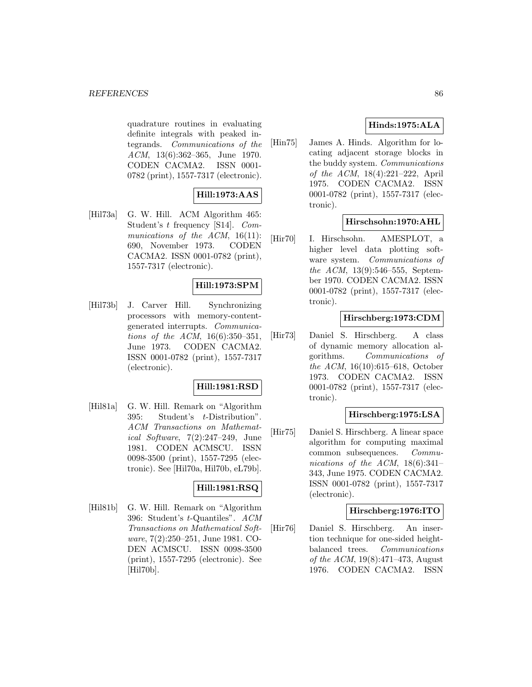quadrature routines in evaluating definite integrals with peaked integrands. Communications of the ACM, 13(6):362–365, June 1970. CODEN CACMA2. ISSN 0001- 0782 (print), 1557-7317 (electronic).

# **Hill:1973:AAS**

[Hil73a] G. W. Hill. ACM Algorithm 465: Student's t frequency [S14]. Communications of the  $ACM$ , 16(11): 690, November 1973. CODEN CACMA2. ISSN 0001-0782 (print), 1557-7317 (electronic).

# **Hill:1973:SPM**

[Hil73b] J. Carver Hill. Synchronizing processors with memory-contentgenerated interrupts. Communications of the ACM, 16(6):350–351, June 1973. CODEN CACMA2. ISSN 0001-0782 (print), 1557-7317 (electronic).

# **Hill:1981:RSD**

[Hil81a] G. W. Hill. Remark on "Algorithm 395: Student's t-Distribution". ACM Transactions on Mathematical Software, 7(2):247–249, June 1981. CODEN ACMSCU. ISSN 0098-3500 (print), 1557-7295 (electronic). See [Hil70a, Hil70b, eL79b].

### **Hill:1981:RSQ**

[Hil81b] G. W. Hill. Remark on "Algorithm 396: Student's t-Quantiles". ACM Transactions on Mathematical Software, 7(2):250–251, June 1981. CO-DEN ACMSCU. ISSN 0098-3500 (print), 1557-7295 (electronic). See [Hil70b].

# **Hinds:1975:ALA**

[Hin75] James A. Hinds. Algorithm for locating adjacent storage blocks in the buddy system. Communications of the ACM, 18(4):221–222, April 1975. CODEN CACMA2. ISSN 0001-0782 (print), 1557-7317 (electronic).

## **Hirschsohn:1970:AHL**

[Hir70] I. Hirschsohn. AMESPLOT, a higher level data plotting software system. Communications of the ACM, 13(9):546–555, September 1970. CODEN CACMA2. ISSN 0001-0782 (print), 1557-7317 (electronic).

## **Hirschberg:1973:CDM**

[Hir73] Daniel S. Hirschberg. A class of dynamic memory allocation algorithms. Communications of the ACM, 16(10):615–618, October 1973. CODEN CACMA2. ISSN 0001-0782 (print), 1557-7317 (electronic).

## **Hirschberg:1975:LSA**

[Hir75] Daniel S. Hirschberg. A linear space algorithm for computing maximal common subsequences. Communications of the ACM, 18(6):341– 343, June 1975. CODEN CACMA2. ISSN 0001-0782 (print), 1557-7317 (electronic).

### **Hirschberg:1976:ITO**

[Hir76] Daniel S. Hirschberg. An insertion technique for one-sided heightbalanced trees. Communications of the ACM, 19(8):471–473, August 1976. CODEN CACMA2. ISSN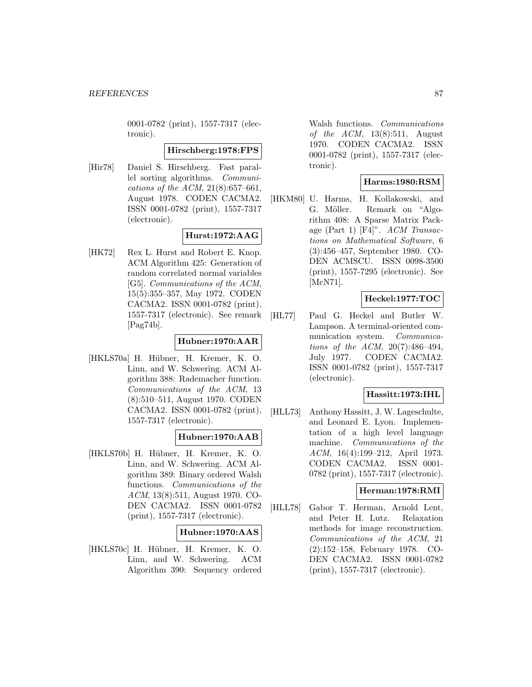0001-0782 (print), 1557-7317 (electronic).

#### **Hirschberg:1978:FPS**

[Hir78] Daniel S. Hirschberg. Fast parallel sorting algorithms. Communications of the ACM, 21(8):657–661, August 1978. CODEN CACMA2. ISSN 0001-0782 (print), 1557-7317 (electronic).

# **Hurst:1972:AAG**

[HK72] Rex L. Hurst and Robert E. Knop. ACM Algorithm 425: Generation of random correlated normal variables [G5]. Communications of the ACM, 15(5):355–357, May 1972. CODEN CACMA2. ISSN 0001-0782 (print), 1557-7317 (electronic). See remark [Pag74b].

# **Hubner:1970:AAR**

[HKLS70a] H. Hübner, H. Kremer, K. O. Linn, and W. Schwering. ACM Algorithm 388: Rademacher function. Communications of the ACM, 13 (8):510–511, August 1970. CODEN CACMA2. ISSN 0001-0782 (print), 1557-7317 (electronic).

## **Hubner:1970:AAB**

[HKLS70b] H. Hübner, H. Kremer, K. O. Linn, and W. Schwering. ACM Algorithm 389: Binary ordered Walsh functions. Communications of the ACM, 13(8):511, August 1970. CO-DEN CACMA2. ISSN 0001-0782 (print), 1557-7317 (electronic).

### **Hubner:1970:AAS**

[HKLS70c] H. Hübner, H. Kremer, K. O. Linn, and W. Schwering. ACM Algorithm 390: Sequency ordered

Walsh functions. Communications of the  $ACM$ , 13(8):511, August 1970. CODEN CACMA2. ISSN 0001-0782 (print), 1557-7317 (electronic).

## **Harms:1980:RSM**

[HKM80] U. Harms, H. Kollakowski, and G. Möller. Remark on "Algorithm 408: A Sparse Matrix Package (Part 1)  $[F4]$ ". ACM Transactions on Mathematical Software, 6 (3):456–457, September 1980. CO-DEN ACMSCU. ISSN 0098-3500 (print), 1557-7295 (electronic). See [McN71].

## **Heckel:1977:TOC**

[HL77] Paul G. Heckel and Butler W. Lampson. A terminal-oriented communication system. Communications of the ACM, 20(7):486–494, July 1977. CODEN CACMA2. ISSN 0001-0782 (print), 1557-7317 (electronic).

### **Hassitt:1973:IHL**

[HLL73] Anthony Hassitt, J. W. Lageschulte, and Leonard E. Lyon. Implementation of a high level language machine. Communications of the ACM, 16(4):199–212, April 1973. CODEN CACMA2. ISSN 0001- 0782 (print), 1557-7317 (electronic).

# **Herman:1978:RMI**

[HLL78] Gabor T. Herman, Arnold Lent, and Peter H. Lutz. Relaxation methods for image reconstruction. Communications of the ACM, 21 (2):152–158, February 1978. CO-DEN CACMA2. ISSN 0001-0782 (print), 1557-7317 (electronic).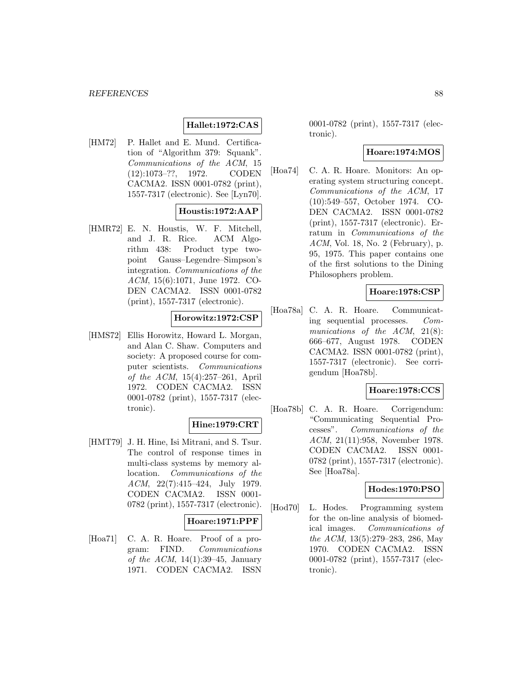## **Hallet:1972:CAS**

[HM72] P. Hallet and E. Mund. Certification of "Algorithm 379: Squank". Communications of the ACM, 15 (12):1073–??, 1972. CODEN CACMA2. ISSN 0001-0782 (print), 1557-7317 (electronic). See [Lyn70].

### **Houstis:1972:AAP**

[HMR72] E. N. Houstis, W. F. Mitchell, and J. R. Rice. ACM Algorithm 438: Product type twopoint Gauss–Legendre–Simpson's integration. Communications of the ACM, 15(6):1071, June 1972. CO-DEN CACMA2. ISSN 0001-0782 (print), 1557-7317 (electronic).

### **Horowitz:1972:CSP**

[HMS72] Ellis Horowitz, Howard L. Morgan, and Alan C. Shaw. Computers and society: A proposed course for computer scientists. Communications of the ACM, 15(4):257–261, April 1972. CODEN CACMA2. ISSN 0001-0782 (print), 1557-7317 (electronic).

### **Hine:1979:CRT**

[HMT79] J. H. Hine, Isi Mitrani, and S. Tsur. The control of response times in multi-class systems by memory allocation. Communications of the ACM, 22(7):415–424, July 1979. CODEN CACMA2. ISSN 0001- 0782 (print), 1557-7317 (electronic).

#### **Hoare:1971:PPF**

[Hoa71] C. A. R. Hoare. Proof of a program: FIND. Communications of the ACM,  $14(1):39-45$ , January 1971. CODEN CACMA2. ISSN

0001-0782 (print), 1557-7317 (electronic).

### **Hoare:1974:MOS**

[Hoa74] C. A. R. Hoare. Monitors: An operating system structuring concept. Communications of the ACM, 17 (10):549–557, October 1974. CO-DEN CACMA2. ISSN 0001-0782 (print), 1557-7317 (electronic). Erratum in Communications of the ACM, Vol. 18, No. 2 (February), p. 95, 1975. This paper contains one of the first solutions to the Dining Philosophers problem.

# **Hoare:1978:CSP**

[Hoa78a] C. A. R. Hoare. Communicating sequential processes. Communications of the ACM, 21(8): 666–677, August 1978. CODEN CACMA2. ISSN 0001-0782 (print), 1557-7317 (electronic). See corrigendum [Hoa78b].

### **Hoare:1978:CCS**

[Hoa78b] C. A. R. Hoare. Corrigendum: "Communicating Sequential Processes". Communications of the ACM, 21(11):958, November 1978. CODEN CACMA2. ISSN 0001- 0782 (print), 1557-7317 (electronic). See [Hoa78a].

#### **Hodes:1970:PSO**

[Hod70] L. Hodes. Programming system for the on-line analysis of biomedical images. Communications of the ACM, 13(5):279–283, 286, May 1970. CODEN CACMA2. ISSN 0001-0782 (print), 1557-7317 (electronic).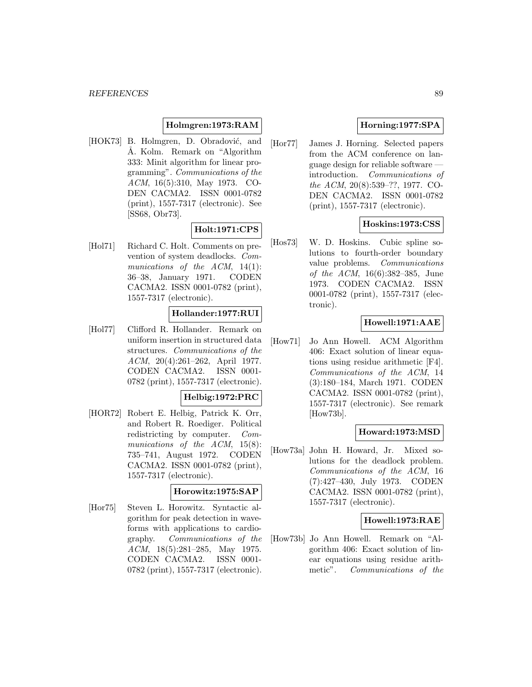## **Holmgren:1973:RAM**

[HOK73] B. Holmgren, D. Obradović, and Å. Kolm. Remark on "Algorithm 333: Minit algorithm for linear programming". Communications of the ACM, 16(5):310, May 1973. CO-DEN CACMA2. ISSN 0001-0782 (print), 1557-7317 (electronic). See [SS68, Obr73].

### **Holt:1971:CPS**

[Hol71] Richard C. Holt. Comments on prevention of system deadlocks. Communications of the ACM, 14(1): 36–38, January 1971. CODEN CACMA2. ISSN 0001-0782 (print), 1557-7317 (electronic).

### **Hollander:1977:RUI**

[Hol77] Clifford R. Hollander. Remark on uniform insertion in structured data structures. Communications of the ACM, 20(4):261–262, April 1977. CODEN CACMA2. ISSN 0001- 0782 (print), 1557-7317 (electronic).

#### **Helbig:1972:PRC**

[HOR72] Robert E. Helbig, Patrick K. Orr, and Robert R. Roediger. Political redistricting by computer. Communications of the ACM, 15(8): 735–741, August 1972. CODEN CACMA2. ISSN 0001-0782 (print), 1557-7317 (electronic).

#### **Horowitz:1975:SAP**

[Hor75] Steven L. Horowitz. Syntactic algorithm for peak detection in waveforms with applications to cardiography. Communications of the ACM, 18(5):281–285, May 1975. CODEN CACMA2. ISSN 0001- 0782 (print), 1557-7317 (electronic).

# **Horning:1977:SPA**

[Hor77] James J. Horning. Selected papers from the ACM conference on language design for reliable software introduction. Communications of the ACM, 20(8):539–??, 1977. CO-DEN CACMA2. ISSN 0001-0782 (print), 1557-7317 (electronic).

### **Hoskins:1973:CSS**

[Hos73] W. D. Hoskins. Cubic spline solutions to fourth-order boundary value problems. Communications of the ACM, 16(6):382–385, June 1973. CODEN CACMA2. ISSN 0001-0782 (print), 1557-7317 (electronic).

### **Howell:1971:AAE**

[How71] Jo Ann Howell. ACM Algorithm 406: Exact solution of linear equations using residue arithmetic [F4]. Communications of the ACM, 14 (3):180–184, March 1971. CODEN CACMA2. ISSN 0001-0782 (print), 1557-7317 (electronic). See remark [How73b].

### **Howard:1973:MSD**

[How73a] John H. Howard, Jr. Mixed solutions for the deadlock problem. Communications of the ACM, 16 (7):427–430, July 1973. CODEN CACMA2. ISSN 0001-0782 (print), 1557-7317 (electronic).

# **Howell:1973:RAE**

[How73b] Jo Ann Howell. Remark on "Algorithm 406: Exact solution of linear equations using residue arithmetic". Communications of the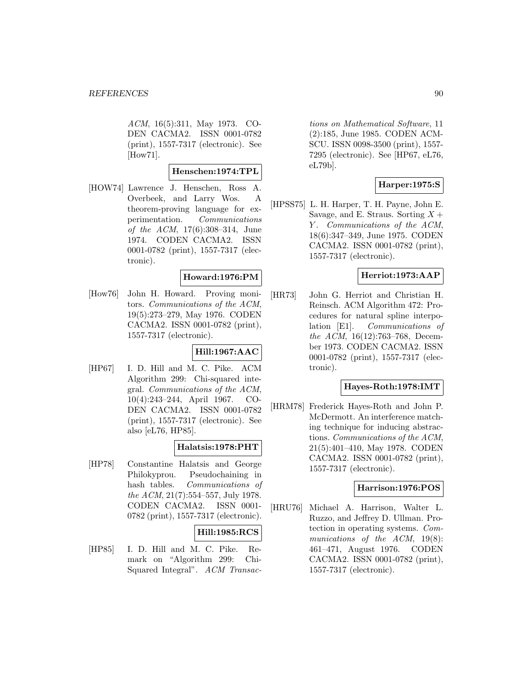ACM, 16(5):311, May 1973. CO-DEN CACMA2. ISSN 0001-0782 (print), 1557-7317 (electronic). See [How71].

### **Henschen:1974:TPL**

[HOW74] Lawrence J. Henschen, Ross A. Overbeek, and Larry Wos. A theorem-proving language for experimentation. Communications of the ACM, 17(6):308–314, June 1974. CODEN CACMA2. ISSN 0001-0782 (print), 1557-7317 (electronic).

### **Howard:1976:PM**

[How76] John H. Howard. Proving monitors. Communications of the ACM, 19(5):273–279, May 1976. CODEN CACMA2. ISSN 0001-0782 (print), 1557-7317 (electronic).

## **Hill:1967:AAC**

[HP67] I. D. Hill and M. C. Pike. ACM Algorithm 299: Chi-squared integral. Communications of the ACM, 10(4):243–244, April 1967. CO-DEN CACMA2. ISSN 0001-0782 (print), 1557-7317 (electronic). See also [eL76, HP85].

#### **Halatsis:1978:PHT**

[HP78] Constantine Halatsis and George Philokyprou. Pseudochaining in hash tables. Communications of the ACM, 21(7):554–557, July 1978. CODEN CACMA2. ISSN 0001- 0782 (print), 1557-7317 (electronic).

### **Hill:1985:RCS**

[HP85] I. D. Hill and M. C. Pike. Remark on "Algorithm 299: Chi-Squared Integral". ACM Transac-

tions on Mathematical Software, 11 (2):185, June 1985. CODEN ACM-SCU. ISSN 0098-3500 (print), 1557- 7295 (electronic). See [HP67, eL76, eL79b].

### **Harper:1975:S**

[HPSS75] L. H. Harper, T. H. Payne, John E. Savage, and E. Straus. Sorting  $X +$ Y. Communications of the ACM, 18(6):347–349, June 1975. CODEN CACMA2. ISSN 0001-0782 (print), 1557-7317 (electronic).

### **Herriot:1973:AAP**

[HR73] John G. Herriot and Christian H. Reinsch. ACM Algorithm 472: Procedures for natural spline interpolation [E1]. Communications of the ACM, 16(12):763–768, December 1973. CODEN CACMA2. ISSN 0001-0782 (print), 1557-7317 (electronic).

## **Hayes-Roth:1978:IMT**

[HRM78] Frederick Hayes-Roth and John P. McDermott. An interference matching technique for inducing abstractions. Communications of the ACM, 21(5):401–410, May 1978. CODEN CACMA2. ISSN 0001-0782 (print), 1557-7317 (electronic).

### **Harrison:1976:POS**

[HRU76] Michael A. Harrison, Walter L. Ruzzo, and Jeffrey D. Ullman. Protection in operating systems. Communications of the ACM, 19(8): 461–471, August 1976. CODEN CACMA2. ISSN 0001-0782 (print), 1557-7317 (electronic).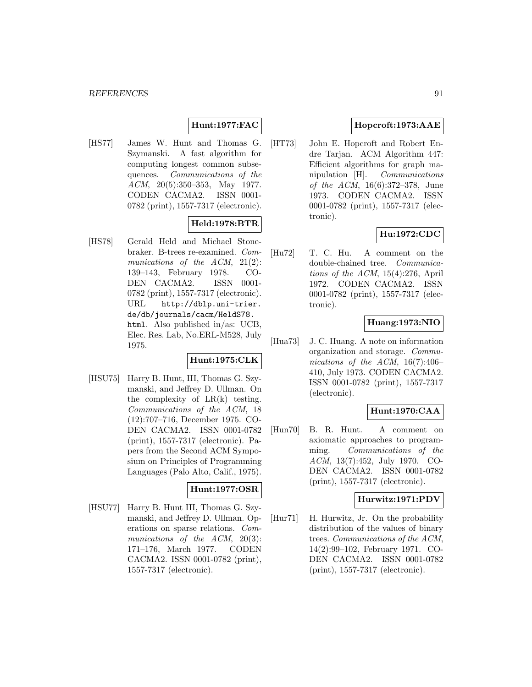# **Hunt:1977:FAC**

[HS77] James W. Hunt and Thomas G. Szymanski. A fast algorithm for computing longest common subsequences. Communications of the ACM, 20(5):350–353, May 1977. CODEN CACMA2. ISSN 0001- 0782 (print), 1557-7317 (electronic).

## **Held:1978:BTR**

[HS78] Gerald Held and Michael Stonebraker. B-trees re-examined. Communications of the ACM, 21(2): 139–143, February 1978. CO-DEN CACMA2. ISSN 0001- 0782 (print), 1557-7317 (electronic). URL http://dblp.uni-trier. de/db/journals/cacm/HeldS78. html. Also published in/as: UCB, Elec. Res. Lab, No.ERL-M528, July 1975.

## **Hunt:1975:CLK**

[HSU75] Harry B. Hunt, III, Thomas G. Szymanski, and Jeffrey D. Ullman. On the complexity of  $LR(k)$  testing. Communications of the ACM, 18 (12):707–716, December 1975. CO-DEN CACMA2. ISSN 0001-0782 (print), 1557-7317 (electronic). Papers from the Second ACM Symposium on Principles of Programming Languages (Palo Alto, Calif., 1975).

### **Hunt:1977:OSR**

[HSU77] Harry B. Hunt III, Thomas G. Szymanski, and Jeffrey D. Ullman. Operations on sparse relations. Communications of the ACM, 20(3): 171–176, March 1977. CODEN CACMA2. ISSN 0001-0782 (print), 1557-7317 (electronic).

### **Hopcroft:1973:AAE**

[HT73] John E. Hopcroft and Robert Endre Tarjan. ACM Algorithm 447: Efficient algorithms for graph manipulation [H]. Communications of the ACM, 16(6):372–378, June 1973. CODEN CACMA2. ISSN 0001-0782 (print), 1557-7317 (electronic).

## **Hu:1972:CDC**

[Hu72] T. C. Hu. A comment on the double-chained tree. Communications of the ACM, 15(4):276, April 1972. CODEN CACMA2. ISSN 0001-0782 (print), 1557-7317 (electronic).

### **Huang:1973:NIO**

[Hua73] J. C. Huang. A note on information organization and storage. Communications of the ACM,  $16(7):406-$ 410, July 1973. CODEN CACMA2. ISSN 0001-0782 (print), 1557-7317 (electronic).

## **Hunt:1970:CAA**

[Hun70] B. R. Hunt. A comment on axiomatic approaches to programming. Communications of the ACM, 13(7):452, July 1970. CO-DEN CACMA2. ISSN 0001-0782 (print), 1557-7317 (electronic).

### **Hurwitz:1971:PDV**

[Hur71] H. Hurwitz, Jr. On the probability distribution of the values of binary trees. Communications of the ACM, 14(2):99–102, February 1971. CO-DEN CACMA2. ISSN 0001-0782 (print), 1557-7317 (electronic).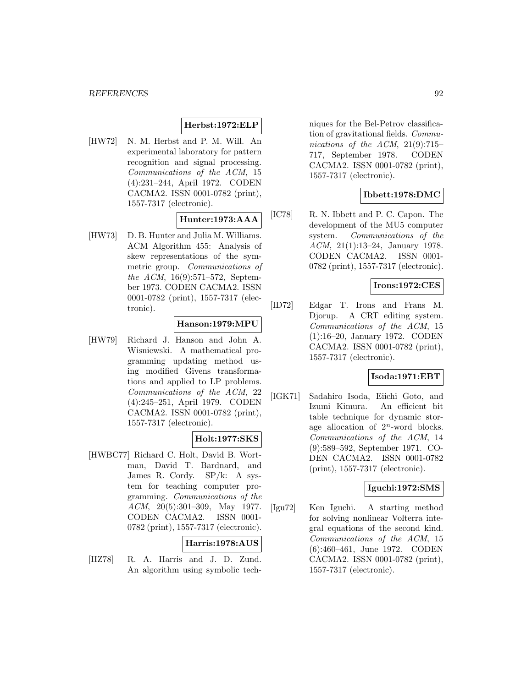## **Herbst:1972:ELP**

[HW72] N. M. Herbst and P. M. Will. An experimental laboratory for pattern recognition and signal processing. Communications of the ACM, 15 (4):231–244, April 1972. CODEN CACMA2. ISSN 0001-0782 (print), 1557-7317 (electronic).

# **Hunter:1973:AAA**

[HW73] D. B. Hunter and Julia M. Williams. ACM Algorithm 455: Analysis of skew representations of the symmetric group. Communications of the ACM, 16(9):571–572, September 1973. CODEN CACMA2. ISSN 0001-0782 (print), 1557-7317 (electronic).

### **Hanson:1979:MPU**

[HW79] Richard J. Hanson and John A. Wisniewski. A mathematical programming updating method using modified Givens transformations and applied to LP problems. Communications of the ACM, 22 (4):245–251, April 1979. CODEN CACMA2. ISSN 0001-0782 (print), 1557-7317 (electronic).

## **Holt:1977:SKS**

[HWBC77] Richard C. Holt, David B. Wortman, David T. Bardnard, and James R. Cordy. SP/k: A system for teaching computer programming. Communications of the ACM, 20(5):301–309, May 1977. CODEN CACMA2. ISSN 0001- 0782 (print), 1557-7317 (electronic).

#### **Harris:1978:AUS**

[HZ78] R. A. Harris and J. D. Zund. An algorithm using symbolic tech-

niques for the Bel-Petrov classification of gravitational fields. Communications of the ACM, 21(9):715– 717, September 1978. CODEN CACMA2. ISSN 0001-0782 (print), 1557-7317 (electronic).

## **Ibbett:1978:DMC**

[IC78] R. N. Ibbett and P. C. Capon. The development of the MU5 computer system. Communications of the ACM, 21(1):13–24, January 1978. CODEN CACMA2. ISSN 0001- 0782 (print), 1557-7317 (electronic).

### **Irons:1972:CES**

[ID72] Edgar T. Irons and Frans M. Djorup. A CRT editing system. Communications of the ACM, 15 (1):16–20, January 1972. CODEN CACMA2. ISSN 0001-0782 (print), 1557-7317 (electronic).

### **Isoda:1971:EBT**

[IGK71] Sadahiro Isoda, Eiichi Goto, and Izumi Kimura. An efficient bit table technique for dynamic storage allocation of  $2^n$ -word blocks. Communications of the ACM, 14 (9):589–592, September 1971. CO-DEN CACMA2. ISSN 0001-0782 (print), 1557-7317 (electronic).

### **Iguchi:1972:SMS**

[Igu72] Ken Iguchi. A starting method for solving nonlinear Volterra integral equations of the second kind. Communications of the ACM, 15 (6):460–461, June 1972. CODEN CACMA2. ISSN 0001-0782 (print), 1557-7317 (electronic).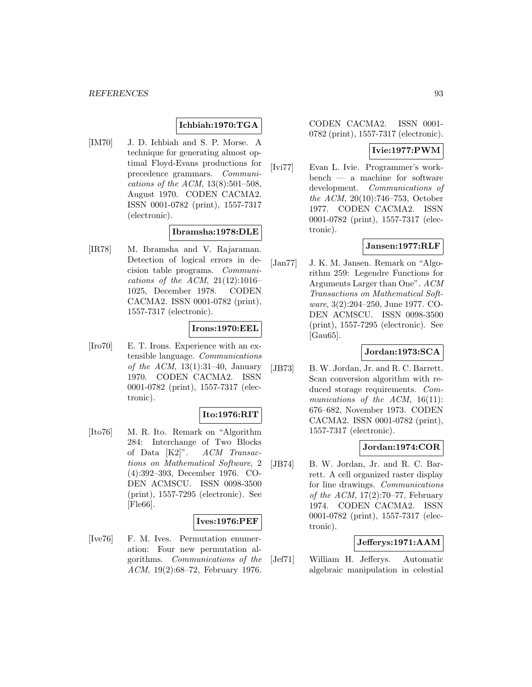### **Ichbiah:1970:TGA**

[IM70] J. D. Ichbiah and S. P. Morse. A technique for generating almost optimal Floyd-Evans productions for precedence grammars. Communications of the ACM, 13(8):501–508, August 1970. CODEN CACMA2. ISSN 0001-0782 (print), 1557-7317 (electronic).

### **Ibramsha:1978:DLE**

[IR78] M. Ibramsha and V. Rajaraman. Detection of logical errors in decision table programs. Communications of the ACM,  $21(12):1016-$ 1025, December 1978. CODEN CACMA2. ISSN 0001-0782 (print), 1557-7317 (electronic).

## **Irons:1970:EEL**

[Iro70] E. T. Irons. Experience with an extensible language. Communications of the ACM,  $13(1):31-40$ , January 1970. CODEN CACMA2. ISSN 0001-0782 (print), 1557-7317 (electronic).

## **Ito:1976:RIT**

[Ito76] M. R. Ito. Remark on "Algorithm 284: Interchange of Two Blocks of Data [K2]". ACM Transactions on Mathematical Software, 2 (4):392–393, December 1976. CO-DEN ACMSCU. ISSN 0098-3500 (print), 1557-7295 (electronic). See [Fle66].

#### **Ives:1976:PEF**

[Ive76] F. M. Ives. Permutation enumeration: Four new permutation algorithms. Communications of the ACM, 19(2):68–72, February 1976.

CODEN CACMA2. ISSN 0001- 0782 (print), 1557-7317 (electronic).

#### **Ivie:1977:PWM**

[Ivi77] Evan L. Ivie. Programmer's workbench — a machine for software development. Communications of the ACM, 20(10):746–753, October 1977. CODEN CACMA2. ISSN 0001-0782 (print), 1557-7317 (electronic).

### **Jansen:1977:RLF**

[Jan77] J. K. M. Jansen. Remark on "Algorithm 259: Legendre Functions for Arguments Larger than One". ACM Transactions on Mathematical Software, 3(2):204–250, June 1977. CO-DEN ACMSCU. ISSN 0098-3500 (print), 1557-7295 (electronic). See [Gau65].

### **Jordan:1973:SCA**

[JB73] B. W. Jordan, Jr. and R. C. Barrett. Scan conversion algorithm with reduced storage requirements. Communications of the ACM,  $16(11)$ : 676–682, November 1973. CODEN CACMA2. ISSN 0001-0782 (print), 1557-7317 (electronic).

### **Jordan:1974:COR**

[JB74] B. W. Jordan, Jr. and R. C. Barrett. A cell organized raster display for line drawings. Communications of the ACM,  $17(2):70-77$ , February 1974. CODEN CACMA2. ISSN 0001-0782 (print), 1557-7317 (electronic).

### **Jefferys:1971:AAM**

[Jef71] William H. Jefferys. Automatic algebraic manipulation in celestial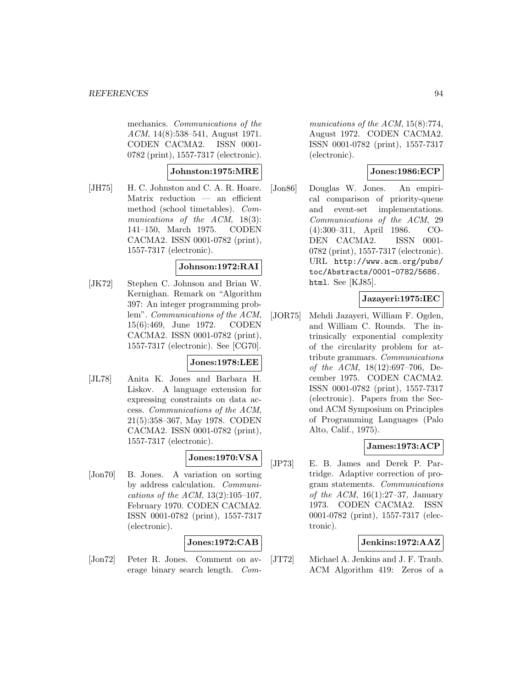mechanics. Communications of the ACM, 14(8):538–541, August 1971. CODEN CACMA2. ISSN 0001- 0782 (print), 1557-7317 (electronic).

### **Johnston:1975:MRE**

[JH75] H. C. Johnston and C. A. R. Hoare. Matrix reduction — an efficient method (school timetables). Communications of the ACM, 18(3): 141–150, March 1975. CODEN CACMA2. ISSN 0001-0782 (print), 1557-7317 (electronic).

#### **Johnson:1972:RAI**

[JK72] Stephen C. Johnson and Brian W. Kernighan. Remark on "Algorithm 397: An integer programming problem". Communications of the ACM, 15(6):469, June 1972. CODEN CACMA2. ISSN 0001-0782 (print), 1557-7317 (electronic). See [CG70].

# **Jones:1978:LEE**

[JL78] Anita K. Jones and Barbara H. Liskov. A language extension for expressing constraints on data access. Communications of the ACM, 21(5):358–367, May 1978. CODEN CACMA2. ISSN 0001-0782 (print), 1557-7317 (electronic).

## **Jones:1970:VSA**

[Jon70] B. Jones. A variation on sorting by address calculation. Communications of the ACM, 13(2):105–107, February 1970. CODEN CACMA2. ISSN 0001-0782 (print), 1557-7317 (electronic).

### **Jones:1972:CAB**

[Jon72] Peter R. Jones. Comment on average binary search length. Com-

munications of the ACM, 15(8):774, August 1972. CODEN CACMA2. ISSN 0001-0782 (print), 1557-7317 (electronic).

# **Jones:1986:ECP**

[Jon86] Douglas W. Jones. An empirical comparison of priority-queue and event-set implementations. Communications of the ACM, 29 (4):300–311, April 1986. CO-DEN CACMA2. ISSN 0001- 0782 (print), 1557-7317 (electronic). URL http://www.acm.org/pubs/ toc/Abstracts/0001-0782/5686. html. See [KJ85].

### **Jazayeri:1975:IEC**

[JOR75] Mehdi Jazayeri, William F. Ogden, and William C. Rounds. The intrinsically exponential complexity of the circularity problem for attribute grammars. Communications of the ACM, 18(12):697–706, December 1975. CODEN CACMA2. ISSN 0001-0782 (print), 1557-7317 (electronic). Papers from the Second ACM Symposium on Principles of Programming Languages (Palo Alto, Calif., 1975).

### **James:1973:ACP**

[JP73] E. B. James and Derek P. Partridge. Adaptive correction of program statements. Communications of the ACM,  $16(1):27-37$ , January 1973. CODEN CACMA2. ISSN 0001-0782 (print), 1557-7317 (electronic).

## **Jenkins:1972:AAZ**

[JT72] Michael A. Jenkins and J. F. Traub. ACM Algorithm 419: Zeros of a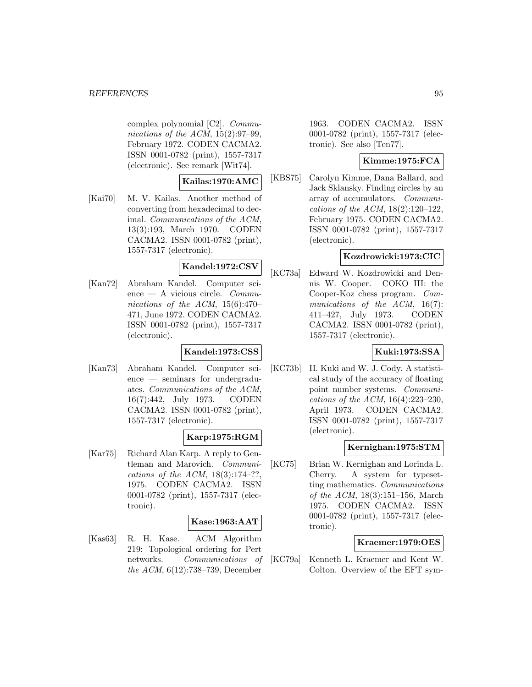complex polynomial [C2]. Communications of the ACM,  $15(2):97-99$ , February 1972. CODEN CACMA2. ISSN 0001-0782 (print), 1557-7317 (electronic). See remark [Wit74].

### **Kailas:1970:AMC**

[Kai70] M. V. Kailas. Another method of converting from hexadecimal to decimal. Communications of the ACM, 13(3):193, March 1970. CODEN CACMA2. ISSN 0001-0782 (print), 1557-7317 (electronic).

## **Kandel:1972:CSV**

[Kan72] Abraham Kandel. Computer science — A vicious circle. Communications of the ACM, 15(6):470– 471, June 1972. CODEN CACMA2. ISSN 0001-0782 (print), 1557-7317 (electronic).

## **Kandel:1973:CSS**

[Kan73] Abraham Kandel. Computer science — seminars for undergraduates. Communications of the ACM, 16(7):442, July 1973. CODEN CACMA2. ISSN 0001-0782 (print), 1557-7317 (electronic).

## **Karp:1975:RGM**

[Kar75] Richard Alan Karp. A reply to Gentleman and Marovich. Communications of the ACM,  $18(3):174-??$ , 1975. CODEN CACMA2. ISSN 0001-0782 (print), 1557-7317 (electronic).

#### **Kase:1963:AAT**

[Kas63] R. H. Kase. ACM Algorithm 219: Topological ordering for Pert networks. Communications of the ACM, 6(12):738–739, December

1963. CODEN CACMA2. ISSN 0001-0782 (print), 1557-7317 (electronic). See also [Ten77].

# **Kimme:1975:FCA**

[KBS75] Carolyn Kimme, Dana Ballard, and Jack Sklansky. Finding circles by an array of accumulators. Communications of the ACM, 18(2):120–122, February 1975. CODEN CACMA2. ISSN 0001-0782 (print), 1557-7317 (electronic).

## **Kozdrowicki:1973:CIC**

[KC73a] Edward W. Kozdrowicki and Dennis W. Cooper. COKO III: the Cooper-Koz chess program. Communications of the ACM, 16(7): 411–427, July 1973. CODEN CACMA2. ISSN 0001-0782 (print), 1557-7317 (electronic).

## **Kuki:1973:SSA**

[KC73b] H. Kuki and W. J. Cody. A statistical study of the accuracy of floating point number systems. Communications of the ACM, 16(4):223–230, April 1973. CODEN CACMA2. ISSN 0001-0782 (print), 1557-7317 (electronic).

### **Kernighan:1975:STM**

[KC75] Brian W. Kernighan and Lorinda L. Cherry. A system for typesetting mathematics. Communications of the ACM, 18(3):151–156, March 1975. CODEN CACMA2. ISSN 0001-0782 (print), 1557-7317 (electronic).

### **Kraemer:1979:OES**

[KC79a] Kenneth L. Kraemer and Kent W. Colton. Overview of the EFT sym-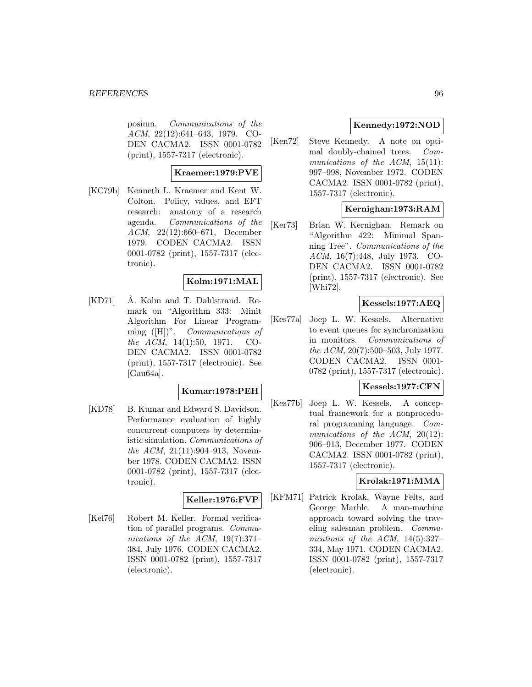#### *REFERENCES* 96

posium. Communications of the ACM, 22(12):641–643, 1979. CO-DEN CACMA2. ISSN 0001-0782 (print), 1557-7317 (electronic).

### **Kraemer:1979:PVE**

[KC79b] Kenneth L. Kraemer and Kent W. Colton. Policy, values, and EFT research: anatomy of a research agenda. Communications of the ACM, 22(12):660–671, December 1979. CODEN CACMA2. ISSN 0001-0782 (print), 1557-7317 (electronic).

### **Kolm:1971:MAL**

[KD71] Å. Kolm and T. Dahlstrand. Remark on "Algorithm 333: Minit Algorithm For Linear Programming ([H])". Communications of the ACM, 14(1):50, 1971. CO-DEN CACMA2. ISSN 0001-0782 (print), 1557-7317 (electronic). See [Gau64a].

### **Kumar:1978:PEH**

[KD78] B. Kumar and Edward S. Davidson. Performance evaluation of highly concurrent computers by deterministic simulation. Communications of the ACM, 21(11):904–913, November 1978. CODEN CACMA2. ISSN 0001-0782 (print), 1557-7317 (electronic).

### **Keller:1976:FVP**

[Kel76] Robert M. Keller. Formal verification of parallel programs. Communications of the ACM, 19(7):371– 384, July 1976. CODEN CACMA2. ISSN 0001-0782 (print), 1557-7317 (electronic).

### **Kennedy:1972:NOD**

[Ken72] Steve Kennedy. A note on optimal doubly-chained trees. Communications of the ACM, 15(11): 997–998, November 1972. CODEN CACMA2. ISSN 0001-0782 (print), 1557-7317 (electronic).

### **Kernighan:1973:RAM**

[Ker73] Brian W. Kernighan. Remark on "Algorithm 422: Minimal Spanning Tree". Communications of the ACM, 16(7):448, July 1973. CO-DEN CACMA2. ISSN 0001-0782 (print), 1557-7317 (electronic). See [Whi72].

## **Kessels:1977:AEQ**

[Kes77a] Joep L. W. Kessels. Alternative to event queues for synchronization in monitors. Communications of the ACM, 20(7):500–503, July 1977. CODEN CACMA2. ISSN 0001- 0782 (print), 1557-7317 (electronic).

## **Kessels:1977:CFN**

[Kes77b] Joep L. W. Kessels. A conceptual framework for a nonprocedural programming language. Communications of the ACM, 20(12): 906–913, December 1977. CODEN CACMA2. ISSN 0001-0782 (print), 1557-7317 (electronic).

## **Krolak:1971:MMA**

[KFM71] Patrick Krolak, Wayne Felts, and George Marble. A man-machine approach toward solving the traveling salesman problem. Communications of the ACM, 14(5):327– 334, May 1971. CODEN CACMA2. ISSN 0001-0782 (print), 1557-7317 (electronic).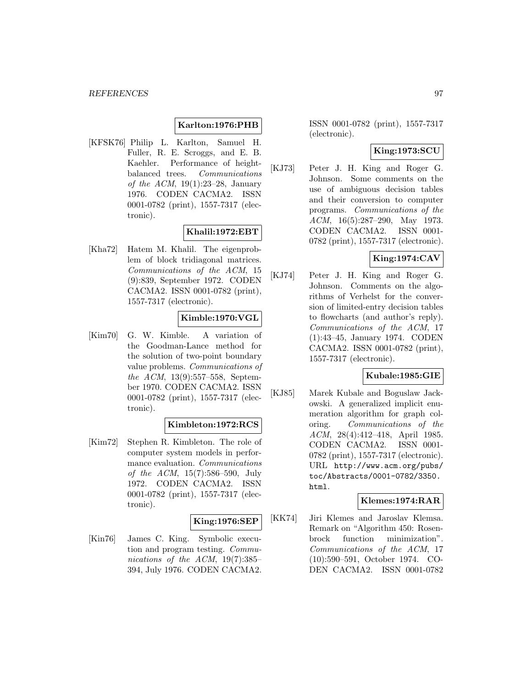### **Karlton:1976:PHB**

[KFSK76] Philip L. Karlton, Samuel H. Fuller, R. E. Scroggs, and E. B. Kaehler. Performance of heightbalanced trees. *Communications* of the ACM,  $19(1):23-28$ , January 1976. CODEN CACMA2. ISSN 0001-0782 (print), 1557-7317 (electronic).

### **Khalil:1972:EBT**

[Kha72] Hatem M. Khalil. The eigenproblem of block tridiagonal matrices. Communications of the ACM, 15 (9):839, September 1972. CODEN CACMA2. ISSN 0001-0782 (print), 1557-7317 (electronic).

### **Kimble:1970:VGL**

[Kim70] G. W. Kimble. A variation of the Goodman-Lance method for the solution of two-point boundary value problems. Communications of the ACM, 13(9):557–558, September 1970. CODEN CACMA2. ISSN 0001-0782 (print), 1557-7317 (electronic).

### **Kimbleton:1972:RCS**

[Kim72] Stephen R. Kimbleton. The role of computer system models in performance evaluation. Communications of the ACM, 15(7):586–590, July 1972. CODEN CACMA2. ISSN 0001-0782 (print), 1557-7317 (electronic).

### **King:1976:SEP**

[Kin76] James C. King. Symbolic execution and program testing. Communications of the ACM, 19(7):385– 394, July 1976. CODEN CACMA2.

ISSN 0001-0782 (print), 1557-7317 (electronic).

## **King:1973:SCU**

[KJ73] Peter J. H. King and Roger G. Johnson. Some comments on the use of ambiguous decision tables and their conversion to computer programs. Communications of the ACM, 16(5):287–290, May 1973. CODEN CACMA2. ISSN 0001- 0782 (print), 1557-7317 (electronic).

# **King:1974:CAV**

[KJ74] Peter J. H. King and Roger G. Johnson. Comments on the algorithms of Verhelst for the conversion of limited-entry decision tables to flowcharts (and author's reply). Communications of the ACM, 17 (1):43–45, January 1974. CODEN CACMA2. ISSN 0001-0782 (print), 1557-7317 (electronic).

#### **Kubale:1985:GIE**

[KJ85] Marek Kubale and Boguslaw Jackowski. A generalized implicit enumeration algorithm for graph coloring. Communications of the ACM, 28(4):412–418, April 1985. CODEN CACMA2. ISSN 0001- 0782 (print), 1557-7317 (electronic). URL http://www.acm.org/pubs/ toc/Abstracts/0001-0782/3350. html.

### **Klemes:1974:RAR**

[KK74] Jiri Klemes and Jaroslav Klemsa. Remark on "Algorithm 450: Rosenbrock function minimization". Communications of the ACM, 17 (10):590–591, October 1974. CO-DEN CACMA2. ISSN 0001-0782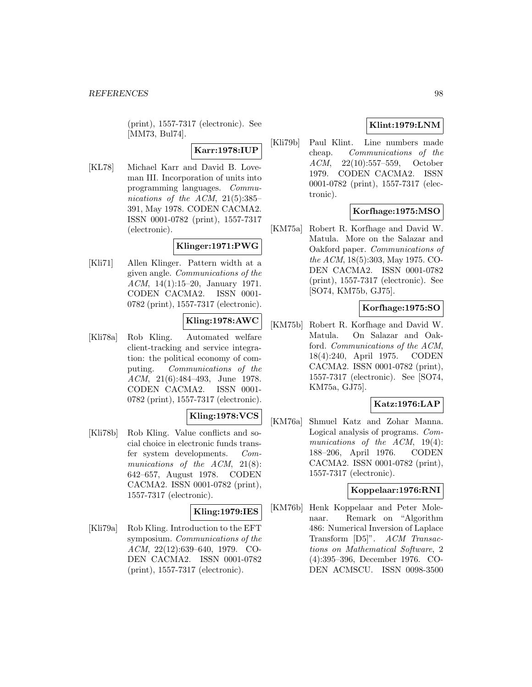(print), 1557-7317 (electronic). See [MM73, Bul74].

# **Karr:1978:IUP**

[KL78] Michael Karr and David B. Loveman III. Incorporation of units into programming languages. Communications of the ACM,  $21(5):385-$ 391, May 1978. CODEN CACMA2. ISSN 0001-0782 (print), 1557-7317 (electronic).

## **Klinger:1971:PWG**

[Kli71] Allen Klinger. Pattern width at a given angle. Communications of the ACM, 14(1):15–20, January 1971. CODEN CACMA2. ISSN 0001- 0782 (print), 1557-7317 (electronic).

## **Kling:1978:AWC**

[Kli78a] Rob Kling. Automated welfare client-tracking and service integration: the political economy of computing. Communications of the ACM, 21(6):484–493, June 1978. CODEN CACMA2. ISSN 0001- 0782 (print), 1557-7317 (electronic).

# **Kling:1978:VCS**

[Kli78b] Rob Kling. Value conflicts and social choice in electronic funds transfer system developments. Communications of the  $ACM$ ,  $21(8)$ : 642–657, August 1978. CODEN CACMA2. ISSN 0001-0782 (print), 1557-7317 (electronic).

### **Kling:1979:IES**

[Kli79a] Rob Kling. Introduction to the EFT symposium. Communications of the ACM, 22(12):639–640, 1979. CO-DEN CACMA2. ISSN 0001-0782 (print), 1557-7317 (electronic).

# **Klint:1979:LNM**

[Kli79b] Paul Klint. Line numbers made cheap. Communications of the ACM, 22(10):557–559, October 1979. CODEN CACMA2. ISSN 0001-0782 (print), 1557-7317 (electronic).

## **Korfhage:1975:MSO**

[KM75a] Robert R. Korfhage and David W. Matula. More on the Salazar and Oakford paper. Communications of the ACM, 18(5):303, May 1975. CO-DEN CACMA2. ISSN 0001-0782 (print), 1557-7317 (electronic). See [SO74, KM75b, GJ75].

### **Korfhage:1975:SO**

[KM75b] Robert R. Korfhage and David W. Matula. On Salazar and Oakford. Communications of the ACM, 18(4):240, April 1975. CODEN CACMA2. ISSN 0001-0782 (print), 1557-7317 (electronic). See [SO74, KM75a, GJ75].

### **Katz:1976:LAP**

[KM76a] Shmuel Katz and Zohar Manna. Logical analysis of programs. Communications of the ACM, 19(4): 188–206, April 1976. CODEN CACMA2. ISSN 0001-0782 (print), 1557-7317 (electronic).

#### **Koppelaar:1976:RNI**

[KM76b] Henk Koppelaar and Peter Molenaar. Remark on "Algorithm 486: Numerical Inversion of Laplace Transform [D5]". ACM Transactions on Mathematical Software, 2 (4):395–396, December 1976. CO-DEN ACMSCU. ISSN 0098-3500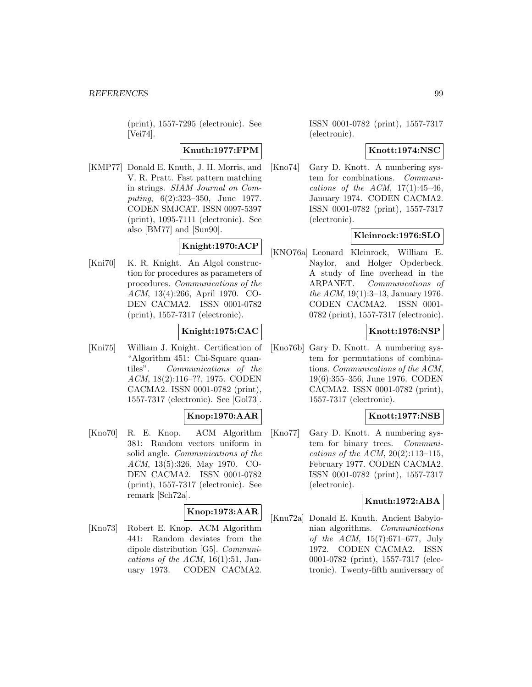(print), 1557-7295 (electronic). See [Vei74].

### **Knuth:1977:FPM**

[KMP77] Donald E. Knuth, J. H. Morris, and V. R. Pratt. Fast pattern matching in strings. SIAM Journal on Computing, 6(2):323–350, June 1977. CODEN SMJCAT. ISSN 0097-5397 (print), 1095-7111 (electronic). See also [BM77] and [Sun90].

# **Knight:1970:ACP**

[Kni70] K. R. Knight. An Algol construction for procedures as parameters of procedures. Communications of the ACM, 13(4):266, April 1970. CO-DEN CACMA2. ISSN 0001-0782 (print), 1557-7317 (electronic).

## **Knight:1975:CAC**

[Kni75] William J. Knight. Certification of "Algorithm 451: Chi-Square quantiles". Communications of the ACM, 18(2):116–??, 1975. CODEN CACMA2. ISSN 0001-0782 (print), 1557-7317 (electronic). See [Gol73].

## **Knop:1970:AAR**

[Kno70] R. E. Knop. ACM Algorithm 381: Random vectors uniform in solid angle. Communications of the ACM, 13(5):326, May 1970. CO-DEN CACMA2. ISSN 0001-0782 (print), 1557-7317 (electronic). See remark [Sch72a].

### **Knop:1973:AAR**

[Kno73] Robert E. Knop. ACM Algorithm 441: Random deviates from the dipole distribution [G5]. Communications of the ACM,  $16(1):51$ , January 1973. CODEN CACMA2.

ISSN 0001-0782 (print), 1557-7317 (electronic).

### **Knott:1974:NSC**

[Kno74] Gary D. Knott. A numbering system for combinations. Communications of the ACM,  $17(1):45-46$ . January 1974. CODEN CACMA2. ISSN 0001-0782 (print), 1557-7317 (electronic).

### **Kleinrock:1976:SLO**

[KNO76a] Leonard Kleinrock, William E. Naylor, and Holger Opderbeck. A study of line overhead in the ARPANET. Communications of the ACM, 19(1):3–13, January 1976. CODEN CACMA2. ISSN 0001- 0782 (print), 1557-7317 (electronic).

### **Knott:1976:NSP**

[Kno76b] Gary D. Knott. A numbering system for permutations of combinations. Communications of the ACM, 19(6):355–356, June 1976. CODEN CACMA2. ISSN 0001-0782 (print), 1557-7317 (electronic).

### **Knott:1977:NSB**

[Kno77] Gary D. Knott. A numbering system for binary trees. Communications of the ACM,  $20(2):113-115$ , February 1977. CODEN CACMA2. ISSN 0001-0782 (print), 1557-7317 (electronic).

### **Knuth:1972:ABA**

[Knu72a] Donald E. Knuth. Ancient Babylonian algorithms. Communications of the ACM, 15(7):671–677, July 1972. CODEN CACMA2. ISSN 0001-0782 (print), 1557-7317 (electronic). Twenty-fifth anniversary of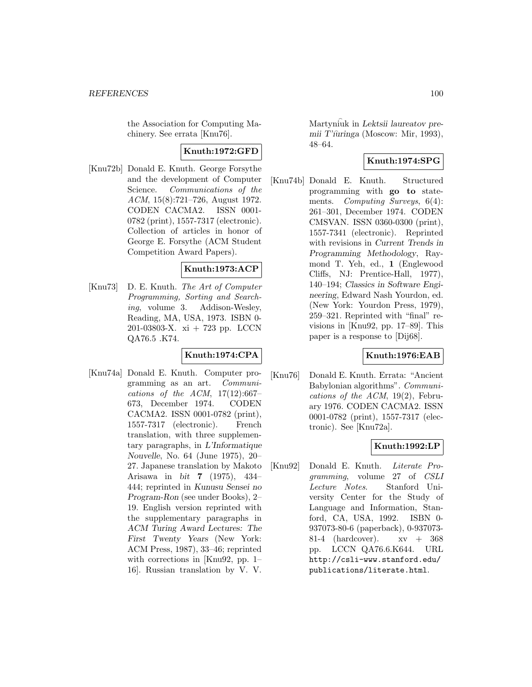the Association for Computing Machinery. See errata [Knu76].

### **Knuth:1972:GFD**

[Knu72b] Donald E. Knuth. George Forsythe and the development of Computer Science. Communications of the ACM, 15(8):721–726, August 1972. CODEN CACMA2. ISSN 0001- 0782 (print), 1557-7317 (electronic). Collection of articles in honor of George E. Forsythe (ACM Student Competition Award Papers).

### **Knuth:1973:ACP**

[Knu73] D. E. Knuth. The Art of Computer Programming, Sorting and Searching, volume 3. Addison-Wesley, Reading, MA, USA, 1973. ISBN 0- 201-03803-X. xi + 723 pp. LCCN QA76.5 .K74.

# **Knuth:1974:CPA**

[Knu74a] Donald E. Knuth. Computer programming as an art. Communications of the ACM,  $17(12):667-$ 673, December 1974. CODEN CACMA2. ISSN 0001-0782 (print), 1557-7317 (electronic). French translation, with three supplementary paragraphs, in *L'Informatique Nouvelle*, No. 64 (June 1975), 20– 27. Japanese translation by Makoto Arisawa in *bit* **7** (1975), 434– 444; reprinted in *Kunusu Sensei no Program-Ron* (see under Books), 2– 19. English version reprinted with the supplementary paragraphs in *ACM Turing Award Lectures: The First Twenty Years* (New York: ACM Press, 1987), 33–46; reprinted with corrections in [Knu92, pp. 1– 16]. Russian translation by V. V.

Martyn iuk in *Lektsii laureatov premii T'ıuringa* (Moscow: Mir, 1993), 48–64.

## **Knuth:1974:SPG**

[Knu74b] Donald E. Knuth. Structured programming with **go to** statements. Computing Surveys, 6(4): 261–301, December 1974. CODEN CMSVAN. ISSN 0360-0300 (print), 1557-7341 (electronic). Reprinted with revisions in *Current Trends in Programming Methodology*, Raymond T. Yeh, ed., **1** (Englewood Cliffs, NJ: Prentice-Hall, 1977), 140–194; *Classics in Software Engineering*, Edward Nash Yourdon, ed. (New York: Yourdon Press, 1979), 259–321. Reprinted with "final" revisions in [Knu92, pp. 17–89]. This paper is a response to [Dij68].

### **Knuth:1976:EAB**

[Knu76] Donald E. Knuth. Errata: "Ancient Babylonian algorithms". Communications of the ACM, 19(2), February 1976. CODEN CACMA2. ISSN 0001-0782 (print), 1557-7317 (electronic). See [Knu72a].

## **Knuth:1992:LP**

[Knu92] Donald E. Knuth. Literate Programming, volume 27 of CSLI Lecture Notes. Stanford University Center for the Study of Language and Information, Stanford, CA, USA, 1992. ISBN 0- 937073-80-6 (paperback), 0-937073- 81-4 (hardcover).  $xy + 368$ pp. LCCN QA76.6.K644. URL http://csli-www.stanford.edu/ publications/literate.html.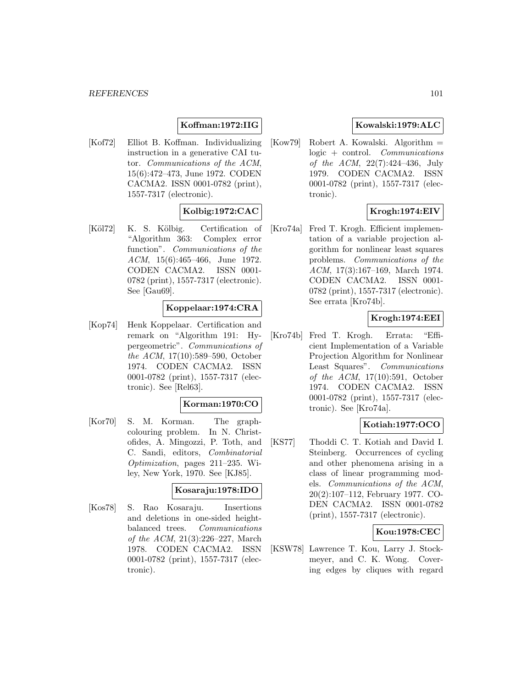## **Koffman:1972:IIG**

[Kof72] Elliot B. Koffman. Individualizing instruction in a generative CAI tutor. Communications of the ACM, 15(6):472–473, June 1972. CODEN CACMA2. ISSN 0001-0782 (print), 1557-7317 (electronic).

### **Kolbig:1972:CAC**

[Köl72] K. S. Kölbig. Certification of "Algorithm 363: Complex error function". Communications of the ACM, 15(6):465–466, June 1972. CODEN CACMA2. ISSN 0001- 0782 (print), 1557-7317 (electronic). See [Gau69].

### **Koppelaar:1974:CRA**

[Kop74] Henk Koppelaar. Certification and remark on "Algorithm 191: Hypergeometric". Communications of the ACM, 17(10):589–590, October 1974. CODEN CACMA2. ISSN 0001-0782 (print), 1557-7317 (electronic). See [Rel63].

#### **Korman:1970:CO**

[Kor70] S. M. Korman. The graphcolouring problem. In N. Christofides, A. Mingozzi, P. Toth, and C. Sandi, editors, Combinatorial Optimization, pages 211–235. Wiley, New York, 1970. See [KJ85].

## **Kosaraju:1978:IDO**

[Kos78] S. Rao Kosaraju. Insertions and deletions in one-sided heightbalanced trees. Communications of the ACM, 21(3):226–227, March 1978. CODEN CACMA2. ISSN 0001-0782 (print), 1557-7317 (electronic).

### **Kowalski:1979:ALC**

[Kow79] Robert A. Kowalski. Algorithm = logic + control. Communications of the ACM, 22(7):424–436, July 1979. CODEN CACMA2. ISSN 0001-0782 (print), 1557-7317 (electronic).

### **Krogh:1974:EIV**

[Kro74a] Fred T. Krogh. Efficient implementation of a variable projection algorithm for nonlinear least squares problems. Communications of the ACM, 17(3):167–169, March 1974. CODEN CACMA2. ISSN 0001- 0782 (print), 1557-7317 (electronic). See errata [Kro74b].

### **Krogh:1974:EEI**

[Kro74b] Fred T. Krogh. Errata: "Efficient Implementation of a Variable Projection Algorithm for Nonlinear Least Squares". Communications of the ACM, 17(10):591, October 1974. CODEN CACMA2. ISSN 0001-0782 (print), 1557-7317 (electronic). See [Kro74a].

## **Kotiah:1977:OCO**

[KS77] Thoddi C. T. Kotiah and David I. Steinberg. Occurrences of cycling and other phenomena arising in a class of linear programming models. Communications of the ACM, 20(2):107–112, February 1977. CO-DEN CACMA2. ISSN 0001-0782 (print), 1557-7317 (electronic).

### **Kou:1978:CEC**

[KSW78] Lawrence T. Kou, Larry J. Stockmeyer, and C. K. Wong. Covering edges by cliques with regard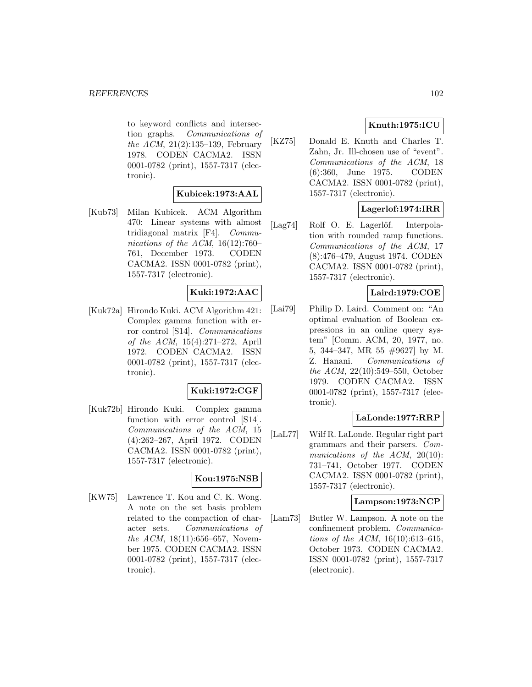to keyword conflicts and intersection graphs. Communications of the ACM, 21(2):135–139, February 1978. CODEN CACMA2. ISSN 0001-0782 (print), 1557-7317 (electronic).

### **Kubicek:1973:AAL**

[Kub73] Milan Kubicek. ACM Algorithm 470: Linear systems with almost tridiagonal matrix [F4]. Communications of the ACM,  $16(12):760-$ 761, December 1973. CODEN CACMA2. ISSN 0001-0782 (print), 1557-7317 (electronic).

## **Kuki:1972:AAC**

[Kuk72a] Hirondo Kuki. ACM Algorithm 421: Complex gamma function with error control [S14]. Communications of the ACM, 15(4):271–272, April 1972. CODEN CACMA2. ISSN 0001-0782 (print), 1557-7317 (electronic).

### **Kuki:1972:CGF**

[Kuk72b] Hirondo Kuki. Complex gamma function with error control [S14]. Communications of the ACM, 15 (4):262–267, April 1972. CODEN CACMA2. ISSN 0001-0782 (print), 1557-7317 (electronic).

### **Kou:1975:NSB**

[KW75] Lawrence T. Kou and C. K. Wong. A note on the set basis problem related to the compaction of character sets. Communications of the ACM, 18(11):656–657, November 1975. CODEN CACMA2. ISSN 0001-0782 (print), 1557-7317 (electronic).

## **Knuth:1975:ICU**

[KZ75] Donald E. Knuth and Charles T. Zahn, Jr. Ill-chosen use of "event". Communications of the ACM, 18 (6):360, June 1975. CODEN CACMA2. ISSN 0001-0782 (print), 1557-7317 (electronic).

### **Lagerlof:1974:IRR**

[Lag74] Rolf O. E. Lagerlöf. Interpolation with rounded ramp functions. Communications of the ACM, 17 (8):476–479, August 1974. CODEN CACMA2. ISSN 0001-0782 (print), 1557-7317 (electronic).

### **Laird:1979:COE**

[Lai79] Philip D. Laird. Comment on: "An optimal evaluation of Boolean expressions in an online query system" [Comm. ACM, 20, 1977, no. 5, 344–347, MR 55 #9627] by M. Z. Hanani. Communications of the ACM, 22(10):549–550, October 1979. CODEN CACMA2. ISSN 0001-0782 (print), 1557-7317 (electronic).

### **LaLonde:1977:RRP**

[LaL77] Wilf R. LaLonde. Regular right part grammars and their parsers. Communications of the ACM, 20(10): 731–741, October 1977. CODEN CACMA2. ISSN 0001-0782 (print), 1557-7317 (electronic).

#### **Lampson:1973:NCP**

[Lam73] Butler W. Lampson. A note on the confinement problem. Communications of the ACM, 16(10):613–615, October 1973. CODEN CACMA2. ISSN 0001-0782 (print), 1557-7317 (electronic).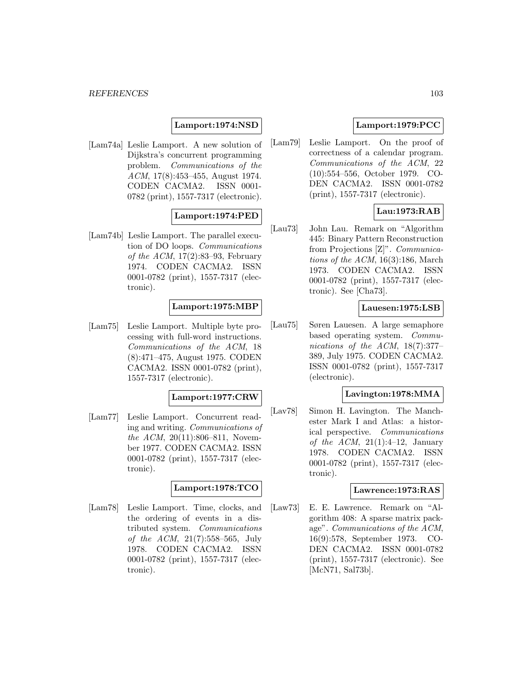### **Lamport:1974:NSD**

[Lam74a] Leslie Lamport. A new solution of Dijkstra's concurrent programming problem. Communications of the ACM, 17(8):453–455, August 1974. CODEN CACMA2. ISSN 0001- 0782 (print), 1557-7317 (electronic).

## **Lamport:1974:PED**

[Lam74b] Leslie Lamport. The parallel execution of DO loops. Communications of the ACM,  $17(2):83-93$ , February 1974. CODEN CACMA2. ISSN 0001-0782 (print), 1557-7317 (electronic).

#### **Lamport:1975:MBP**

[Lam75] Leslie Lamport. Multiple byte processing with full-word instructions. Communications of the ACM, 18 (8):471–475, August 1975. CODEN CACMA2. ISSN 0001-0782 (print), 1557-7317 (electronic).

#### **Lamport:1977:CRW**

[Lam77] Leslie Lamport. Concurrent reading and writing. Communications of the ACM, 20(11):806–811, November 1977. CODEN CACMA2. ISSN 0001-0782 (print), 1557-7317 (electronic).

#### **Lamport:1978:TCO**

[Lam78] Leslie Lamport. Time, clocks, and the ordering of events in a distributed system. Communications of the ACM, 21(7):558–565, July 1978. CODEN CACMA2. ISSN 0001-0782 (print), 1557-7317 (electronic).

## **Lamport:1979:PCC**

[Lam79] Leslie Lamport. On the proof of correctness of a calendar program. Communications of the ACM, 22 (10):554–556, October 1979. CO-DEN CACMA2. ISSN 0001-0782 (print), 1557-7317 (electronic).

## **Lau:1973:RAB**

[Lau73] John Lau. Remark on "Algorithm 445: Binary Pattern Reconstruction from Projections [Z]". Communications of the ACM,  $16(3):186$ , March 1973. CODEN CACMA2. ISSN 0001-0782 (print), 1557-7317 (electronic). See [Cha73].

### **Lauesen:1975:LSB**

[Lau75] Søren Lauesen. A large semaphore based operating system. Communications of the ACM, 18(7):377– 389, July 1975. CODEN CACMA2. ISSN 0001-0782 (print), 1557-7317 (electronic).

### **Lavington:1978:MMA**

[Lav78] Simon H. Lavington. The Manchester Mark I and Atlas: a historical perspective. Communications of the ACM,  $21(1):4-12$ , January 1978. CODEN CACMA2. ISSN 0001-0782 (print), 1557-7317 (electronic).

#### **Lawrence:1973:RAS**

[Law73] E. E. Lawrence. Remark on "Algorithm 408: A sparse matrix package". Communications of the ACM, 16(9):578, September 1973. CO-DEN CACMA2. ISSN 0001-0782 (print), 1557-7317 (electronic). See [McN71, Sal73b].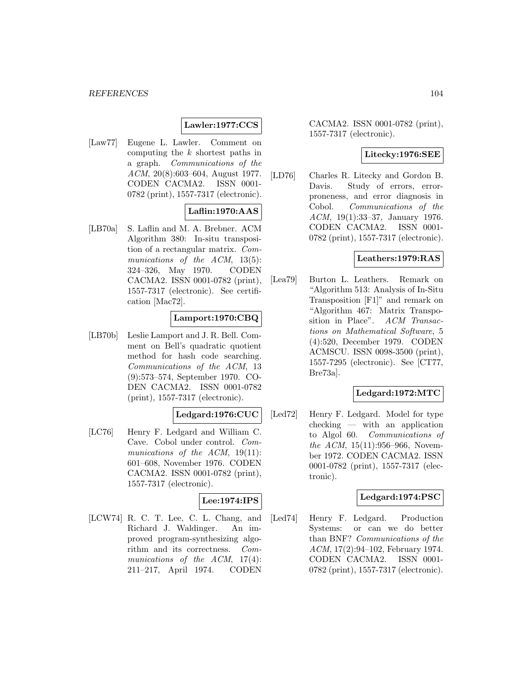### **Lawler:1977:CCS**

[Law77] Eugene L. Lawler. Comment on computing the k shortest paths in a graph. Communications of the ACM, 20(8):603–604, August 1977. CODEN CACMA2. ISSN 0001- 0782 (print), 1557-7317 (electronic).

## **Laflin:1970:AAS**

[LB70a] S. Laflin and M. A. Brebner. ACM Algorithm 380: In-situ transposition of a rectangular matrix. Communications of the ACM, 13(5): 324–326, May 1970. CODEN CACMA2. ISSN 0001-0782 (print), 1557-7317 (electronic). See certification [Mac72].

### **Lamport:1970:CBQ**

[LB70b] Leslie Lamport and J. R. Bell. Comment on Bell's quadratic quotient method for hash code searching. Communications of the ACM, 13 (9):573–574, September 1970. CO-DEN CACMA2. ISSN 0001-0782 (print), 1557-7317 (electronic).

# **Ledgard:1976:CUC**

[LC76] Henry F. Ledgard and William C. Cave. Cobol under control. Communications of the ACM, 19(11): 601–608, November 1976. CODEN CACMA2. ISSN 0001-0782 (print), 1557-7317 (electronic).

# **Lee:1974:IPS**

[LCW74] R. C. T. Lee, C. L. Chang, and Richard J. Waldinger. An improved program-synthesizing algorithm and its correctness. Communications of the ACM, 17(4): 211–217, April 1974. CODEN

CACMA2. ISSN 0001-0782 (print), 1557-7317 (electronic).

#### **Litecky:1976:SEE**

[LD76] Charles R. Litecky and Gordon B. Davis. Study of errors, errorproneness, and error diagnosis in Cobol. Communications of the ACM, 19(1):33–37, January 1976. CODEN CACMA2. ISSN 0001- 0782 (print), 1557-7317 (electronic).

### **Leathers:1979:RAS**

[Lea79] Burton L. Leathers. Remark on "Algorithm 513: Analysis of In-Situ Transposition [F1]" and remark on "Algorithm 467: Matrix Transposition in Place". ACM Transactions on Mathematical Software, 5 (4):520, December 1979. CODEN ACMSCU. ISSN 0098-3500 (print), 1557-7295 (electronic). See [CT77, Bre73a].

### **Ledgard:1972:MTC**

[Led72] Henry F. Ledgard. Model for type checking — with an application to Algol 60. Communications of the ACM, 15(11):956–966, November 1972. CODEN CACMA2. ISSN 0001-0782 (print), 1557-7317 (electronic).

### **Ledgard:1974:PSC**

[Led74] Henry F. Ledgard. Production Systems: or can we do better than BNF? Communications of the ACM, 17(2):94–102, February 1974. CODEN CACMA2. ISSN 0001- 0782 (print), 1557-7317 (electronic).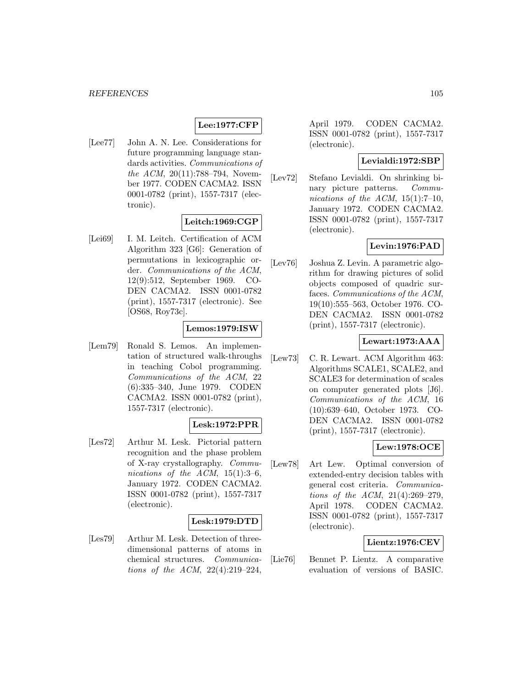# **Lee:1977:CFP**

[Lee77] John A. N. Lee. Considerations for future programming language standards activities. Communications of the ACM,  $20(11)$ :788–794, November 1977. CODEN CACMA2. ISSN 0001-0782 (print), 1557-7317 (electronic).

## **Leitch:1969:CGP**

[Lei69] I. M. Leitch. Certification of ACM Algorithm 323 [G6]: Generation of permutations in lexicographic order. Communications of the ACM, 12(9):512, September 1969. CO-DEN CACMA2. ISSN 0001-0782 (print), 1557-7317 (electronic). See [OS68, Roy73c].

# **Lemos:1979:ISW**

[Lem79] Ronald S. Lemos. An implementation of structured walk-throughs in teaching Cobol programming. Communications of the ACM, 22 (6):335–340, June 1979. CODEN CACMA2. ISSN 0001-0782 (print), 1557-7317 (electronic).

### **Lesk:1972:PPR**

[Les72] Arthur M. Lesk. Pictorial pattern recognition and the phase problem of X-ray crystallography. Communications of the ACM,  $15(1):3-6$ , January 1972. CODEN CACMA2. ISSN 0001-0782 (print), 1557-7317 (electronic).

### **Lesk:1979:DTD**

[Les79] Arthur M. Lesk. Detection of threedimensional patterns of atoms in chemical structures. Communications of the ACM, 22(4):219–224,

April 1979. CODEN CACMA2. ISSN 0001-0782 (print), 1557-7317 (electronic).

### **Levialdi:1972:SBP**

[Lev72] Stefano Levialdi. On shrinking binary picture patterns. Communications of the ACM,  $15(1):7-10$ , January 1972. CODEN CACMA2. ISSN 0001-0782 (print), 1557-7317 (electronic).

## **Levin:1976:PAD**

[Lev76] Joshua Z. Levin. A parametric algorithm for drawing pictures of solid objects composed of quadric surfaces. Communications of the ACM, 19(10):555–563, October 1976. CO-DEN CACMA2. ISSN 0001-0782 (print), 1557-7317 (electronic).

### **Lewart:1973:AAA**

[Lew73] C. R. Lewart. ACM Algorithm 463: Algorithms SCALE1, SCALE2, and SCALE3 for determination of scales on computer generated plots [J6]. Communications of the ACM, 16 (10):639–640, October 1973. CO-DEN CACMA2. ISSN 0001-0782 (print), 1557-7317 (electronic).

### **Lew:1978:OCE**

[Lew78] Art Lew. Optimal conversion of extended-entry decision tables with general cost criteria. Communications of the ACM, 21(4):269–279, April 1978. CODEN CACMA2. ISSN 0001-0782 (print), 1557-7317 (electronic).

### **Lientz:1976:CEV**

[Lie76] Bennet P. Lientz. A comparative evaluation of versions of BASIC.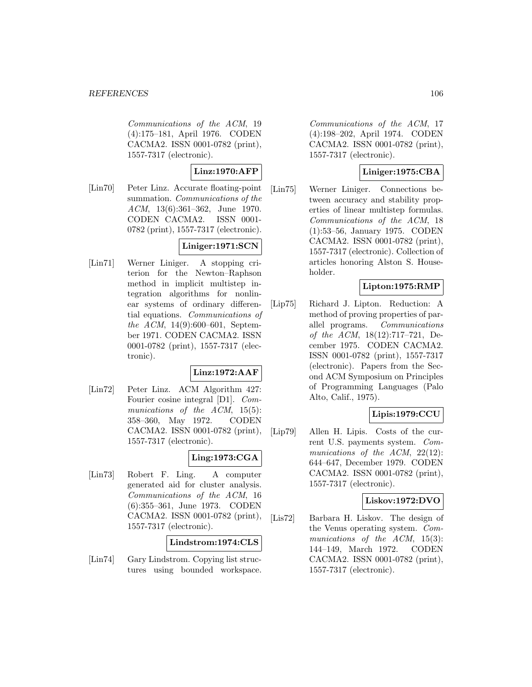Communications of the ACM, 19 (4):175–181, April 1976. CODEN CACMA2. ISSN 0001-0782 (print), 1557-7317 (electronic).

## **Linz:1970:AFP**

[Lin70] Peter Linz. Accurate floating-point summation. *Communications* of the ACM, 13(6):361–362, June 1970. CODEN CACMA2. ISSN 0001- 0782 (print), 1557-7317 (electronic).

# **Liniger:1971:SCN**

[Lin71] Werner Liniger. A stopping criterion for the Newton–Raphson method in implicit multistep integration algorithms for nonlinear systems of ordinary differential equations. Communications of the ACM, 14(9):600–601, September 1971. CODEN CACMA2. ISSN 0001-0782 (print), 1557-7317 (electronic).

## **Linz:1972:AAF**

[Lin72] Peter Linz. ACM Algorithm 427: Fourier cosine integral [D1]. Communications of the ACM, 15(5): 358–360, May 1972. CODEN CACMA2. ISSN 0001-0782 (print), 1557-7317 (electronic).

### **Ling:1973:CGA**

[Lin73] Robert F. Ling. A computer generated aid for cluster analysis. Communications of the ACM, 16 (6):355–361, June 1973. CODEN CACMA2. ISSN 0001-0782 (print), 1557-7317 (electronic).

### **Lindstrom:1974:CLS**

[Lin74] Gary Lindstrom. Copying list structures using bounded workspace.

Communications of the ACM, 17 (4):198–202, April 1974. CODEN CACMA2. ISSN 0001-0782 (print), 1557-7317 (electronic).

# **Liniger:1975:CBA**

[Lin75] Werner Liniger. Connections between accuracy and stability properties of linear multistep formulas. Communications of the ACM, 18 (1):53–56, January 1975. CODEN CACMA2. ISSN 0001-0782 (print), 1557-7317 (electronic). Collection of articles honoring Alston S. Householder.

## **Lipton:1975:RMP**

[Lip75] Richard J. Lipton. Reduction: A method of proving properties of parallel programs. Communications of the ACM, 18(12):717–721, December 1975. CODEN CACMA2. ISSN 0001-0782 (print), 1557-7317 (electronic). Papers from the Second ACM Symposium on Principles of Programming Languages (Palo Alto, Calif., 1975).

## **Lipis:1979:CCU**

[Lip79] Allen H. Lipis. Costs of the current U.S. payments system. Communications of the ACM, 22(12): 644–647, December 1979. CODEN CACMA2. ISSN 0001-0782 (print), 1557-7317 (electronic).

### **Liskov:1972:DVO**

[Lis72] Barbara H. Liskov. The design of the Venus operating system. Communications of the ACM, 15(3): 144–149, March 1972. CODEN CACMA2. ISSN 0001-0782 (print), 1557-7317 (electronic).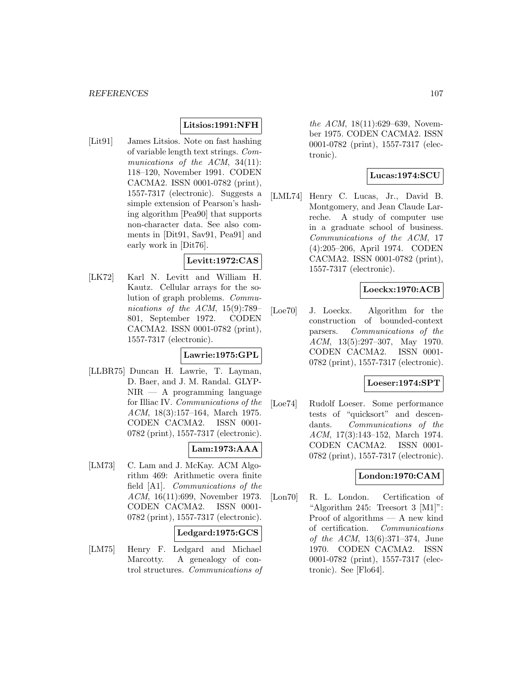## **Litsios:1991:NFH**

[Lit91] James Litsios. Note on fast hashing of variable length text strings. Communications of the ACM, 34(11): 118–120, November 1991. CODEN CACMA2. ISSN 0001-0782 (print), 1557-7317 (electronic). Suggests a simple extension of Pearson's hashing algorithm [Pea90] that supports non-character data. See also comments in [Dit91, Sav91, Pea91] and early work in [Dit76].

### **Levitt:1972:CAS**

[LK72] Karl N. Levitt and William H. Kautz. Cellular arrays for the solution of graph problems. Communications of the ACM, 15(9):789– 801, September 1972. CODEN CACMA2. ISSN 0001-0782 (print), 1557-7317 (electronic).

#### **Lawrie:1975:GPL**

[LLBR75] Duncan H. Lawrie, T. Layman, D. Baer, and J. M. Randal. GLYP- $NIR - A$  programming language for Illiac IV. Communications of the ACM, 18(3):157–164, March 1975. CODEN CACMA2. ISSN 0001- 0782 (print), 1557-7317 (electronic).

### **Lam:1973:AAA**

[LM73] C. Lam and J. McKay. ACM Algorithm 469: Arithmetic overa finite field [A1]. Communications of the ACM, 16(11):699, November 1973. CODEN CACMA2. ISSN 0001- 0782 (print), 1557-7317 (electronic).

#### **Ledgard:1975:GCS**

[LM75] Henry F. Ledgard and Michael Marcotty. A genealogy of control structures. Communications of

the ACM, 18(11):629–639, November 1975. CODEN CACMA2. ISSN 0001-0782 (print), 1557-7317 (electronic).

### **Lucas:1974:SCU**

[LML74] Henry C. Lucas, Jr., David B. Montgomery, and Jean Claude Larreche. A study of computer use in a graduate school of business. Communications of the ACM, 17 (4):205–206, April 1974. CODEN CACMA2. ISSN 0001-0782 (print), 1557-7317 (electronic).

### **Loeckx:1970:ACB**

[Loe70] J. Loeckx. Algorithm for the construction of bounded-context parsers. Communications of the ACM, 13(5):297–307, May 1970. CODEN CACMA2. ISSN 0001- 0782 (print), 1557-7317 (electronic).

#### **Loeser:1974:SPT**

[Loe74] Rudolf Loeser. Some performance tests of "quicksort" and descendants. Communications of the ACM, 17(3):143–152, March 1974. CODEN CACMA2. ISSN 0001- 0782 (print), 1557-7317 (electronic).

### **London:1970:CAM**

[Lon70] R. L. London. Certification of "Algorithm 245: Treesort 3 [M1]": Proof of algorithms — A new kind of certification. Communications of the ACM, 13(6):371–374, June 1970. CODEN CACMA2. ISSN 0001-0782 (print), 1557-7317 (electronic). See [Flo64].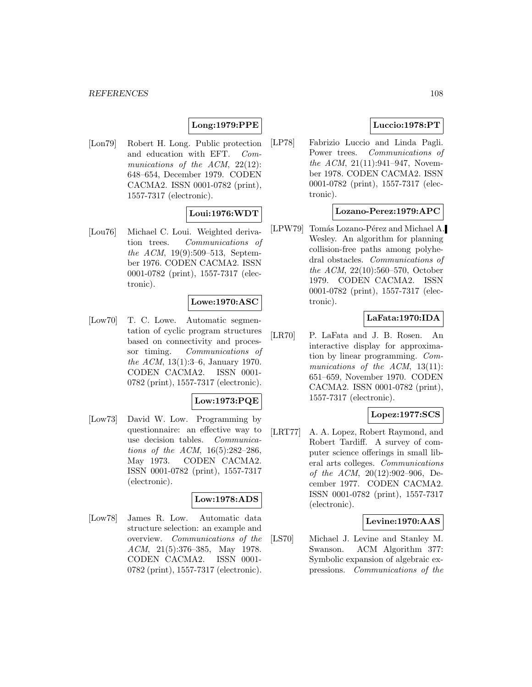# **Long:1979:PPE**

[Lon79] Robert H. Long. Public protection and education with EFT. Communications of the ACM, 22(12): 648–654, December 1979. CODEN CACMA2. ISSN 0001-0782 (print), 1557-7317 (electronic).

## **Loui:1976:WDT**

[Lou76] Michael C. Loui. Weighted derivation trees. Communications of the ACM, 19(9):509–513, September 1976. CODEN CACMA2. ISSN 0001-0782 (print), 1557-7317 (electronic).

#### **Lowe:1970:ASC**

[Low70] T. C. Lowe. Automatic segmentation of cyclic program structures based on connectivity and processor timing. Communications of the ACM, 13(1):3–6, January 1970. CODEN CACMA2. ISSN 0001- 0782 (print), 1557-7317 (electronic).

## **Low:1973:PQE**

[Low73] David W. Low. Programming by questionnaire: an effective way to use decision tables. Communications of the ACM, 16(5):282–286, May 1973. CODEN CACMA2. ISSN 0001-0782 (print), 1557-7317 (electronic).

## **Low:1978:ADS**

[Low78] James R. Low. Automatic data structure selection: an example and overview. Communications of the ACM, 21(5):376–385, May 1978. CODEN CACMA2. ISSN 0001- 0782 (print), 1557-7317 (electronic).

### **Luccio:1978:PT**

[LP78] Fabrizio Luccio and Linda Pagli. Power trees. Communications of the ACM, 21(11):941–947, November 1978. CODEN CACMA2. ISSN 0001-0782 (print), 1557-7317 (electronic).

### **Lozano-Perez:1979:APC**

[LPW79] Tomás Lozano-Pérez and Michael A. Wesley. An algorithm for planning collision-free paths among polyhedral obstacles. Communications of the ACM, 22(10):560–570, October 1979. CODEN CACMA2. ISSN 0001-0782 (print), 1557-7317 (electronic).

### **LaFata:1970:IDA**

[LR70] P. LaFata and J. B. Rosen. An interactive display for approximation by linear programming. Communications of the ACM, 13(11): 651–659, November 1970. CODEN CACMA2. ISSN 0001-0782 (print), 1557-7317 (electronic).

# **Lopez:1977:SCS**

[LRT77] A. A. Lopez, Robert Raymond, and Robert Tardiff. A survey of computer science offerings in small liberal arts colleges. Communications of the ACM,  $20(12):902-906$ , December 1977. CODEN CACMA2. ISSN 0001-0782 (print), 1557-7317 (electronic).

#### **Levine:1970:AAS**

[LS70] Michael J. Levine and Stanley M. Swanson. ACM Algorithm 377: Symbolic expansion of algebraic expressions. Communications of the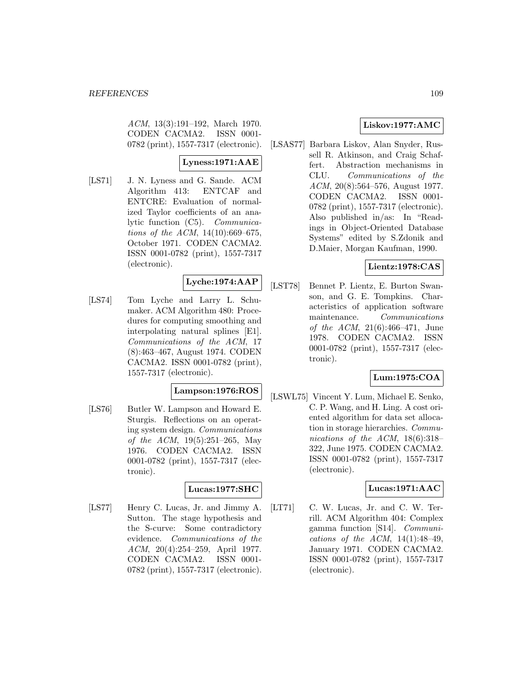ACM, 13(3):191–192, March 1970. CODEN CACMA2. ISSN 0001- 0782 (print), 1557-7317 (electronic).

# **Lyness:1971:AAE**

[LS71] J. N. Lyness and G. Sande. ACM Algorithm 413: ENTCAF and ENTCRE: Evaluation of normalized Taylor coefficients of an analytic function (C5). Communications of the ACM, 14(10):669–675, October 1971. CODEN CACMA2. ISSN 0001-0782 (print), 1557-7317 (electronic).

# **Lyche:1974:AAP**

[LS74] Tom Lyche and Larry L. Schumaker. ACM Algorithm 480: Procedures for computing smoothing and interpolating natural splines [E1]. Communications of the ACM, 17 (8):463–467, August 1974. CODEN CACMA2. ISSN 0001-0782 (print), 1557-7317 (electronic).

# **Lampson:1976:ROS**

[LS76] Butler W. Lampson and Howard E. Sturgis. Reflections on an operating system design. Communications of the ACM, 19(5):251–265, May 1976. CODEN CACMA2. ISSN 0001-0782 (print), 1557-7317 (electronic).

#### **Lucas:1977:SHC**

[LS77] Henry C. Lucas, Jr. and Jimmy A. Sutton. The stage hypothesis and the S-curve: Some contradictory evidence. Communications of the ACM, 20(4):254–259, April 1977. CODEN CACMA2. ISSN 0001- 0782 (print), 1557-7317 (electronic).

# **Liskov:1977:AMC**

[LSAS77] Barbara Liskov, Alan Snyder, Russell R. Atkinson, and Craig Schaffert. Abstraction mechanisms in CLU. Communications of the ACM, 20(8):564–576, August 1977. CODEN CACMA2. ISSN 0001- 0782 (print), 1557-7317 (electronic). Also published in/as: In "Readings in Object-Oriented Database Systems" edited by S.Zdonik and D.Maier, Morgan Kaufman, 1990.

## **Lientz:1978:CAS**

[LST78] Bennet P. Lientz, E. Burton Swanson, and G. E. Tompkins. Characteristics of application software maintenance. Communications of the ACM, 21(6):466–471, June 1978. CODEN CACMA2. ISSN 0001-0782 (print), 1557-7317 (electronic).

## **Lum:1975:COA**

[LSWL75] Vincent Y. Lum, Michael E. Senko, C. P. Wang, and H. Ling. A cost oriented algorithm for data set allocation in storage hierarchies. Communications of the ACM, 18(6):318– 322, June 1975. CODEN CACMA2. ISSN 0001-0782 (print), 1557-7317 (electronic).

## **Lucas:1971:AAC**

[LT71] C. W. Lucas, Jr. and C. W. Terrill. ACM Algorithm 404: Complex gamma function [S14]. Communications of the ACM,  $14(1):48-49$ , January 1971. CODEN CACMA2. ISSN 0001-0782 (print), 1557-7317 (electronic).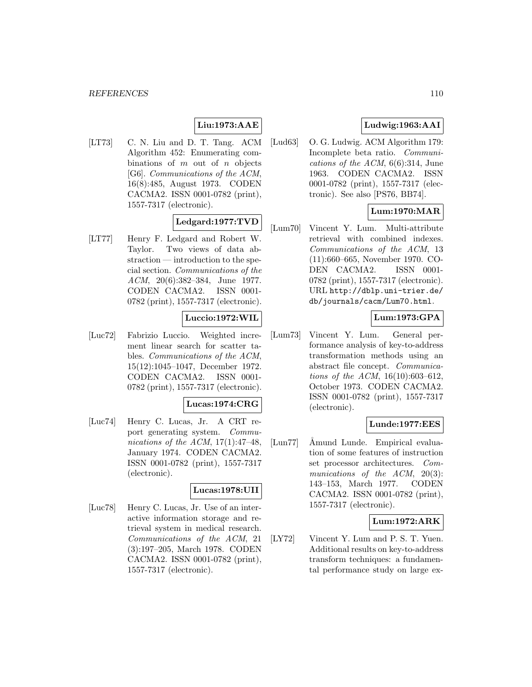#### *REFERENCES* 110

# **Liu:1973:AAE**

[LT73] C. N. Liu and D. T. Tang. ACM Algorithm 452: Enumerating combinations of  $m$  out of  $n$  objects [G6]. Communications of the ACM, 16(8):485, August 1973. CODEN CACMA2. ISSN 0001-0782 (print), 1557-7317 (electronic).

# **Ledgard:1977:TVD**

[LT77] Henry F. Ledgard and Robert W. Taylor. Two views of data abstraction — introduction to the special section. Communications of the ACM, 20(6):382–384, June 1977. CODEN CACMA2. ISSN 0001- 0782 (print), 1557-7317 (electronic).

## **Luccio:1972:WIL**

[Luc72] Fabrizio Luccio. Weighted increment linear search for scatter tables. Communications of the ACM, 15(12):1045–1047, December 1972. CODEN CACMA2. ISSN 0001- 0782 (print), 1557-7317 (electronic).

## **Lucas:1974:CRG**

[Luc74] Henry C. Lucas, Jr. A CRT report generating system. Communications of the ACM,  $17(1):47-48$ , January 1974. CODEN CACMA2. ISSN 0001-0782 (print), 1557-7317 (electronic).

## **Lucas:1978:UII**

[Luc78] Henry C. Lucas, Jr. Use of an interactive information storage and retrieval system in medical research. Communications of the ACM, 21 (3):197–205, March 1978. CODEN CACMA2. ISSN 0001-0782 (print), 1557-7317 (electronic).

# **Ludwig:1963:AAI**

[Lud63] O. G. Ludwig. ACM Algorithm 179: Incomplete beta ratio. Communications of the ACM,  $6(6):314$ , June 1963. CODEN CACMA2. ISSN 0001-0782 (print), 1557-7317 (electronic). See also [PS76, BB74].

## **Lum:1970:MAR**

[Lum70] Vincent Y. Lum. Multi-attribute retrieval with combined indexes. Communications of the ACM, 13 (11):660–665, November 1970. CO-DEN CACMA2. ISSN 0001- 0782 (print), 1557-7317 (electronic). URL http://dblp.uni-trier.de/ db/journals/cacm/Lum70.html.

# **Lum:1973:GPA**

[Lum73] Vincent Y. Lum. General performance analysis of key-to-address transformation methods using an abstract file concept. Communications of the ACM, 16(10):603–612, October 1973. CODEN CACMA2. ISSN 0001-0782 (print), 1557-7317 (electronic).

## **Lunde:1977:EES**

[Lun77] Åmund Lunde. Empirical evaluation of some features of instruction set processor architectures. Communications of the ACM, 20(3): 143–153, March 1977. CODEN CACMA2. ISSN 0001-0782 (print), 1557-7317 (electronic).

#### **Lum:1972:ARK**

[LY72] Vincent Y. Lum and P. S. T. Yuen. Additional results on key-to-address transform techniques: a fundamental performance study on large ex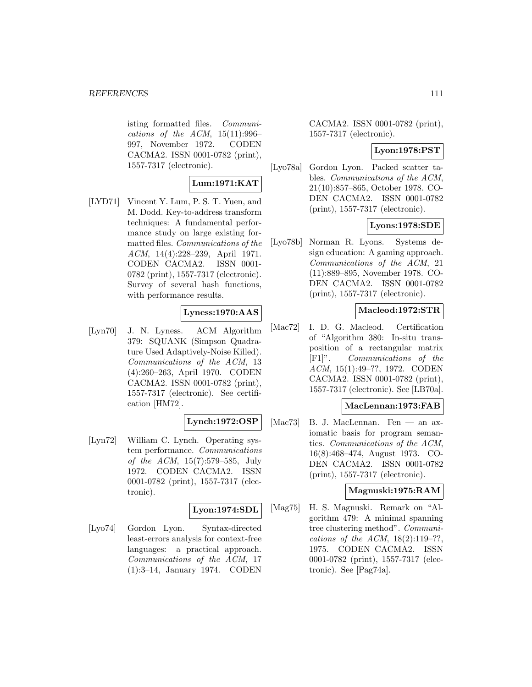isting formatted files. Communications of the ACM,  $15(11):996-$ 997, November 1972. CODEN CACMA2. ISSN 0001-0782 (print), 1557-7317 (electronic).

#### **Lum:1971:KAT**

[LYD71] Vincent Y. Lum, P. S. T. Yuen, and M. Dodd. Key-to-address transform techniques: A fundamental performance study on large existing formatted files. Communications of the ACM, 14(4):228–239, April 1971. CODEN CACMA2. ISSN 0001- 0782 (print), 1557-7317 (electronic). Survey of several hash functions, with performance results.

## **Lyness:1970:AAS**

[Lyn70] J. N. Lyness. ACM Algorithm 379: SQUANK (Simpson Quadrature Used Adaptively-Noise Killed). Communications of the ACM, 13 (4):260–263, April 1970. CODEN CACMA2. ISSN 0001-0782 (print), 1557-7317 (electronic). See certification [HM72].

#### **Lynch:1972:OSP**

[Lyn72] William C. Lynch. Operating system performance. Communications of the ACM, 15(7):579–585, July 1972. CODEN CACMA2. ISSN 0001-0782 (print), 1557-7317 (electronic).

## **Lyon:1974:SDL**

[Lyo74] Gordon Lyon. Syntax-directed least-errors analysis for context-free languages: a practical approach. Communications of the ACM, 17 (1):3–14, January 1974. CODEN

CACMA2. ISSN 0001-0782 (print), 1557-7317 (electronic).

## **Lyon:1978:PST**

[Lyo78a] Gordon Lyon. Packed scatter tables. Communications of the ACM, 21(10):857–865, October 1978. CO-DEN CACMA2. ISSN 0001-0782 (print), 1557-7317 (electronic).

## **Lyons:1978:SDE**

[Lyo78b] Norman R. Lyons. Systems design education: A gaming approach. Communications of the ACM, 21 (11):889–895, November 1978. CO-DEN CACMA2. ISSN 0001-0782 (print), 1557-7317 (electronic).

#### **Macleod:1972:STR**

[Mac72] I. D. G. Macleod. Certification of "Algorithm 380: In-situ transposition of a rectangular matrix [F1]". Communications of the ACM, 15(1):49–??, 1972. CODEN CACMA2. ISSN 0001-0782 (print), 1557-7317 (electronic). See [LB70a].

### **MacLennan:1973:FAB**

[Mac73] B. J. MacLennan. Fen — an axiomatic basis for program semantics. Communications of the ACM, 16(8):468–474, August 1973. CO-DEN CACMA2. ISSN 0001-0782 (print), 1557-7317 (electronic).

### **Magnuski:1975:RAM**

[Mag75] H. S. Magnuski. Remark on "Algorithm 479: A minimal spanning tree clustering method". Communications of the ACM,  $18(2):119-??$ , 1975. CODEN CACMA2. ISSN 0001-0782 (print), 1557-7317 (electronic). See [Pag74a].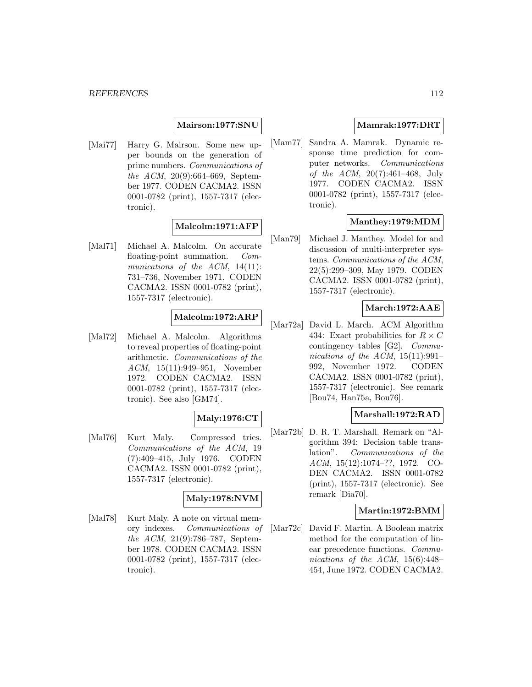### **Mairson:1977:SNU**

[Mai77] Harry G. Mairson. Some new upper bounds on the generation of prime numbers. Communications of the ACM, 20(9):664–669, September 1977. CODEN CACMA2. ISSN 0001-0782 (print), 1557-7317 (electronic).

## **Malcolm:1971:AFP**

[Mal71] Michael A. Malcolm. On accurate floating-point summation. Communications of the ACM, 14(11): 731–736, November 1971. CODEN CACMA2. ISSN 0001-0782 (print), 1557-7317 (electronic).

## **Malcolm:1972:ARP**

[Mal72] Michael A. Malcolm. Algorithms to reveal properties of floating-point arithmetic. Communications of the ACM, 15(11):949–951, November 1972. CODEN CACMA2. ISSN 0001-0782 (print), 1557-7317 (electronic). See also [GM74].

## **Maly:1976:CT**

[Mal76] Kurt Maly. Compressed tries. Communications of the ACM, 19 (7):409–415, July 1976. CODEN CACMA2. ISSN 0001-0782 (print), 1557-7317 (electronic).

## **Maly:1978:NVM**

[Mal78] Kurt Maly. A note on virtual memory indexes. Communications of the ACM, 21(9):786–787, September 1978. CODEN CACMA2. ISSN 0001-0782 (print), 1557-7317 (electronic).

### **Mamrak:1977:DRT**

[Mam77] Sandra A. Mamrak. Dynamic response time prediction for computer networks. Communications of the ACM, 20(7):461–468, July 1977. CODEN CACMA2. ISSN 0001-0782 (print), 1557-7317 (electronic).

## **Manthey:1979:MDM**

[Man79] Michael J. Manthey. Model for and discussion of multi-interpreter systems. Communications of the ACM, 22(5):299–309, May 1979. CODEN CACMA2. ISSN 0001-0782 (print), 1557-7317 (electronic).

## **March:1972:AAE**

[Mar72a] David L. March. ACM Algorithm 434: Exact probabilities for  $R \times C$ contingency tables [G2]. Communications of the ACM,  $15(11):991-$ 992, November 1972. CODEN CACMA2. ISSN 0001-0782 (print), 1557-7317 (electronic). See remark [Bou74, Han75a, Bou76].

## **Marshall:1972:RAD**

[Mar72b] D. R. T. Marshall. Remark on "Algorithm 394: Decision table translation". Communications of the ACM, 15(12):1074–??, 1972. CO-DEN CACMA2. ISSN 0001-0782 (print), 1557-7317 (electronic). See remark [Dia70].

## **Martin:1972:BMM**

[Mar72c] David F. Martin. A Boolean matrix method for the computation of linear precedence functions. Communications of the ACM, 15(6):448– 454, June 1972. CODEN CACMA2.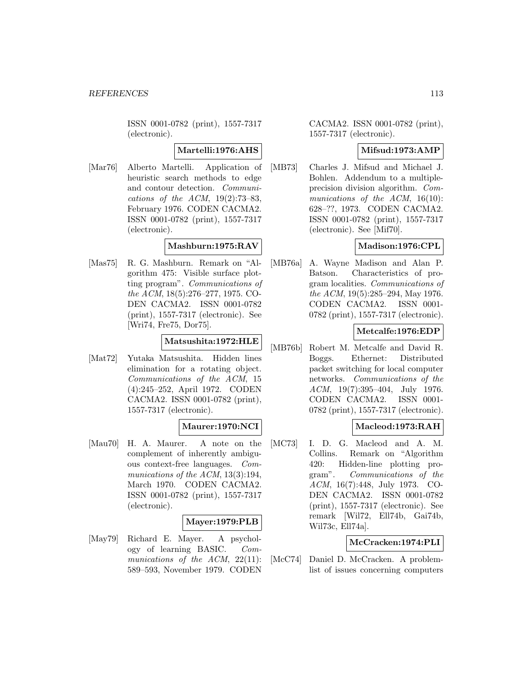ISSN 0001-0782 (print), 1557-7317 (electronic).

## **Martelli:1976:AHS**

[Mar76] Alberto Martelli. Application of heuristic search methods to edge and contour detection. Communications of the ACM,  $19(2)$ :73–83, February 1976. CODEN CACMA2. ISSN 0001-0782 (print), 1557-7317 (electronic).

# **Mashburn:1975:RAV**

[Mas75] R. G. Mashburn. Remark on "Algorithm 475: Visible surface plotting program". Communications of the ACM, 18(5):276–277, 1975. CO-DEN CACMA2. ISSN 0001-0782 (print), 1557-7317 (electronic). See [Wri74, Fre75, Dor75].

## **Matsushita:1972:HLE**

[Mat72] Yutaka Matsushita. Hidden lines elimination for a rotating object. Communications of the ACM, 15 (4):245–252, April 1972. CODEN CACMA2. ISSN 0001-0782 (print), 1557-7317 (electronic).

## **Maurer:1970:NCI**

[Mau70] H. A. Maurer. A note on the complement of inherently ambiguous context-free languages. Communications of the ACM, 13(3):194, March 1970. CODEN CACMA2. ISSN 0001-0782 (print), 1557-7317 (electronic).

## **Mayer:1979:PLB**

[May79] Richard E. Mayer. A psychology of learning BASIC. Communications of the ACM, 22(11): 589–593, November 1979. CODEN

CACMA2. ISSN 0001-0782 (print), 1557-7317 (electronic).

## **Mifsud:1973:AMP**

[MB73] Charles J. Mifsud and Michael J. Bohlen. Addendum to a multipleprecision division algorithm. Communications of the ACM, 16(10): 628–??, 1973. CODEN CACMA2. ISSN 0001-0782 (print), 1557-7317 (electronic). See [Mif70].

## **Madison:1976:CPL**

[MB76a] A. Wayne Madison and Alan P. Batson. Characteristics of program localities. Communications of the ACM, 19(5):285–294, May 1976. CODEN CACMA2. ISSN 0001- 0782 (print), 1557-7317 (electronic).

## **Metcalfe:1976:EDP**

[MB76b] Robert M. Metcalfe and David R. Boggs. Ethernet: Distributed packet switching for local computer networks. Communications of the ACM, 19(7):395–404, July 1976. CODEN CACMA2. ISSN 0001- 0782 (print), 1557-7317 (electronic).

## **Macleod:1973:RAH**

[MC73] I. D. G. Macleod and A. M. Collins. Remark on "Algorithm 420: Hidden-line plotting program". Communications of the ACM, 16(7):448, July 1973. CO-DEN CACMA2. ISSN 0001-0782 (print), 1557-7317 (electronic). See remark [Wil72, Ell74b, Gai74b, Wil73c, Ell74a].

## **McCracken:1974:PLI**

[McC74] Daniel D. McCracken. A problemlist of issues concerning computers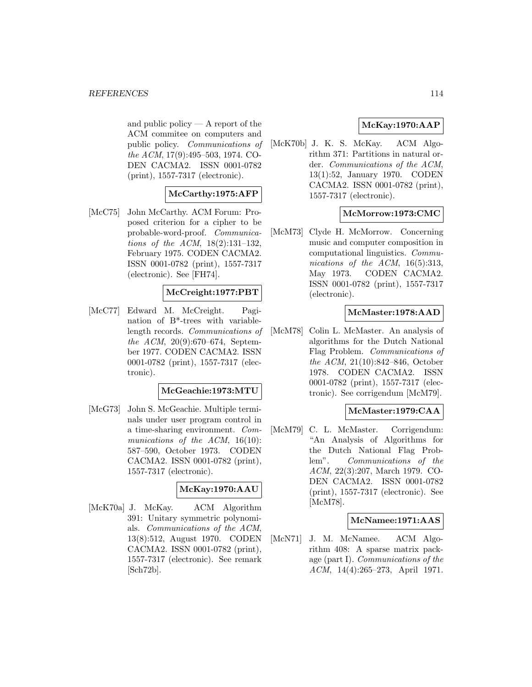and public policy — A report of the ACM commitee on computers and public policy. Communications of the ACM, 17(9):495–503, 1974. CO-DEN CACMA2. ISSN 0001-0782 (print), 1557-7317 (electronic).

## **McCarthy:1975:AFP**

[McC75] John McCarthy. ACM Forum: Proposed criterion for a cipher to be probable-word-proof. Communications of the ACM, 18(2):131–132, February 1975. CODEN CACMA2. ISSN 0001-0782 (print), 1557-7317 (electronic). See [FH74].

## **McCreight:1977:PBT**

[McC77] Edward M. McCreight. Pagination of B\*-trees with variablelength records. Communications of the ACM, 20(9):670–674, September 1977. CODEN CACMA2. ISSN 0001-0782 (print), 1557-7317 (electronic).

#### **McGeachie:1973:MTU**

[McG73] John S. McGeachie. Multiple terminals under user program control in a time-sharing environment. Communications of the ACM, 16(10): 587–590, October 1973. CODEN CACMA2. ISSN 0001-0782 (print), 1557-7317 (electronic).

#### **McKay:1970:AAU**

[McK70a] J. McKay. ACM Algorithm 391: Unitary symmetric polynomials. Communications of the ACM, 13(8):512, August 1970. CODEN CACMA2. ISSN 0001-0782 (print), 1557-7317 (electronic). See remark [Sch72b].

# **McKay:1970:AAP**

[McK70b] J. K. S. McKay. ACM Algorithm 371: Partitions in natural order. Communications of the ACM, 13(1):52, January 1970. CODEN CACMA2. ISSN 0001-0782 (print), 1557-7317 (electronic).

## **McMorrow:1973:CMC**

[McM73] Clyde H. McMorrow. Concerning music and computer composition in computational linguistics. Communications of the ACM, 16(5):313, May 1973. CODEN CACMA2. ISSN 0001-0782 (print), 1557-7317 (electronic).

## **McMaster:1978:AAD**

[McM78] Colin L. McMaster. An analysis of algorithms for the Dutch National Flag Problem. Communications of the ACM, 21(10):842–846, October 1978. CODEN CACMA2. ISSN 0001-0782 (print), 1557-7317 (electronic). See corrigendum [McM79].

## **McMaster:1979:CAA**

[McM79] C. L. McMaster. Corrigendum: "An Analysis of Algorithms for the Dutch National Flag Problem". Communications of the ACM, 22(3):207, March 1979. CO-DEN CACMA2. ISSN 0001-0782 (print), 1557-7317 (electronic). See [McM78].

## **McNamee:1971:AAS**

[McN71] J. M. McNamee. ACM Algorithm 408: A sparse matrix package (part I). Communications of the ACM, 14(4):265–273, April 1971.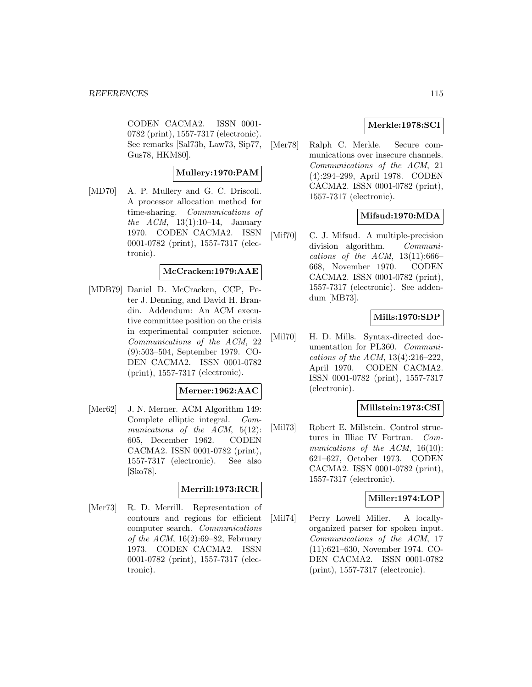CODEN CACMA2. ISSN 0001- 0782 (print), 1557-7317 (electronic). See remarks [Sal73b, Law73, Sip77, Gus78, HKM80].

## **Mullery:1970:PAM**

[MD70] A. P. Mullery and G. C. Driscoll. A processor allocation method for time-sharing. Communications of the ACM, 13(1):10–14, January 1970. CODEN CACMA2. ISSN 0001-0782 (print), 1557-7317 (electronic).

## **McCracken:1979:AAE**

[MDB79] Daniel D. McCracken, CCP, Peter J. Denning, and David H. Brandin. Addendum: An ACM executive committee position on the crisis in experimental computer science. Communications of the ACM, 22 (9):503–504, September 1979. CO-DEN CACMA2. ISSN 0001-0782 (print), 1557-7317 (electronic).

#### **Merner:1962:AAC**

[Mer62] J. N. Merner. ACM Algorithm 149: Complete elliptic integral. Communications of the ACM, 5(12): 605, December 1962. CODEN CACMA2. ISSN 0001-0782 (print), 1557-7317 (electronic). See also [Sko78].

## **Merrill:1973:RCR**

[Mer73] R. D. Merrill. Representation of contours and regions for efficient computer search. Communications of the ACM,  $16(2):69-82$ , February 1973. CODEN CACMA2. ISSN 0001-0782 (print), 1557-7317 (electronic).

## **Merkle:1978:SCI**

[Mer78] Ralph C. Merkle. Secure communications over insecure channels. Communications of the ACM, 21 (4):294–299, April 1978. CODEN CACMA2. ISSN 0001-0782 (print), 1557-7317 (electronic).

## **Mifsud:1970:MDA**

[Mif70] C. J. Mifsud. A multiple-precision division algorithm. Communications of the ACM,  $13(11):666-$ 668, November 1970. CODEN CACMA2. ISSN 0001-0782 (print), 1557-7317 (electronic). See addendum [MB73].

## **Mills:1970:SDP**

[Mil70] H. D. Mills. Syntax-directed documentation for PL360. Communications of the ACM, 13(4):216–222, April 1970. CODEN CACMA2. ISSN 0001-0782 (print), 1557-7317 (electronic).

## **Millstein:1973:CSI**

[Mil73] Robert E. Millstein. Control structures in Illiac IV Fortran. Communications of the ACM, 16(10): 621–627, October 1973. CODEN CACMA2. ISSN 0001-0782 (print), 1557-7317 (electronic).

## **Miller:1974:LOP**

[Mil74] Perry Lowell Miller. A locallyorganized parser for spoken input. Communications of the ACM, 17 (11):621–630, November 1974. CO-DEN CACMA2. ISSN 0001-0782 (print), 1557-7317 (electronic).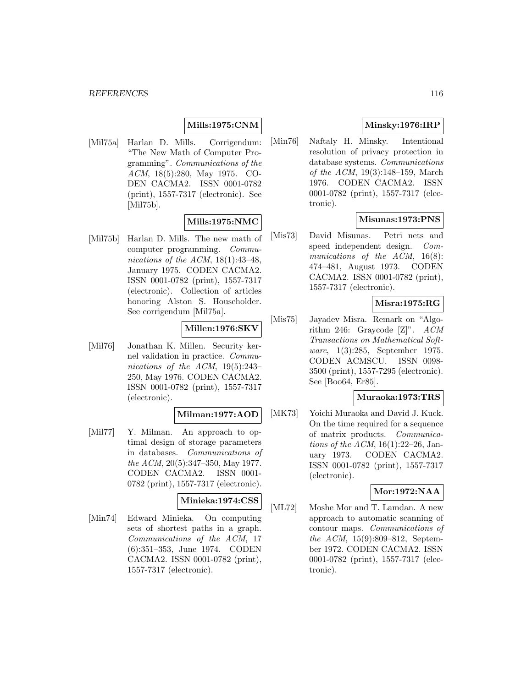## **Mills:1975:CNM**

[Mil75a] Harlan D. Mills. Corrigendum: "The New Math of Computer Programming". Communications of the ACM, 18(5):280, May 1975. CO-DEN CACMA2. ISSN 0001-0782 (print), 1557-7317 (electronic). See [Mil75b].

# **Mills:1975:NMC**

[Mil75b] Harlan D. Mills. The new math of computer programming. Communications of the ACM,  $18(1):43-48$ , January 1975. CODEN CACMA2. ISSN 0001-0782 (print), 1557-7317 (electronic). Collection of articles honoring Alston S. Householder. See corrigendum [Mil75a].

# **Millen:1976:SKV**

[Mil76] Jonathan K. Millen. Security kernel validation in practice. Communications of the ACM, 19(5):243– 250, May 1976. CODEN CACMA2. ISSN 0001-0782 (print), 1557-7317 (electronic).

## **Milman:1977:AOD**

[Mil77] Y. Milman. An approach to optimal design of storage parameters in databases. Communications of the ACM, 20(5):347–350, May 1977. CODEN CACMA2. ISSN 0001- 0782 (print), 1557-7317 (electronic).

## **Minieka:1974:CSS**

[Min74] Edward Minieka. On computing sets of shortest paths in a graph. Communications of the ACM, 17 (6):351–353, June 1974. CODEN CACMA2. ISSN 0001-0782 (print), 1557-7317 (electronic).

# **Minsky:1976:IRP**

[Min76] Naftaly H. Minsky. Intentional resolution of privacy protection in database systems. Communications of the ACM, 19(3):148–159, March 1976. CODEN CACMA2. ISSN 0001-0782 (print), 1557-7317 (electronic).

# **Misunas:1973:PNS**

[Mis73] David Misunas. Petri nets and speed independent design. Communications of the ACM, 16(8): 474–481, August 1973. CODEN CACMA2. ISSN 0001-0782 (print), 1557-7317 (electronic).

# **Misra:1975:RG**

[Mis75] Jayadev Misra. Remark on "Algorithm 246: Graycode [Z]". ACM Transactions on Mathematical Software, 1(3):285, September 1975. CODEN ACMSCU. ISSN 0098- 3500 (print), 1557-7295 (electronic). See [Boo64, Er85].

## **Muraoka:1973:TRS**

[MK73] Yoichi Muraoka and David J. Kuck. On the time required for a sequence of matrix products. Communications of the ACM,  $16(1):22-26$ , January 1973. CODEN CACMA2. ISSN 0001-0782 (print), 1557-7317 (electronic).

## **Mor:1972:NAA**

[ML72] Moshe Mor and T. Lamdan. A new approach to automatic scanning of contour maps. Communications of the ACM, 15(9):809–812, September 1972. CODEN CACMA2. ISSN 0001-0782 (print), 1557-7317 (electronic).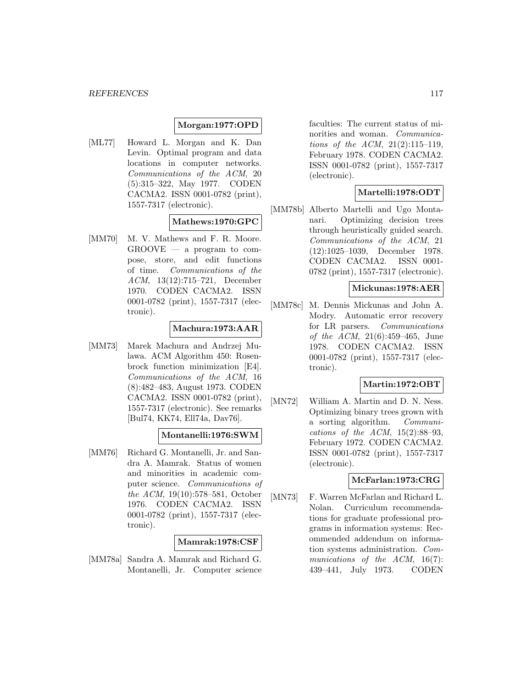## **Morgan:1977:OPD**

[ML77] Howard L. Morgan and K. Dan Levin. Optimal program and data locations in computer networks. Communications of the ACM, 20 (5):315–322, May 1977. CODEN CACMA2. ISSN 0001-0782 (print), 1557-7317 (electronic).

## **Mathews:1970:GPC**

[MM70] M. V. Mathews and F. R. Moore.  $GROOVE$  — a program to compose, store, and edit functions of time. Communications of the ACM, 13(12):715–721, December 1970. CODEN CACMA2. ISSN 0001-0782 (print), 1557-7317 (electronic).

## **Machura:1973:AAR**

[MM73] Marek Machura and Andrzej Mulawa. ACM Algorithm 450: Rosenbrock function minimization [E4]. Communications of the ACM, 16 (8):482–483, August 1973. CODEN CACMA2. ISSN 0001-0782 (print), 1557-7317 (electronic). See remarks [Bul74, KK74, Ell74a, Dav76].

## **Montanelli:1976:SWM**

[MM76] Richard G. Montanelli, Jr. and Sandra A. Mamrak. Status of women and minorities in academic computer science. Communications of the ACM, 19(10):578–581, October 1976. CODEN CACMA2. ISSN 0001-0782 (print), 1557-7317 (electronic).

## **Mamrak:1978:CSF**

[MM78a] Sandra A. Mamrak and Richard G. Montanelli, Jr. Computer science

faculties: The current status of minorities and woman. Communications of the ACM, 21(2):115–119, February 1978. CODEN CACMA2. ISSN 0001-0782 (print), 1557-7317 (electronic).

## **Martelli:1978:ODT**

[MM78b] Alberto Martelli and Ugo Montanari. Optimizing decision trees through heuristically guided search. Communications of the ACM, 21 (12):1025–1039, December 1978. CODEN CACMA2. ISSN 0001- 0782 (print), 1557-7317 (electronic).

## **Mickunas:1978:AER**

[MM78c] M. Dennis Mickunas and John A. Modry. Automatic error recovery for LR parsers. Communications of the ACM, 21(6):459–465, June 1978. CODEN CACMA2. ISSN 0001-0782 (print), 1557-7317 (electronic).

## **Martin:1972:OBT**

[MN72] William A. Martin and D. N. Ness. Optimizing binary trees grown with a sorting algorithm. Communications of the ACM,  $15(2):88-93$ , February 1972. CODEN CACMA2. ISSN 0001-0782 (print), 1557-7317 (electronic).

## **McFarlan:1973:CRG**

[MN73] F. Warren McFarlan and Richard L. Nolan. Curriculum recommendations for graduate professional programs in information systems: Recommended addendum on information systems administration. Communications of the ACM, 16(7): 439–441, July 1973. CODEN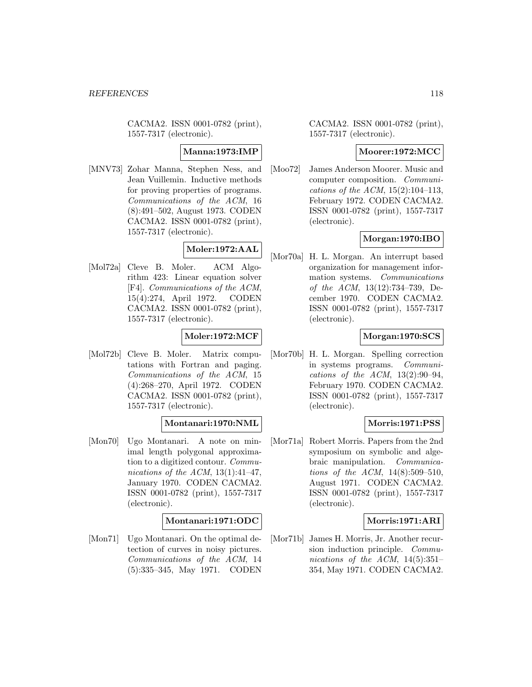CACMA2. ISSN 0001-0782 (print), 1557-7317 (electronic).

## **Manna:1973:IMP**

[MNV73] Zohar Manna, Stephen Ness, and Jean Vuillemin. Inductive methods for proving properties of programs. Communications of the ACM, 16 (8):491–502, August 1973. CODEN CACMA2. ISSN 0001-0782 (print), 1557-7317 (electronic).

# **Moler:1972:AAL**

[Mol72a] Cleve B. Moler. ACM Algorithm 423: Linear equation solver [F4]. Communications of the ACM, 15(4):274, April 1972. CODEN CACMA2. ISSN 0001-0782 (print), 1557-7317 (electronic).

## **Moler:1972:MCF**

[Mol72b] Cleve B. Moler. Matrix computations with Fortran and paging. Communications of the ACM, 15 (4):268–270, April 1972. CODEN CACMA2. ISSN 0001-0782 (print), 1557-7317 (electronic).

## **Montanari:1970:NML**

[Mon70] Ugo Montanari. A note on minimal length polygonal approximation to a digitized contour. Communications of the ACM,  $13(1):41-47$ , January 1970. CODEN CACMA2. ISSN 0001-0782 (print), 1557-7317 (electronic).

## **Montanari:1971:ODC**

[Mon71] Ugo Montanari. On the optimal detection of curves in noisy pictures. Communications of the ACM, 14 (5):335–345, May 1971. CODEN

CACMA2. ISSN 0001-0782 (print), 1557-7317 (electronic).

## **Moorer:1972:MCC**

[Moo72] James Anderson Moorer. Music and computer composition. Communications of the ACM,  $15(2):104-113$ , February 1972. CODEN CACMA2. ISSN 0001-0782 (print), 1557-7317 (electronic).

## **Morgan:1970:IBO**

[Mor70a] H. L. Morgan. An interrupt based organization for management information systems. Communications of the ACM, 13(12):734–739, December 1970. CODEN CACMA2. ISSN 0001-0782 (print), 1557-7317 (electronic).

## **Morgan:1970:SCS**

[Mor70b] H. L. Morgan. Spelling correction in systems programs. Communications of the ACM,  $13(2):90-94$ , February 1970. CODEN CACMA2. ISSN 0001-0782 (print), 1557-7317 (electronic).

#### **Morris:1971:PSS**

[Mor71a] Robert Morris. Papers from the 2nd symposium on symbolic and algebraic manipulation. Communications of the ACM, 14(8):509–510, August 1971. CODEN CACMA2. ISSN 0001-0782 (print), 1557-7317 (electronic).

#### **Morris:1971:ARI**

[Mor71b] James H. Morris, Jr. Another recursion induction principle. Communications of the ACM,  $14(5):351-$ 354, May 1971. CODEN CACMA2.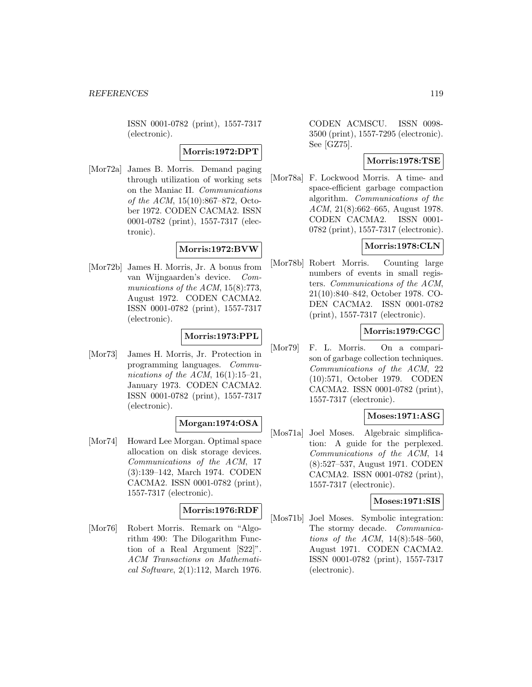ISSN 0001-0782 (print), 1557-7317 (electronic).

## **Morris:1972:DPT**

[Mor72a] James B. Morris. Demand paging through utilization of working sets on the Maniac II. Communications of the ACM, 15(10):867–872, October 1972. CODEN CACMA2. ISSN 0001-0782 (print), 1557-7317 (electronic).

## **Morris:1972:BVW**

[Mor72b] James H. Morris, Jr. A bonus from van Wijngaarden's device. Communications of the ACM, 15(8):773, August 1972. CODEN CACMA2. ISSN 0001-0782 (print), 1557-7317 (electronic).

## **Morris:1973:PPL**

[Mor73] James H. Morris, Jr. Protection in programming languages. Communications of the ACM,  $16(1):15-21$ , January 1973. CODEN CACMA2. ISSN 0001-0782 (print), 1557-7317 (electronic).

## **Morgan:1974:OSA**

[Mor74] Howard Lee Morgan. Optimal space allocation on disk storage devices. Communications of the ACM, 17 (3):139–142, March 1974. CODEN CACMA2. ISSN 0001-0782 (print), 1557-7317 (electronic).

## **Morris:1976:RDF**

[Mor76] Robert Morris. Remark on "Algorithm 490: The Dilogarithm Function of a Real Argument [S22]". ACM Transactions on Mathematical Software, 2(1):112, March 1976.

CODEN ACMSCU. ISSN 0098- 3500 (print), 1557-7295 (electronic). See [GZ75].

## **Morris:1978:TSE**

[Mor78a] F. Lockwood Morris. A time- and space-efficient garbage compaction algorithm. Communications of the ACM, 21(8):662–665, August 1978. CODEN CACMA2. ISSN 0001- 0782 (print), 1557-7317 (electronic).

# **Morris:1978:CLN**

[Mor78b] Robert Morris. Counting large numbers of events in small registers. Communications of the ACM, 21(10):840–842, October 1978. CO-DEN CACMA2. ISSN 0001-0782 (print), 1557-7317 (electronic).

## **Morris:1979:CGC**

[Mor79] F. L. Morris. On a comparison of garbage collection techniques. Communications of the ACM, 22 (10):571, October 1979. CODEN CACMA2. ISSN 0001-0782 (print), 1557-7317 (electronic).

## **Moses:1971:ASG**

[Mos71a] Joel Moses. Algebraic simplification: A guide for the perplexed. Communications of the ACM, 14 (8):527–537, August 1971. CODEN CACMA2. ISSN 0001-0782 (print), 1557-7317 (electronic).

## **Moses:1971:SIS**

[Mos71b] Joel Moses. Symbolic integration: The stormy decade. Communications of the ACM, 14(8):548–560, August 1971. CODEN CACMA2. ISSN 0001-0782 (print), 1557-7317 (electronic).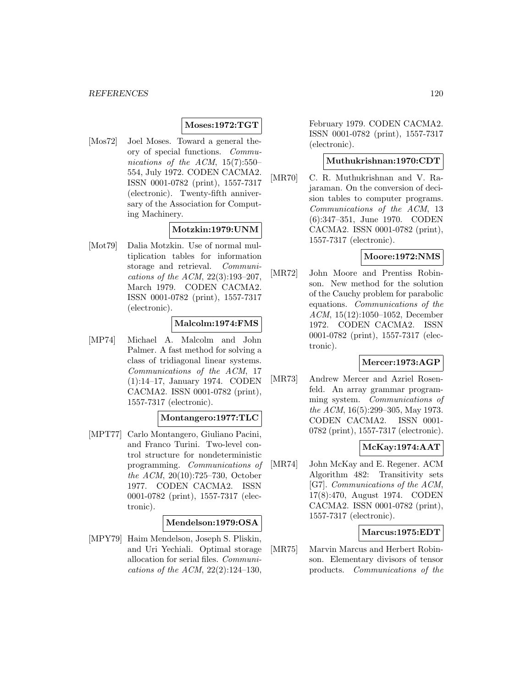## **Moses:1972:TGT**

[Mos72] Joel Moses. Toward a general theory of special functions. Communications of the ACM, 15(7):550– 554, July 1972. CODEN CACMA2. ISSN 0001-0782 (print), 1557-7317 (electronic). Twenty-fifth anniversary of the Association for Computing Machinery.

## **Motzkin:1979:UNM**

[Mot79] Dalia Motzkin. Use of normal multiplication tables for information storage and retrieval. Communications of the ACM, 22(3):193–207, March 1979. CODEN CACMA2. ISSN 0001-0782 (print), 1557-7317 (electronic).

## **Malcolm:1974:FMS**

[MP74] Michael A. Malcolm and John Palmer. A fast method for solving a class of tridiagonal linear systems. Communications of the ACM, 17 (1):14–17, January 1974. CODEN CACMA2. ISSN 0001-0782 (print), 1557-7317 (electronic).

## **Montangero:1977:TLC**

[MPT77] Carlo Montangero, Giuliano Pacini, and Franco Turini. Two-level control structure for nondeterministic programming. Communications of the ACM, 20(10):725–730, October 1977. CODEN CACMA2. ISSN 0001-0782 (print), 1557-7317 (electronic).

## **Mendelson:1979:OSA**

[MPY79] Haim Mendelson, Joseph S. Pliskin, and Uri Yechiali. Optimal storage allocation for serial files. Communications of the ACM, 22(2):124–130,

February 1979. CODEN CACMA2. ISSN 0001-0782 (print), 1557-7317 (electronic).

# **Muthukrishnan:1970:CDT**

[MR70] C. R. Muthukrishnan and V. Rajaraman. On the conversion of decision tables to computer programs. Communications of the ACM, 13 (6):347–351, June 1970. CODEN CACMA2. ISSN 0001-0782 (print), 1557-7317 (electronic).

## **Moore:1972:NMS**

[MR72] John Moore and Prentiss Robinson. New method for the solution of the Cauchy problem for parabolic equations. Communications of the ACM, 15(12):1050–1052, December 1972. CODEN CACMA2. ISSN 0001-0782 (print), 1557-7317 (electronic).

## **Mercer:1973:AGP**

[MR73] Andrew Mercer and Azriel Rosenfeld. An array grammar programming system. Communications of the ACM, 16(5):299–305, May 1973. CODEN CACMA2. ISSN 0001- 0782 (print), 1557-7317 (electronic).

## **McKay:1974:AAT**

[MR74] John McKay and E. Regener. ACM Algorithm 482: Transitivity sets [G7]. Communications of the ACM, 17(8):470, August 1974. CODEN CACMA2. ISSN 0001-0782 (print), 1557-7317 (electronic).

## **Marcus:1975:EDT**

[MR75] Marvin Marcus and Herbert Robinson. Elementary divisors of tensor products. Communications of the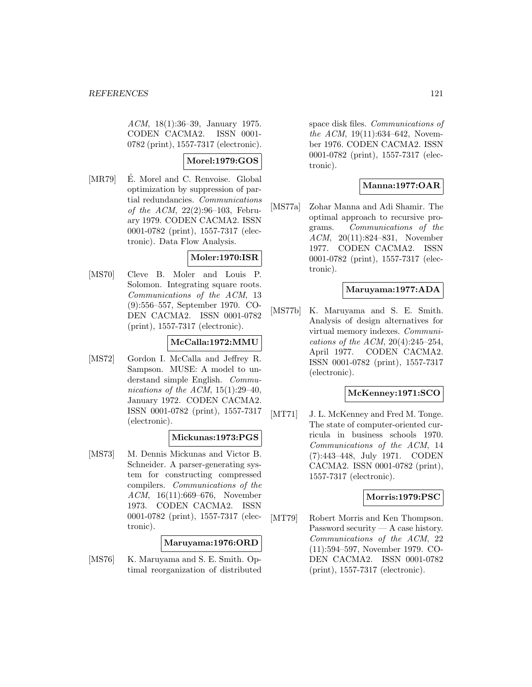ACM, 18(1):36–39, January 1975. CODEN CACMA2. ISSN 0001- 0782 (print), 1557-7317 (electronic).

# **Morel:1979:GOS**

[MR79] E. Morel and C. Renvoise. Global optimization by suppression of partial redundancies. Communications of the ACM,  $22(2):96-103$ , February 1979. CODEN CACMA2. ISSN 0001-0782 (print), 1557-7317 (electronic). Data Flow Analysis.

## **Moler:1970:ISR**

[MS70] Cleve B. Moler and Louis P. Solomon. Integrating square roots. Communications of the ACM, 13 (9):556–557, September 1970. CO-DEN CACMA2. ISSN 0001-0782 (print), 1557-7317 (electronic).

## **McCalla:1972:MMU**

[MS72] Gordon I. McCalla and Jeffrey R. Sampson. MUSE: A model to understand simple English. Communications of the ACM,  $15(1):29-40$ , January 1972. CODEN CACMA2. ISSN 0001-0782 (print), 1557-7317 (electronic).

## **Mickunas:1973:PGS**

[MS73] M. Dennis Mickunas and Victor B. Schneider. A parser-generating system for constructing compressed compilers. Communications of the ACM, 16(11):669–676, November 1973. CODEN CACMA2. ISSN 0001-0782 (print), 1557-7317 (electronic).

## **Maruyama:1976:ORD**

[MS76] K. Maruyama and S. E. Smith. Optimal reorganization of distributed space disk files. Communications of the ACM, 19(11):634–642, November 1976. CODEN CACMA2. ISSN 0001-0782 (print), 1557-7317 (electronic).

# **Manna:1977:OAR**

[MS77a] Zohar Manna and Adi Shamir. The optimal approach to recursive programs. Communications of the ACM, 20(11):824–831, November 1977. CODEN CACMA2. ISSN 0001-0782 (print), 1557-7317 (electronic).

## **Maruyama:1977:ADA**

[MS77b] K. Maruyama and S. E. Smith. Analysis of design alternatives for virtual memory indexes. Communications of the ACM,  $20(4):245-254$ , April 1977. CODEN CACMA2. ISSN 0001-0782 (print), 1557-7317 (electronic).

## **McKenney:1971:SCO**

[MT71] J. L. McKenney and Fred M. Tonge. The state of computer-oriented curricula in business schools 1970. Communications of the ACM, 14 (7):443–448, July 1971. CODEN CACMA2. ISSN 0001-0782 (print), 1557-7317 (electronic).

## **Morris:1979:PSC**

[MT79] Robert Morris and Ken Thompson. Password security — A case history. Communications of the ACM, 22 (11):594–597, November 1979. CO-DEN CACMA2. ISSN 0001-0782 (print), 1557-7317 (electronic).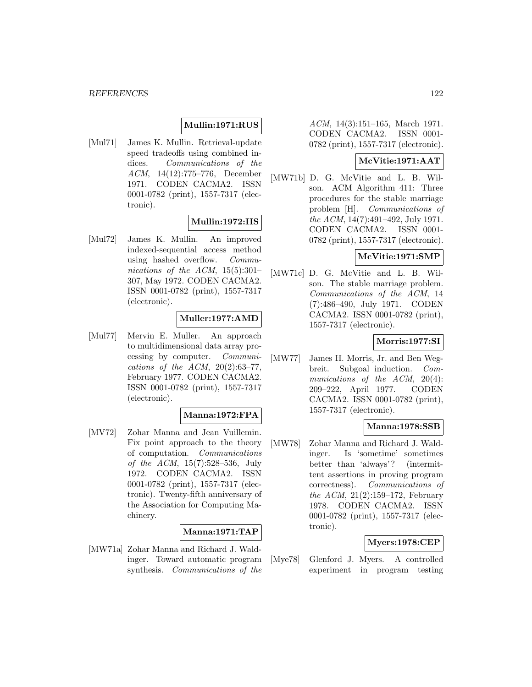## **Mullin:1971:RUS**

[Mul71] James K. Mullin. Retrieval-update speed tradeoffs using combined indices. Communications of the ACM, 14(12):775–776, December 1971. CODEN CACMA2. ISSN 0001-0782 (print), 1557-7317 (electronic).

## **Mullin:1972:IIS**

[Mul72] James K. Mullin. An improved indexed-sequential access method using hashed overflow. Communications of the ACM,  $15(5):301-$ 307, May 1972. CODEN CACMA2. ISSN 0001-0782 (print), 1557-7317 (electronic).

### **Muller:1977:AMD**

[Mul77] Mervin E. Muller. An approach to multidimensional data array processing by computer. Communications of the ACM,  $20(2):63-77$ , February 1977. CODEN CACMA2. ISSN 0001-0782 (print), 1557-7317 (electronic).

## **Manna:1972:FPA**

[MV72] Zohar Manna and Jean Vuillemin. Fix point approach to the theory of computation. Communications of the ACM, 15(7):528–536, July 1972. CODEN CACMA2. ISSN 0001-0782 (print), 1557-7317 (electronic). Twenty-fifth anniversary of the Association for Computing Machinery.

## **Manna:1971:TAP**

[MW71a] Zohar Manna and Richard J. Waldinger. Toward automatic program synthesis. Communications of the

ACM, 14(3):151–165, March 1971. CODEN CACMA2. ISSN 0001- 0782 (print), 1557-7317 (electronic).

## **McVitie:1971:AAT**

[MW71b] D. G. McVitie and L. B. Wilson. ACM Algorithm 411: Three procedures for the stable marriage problem [H]. Communications of the ACM, 14(7):491–492, July 1971. CODEN CACMA2. ISSN 0001- 0782 (print), 1557-7317 (electronic).

## **McVitie:1971:SMP**

[MW71c] D. G. McVitie and L. B. Wilson. The stable marriage problem. Communications of the ACM, 14 (7):486–490, July 1971. CODEN CACMA2. ISSN 0001-0782 (print), 1557-7317 (electronic).

## **Morris:1977:SI**

[MW77] James H. Morris, Jr. and Ben Wegbreit. Subgoal induction. Communications of the ACM, 20(4): 209–222, April 1977. CODEN CACMA2. ISSN 0001-0782 (print), 1557-7317 (electronic).

## **Manna:1978:SSB**

[MW78] Zohar Manna and Richard J. Waldinger. Is 'sometime' sometimes better than 'always'? (intermittent assertions in proving program correctness). Communications of the ACM, 21(2):159–172, February 1978. CODEN CACMA2. ISSN 0001-0782 (print), 1557-7317 (electronic).

#### **Myers:1978:CEP**

[Mye78] Glenford J. Myers. A controlled experiment in program testing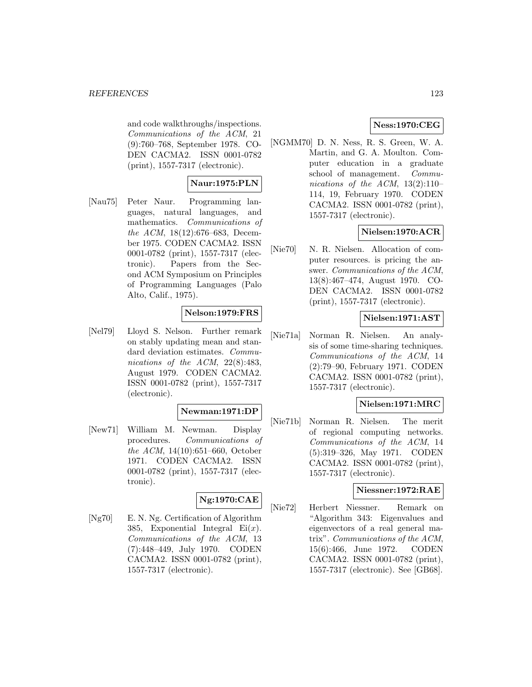and code walkthroughs/inspections. Communications of the ACM, 21 (9):760–768, September 1978. CO-DEN CACMA2. ISSN 0001-0782 (print), 1557-7317 (electronic).

## **Naur:1975:PLN**

[Nau75] Peter Naur. Programming languages, natural languages, and mathematics. Communications of the ACM, 18(12):676–683, December 1975. CODEN CACMA2. ISSN 0001-0782 (print), 1557-7317 (electronic). Papers from the Second ACM Symposium on Principles of Programming Languages (Palo Alto, Calif., 1975).

## **Nelson:1979:FRS**

[Nel79] Lloyd S. Nelson. Further remark on stably updating mean and standard deviation estimates. Communications of the ACM, 22(8):483, August 1979. CODEN CACMA2. ISSN 0001-0782 (print), 1557-7317 (electronic).

## **Newman:1971:DP**

[New71] William M. Newman. Display procedures. Communications of the ACM, 14(10):651–660, October 1971. CODEN CACMA2. ISSN 0001-0782 (print), 1557-7317 (electronic).

# **Ng:1970:CAE**

[Ng70] E. N. Ng. Certification of Algorithm 385, Exponential Integral  $Ei(x)$ . Communications of the ACM, 13 (7):448–449, July 1970. CODEN CACMA2. ISSN 0001-0782 (print), 1557-7317 (electronic).

## **Ness:1970:CEG**

[NGMM70] D. N. Ness, R. S. Green, W. A. Martin, and G. A. Moulton. Computer education in a graduate school of management. Communications of the ACM,  $13(2):110-$ 114, 19, February 1970. CODEN CACMA2. ISSN 0001-0782 (print), 1557-7317 (electronic).

## **Nielsen:1970:ACR**

[Nie70] N. R. Nielsen. Allocation of computer resources. is pricing the answer. Communications of the ACM, 13(8):467–474, August 1970. CO-DEN CACMA2. ISSN 0001-0782 (print), 1557-7317 (electronic).

## **Nielsen:1971:AST**

[Nie71a] Norman R. Nielsen. An analysis of some time-sharing techniques. Communications of the ACM, 14 (2):79–90, February 1971. CODEN CACMA2. ISSN 0001-0782 (print), 1557-7317 (electronic).

## **Nielsen:1971:MRC**

[Nie71b] Norman R. Nielsen. The merit of regional computing networks. Communications of the ACM, 14 (5):319–326, May 1971. CODEN CACMA2. ISSN 0001-0782 (print), 1557-7317 (electronic).

#### **Niessner:1972:RAE**

[Nie72] Herbert Niessner. Remark on "Algorithm 343: Eigenvalues and eigenvectors of a real general matrix". Communications of the ACM, 15(6):466, June 1972. CODEN CACMA2. ISSN 0001-0782 (print), 1557-7317 (electronic). See [GB68].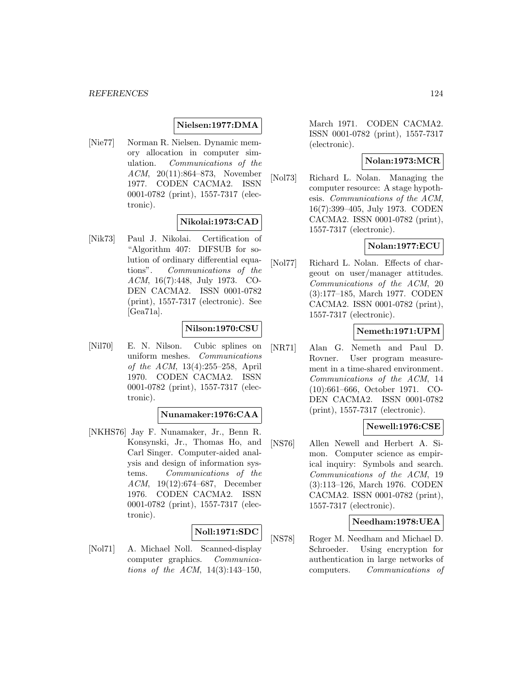## **Nielsen:1977:DMA**

[Nie77] Norman R. Nielsen. Dynamic memory allocation in computer simulation. Communications of the ACM, 20(11):864–873, November 1977. CODEN CACMA2. ISSN 0001-0782 (print), 1557-7317 (electronic).

## **Nikolai:1973:CAD**

[Nik73] Paul J. Nikolai. Certification of "Algorithm 407: DIFSUB for solution of ordinary differential equations". Communications of the ACM, 16(7):448, July 1973. CO-DEN CACMA2. ISSN 0001-0782 (print), 1557-7317 (electronic). See [Gea71a].

## **Nilson:1970:CSU**

[Nil70] E. N. Nilson. Cubic splines on uniform meshes. Communications of the ACM, 13(4):255–258, April 1970. CODEN CACMA2. ISSN 0001-0782 (print), 1557-7317 (electronic).

## **Nunamaker:1976:CAA**

[NKHS76] Jay F. Nunamaker, Jr., Benn R. Konsynski, Jr., Thomas Ho, and Carl Singer. Computer-aided analysis and design of information systems. Communications of the ACM, 19(12):674–687, December 1976. CODEN CACMA2. ISSN 0001-0782 (print), 1557-7317 (electronic).

## **Noll:1971:SDC**

[Nol71] A. Michael Noll. Scanned-display computer graphics. Communications of the ACM, 14(3):143–150,

March 1971. CODEN CACMA2. ISSN 0001-0782 (print), 1557-7317 (electronic).

## **Nolan:1973:MCR**

[Nol73] Richard L. Nolan. Managing the computer resource: A stage hypothesis. Communications of the ACM, 16(7):399–405, July 1973. CODEN CACMA2. ISSN 0001-0782 (print), 1557-7317 (electronic).

## **Nolan:1977:ECU**

[Nol77] Richard L. Nolan. Effects of chargeout on user/manager attitudes. Communications of the ACM, 20 (3):177–185, March 1977. CODEN CACMA2. ISSN 0001-0782 (print), 1557-7317 (electronic).

### **Nemeth:1971:UPM**

[NR71] Alan G. Nemeth and Paul D. Rovner. User program measurement in a time-shared environment. Communications of the ACM, 14 (10):661–666, October 1971. CO-DEN CACMA2. ISSN 0001-0782 (print), 1557-7317 (electronic).

## **Newell:1976:CSE**

[NS76] Allen Newell and Herbert A. Simon. Computer science as empirical inquiry: Symbols and search. Communications of the ACM, 19 (3):113–126, March 1976. CODEN CACMA2. ISSN 0001-0782 (print), 1557-7317 (electronic).

### **Needham:1978:UEA**

[NS78] Roger M. Needham and Michael D. Schroeder. Using encryption for authentication in large networks of computers. Communications of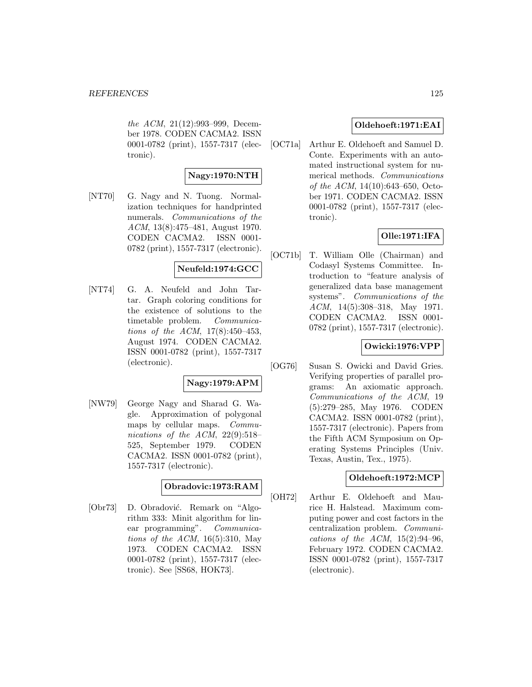the ACM, 21(12):993–999, December 1978. CODEN CACMA2. ISSN 0001-0782 (print), 1557-7317 (electronic).

## **Nagy:1970:NTH**

[NT70] G. Nagy and N. Tuong. Normalization techniques for handprinted numerals. Communications of the ACM, 13(8):475–481, August 1970. CODEN CACMA2. ISSN 0001- 0782 (print), 1557-7317 (electronic).

# **Neufeld:1974:GCC**

[NT74] G. A. Neufeld and John Tartar. Graph coloring conditions for the existence of solutions to the timetable problem. Communications of the ACM, 17(8):450–453, August 1974. CODEN CACMA2. ISSN 0001-0782 (print), 1557-7317 (electronic).

# **Nagy:1979:APM**

[NW79] George Nagy and Sharad G. Wagle. Approximation of polygonal maps by cellular maps. Communications of the ACM, 22(9):518– 525, September 1979. CODEN CACMA2. ISSN 0001-0782 (print), 1557-7317 (electronic).

# **Obradovic:1973:RAM**

[Obr73] D. Obradović. Remark on "Algorithm 333: Minit algorithm for linear programming". Communications of the ACM,  $16(5):310$ , May 1973. CODEN CACMA2. ISSN 0001-0782 (print), 1557-7317 (electronic). See [SS68, HOK73].

# **Oldehoeft:1971:EAI**

[OC71a] Arthur E. Oldehoeft and Samuel D. Conte. Experiments with an automated instructional system for numerical methods. Communications of the ACM, 14(10):643–650, October 1971. CODEN CACMA2. ISSN 0001-0782 (print), 1557-7317 (electronic).

# **Olle:1971:IFA**

[OC71b] T. William Olle (Chairman) and Codasyl Systems Committee. Introduction to "feature analysis of generalized data base management systems". Communications of the ACM, 14(5):308–318, May 1971. CODEN CACMA2. ISSN 0001- 0782 (print), 1557-7317 (electronic).

# **Owicki:1976:VPP**

[OG76] Susan S. Owicki and David Gries. Verifying properties of parallel programs: An axiomatic approach. Communications of the ACM, 19 (5):279–285, May 1976. CODEN CACMA2. ISSN 0001-0782 (print), 1557-7317 (electronic). Papers from the Fifth ACM Symposium on Operating Systems Principles (Univ. Texas, Austin, Tex., 1975).

## **Oldehoeft:1972:MCP**

[OH72] Arthur E. Oldehoeft and Maurice H. Halstead. Maximum computing power and cost factors in the centralization problem. Communications of the ACM,  $15(2):94-96$ , February 1972. CODEN CACMA2. ISSN 0001-0782 (print), 1557-7317 (electronic).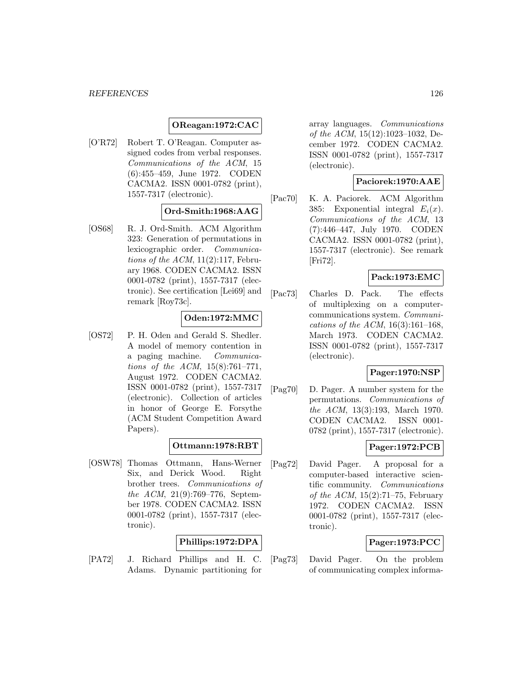## **OReagan:1972:CAC**

[O'R72] Robert T. O'Reagan. Computer assigned codes from verbal responses. Communications of the ACM, 15 (6):455–459, June 1972. CODEN CACMA2. ISSN 0001-0782 (print), 1557-7317 (electronic).

## **Ord-Smith:1968:AAG**

[OS68] R. J. Ord-Smith. ACM Algorithm 323: Generation of permutations in lexicographic order. Communications of the ACM,  $11(2):117$ , February 1968. CODEN CACMA2. ISSN 0001-0782 (print), 1557-7317 (electronic). See certification [Lei69] and remark [Roy73c].

## **Oden:1972:MMC**

[OS72] P. H. Oden and Gerald S. Shedler. A model of memory contention in a paging machine. Communications of the ACM, 15(8):761–771, August 1972. CODEN CACMA2. ISSN 0001-0782 (print), 1557-7317 (electronic). Collection of articles in honor of George E. Forsythe (ACM Student Competition Award Papers).

## **Ottmann:1978:RBT**

[OSW78] Thomas Ottmann, Hans-Werner Six, and Derick Wood. Right brother trees. Communications of the ACM, 21(9):769–776, September 1978. CODEN CACMA2. ISSN 0001-0782 (print), 1557-7317 (electronic).

## **Phillips:1972:DPA**

[PA72] J. Richard Phillips and H. C. Adams. Dynamic partitioning for

array languages. Communications of the ACM, 15(12):1023–1032, December 1972. CODEN CACMA2. ISSN 0001-0782 (print), 1557-7317 (electronic).

## **Paciorek:1970:AAE**

[Pac70] K. A. Paciorek. ACM Algorithm 385: Exponential integral  $E_i(x)$ . Communications of the ACM, 13 (7):446–447, July 1970. CODEN CACMA2. ISSN 0001-0782 (print), 1557-7317 (electronic). See remark [Fri72].

## **Pack:1973:EMC**

[Pac73] Charles D. Pack. The effects of multiplexing on a computercommunications system. Communications of the ACM,  $16(3):161-168$ , March 1973. CODEN CACMA2. ISSN 0001-0782 (print), 1557-7317 (electronic).

## **Pager:1970:NSP**

[Pag70] D. Pager. A number system for the permutations. Communications of the ACM, 13(3):193, March 1970. CODEN CACMA2. ISSN 0001- 0782 (print), 1557-7317 (electronic).

## **Pager:1972:PCB**

[Pag72] David Pager. A proposal for a computer-based interactive scientific community. Communications of the ACM,  $15(2)$ :71–75, February 1972. CODEN CACMA2. ISSN 0001-0782 (print), 1557-7317 (electronic).

## **Pager:1973:PCC**

[Pag73] David Pager. On the problem of communicating complex informa-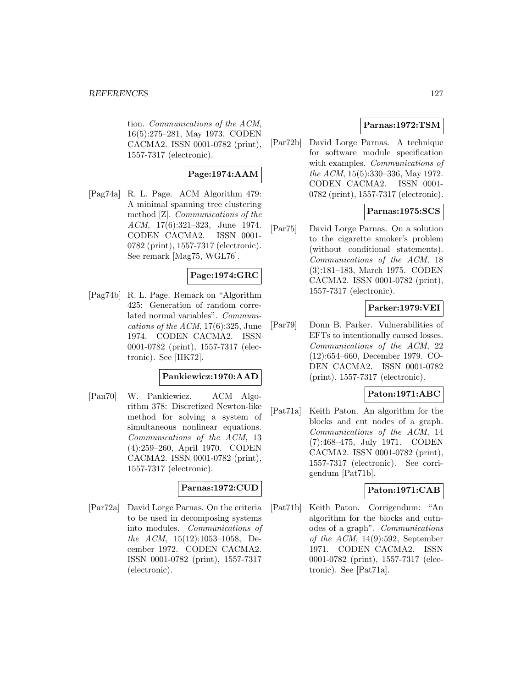#### *REFERENCES* 127

tion. Communications of the ACM, 16(5):275–281, May 1973. CODEN CACMA2. ISSN 0001-0782 (print), 1557-7317 (electronic).

## **Page:1974:AAM**

[Pag74a] R. L. Page. ACM Algorithm 479: A minimal spanning tree clustering method [Z]. Communications of the ACM, 17(6):321–323, June 1974. CODEN CACMA2. ISSN 0001- 0782 (print), 1557-7317 (electronic). See remark [Mag75, WGL76].

## **Page:1974:GRC**

[Pag74b] R. L. Page. Remark on "Algorithm 425: Generation of random correlated normal variables". Communications of the  $ACM$ , 17(6):325, June 1974. CODEN CACMA2. ISSN 0001-0782 (print), 1557-7317 (electronic). See [HK72].

## **Pankiewicz:1970:AAD**

[Pan70] W. Pankiewicz. ACM Algorithm 378: Discretized Newton-like method for solving a system of simultaneous nonlinear equations. Communications of the ACM, 13 (4):259–260, April 1970. CODEN CACMA2. ISSN 0001-0782 (print), 1557-7317 (electronic).

#### **Parnas:1972:CUD**

[Par72a] David Lorge Parnas. On the criteria to be used in decomposing systems into modules. Communications of the ACM, 15(12):1053–1058, December 1972. CODEN CACMA2. ISSN 0001-0782 (print), 1557-7317 (electronic).

## **Parnas:1972:TSM**

[Par72b] David Lorge Parnas. A technique for software module specification with examples. Communications of the ACM, 15(5):330–336, May 1972. CODEN CACMA2. ISSN 0001- 0782 (print), 1557-7317 (electronic).

## **Parnas:1975:SCS**

[Par75] David Lorge Parnas. On a solution to the cigarette smoker's problem (without conditional statements). Communications of the ACM, 18 (3):181–183, March 1975. CODEN CACMA2. ISSN 0001-0782 (print), 1557-7317 (electronic).

#### **Parker:1979:VEI**

[Par79] Donn B. Parker. Vulnerabilities of EFTs to intentionally caused losses. Communications of the ACM, 22 (12):654–660, December 1979. CO-DEN CACMA2. ISSN 0001-0782 (print), 1557-7317 (electronic).

## **Paton:1971:ABC**

[Pat71a] Keith Paton. An algorithm for the blocks and cut nodes of a graph. Communications of the ACM, 14 (7):468–475, July 1971. CODEN CACMA2. ISSN 0001-0782 (print), 1557-7317 (electronic). See corrigendum [Pat71b].

#### **Paton:1971:CAB**

[Pat71b] Keith Paton. Corrigendum: "An algorithm for the blocks and cutnodes of a graph". Communications of the  $ACM$ , 14(9):592, September 1971. CODEN CACMA2. ISSN 0001-0782 (print), 1557-7317 (electronic). See [Pat71a].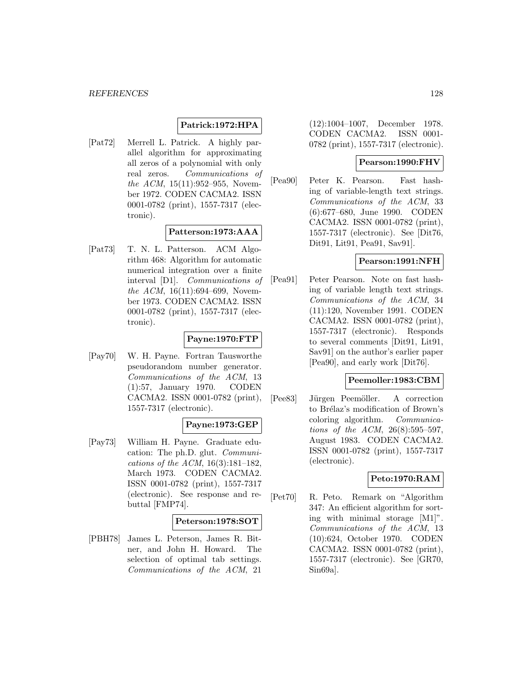## **Patrick:1972:HPA**

[Pat72] Merrell L. Patrick. A highly parallel algorithm for approximating all zeros of a polynomial with only real zeros. Communications of the ACM, 15(11):952–955, November 1972. CODEN CACMA2. ISSN 0001-0782 (print), 1557-7317 (electronic).

## **Patterson:1973:AAA**

[Pat73] T. N. L. Patterson. ACM Algorithm 468: Algorithm for automatic numerical integration over a finite interval [D1]. Communications of the ACM,  $16(11):694-699$ , November 1973. CODEN CACMA2. ISSN 0001-0782 (print), 1557-7317 (electronic).

# **Payne:1970:FTP**

[Pay70] W. H. Payne. Fortran Tausworthe pseudorandom number generator. Communications of the ACM, 13 (1):57, January 1970. CODEN CACMA2. ISSN 0001-0782 (print), 1557-7317 (electronic).

# **Payne:1973:GEP**

[Pay73] William H. Payne. Graduate education: The ph.D. glut. Communications of the ACM, 16(3):181–182, March 1973. CODEN CACMA2. ISSN 0001-0782 (print), 1557-7317 (electronic). See response and rebuttal [FMP74].

#### **Peterson:1978:SOT**

[PBH78] James L. Peterson, James R. Bitner, and John H. Howard. The selection of optimal tab settings. Communications of the ACM, 21

(12):1004–1007, December 1978. CODEN CACMA2. ISSN 0001- 0782 (print), 1557-7317 (electronic).

### **Pearson:1990:FHV**

[Pea90] Peter K. Pearson. Fast hashing of variable-length text strings. Communications of the ACM, 33 (6):677–680, June 1990. CODEN CACMA2. ISSN 0001-0782 (print), 1557-7317 (electronic). See [Dit76, Dit91, Lit91, Pea91, Sav91].

### **Pearson:1991:NFH**

[Pea91] Peter Pearson. Note on fast hashing of variable length text strings. Communications of the ACM, 34 (11):120, November 1991. CODEN CACMA2. ISSN 0001-0782 (print), 1557-7317 (electronic). Responds to several comments [Dit91, Lit91, Sav91] on the author's earlier paper [Pea90], and early work [Dit76].

#### **Peemoller:1983:CBM**

[Pee83] Jürgen Peemöller. A correction to Brélaz's modification of Brown's coloring algorithm. Communications of the ACM, 26(8):595–597, August 1983. CODEN CACMA2. ISSN 0001-0782 (print), 1557-7317 (electronic).

## **Peto:1970:RAM**

[Pet70] R. Peto. Remark on "Algorithm 347: An efficient algorithm for sorting with minimal storage [M1]". Communications of the ACM, 13 (10):624, October 1970. CODEN CACMA2. ISSN 0001-0782 (print), 1557-7317 (electronic). See [GR70, Sin69a].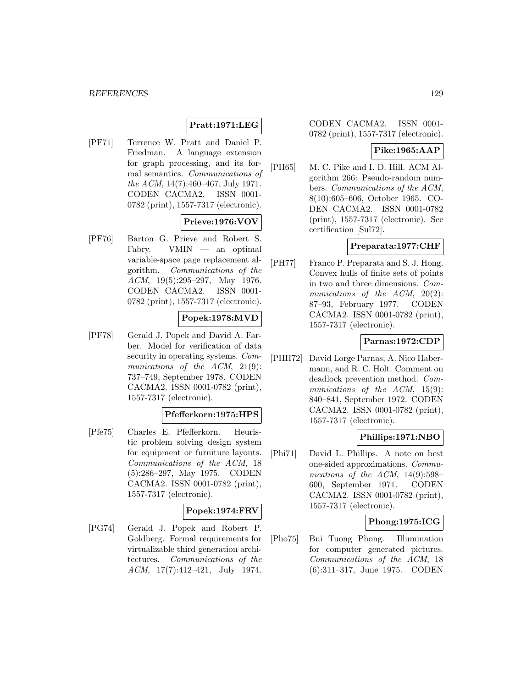## **Pratt:1971:LEG**

[PF71] Terrence W. Pratt and Daniel P. Friedman. A language extension for graph processing, and its formal semantics. Communications of the ACM, 14(7):460–467, July 1971. CODEN CACMA2. ISSN 0001- 0782 (print), 1557-7317 (electronic).

## **Prieve:1976:VOV**

[PF76] Barton G. Prieve and Robert S. Fabry. VMIN — an optimal variable-space page replacement algorithm. Communications of the ACM, 19(5):295–297, May 1976. CODEN CACMA2. ISSN 0001- 0782 (print), 1557-7317 (electronic).

## **Popek:1978:MVD**

[PF78] Gerald J. Popek and David A. Farber. Model for verification of data security in operating systems. Communications of the ACM, 21(9): 737–749, September 1978. CODEN CACMA2. ISSN 0001-0782 (print), 1557-7317 (electronic).

# **Pfefferkorn:1975:HPS**

[Pfe75] Charles E. Pfefferkorn. Heuristic problem solving design system for equipment or furniture layouts. Communications of the ACM, 18 (5):286–297, May 1975. CODEN CACMA2. ISSN 0001-0782 (print), 1557-7317 (electronic).

# **Popek:1974:FRV**

[PG74] Gerald J. Popek and Robert P. Goldberg. Formal requirements for virtualizable third generation architectures. Communications of the ACM, 17(7):412–421, July 1974.

CODEN CACMA2. ISSN 0001- 0782 (print), 1557-7317 (electronic).

#### **Pike:1965:AAP**

[PH65] M. C. Pike and I. D. Hill. ACM Algorithm 266: Pseudo-random numbers. Communications of the ACM, 8(10):605–606, October 1965. CO-DEN CACMA2. ISSN 0001-0782 (print), 1557-7317 (electronic). See certification [Sul72].

## **Preparata:1977:CHF**

[PH77] Franco P. Preparata and S. J. Hong. Convex hulls of finite sets of points in two and three dimensions. Communications of the ACM, 20(2): 87–93, February 1977. CODEN CACMA2. ISSN 0001-0782 (print), 1557-7317 (electronic).

## **Parnas:1972:CDP**

[PHH72] David Lorge Parnas, A. Nico Habermann, and R. C. Holt. Comment on deadlock prevention method. Communications of the ACM, 15(9): 840–841, September 1972. CODEN CACMA2. ISSN 0001-0782 (print), 1557-7317 (electronic).

## **Phillips:1971:NBO**

[Phi71] David L. Phillips. A note on best one-sided approximations. Communications of the ACM,  $14(9):598-$ 600, September 1971. CODEN CACMA2. ISSN 0001-0782 (print), 1557-7317 (electronic).

## **Phong:1975:ICG**

[Pho75] Bui Tuong Phong. Illumination for computer generated pictures. Communications of the ACM, 18 (6):311–317, June 1975. CODEN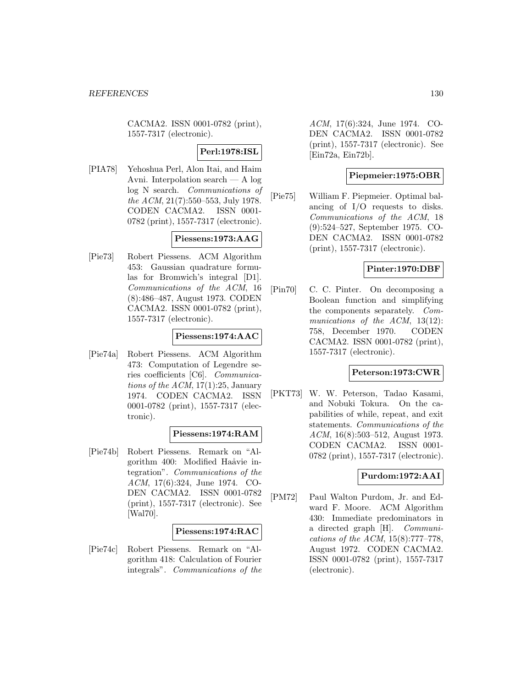CACMA2. ISSN 0001-0782 (print), 1557-7317 (electronic).

# **Perl:1978:ISL**

[PIA78] Yehoshua Perl, Alon Itai, and Haim Avni. Interpolation search — A log log N search. Communications of the ACM, 21(7):550–553, July 1978. CODEN CACMA2. ISSN 0001- 0782 (print), 1557-7317 (electronic).

## **Piessens:1973:AAG**

[Pie73] Robert Piessens. ACM Algorithm 453: Gaussian quadrature formulas for Bromwich's integral [D1]. Communications of the ACM, 16 (8):486–487, August 1973. CODEN CACMA2. ISSN 0001-0782 (print), 1557-7317 (electronic).

## **Piessens:1974:AAC**

[Pie74a] Robert Piessens. ACM Algorithm 473: Computation of Legendre series coefficients [C6]. Communications of the  $ACM$ , 17(1):25, January 1974. CODEN CACMA2. ISSN 0001-0782 (print), 1557-7317 (electronic).

## **Piessens:1974:RAM**

[Pie74b] Robert Piessens. Remark on "Algorithm 400: Modified Haåvie integration". Communications of the ACM, 17(6):324, June 1974. CO-DEN CACMA2. ISSN 0001-0782 (print), 1557-7317 (electronic). See [Wal70].

## **Piessens:1974:RAC**

[Pie74c] Robert Piessens. Remark on "Algorithm 418: Calculation of Fourier integrals". Communications of the

ACM, 17(6):324, June 1974. CO-DEN CACMA2. ISSN 0001-0782 (print), 1557-7317 (electronic). See [Ein72a, Ein72b].

## **Piepmeier:1975:OBR**

[Pie75] William F. Piepmeier. Optimal balancing of I/O requests to disks. Communications of the ACM, 18 (9):524–527, September 1975. CO-DEN CACMA2. ISSN 0001-0782 (print), 1557-7317 (electronic).

## **Pinter:1970:DBF**

[Pin70] C. C. Pinter. On decomposing a Boolean function and simplifying the components separately. Communications of the ACM, 13(12): 758, December 1970. CODEN CACMA2. ISSN 0001-0782 (print), 1557-7317 (electronic).

## **Peterson:1973:CWR**

[PKT73] W. W. Peterson, Tadao Kasami, and Nobuki Tokura. On the capabilities of while, repeat, and exit statements. Communications of the ACM, 16(8):503–512, August 1973. CODEN CACMA2. ISSN 0001- 0782 (print), 1557-7317 (electronic).

## **Purdom:1972:AAI**

[PM72] Paul Walton Purdom, Jr. and Edward F. Moore. ACM Algorithm 430: Immediate predominators in a directed graph [H]. Communications of the ACM, 15(8):777–778, August 1972. CODEN CACMA2. ISSN 0001-0782 (print), 1557-7317 (electronic).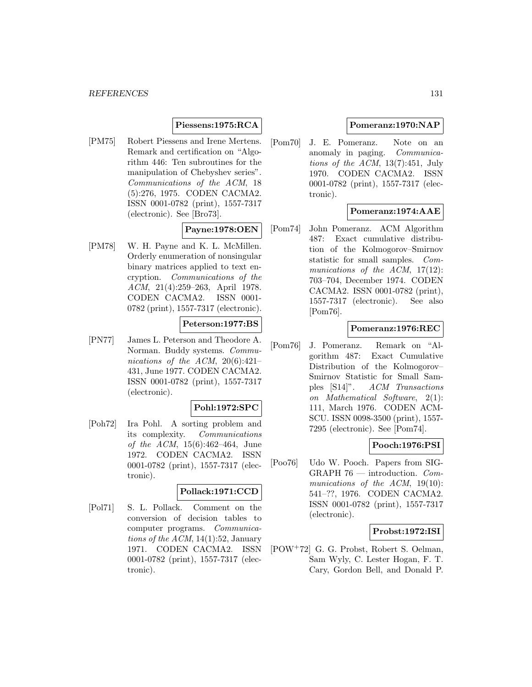## **Piessens:1975:RCA**

[PM75] Robert Piessens and Irene Mertens. Remark and certification on "Algorithm 446: Ten subroutines for the manipulation of Chebyshev series". Communications of the ACM, 18 (5):276, 1975. CODEN CACMA2. ISSN 0001-0782 (print), 1557-7317 (electronic). See [Bro73].

## **Payne:1978:OEN**

[PM78] W. H. Payne and K. L. McMillen. Orderly enumeration of nonsingular binary matrices applied to text encryption. Communications of the ACM, 21(4):259–263, April 1978. CODEN CACMA2. ISSN 0001- 0782 (print), 1557-7317 (electronic).

## **Peterson:1977:BS**

[PN77] James L. Peterson and Theodore A. Norman. Buddy systems. Communications of the ACM,  $20(6):421-$ 431, June 1977. CODEN CACMA2. ISSN 0001-0782 (print), 1557-7317 (electronic).

## **Pohl:1972:SPC**

[Poh72] Ira Pohl. A sorting problem and its complexity. Communications of the ACM, 15(6):462–464, June 1972. CODEN CACMA2. ISSN 0001-0782 (print), 1557-7317 (electronic).

#### **Pollack:1971:CCD**

[Pol71] S. L. Pollack. Comment on the conversion of decision tables to computer programs. Communications of the  $ACM$ , 14(1):52, January 1971. CODEN CACMA2. ISSN 0001-0782 (print), 1557-7317 (electronic).

## **Pomeranz:1970:NAP**

[Pom70] J. E. Pomeranz. Note on an anomaly in paging. Communications of the ACM, 13(7):451, July 1970. CODEN CACMA2. ISSN 0001-0782 (print), 1557-7317 (electronic).

## **Pomeranz:1974:AAE**

[Pom74] John Pomeranz. ACM Algorithm 487: Exact cumulative distribution of the Kolmogorov–Smirnov statistic for small samples. Communications of the ACM, 17(12): 703–704, December 1974. CODEN CACMA2. ISSN 0001-0782 (print), 1557-7317 (electronic). See also [Pom76].

## **Pomeranz:1976:REC**

[Pom76] J. Pomeranz. Remark on "Algorithm 487: Exact Cumulative Distribution of the Kolmogorov– Smirnov Statistic for Small Samples [S14]". ACM Transactions on Mathematical Software, 2(1): 111, March 1976. CODEN ACM-SCU. ISSN 0098-3500 (print), 1557- 7295 (electronic). See [Pom74].

## **Pooch:1976:PSI**

[Poo76] Udo W. Pooch. Papers from SIG-GRAPH 76 — introduction. Communications of the ACM, 19(10): 541–??, 1976. CODEN CACMA2. ISSN 0001-0782 (print), 1557-7317 (electronic).

## **Probst:1972:ISI**

[POW<sup>+</sup>72] G. G. Probst, Robert S. Oelman, Sam Wyly, C. Lester Hogan, F. T. Cary, Gordon Bell, and Donald P.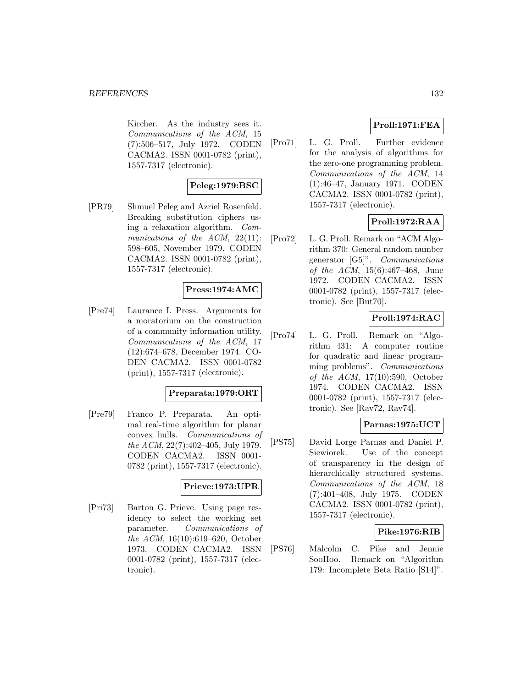Kircher. As the industry sees it. Communications of the ACM, 15 (7):506–517, July 1972. CODEN CACMA2. ISSN 0001-0782 (print), 1557-7317 (electronic).

## **Peleg:1979:BSC**

[PR79] Shmuel Peleg and Azriel Rosenfeld. Breaking substitution ciphers using a relaxation algorithm. Communications of the  $ACM$ ,  $22(11)$ : 598–605, November 1979. CODEN CACMA2. ISSN 0001-0782 (print), 1557-7317 (electronic).

# **Press:1974:AMC**

[Pre74] Laurance I. Press. Arguments for a moratorium on the construction of a community information utility. Communications of the ACM, 17 (12):674–678, December 1974. CO-DEN CACMA2. ISSN 0001-0782 (print), 1557-7317 (electronic).

## **Preparata:1979:ORT**

[Pre79] Franco P. Preparata. An optimal real-time algorithm for planar convex hulls. Communications of the ACM, 22(7):402–405, July 1979. CODEN CACMA2. ISSN 0001- 0782 (print), 1557-7317 (electronic).

# **Prieve:1973:UPR**

[Pri73] Barton G. Prieve. Using page residency to select the working set parameter. Communications of the ACM, 16(10):619–620, October 1973. CODEN CACMA2. ISSN 0001-0782 (print), 1557-7317 (electronic).

## **Proll:1971:FEA**

[Pro71] L. G. Proll. Further evidence for the analysis of algorithms for the zero-one programming problem. Communications of the ACM, 14 (1):46–47, January 1971. CODEN CACMA2. ISSN 0001-0782 (print), 1557-7317 (electronic).

# **Proll:1972:RAA**

[Pro72] L. G. Proll. Remark on "ACM Algorithm 370: General random number generator [G5]". Communications of the ACM, 15(6):467–468, June 1972. CODEN CACMA2. ISSN 0001-0782 (print), 1557-7317 (electronic). See [But70].

## **Proll:1974:RAC**

[Pro74] L. G. Proll. Remark on "Algorithm 431: A computer routine for quadratic and linear programming problems". Communications of the ACM, 17(10):590, October 1974. CODEN CACMA2. ISSN 0001-0782 (print), 1557-7317 (electronic). See [Rav72, Rav74].

## **Parnas:1975:UCT**

[PS75] David Lorge Parnas and Daniel P. Siewiorek. Use of the concept of transparency in the design of hierarchically structured systems. Communications of the ACM, 18 (7):401–408, July 1975. CODEN CACMA2. ISSN 0001-0782 (print), 1557-7317 (electronic).

## **Pike:1976:RIB**

[PS76] Malcolm C. Pike and Jennie SooHoo. Remark on "Algorithm 179: Incomplete Beta Ratio [S14]".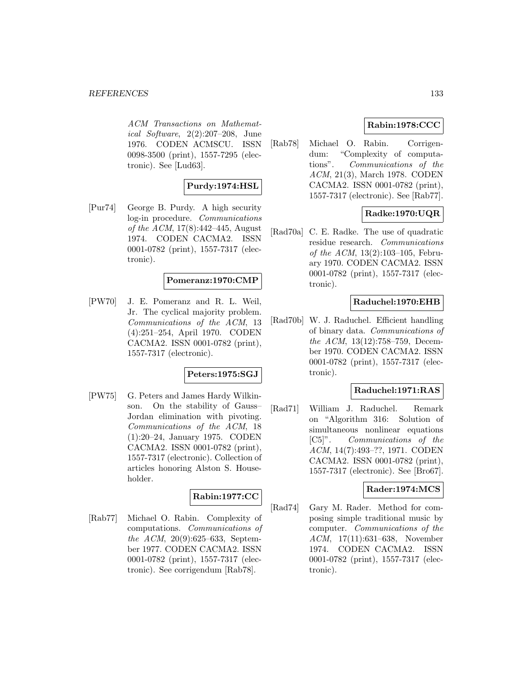ACM Transactions on Mathematical Software, 2(2):207–208, June 1976. CODEN ACMSCU. ISSN 0098-3500 (print), 1557-7295 (electronic). See [Lud63].

## **Purdy:1974:HSL**

[Pur74] George B. Purdy. A high security log-in procedure. Communications of the ACM, 17(8):442–445, August 1974. CODEN CACMA2. ISSN 0001-0782 (print), 1557-7317 (electronic).

#### **Pomeranz:1970:CMP**

[PW70] J. E. Pomeranz and R. L. Weil, Jr. The cyclical majority problem. Communications of the ACM, 13 (4):251–254, April 1970. CODEN CACMA2. ISSN 0001-0782 (print), 1557-7317 (electronic).

## **Peters:1975:SGJ**

[PW75] G. Peters and James Hardy Wilkinson. On the stability of Gauss– Jordan elimination with pivoting. Communications of the ACM, 18 (1):20–24, January 1975. CODEN CACMA2. ISSN 0001-0782 (print), 1557-7317 (electronic). Collection of articles honoring Alston S. Householder.

## **Rabin:1977:CC**

[Rab77] Michael O. Rabin. Complexity of computations. Communications of the ACM, 20(9):625–633, September 1977. CODEN CACMA2. ISSN 0001-0782 (print), 1557-7317 (electronic). See corrigendum [Rab78].

## **Rabin:1978:CCC**

[Rab78] Michael O. Rabin. Corrigendum: "Complexity of computations". Communications of the ACM, 21(3), March 1978. CODEN CACMA2. ISSN 0001-0782 (print), 1557-7317 (electronic). See [Rab77].

# **Radke:1970:UQR**

[Rad70a] C. E. Radke. The use of quadratic residue research. Communications of the ACM, 13(2):103–105, February 1970. CODEN CACMA2. ISSN 0001-0782 (print), 1557-7317 (electronic).

## **Raduchel:1970:EHB**

[Rad70b] W. J. Raduchel. Efficient handling of binary data. Communications of the ACM, 13(12):758–759, December 1970. CODEN CACMA2. ISSN 0001-0782 (print), 1557-7317 (electronic).

## **Raduchel:1971:RAS**

[Rad71] William J. Raduchel. Remark on "Algorithm 316: Solution of simultaneous nonlinear equations [C5]". Communications of the ACM, 14(7):493–??, 1971. CODEN CACMA2. ISSN 0001-0782 (print), 1557-7317 (electronic). See [Bro67].

### **Rader:1974:MCS**

[Rad74] Gary M. Rader. Method for composing simple traditional music by computer. Communications of the ACM, 17(11):631–638, November 1974. CODEN CACMA2. ISSN 0001-0782 (print), 1557-7317 (electronic).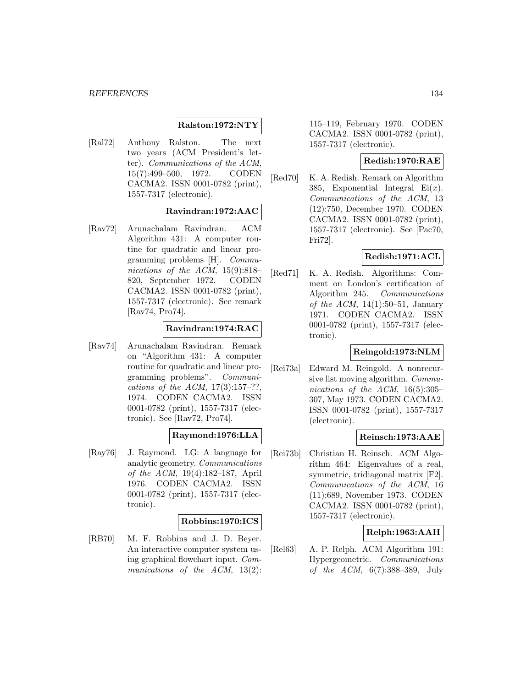## **Ralston:1972:NTY**

[Ral72] Anthony Ralston. The next two years (ACM President's letter). Communications of the ACM, 15(7):499–500, 1972. CODEN CACMA2. ISSN 0001-0782 (print), 1557-7317 (electronic).

## **Ravindran:1972:AAC**

[Rav72] Arunachalam Ravindran. ACM Algorithm 431: A computer routine for quadratic and linear programming problems [H]. Communications of the ACM, 15(9):818– 820, September 1972. CODEN CACMA2. ISSN 0001-0782 (print), 1557-7317 (electronic). See remark [Rav74, Pro74].

## **Ravindran:1974:RAC**

[Rav74] Arunachalam Ravindran. Remark on "Algorithm 431: A computer routine for quadratic and linear programming problems". Communications of the ACM,  $17(3):157-??$ , 1974. CODEN CACMA2. ISSN 0001-0782 (print), 1557-7317 (electronic). See [Rav72, Pro74].

## **Raymond:1976:LLA**

[Ray76] J. Raymond. LG: A language for analytic geometry. Communications of the ACM, 19(4):182–187, April 1976. CODEN CACMA2. ISSN 0001-0782 (print), 1557-7317 (electronic).

#### **Robbins:1970:ICS**

[RB70] M. F. Robbins and J. D. Beyer. An interactive computer system using graphical flowchart input. Communications of the ACM, 13(2):

115–119, February 1970. CODEN CACMA2. ISSN 0001-0782 (print), 1557-7317 (electronic).

## **Redish:1970:RAE**

[Red70] K. A. Redish. Remark on Algorithm 385, Exponential Integral  $Ei(x)$ . Communications of the ACM, 13 (12):750, December 1970. CODEN CACMA2. ISSN 0001-0782 (print), 1557-7317 (electronic). See [Pac70, Fri72].

## **Redish:1971:ACL**

[Red71] K. A. Redish. Algorithms: Comment on London's certification of Algorithm 245. Communications of the ACM,  $14(1):50-51$ , January 1971. CODEN CACMA2. ISSN 0001-0782 (print), 1557-7317 (electronic).

## **Reingold:1973:NLM**

[Rei73a] Edward M. Reingold. A nonrecursive list moving algorithm. Communications of the ACM,  $16(5):305-$ 307, May 1973. CODEN CACMA2. ISSN 0001-0782 (print), 1557-7317 (electronic).

## **Reinsch:1973:AAE**

[Rei73b] Christian H. Reinsch. ACM Algorithm 464: Eigenvalues of a real, symmetric, tridiagonal matrix [F2]. Communications of the ACM, 16 (11):689, November 1973. CODEN CACMA2. ISSN 0001-0782 (print), 1557-7317 (electronic).

## **Relph:1963:AAH**

[Rel63] A. P. Relph. ACM Algorithm 191: Hypergeometric. Communications of the ACM, 6(7):388–389, July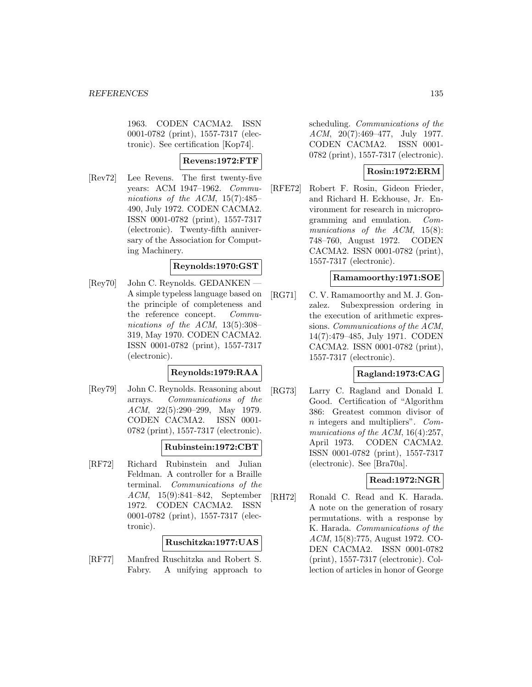1963. CODEN CACMA2. ISSN 0001-0782 (print), 1557-7317 (electronic). See certification [Kop74].

## **Revens:1972:FTF**

[Rev72] Lee Revens. The first twenty-five years: ACM 1947–1962. Communications of the ACM, 15(7):485– 490, July 1972. CODEN CACMA2. ISSN 0001-0782 (print), 1557-7317 (electronic). Twenty-fifth anniversary of the Association for Computing Machinery.

## **Reynolds:1970:GST**

[Rey70] — John C. Reynolds. GEDANKEN A simple typeless language based on the principle of completeness and the reference concept. Communications of the ACM, 13(5):308– 319, May 1970. CODEN CACMA2. ISSN 0001-0782 (print), 1557-7317 (electronic).

## **Reynolds:1979:RAA**

[Rey79] John C. Reynolds. Reasoning about arrays. Communications of the ACM, 22(5):290–299, May 1979. CODEN CACMA2. ISSN 0001- 0782 (print), 1557-7317 (electronic).

## **Rubinstein:1972:CBT**

[RF72] Richard Rubinstein and Julian Feldman. A controller for a Braille terminal. Communications of the ACM, 15(9):841–842, September 1972. CODEN CACMA2. ISSN 0001-0782 (print), 1557-7317 (electronic).

## **Ruschitzka:1977:UAS**

[RF77] Manfred Ruschitzka and Robert S. Fabry. A unifying approach to scheduling. Communications of the ACM, 20(7):469–477, July 1977. CODEN CACMA2. ISSN 0001- 0782 (print), 1557-7317 (electronic).

## **Rosin:1972:ERM**

[RFE72] Robert F. Rosin, Gideon Frieder, and Richard H. Eckhouse, Jr. Environment for research in microprogramming and emulation. Communications of the ACM, 15(8): 748–760, August 1972. CODEN CACMA2. ISSN 0001-0782 (print), 1557-7317 (electronic).

## **Ramamoorthy:1971:SOE**

[RG71] C. V. Ramamoorthy and M. J. Gonzalez. Subexpression ordering in the execution of arithmetic expressions. Communications of the ACM, 14(7):479–485, July 1971. CODEN CACMA2. ISSN 0001-0782 (print), 1557-7317 (electronic).

### **Ragland:1973:CAG**

[RG73] Larry C. Ragland and Donald I. Good. Certification of "Algorithm 386: Greatest common divisor of n integers and multipliers". Communications of the ACM, 16(4):257, April 1973. CODEN CACMA2. ISSN 0001-0782 (print), 1557-7317 (electronic). See [Bra70a].

## **Read:1972:NGR**

[RH72] Ronald C. Read and K. Harada. A note on the generation of rosary permutations. with a response by K. Harada. Communications of the ACM, 15(8):775, August 1972. CO-DEN CACMA2. ISSN 0001-0782 (print), 1557-7317 (electronic). Collection of articles in honor of George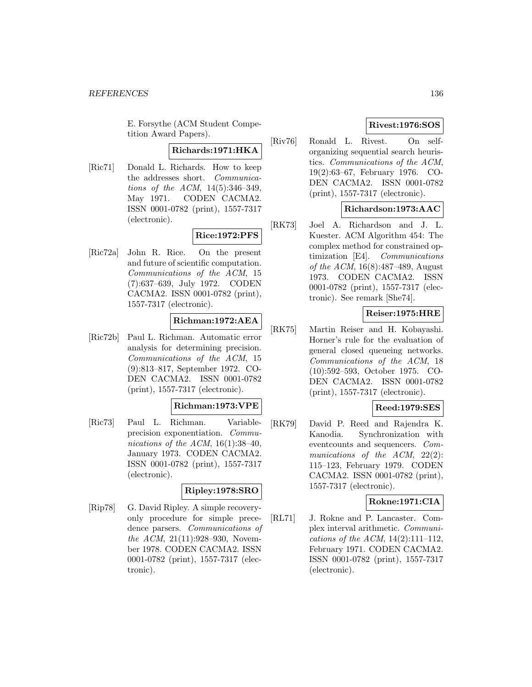E. Forsythe (ACM Student Competition Award Papers).

## **Richards:1971:HKA**

[Ric71] Donald L. Richards. How to keep the addresses short. Communications of the ACM, 14(5):346–349, May 1971. CODEN CACMA2. ISSN 0001-0782 (print), 1557-7317 (electronic).

# **Rice:1972:PFS**

[Ric72a] John R. Rice. On the present and future of scientific computation. Communications of the ACM, 15 (7):637–639, July 1972. CODEN CACMA2. ISSN 0001-0782 (print), 1557-7317 (electronic).

# **Richman:1972:AEA**

[Ric72b] Paul L. Richman. Automatic error analysis for determining precision. Communications of the ACM, 15 (9):813–817, September 1972. CO-DEN CACMA2. ISSN 0001-0782 (print), 1557-7317 (electronic).

## **Richman:1973:VPE**

[Ric73] Paul L. Richman. Variableprecision exponentiation. Communications of the ACM,  $16(1):38-40$ , January 1973. CODEN CACMA2. ISSN 0001-0782 (print), 1557-7317 (electronic).

## **Ripley:1978:SRO**

[Rip78] G. David Ripley. A simple recoveryonly procedure for simple precedence parsers. Communications of the ACM, 21(11):928–930, November 1978. CODEN CACMA2. ISSN 0001-0782 (print), 1557-7317 (electronic).

# **Rivest:1976:SOS**

[Riv76] Ronald L. Rivest. On selforganizing sequential search heuristics. Communications of the ACM, 19(2):63–67, February 1976. CO-DEN CACMA2. ISSN 0001-0782 (print), 1557-7317 (electronic).

# **Richardson:1973:AAC**

[RK73] Joel A. Richardson and J. L. Kuester. ACM Algorithm 454: The complex method for constrained optimization [E4]. Communications of the ACM, 16(8):487–489, August 1973. CODEN CACMA2. ISSN 0001-0782 (print), 1557-7317 (electronic). See remark [She74].

# **Reiser:1975:HRE**

[RK75] Martin Reiser and H. Kobayashi. Horner's rule for the evaluation of general closed queueing networks. Communications of the ACM, 18 (10):592–593, October 1975. CO-DEN CACMA2. ISSN 0001-0782 (print), 1557-7317 (electronic).

## **Reed:1979:SES**

[RK79] David P. Reed and Rajendra K. Kanodia. Synchronization with eventcounts and sequencers. Communications of the ACM, 22(2): 115–123, February 1979. CODEN CACMA2. ISSN 0001-0782 (print), 1557-7317 (electronic).

## **Rokne:1971:CIA**

[RL71] J. Rokne and P. Lancaster. Complex interval arithmetic. Communications of the ACM,  $14(2):111-112$ , February 1971. CODEN CACMA2. ISSN 0001-0782 (print), 1557-7317 (electronic).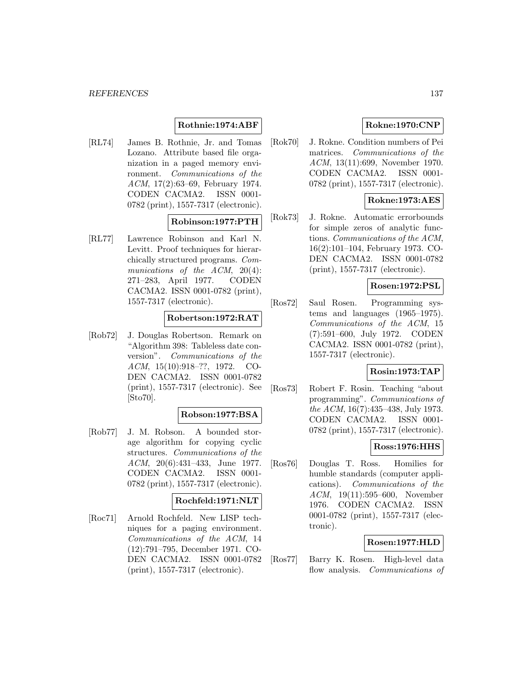## **Rothnie:1974:ABF**

[RL74] James B. Rothnie, Jr. and Tomas Lozano. Attribute based file organization in a paged memory environment. Communications of the ACM, 17(2):63–69, February 1974. CODEN CACMA2. ISSN 0001- 0782 (print), 1557-7317 (electronic).

## **Robinson:1977:PTH**

[RL77] Lawrence Robinson and Karl N. Levitt. Proof techniques for hierarchically structured programs. Communications of the ACM, 20(4): 271–283, April 1977. CODEN CACMA2. ISSN 0001-0782 (print), 1557-7317 (electronic).

## **Robertson:1972:RAT**

[Rob72] J. Douglas Robertson. Remark on "Algorithm 398: Tableless date conversion". Communications of the ACM, 15(10):918–??, 1972. CO-DEN CACMA2. ISSN 0001-0782 (print), 1557-7317 (electronic). See [Sto70].

# **Robson:1977:BSA**

[Rob77] J. M. Robson. A bounded storage algorithm for copying cyclic structures. Communications of the ACM, 20(6):431–433, June 1977. CODEN CACMA2. ISSN 0001- 0782 (print), 1557-7317 (electronic).

## **Rochfeld:1971:NLT**

[Roc71] Arnold Rochfeld. New LISP techniques for a paging environment. Communications of the ACM, 14 (12):791–795, December 1971. CO-DEN CACMA2. ISSN 0001-0782 (print), 1557-7317 (electronic).

# **Rokne:1970:CNP**

[Rok70] J. Rokne. Condition numbers of Pei matrices. Communications of the ACM, 13(11):699, November 1970. CODEN CACMA2. ISSN 0001- 0782 (print), 1557-7317 (electronic).

## **Rokne:1973:AES**

[Rok73] J. Rokne. Automatic errorbounds for simple zeros of analytic functions. Communications of the ACM, 16(2):101–104, February 1973. CO-DEN CACMA2. ISSN 0001-0782 (print), 1557-7317 (electronic).

## **Rosen:1972:PSL**

[Ros72] Saul Rosen. Programming systems and languages (1965–1975). Communications of the ACM, 15 (7):591–600, July 1972. CODEN CACMA2. ISSN 0001-0782 (print), 1557-7317 (electronic).

## **Rosin:1973:TAP**

[Ros73] Robert F. Rosin. Teaching "about programming". Communications of the ACM, 16(7):435–438, July 1973. CODEN CACMA2. ISSN 0001- 0782 (print), 1557-7317 (electronic).

## **Ross:1976:HHS**

[Ros76] Douglas T. Ross. Homilies for humble standards (computer applications). Communications of the ACM, 19(11):595–600, November 1976. CODEN CACMA2. ISSN 0001-0782 (print), 1557-7317 (electronic).

#### **Rosen:1977:HLD**

[Ros77] Barry K. Rosen. High-level data flow analysis. Communications of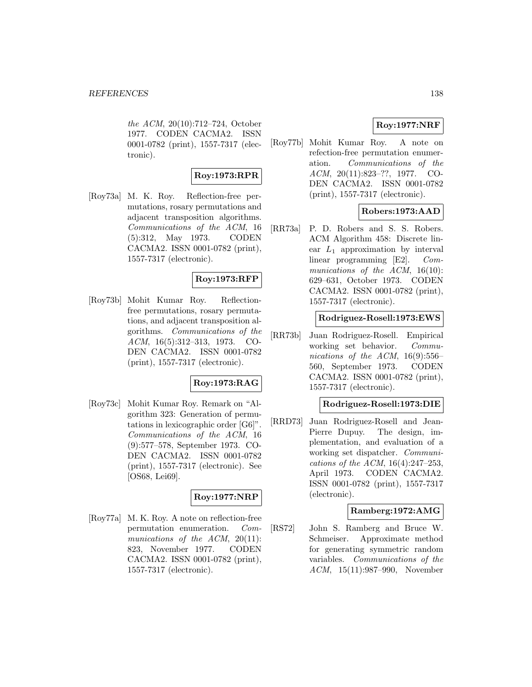the ACM, 20(10):712–724, October 1977. CODEN CACMA2. ISSN 0001-0782 (print), 1557-7317 (electronic).

# **Roy:1973:RPR**

[Roy73a] M. K. Roy. Reflection-free permutations, rosary permutations and adjacent transposition algorithms. Communications of the ACM, 16 (5):312, May 1973. CODEN CACMA2. ISSN 0001-0782 (print), 1557-7317 (electronic).

## **Roy:1973:RFP**

[Roy73b] Mohit Kumar Roy. Reflectionfree permutations, rosary permutations, and adjacent transposition algorithms. Communications of the ACM, 16(5):312–313, 1973. CO-DEN CACMA2. ISSN 0001-0782 (print), 1557-7317 (electronic).

## **Roy:1973:RAG**

[Roy73c] Mohit Kumar Roy. Remark on "Algorithm 323: Generation of permutations in lexicographic order [G6]". Communications of the ACM, 16 (9):577–578, September 1973. CO-DEN CACMA2. ISSN 0001-0782 (print), 1557-7317 (electronic). See [OS68, Lei69].

# **Roy:1977:NRP**

[Roy77a] M. K. Roy. A note on reflection-free permutation enumeration. Communications of the ACM, 20(11): 823, November 1977. CODEN CACMA2. ISSN 0001-0782 (print), 1557-7317 (electronic).

# **Roy:1977:NRF**

[Roy77b] Mohit Kumar Roy. A note on refection-free permutation enumeration. Communications of the ACM, 20(11):823–??, 1977. CO-DEN CACMA2. ISSN 0001-0782 (print), 1557-7317 (electronic).

# **Robers:1973:AAD**

[RR73a] P. D. Robers and S. S. Robers. ACM Algorithm 458: Discrete linear  $L_1$  approximation by interval linear programming [E2]. Communications of the ACM, 16(10): 629–631, October 1973. CODEN CACMA2. ISSN 0001-0782 (print), 1557-7317 (electronic).

## **Rodriguez-Rosell:1973:EWS**

[RR73b] Juan Rodriguez-Rosell. Empirical working set behavior. Communications of the ACM,  $16(9):556-$ 560, September 1973. CODEN CACMA2. ISSN 0001-0782 (print), 1557-7317 (electronic).

## **Rodriguez-Rosell:1973:DIE**

[RRD73] Juan Rodriguez-Rosell and Jean-Pierre Dupuy. The design, implementation, and evaluation of a working set dispatcher. Communications of the ACM, 16(4):247–253, April 1973. CODEN CACMA2. ISSN 0001-0782 (print), 1557-7317 (electronic).

## **Ramberg:1972:AMG**

[RS72] John S. Ramberg and Bruce W. Schmeiser. Approximate method for generating symmetric random variables. Communications of the ACM, 15(11):987–990, November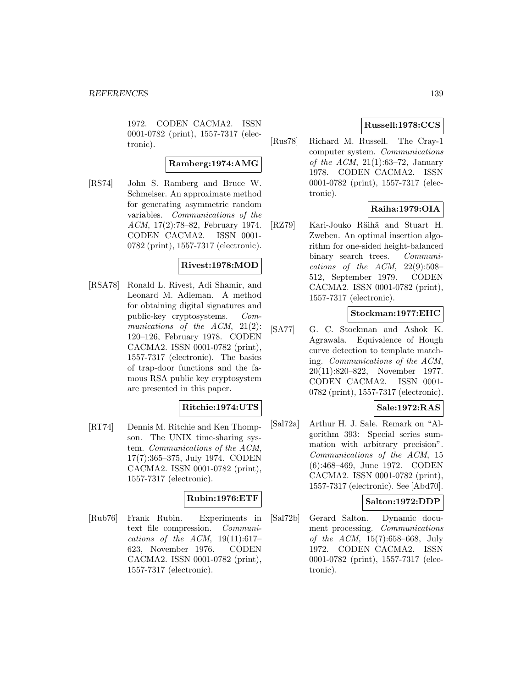1972. CODEN CACMA2. ISSN 0001-0782 (print), 1557-7317 (electronic).

#### **Ramberg:1974:AMG**

[RS74] John S. Ramberg and Bruce W. Schmeiser. An approximate method for generating asymmetric random variables. Communications of the ACM, 17(2):78–82, February 1974. CODEN CACMA2. ISSN 0001- 0782 (print), 1557-7317 (electronic).

## **Rivest:1978:MOD**

[RSA78] Ronald L. Rivest, Adi Shamir, and Leonard M. Adleman. A method for obtaining digital signatures and public-key cryptosystems. Communications of the ACM, 21(2): 120–126, February 1978. CODEN CACMA2. ISSN 0001-0782 (print), 1557-7317 (electronic). The basics of trap-door functions and the famous RSA public key cryptosystem are presented in this paper.

## **Ritchie:1974:UTS**

[RT74] Dennis M. Ritchie and Ken Thompson. The UNIX time-sharing system. Communications of the ACM, 17(7):365–375, July 1974. CODEN CACMA2. ISSN 0001-0782 (print), 1557-7317 (electronic).

## **Rubin:1976:ETF**

[Rub76] Frank Rubin. Experiments in text file compression. Communications of the ACM,  $19(11):617-$ 623, November 1976. CODEN CACMA2. ISSN 0001-0782 (print), 1557-7317 (electronic).

# **Russell:1978:CCS**

[Rus78] Richard M. Russell. The Cray-1 computer system. Communications of the ACM,  $21(1):63-72$ , January 1978. CODEN CACMA2. ISSN 0001-0782 (print), 1557-7317 (electronic).

## **Raiha:1979:OIA**

[RZ79] Kari-Jouko Räihä and Stuart H. Zweben. An optimal insertion algorithm for one-sided height-balanced binary search trees. Communications of the ACM,  $22(9):508-$ 512, September 1979. CODEN CACMA2. ISSN 0001-0782 (print), 1557-7317 (electronic).

## **Stockman:1977:EHC**

[SA77] G. C. Stockman and Ashok K. Agrawala. Equivalence of Hough curve detection to template matching. Communications of the ACM, 20(11):820–822, November 1977. CODEN CACMA2. ISSN 0001- 0782 (print), 1557-7317 (electronic).

## **Sale:1972:RAS**

[Sal72a] Arthur H. J. Sale. Remark on "Algorithm 393: Special series summation with arbitrary precision". Communications of the ACM, 15 (6):468–469, June 1972. CODEN CACMA2. ISSN 0001-0782 (print), 1557-7317 (electronic). See [Abd70].

## **Salton:1972:DDP**

[Sal72b] Gerard Salton. Dynamic document processing. Communications of the ACM, 15(7):658–668, July 1972. CODEN CACMA2. ISSN 0001-0782 (print), 1557-7317 (electronic).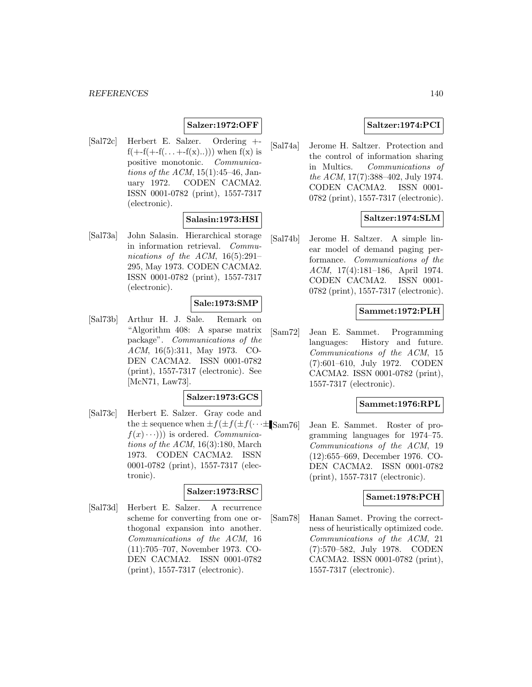## **Salzer:1972:OFF**

[Sal72c] Herbert E. Salzer. Ordering +  $f(+f(+f(\ldots +f(x) \ldots)))$  when  $f(x)$  is positive monotonic. Communications of the  $ACM$ , 15(1):45–46, January 1972. CODEN CACMA2. ISSN 0001-0782 (print), 1557-7317 (electronic).

## **Salasin:1973:HSI**

[Sal73a] John Salasin. Hierarchical storage in information retrieval. Communications of the ACM, 16(5):291– 295, May 1973. CODEN CACMA2. ISSN 0001-0782 (print), 1557-7317 (electronic).

## **Sale:1973:SMP**

[Sal73b] Arthur H. J. Sale. Remark on "Algorithm 408: A sparse matrix package". Communications of the ACM, 16(5):311, May 1973. CO-DEN CACMA2. ISSN 0001-0782 (print), 1557-7317 (electronic). See [McN71, Law73].

## **Salzer:1973:GCS**

[Sal73c] Herbert E. Salzer. Gray code and the  $\pm$  sequence when  $\pm f(\pm f(\pm f(\cdot \cdot \cdot \pm \text{Sam76}))$  $f(x)\cdot\cdot\cdot)$ ) is ordered. *Communica*tions of the  $ACM$ , 16(3):180, March 1973. CODEN CACMA2. ISSN 0001-0782 (print), 1557-7317 (electronic).

#### **Salzer:1973:RSC**

[Sal73d] Herbert E. Salzer. A recurrence scheme for converting from one orthogonal expansion into another. Communications of the ACM, 16 (11):705–707, November 1973. CO-DEN CACMA2. ISSN 0001-0782 (print), 1557-7317 (electronic).

## **Saltzer:1974:PCI**

[Sal74a] Jerome H. Saltzer. Protection and the control of information sharing in Multics. Communications of the ACM, 17(7):388–402, July 1974. CODEN CACMA2. ISSN 0001- 0782 (print), 1557-7317 (electronic).

## **Saltzer:1974:SLM**

[Sal74b] Jerome H. Saltzer. A simple linear model of demand paging performance. Communications of the ACM, 17(4):181–186, April 1974. CODEN CACMA2. ISSN 0001- 0782 (print), 1557-7317 (electronic).

#### **Sammet:1972:PLH**

[Sam72] Jean E. Sammet. Programming languages: History and future. Communications of the ACM, 15 (7):601–610, July 1972. CODEN CACMA2. ISSN 0001-0782 (print), 1557-7317 (electronic).

### **Sammet:1976:RPL**

Jean E. Sammet. Roster of programming languages for 1974–75. Communications of the ACM, 19 (12):655–669, December 1976. CO-DEN CACMA2. ISSN 0001-0782 (print), 1557-7317 (electronic).

#### **Samet:1978:PCH**

[Sam78] Hanan Samet. Proving the correctness of heuristically optimized code. Communications of the ACM, 21 (7):570–582, July 1978. CODEN CACMA2. ISSN 0001-0782 (print), 1557-7317 (electronic).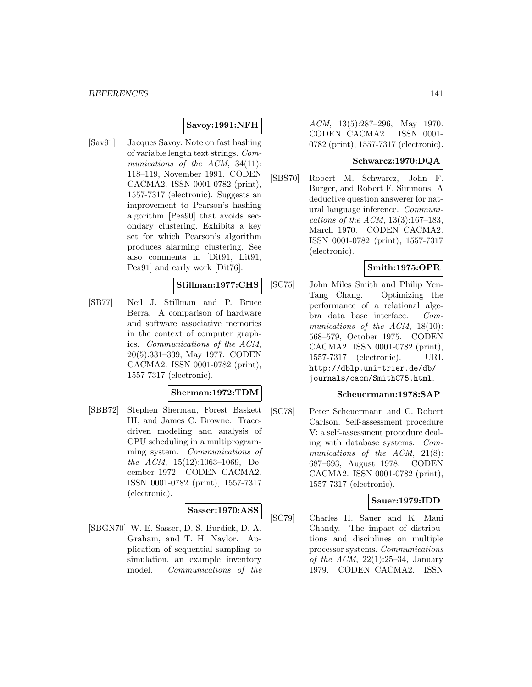# **Savoy:1991:NFH**

[Sav91] Jacques Savoy. Note on fast hashing of variable length text strings. Communications of the ACM, 34(11): 118–119, November 1991. CODEN CACMA2. ISSN 0001-0782 (print), 1557-7317 (electronic). Suggests an improvement to Pearson's hashing algorithm [Pea90] that avoids secondary clustering. Exhibits a key set for which Pearson's algorithm produces alarming clustering. See also comments in [Dit91, Lit91, Pea91] and early work [Dit76].

# **Stillman:1977:CHS**

[SB77] Neil J. Stillman and P. Bruce Berra. A comparison of hardware and software associative memories in the context of computer graphics. Communications of the ACM, 20(5):331–339, May 1977. CODEN CACMA2. ISSN 0001-0782 (print), 1557-7317 (electronic).

#### **Sherman:1972:TDM**

[SBB72] Stephen Sherman, Forest Baskett III, and James C. Browne. Tracedriven modeling and analysis of CPU scheduling in a multiprogramming system. Communications of the ACM, 15(12):1063–1069, December 1972. CODEN CACMA2. ISSN 0001-0782 (print), 1557-7317 (electronic).

## **Sasser:1970:ASS**

[SBGN70] W. E. Sasser, D. S. Burdick, D. A. Graham, and T. H. Naylor. Application of sequential sampling to simulation. an example inventory model. Communications of the

ACM, 13(5):287–296, May 1970. CODEN CACMA2. ISSN 0001- 0782 (print), 1557-7317 (electronic).

## **Schwarcz:1970:DQA**

[SBS70] Robert M. Schwarcz, John F. Burger, and Robert F. Simmons. A deductive question answerer for natural language inference. Communications of the ACM, 13(3):167–183, March 1970. CODEN CACMA2. ISSN 0001-0782 (print), 1557-7317 (electronic).

## **Smith:1975:OPR**

[SC75] John Miles Smith and Philip Yen-Tang Chang. Optimizing the performance of a relational algebra data base interface. Communications of the ACM, 18(10): 568–579, October 1975. CODEN CACMA2. ISSN 0001-0782 (print), 1557-7317 (electronic). URL http://dblp.uni-trier.de/db/ journals/cacm/SmithC75.html.

#### **Scheuermann:1978:SAP**

[SC78] Peter Scheuermann and C. Robert Carlson. Self-assessment procedure V: a self-assessment procedure dealing with database systems. Communications of the ACM, 21(8): 687–693, August 1978. CODEN CACMA2. ISSN 0001-0782 (print), 1557-7317 (electronic).

## **Sauer:1979:IDD**

[SC79] Charles H. Sauer and K. Mani Chandy. The impact of distributions and disciplines on multiple processor systems. Communications of the ACM,  $22(1):25-34$ , January 1979. CODEN CACMA2. ISSN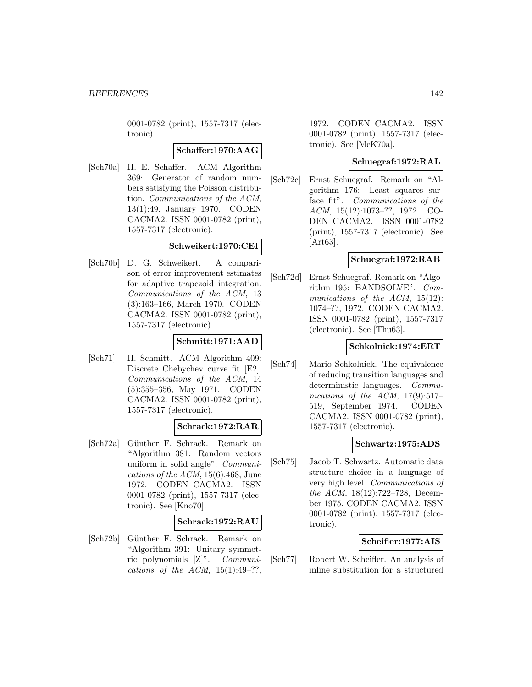0001-0782 (print), 1557-7317 (electronic).

## **Schaffer:1970:AAG**

[Sch70a] H. E. Schaffer. ACM Algorithm 369: Generator of random numbers satisfying the Poisson distribution. Communications of the ACM, 13(1):49, January 1970. CODEN CACMA2. ISSN 0001-0782 (print), 1557-7317 (electronic).

# **Schweikert:1970:CEI**

[Sch70b] D. G. Schweikert. A comparison of error improvement estimates for adaptive trapezoid integration. Communications of the ACM, 13 (3):163–166, March 1970. CODEN CACMA2. ISSN 0001-0782 (print), 1557-7317 (electronic).

## **Schmitt:1971:AAD**

[Sch71] H. Schmitt. ACM Algorithm 409: Discrete Chebychev curve fit [E2]. Communications of the ACM, 14 (5):355–356, May 1971. CODEN CACMA2. ISSN 0001-0782 (print), 1557-7317 (electronic).

## **Schrack:1972:RAR**

[Sch72a] Günther F. Schrack. Remark on "Algorithm 381: Random vectors uniform in solid angle". Communications of the  $ACM$ , 15(6):468, June 1972. CODEN CACMA2. ISSN 0001-0782 (print), 1557-7317 (electronic). See [Kno70].

#### **Schrack:1972:RAU**

[Sch72b] Günther F. Schrack. Remark on "Algorithm 391: Unitary symmetric polynomials [Z]". Communications of the ACM,  $15(1):49-??$ ,

1972. CODEN CACMA2. ISSN 0001-0782 (print), 1557-7317 (electronic). See [McK70a].

## **Schuegraf:1972:RAL**

[Sch72c] Ernst Schuegraf. Remark on "Algorithm 176: Least squares surface fit". Communications of the ACM, 15(12):1073–??, 1972. CO-DEN CACMA2. ISSN 0001-0782 (print), 1557-7317 (electronic). See [Art63].

## **Schuegraf:1972:RAB**

[Sch72d] Ernst Schuegraf. Remark on "Algorithm 195: BANDSOLVE". Communications of the ACM, 15(12): 1074–??, 1972. CODEN CACMA2. ISSN 0001-0782 (print), 1557-7317 (electronic). See [Thu63].

## **Schkolnick:1974:ERT**

[Sch74] Mario Schkolnick. The equivalence of reducing transition languages and deterministic languages. Communications of the ACM,  $17(9):517-$ 519, September 1974. CODEN CACMA2. ISSN 0001-0782 (print), 1557-7317 (electronic).

## **Schwartz:1975:ADS**

[Sch75] Jacob T. Schwartz. Automatic data structure choice in a language of very high level. Communications of the ACM, 18(12):722–728, December 1975. CODEN CACMA2. ISSN 0001-0782 (print), 1557-7317 (electronic).

## **Scheifler:1977:AIS**

[Sch77] Robert W. Scheifler. An analysis of inline substitution for a structured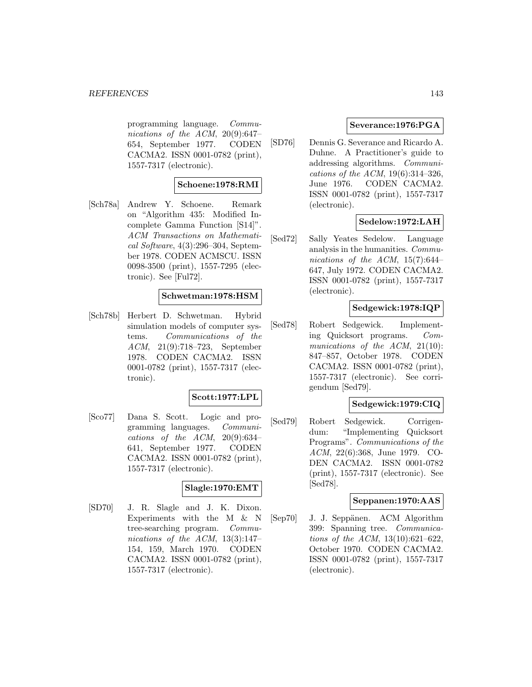programming language. Communications of the ACM, 20(9):647– 654, September 1977. CODEN CACMA2. ISSN 0001-0782 (print), 1557-7317 (electronic).

## **Schoene:1978:RMI**

[Sch78a] Andrew Y. Schoene. Remark on "Algorithm 435: Modified Incomplete Gamma Function [S14]". ACM Transactions on Mathematical Software, 4(3):296–304, September 1978. CODEN ACMSCU. ISSN 0098-3500 (print), 1557-7295 (electronic). See [Ful72].

## **Schwetman:1978:HSM**

[Sch78b] Herbert D. Schwetman. Hybrid simulation models of computer systems. Communications of the ACM, 21(9):718–723, September 1978. CODEN CACMA2. ISSN 0001-0782 (print), 1557-7317 (electronic).

## **Scott:1977:LPL**

[Sco77] Dana S. Scott. Logic and programming languages. Communications of the ACM,  $20(9):634-$ 641, September 1977. CODEN CACMA2. ISSN 0001-0782 (print), 1557-7317 (electronic).

#### **Slagle:1970:EMT**

[SD70] J. R. Slagle and J. K. Dixon. Experiments with the M & N tree-searching program. Communications of the ACM, 13(3):147– 154, 159, March 1970. CODEN CACMA2. ISSN 0001-0782 (print), 1557-7317 (electronic).

## **Severance:1976:PGA**

[SD76] Dennis G. Severance and Ricardo A. Duhne. A Practitioner's guide to addressing algorithms. Communications of the ACM, 19(6):314–326, June 1976. CODEN CACMA2. ISSN 0001-0782 (print), 1557-7317 (electronic).

## **Sedelow:1972:LAH**

[Sed72] Sally Yeates Sedelow. Language analysis in the humanities. Communications of the ACM,  $15(7):644-$ 647, July 1972. CODEN CACMA2. ISSN 0001-0782 (print), 1557-7317 (electronic).

## **Sedgewick:1978:IQP**

[Sed78] Robert Sedgewick. Implementing Quicksort programs. Communications of the ACM, 21(10): 847–857, October 1978. CODEN CACMA2. ISSN 0001-0782 (print), 1557-7317 (electronic). See corrigendum [Sed79].

## **Sedgewick:1979:CIQ**

[Sed79] Robert Sedgewick. Corrigendum: "Implementing Quicksort Programs". Communications of the ACM, 22(6):368, June 1979. CO-DEN CACMA2. ISSN 0001-0782 (print), 1557-7317 (electronic). See [Sed78].

## **Seppanen:1970:AAS**

[Sep70] J. J. Seppänen. ACM Algorithm 399: Spanning tree. Communications of the ACM, 13(10):621–622, October 1970. CODEN CACMA2. ISSN 0001-0782 (print), 1557-7317 (electronic).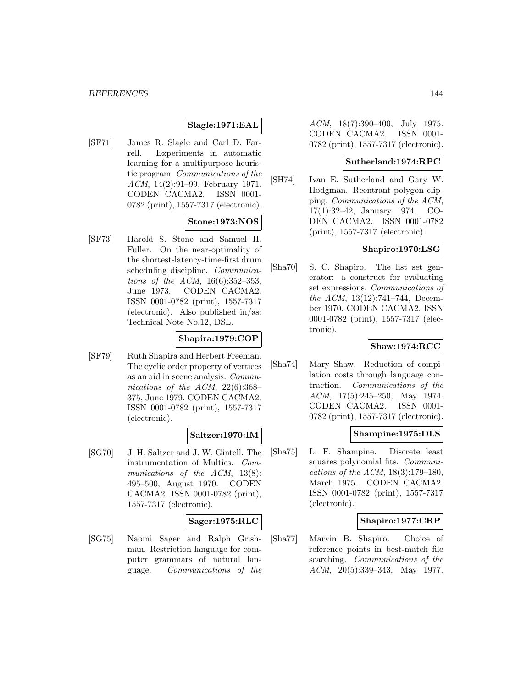## **Slagle:1971:EAL**

[SF71] James R. Slagle and Carl D. Farrell. Experiments in automatic learning for a multipurpose heuristic program. Communications of the ACM, 14(2):91–99, February 1971. CODEN CACMA2. ISSN 0001- 0782 (print), 1557-7317 (electronic).

## **Stone:1973:NOS**

[SF73] Harold S. Stone and Samuel H. Fuller. On the near-optimality of the shortest-latency-time-first drum scheduling discipline. *Communica*tions of the ACM, 16(6):352–353, June 1973. CODEN CACMA2. ISSN 0001-0782 (print), 1557-7317 (electronic). Also published in/as: Technical Note No.12, DSL.

## **Shapira:1979:COP**

[SF79] Ruth Shapira and Herbert Freeman. The cyclic order property of vertices as an aid in scene analysis. Communications of the ACM, 22(6):368– 375, June 1979. CODEN CACMA2. ISSN 0001-0782 (print), 1557-7317 (electronic).

#### **Saltzer:1970:IM**

[SG70] J. H. Saltzer and J. W. Gintell. The instrumentation of Multics. Communications of the ACM, 13(8): 495–500, August 1970. CODEN CACMA2. ISSN 0001-0782 (print), 1557-7317 (electronic).

#### **Sager:1975:RLC**

[SG75] Naomi Sager and Ralph Grishman. Restriction language for computer grammars of natural language. Communications of the

ACM, 18(7):390–400, July 1975. CODEN CACMA2. ISSN 0001- 0782 (print), 1557-7317 (electronic).

#### **Sutherland:1974:RPC**

[SH74] Ivan E. Sutherland and Gary W. Hodgman. Reentrant polygon clipping. Communications of the ACM, 17(1):32–42, January 1974. CO-DEN CACMA2. ISSN 0001-0782 (print), 1557-7317 (electronic).

## **Shapiro:1970:LSG**

[Sha70] S. C. Shapiro. The list set generator: a construct for evaluating set expressions. Communications of the ACM, 13(12):741–744, December 1970. CODEN CACMA2. ISSN 0001-0782 (print), 1557-7317 (electronic).

## **Shaw:1974:RCC**

[Sha74] Mary Shaw. Reduction of compilation costs through language contraction. Communications of the ACM, 17(5):245–250, May 1974. CODEN CACMA2. ISSN 0001- 0782 (print), 1557-7317 (electronic).

## **Shampine:1975:DLS**

[Sha75] L. F. Shampine. Discrete least squares polynomial fits. Communications of the ACM, 18(3):179–180, March 1975. CODEN CACMA2. ISSN 0001-0782 (print), 1557-7317 (electronic).

### **Shapiro:1977:CRP**

[Sha77] Marvin B. Shapiro. Choice of reference points in best-match file searching. Communications of the ACM, 20(5):339–343, May 1977.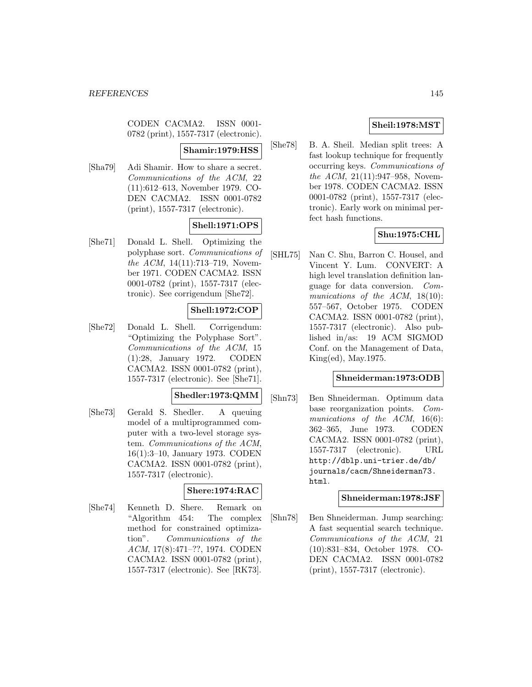CODEN CACMA2. ISSN 0001- 0782 (print), 1557-7317 (electronic).

#### **Shamir:1979:HSS**

[Sha79] Adi Shamir. How to share a secret. Communications of the ACM, 22 (11):612–613, November 1979. CO-DEN CACMA2. ISSN 0001-0782 (print), 1557-7317 (electronic).

# **Shell:1971:OPS**

[She71] Donald L. Shell. Optimizing the polyphase sort. Communications of the ACM, 14(11):713–719, November 1971. CODEN CACMA2. ISSN 0001-0782 (print), 1557-7317 (electronic). See corrigendum [She72].

### **Shell:1972:COP**

[She72] Donald L. Shell. Corrigendum: "Optimizing the Polyphase Sort". Communications of the ACM, 15 (1):28, January 1972. CODEN CACMA2. ISSN 0001-0782 (print), 1557-7317 (electronic). See [She71].

### **Shedler:1973:QMM**

[She73] Gerald S. Shedler. A queuing model of a multiprogrammed computer with a two-level storage system. Communications of the ACM, 16(1):3–10, January 1973. CODEN CACMA2. ISSN 0001-0782 (print), 1557-7317 (electronic).

### **Shere:1974:RAC**

[She74] Kenneth D. Shere. Remark on "Algorithm 454: The complex method for constrained optimization". Communications of the ACM, 17(8):471–??, 1974. CODEN CACMA2. ISSN 0001-0782 (print), 1557-7317 (electronic). See [RK73].

## **Sheil:1978:MST**

[She78] B. A. Sheil. Median split trees: A fast lookup technique for frequently occurring keys. Communications of the ACM, 21(11):947–958, November 1978. CODEN CACMA2. ISSN 0001-0782 (print), 1557-7317 (electronic). Early work on minimal perfect hash functions.

### **Shu:1975:CHL**

[SHL75] Nan C. Shu, Barron C. Housel, and Vincent Y. Lum. CONVERT: A high level translation definition language for data conversion. Communications of the ACM, 18(10): 557–567, October 1975. CODEN CACMA2. ISSN 0001-0782 (print), 1557-7317 (electronic). Also published in/as: 19 ACM SIGMOD Conf. on the Management of Data, King(ed), May.1975.

### **Shneiderman:1973:ODB**

[Shn73] Ben Shneiderman. Optimum data base reorganization points. Communications of the ACM, 16(6): 362–365, June 1973. CODEN CACMA2. ISSN 0001-0782 (print), 1557-7317 (electronic). URL http://dblp.uni-trier.de/db/ journals/cacm/Shneiderman73. html.

#### **Shneiderman:1978:JSF**

[Shn78] Ben Shneiderman. Jump searching: A fast sequential search technique. Communications of the ACM, 21 (10):831–834, October 1978. CO-DEN CACMA2. ISSN 0001-0782 (print), 1557-7317 (electronic).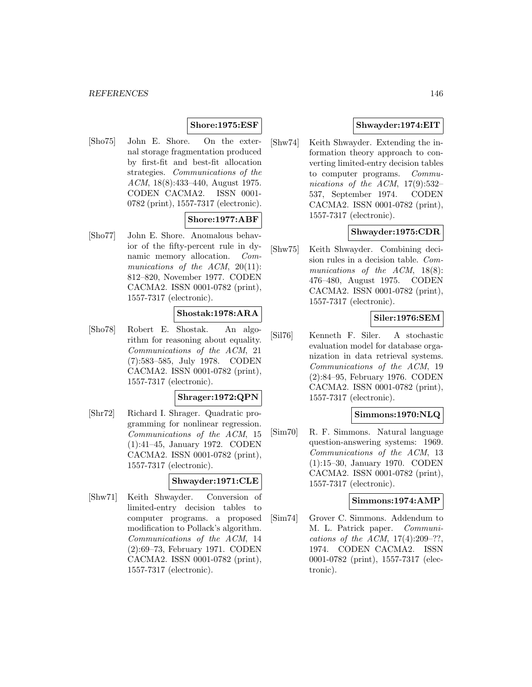### **Shore:1975:ESF**

[Sho75] John E. Shore. On the external storage fragmentation produced by first-fit and best-fit allocation strategies. Communications of the ACM, 18(8):433–440, August 1975. CODEN CACMA2. ISSN 0001- 0782 (print), 1557-7317 (electronic).

## **Shore:1977:ABF**

[Sho77] John E. Shore. Anomalous behavior of the fifty-percent rule in dynamic memory allocation. Communications of the ACM, 20(11): 812–820, November 1977. CODEN CACMA2. ISSN 0001-0782 (print), 1557-7317 (electronic).

### **Shostak:1978:ARA**

[Sho78] Robert E. Shostak. An algorithm for reasoning about equality. Communications of the ACM, 21 (7):583–585, July 1978. CODEN CACMA2. ISSN 0001-0782 (print), 1557-7317 (electronic).

#### **Shrager:1972:QPN**

[Shr72] Richard I. Shrager. Quadratic programming for nonlinear regression. Communications of the ACM, 15 (1):41–45, January 1972. CODEN CACMA2. ISSN 0001-0782 (print), 1557-7317 (electronic).

# **Shwayder:1971:CLE**

[Shw71] Keith Shwayder. Conversion of limited-entry decision tables to computer programs. a proposed modification to Pollack's algorithm. Communications of the ACM, 14 (2):69–73, February 1971. CODEN CACMA2. ISSN 0001-0782 (print), 1557-7317 (electronic).

### **Shwayder:1974:EIT**

[Shw74] Keith Shwayder. Extending the information theory approach to converting limited-entry decision tables to computer programs. Communications of the ACM,  $17(9):532-$ 537, September 1974. CODEN CACMA2. ISSN 0001-0782 (print), 1557-7317 (electronic).

### **Shwayder:1975:CDR**

[Shw75] Keith Shwayder. Combining decision rules in a decision table. Communications of the ACM, 18(8): 476–480, August 1975. CODEN CACMA2. ISSN 0001-0782 (print), 1557-7317 (electronic).

# **Siler:1976:SEM**

[Sil76] Kenneth F. Siler. A stochastic evaluation model for database organization in data retrieval systems. Communications of the ACM, 19 (2):84–95, February 1976. CODEN CACMA2. ISSN 0001-0782 (print), 1557-7317 (electronic).

### **Simmons:1970:NLQ**

[Sim70] R. F. Simmons. Natural language question-answering systems: 1969. Communications of the ACM, 13 (1):15–30, January 1970. CODEN CACMA2. ISSN 0001-0782 (print), 1557-7317 (electronic).

#### **Simmons:1974:AMP**

[Sim74] Grover C. Simmons. Addendum to M. L. Patrick paper. Communications of the ACM,  $17(4):209-??$ , 1974. CODEN CACMA2. ISSN 0001-0782 (print), 1557-7317 (electronic).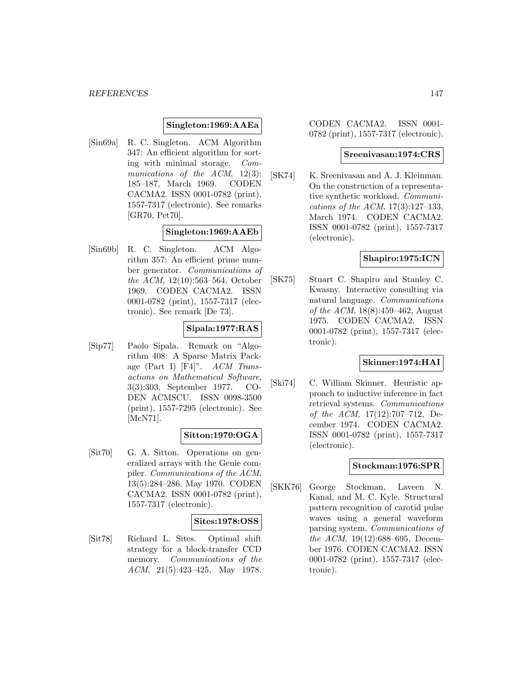### **Singleton:1969:AAEa**

[Sin69a] R. C. Singleton. ACM Algorithm 347: An efficient algorithm for sorting with minimal storage. Communications of the ACM, 12(3): 185–187, March 1969. CODEN CACMA2. ISSN 0001-0782 (print), 1557-7317 (electronic). See remarks [GR70, Pet70].

### **Singleton:1969:AAEb**

[Sin69b] R. C. Singleton. ACM Algorithm 357: An efficient prime number generator. Communications of the ACM, 12(10):563–564, October 1969. CODEN CACMA2. ISSN 0001-0782 (print), 1557-7317 (electronic). See remark [De 73].

## **Sipala:1977:RAS**

[Sip77] Paolo Sipala. Remark on "Algorithm 408: A Sparse Matrix Package (Part I) [F4]". ACM Transactions on Mathematical Software, 3(3):303, September 1977. CO-DEN ACMSCU. ISSN 0098-3500 (print), 1557-7295 (electronic). See [McN71].

### **Sitton:1970:OGA**

[Sit70] G. A. Sitton. Operations on generalized arrays with the Genie compiler. Communications of the ACM, 13(5):284–286, May 1970. CODEN CACMA2. ISSN 0001-0782 (print), 1557-7317 (electronic).

#### **Sites:1978:OSS**

[Sit78] Richard L. Sites. Optimal shift strategy for a block-transfer CCD memory. Communications of the ACM, 21(5):423–425, May 1978.

CODEN CACMA2. ISSN 0001- 0782 (print), 1557-7317 (electronic).

#### **Sreenivasan:1974:CRS**

[SK74] K. Sreenivasan and A. J. Kleinman. On the construction of a representative synthetic workload. Communications of the ACM, 17(3):127–133, March 1974. CODEN CACMA2. ISSN 0001-0782 (print), 1557-7317 (electronic).

### **Shapiro:1975:ICN**

[SK75] Stuart C. Shapiro and Stanley C. Kwasny. Interactive consulting via natural language. Communications of the ACM, 18(8):459–462, August 1975. CODEN CACMA2. ISSN 0001-0782 (print), 1557-7317 (electronic).

# **Skinner:1974:HAI**

[Ski74] C. William Skinner. Heuristic approach to inductive inference in fact retrieval systems. Communications of the ACM, 17(12):707–712, December 1974. CODEN CACMA2. ISSN 0001-0782 (print), 1557-7317 (electronic).

#### **Stockman:1976:SPR**

[SKK76] George Stockman, Laveen N. Kanal, and M. C. Kyle. Structural pattern recognition of carotid pulse waves using a general waveform parsing system. Communications of the ACM, 19(12):688–695, December 1976. CODEN CACMA2. ISSN 0001-0782 (print), 1557-7317 (electronic).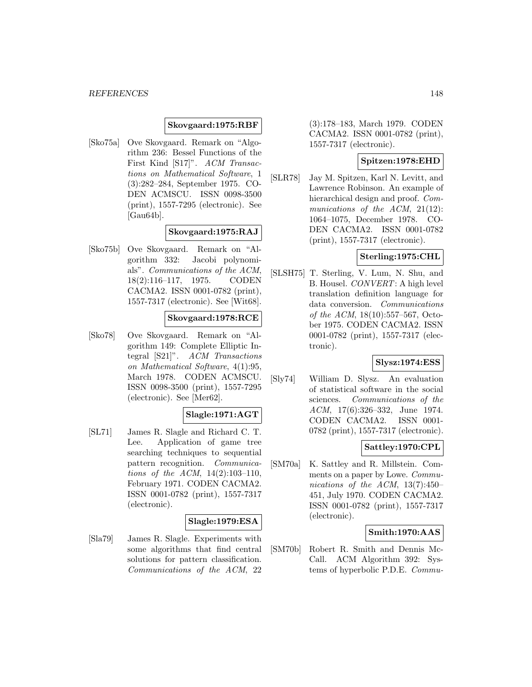#### **Skovgaard:1975:RBF**

[Sko75a] Ove Skovgaard. Remark on "Algorithm 236: Bessel Functions of the First Kind [S17]". ACM Transactions on Mathematical Software, 1 (3):282–284, September 1975. CO-DEN ACMSCU. ISSN 0098-3500 (print), 1557-7295 (electronic). See [Gau64b].

### **Skovgaard:1975:RAJ**

[Sko75b] Ove Skovgaard. Remark on "Algorithm 332: Jacobi polynomials". Communications of the ACM, 18(2):116–117, 1975. CODEN CACMA2. ISSN 0001-0782 (print), 1557-7317 (electronic). See [Wit68].

### **Skovgaard:1978:RCE**

[Sko78] Ove Skovgaard. Remark on "Algorithm 149: Complete Elliptic Integral [S21]". ACM Transactions on Mathematical Software, 4(1):95, March 1978. CODEN ACMSCU. ISSN 0098-3500 (print), 1557-7295 (electronic). See [Mer62].

# **Slagle:1971:AGT**

[SL71] James R. Slagle and Richard C. T. Lee. Application of game tree searching techniques to sequential pattern recognition. Communications of the ACM, 14(2):103–110, February 1971. CODEN CACMA2. ISSN 0001-0782 (print), 1557-7317 (electronic).

#### **Slagle:1979:ESA**

[Sla79] James R. Slagle. Experiments with some algorithms that find central solutions for pattern classification. Communications of the ACM, 22

(3):178–183, March 1979. CODEN CACMA2. ISSN 0001-0782 (print), 1557-7317 (electronic).

### **Spitzen:1978:EHD**

[SLR78] Jay M. Spitzen, Karl N. Levitt, and Lawrence Robinson. An example of hierarchical design and proof. Communications of the ACM, 21(12): 1064–1075, December 1978. CO-DEN CACMA2. ISSN 0001-0782 (print), 1557-7317 (electronic).

# **Sterling:1975:CHL**

[SLSH75] T. Sterling, V. Lum, N. Shu, and B. Housel. CONVERT: A high level translation definition language for data conversion. Communications of the ACM, 18(10):557–567, October 1975. CODEN CACMA2. ISSN 0001-0782 (print), 1557-7317 (electronic).

### **Slysz:1974:ESS**

[Sly74] William D. Slysz. An evaluation of statistical software in the social sciences. Communications of the ACM, 17(6):326–332, June 1974. CODEN CACMA2. ISSN 0001- 0782 (print), 1557-7317 (electronic).

### **Sattley:1970:CPL**

[SM70a] K. Sattley and R. Millstein. Comments on a paper by Lowe. Communications of the ACM, 13(7):450– 451, July 1970. CODEN CACMA2. ISSN 0001-0782 (print), 1557-7317 (electronic).

### **Smith:1970:AAS**

[SM70b] Robert R. Smith and Dennis Mc-Call. ACM Algorithm 392: Systems of hyperbolic P.D.E. Commu-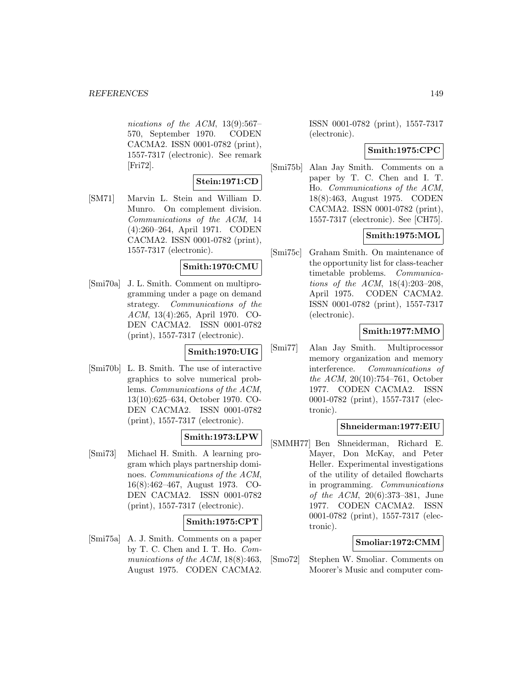nications of the ACM, 13(9):567– 570, September 1970. CODEN CACMA2. ISSN 0001-0782 (print), 1557-7317 (electronic). See remark [Fri72].

### **Stein:1971:CD**

[SM71] Marvin L. Stein and William D. Munro. On complement division. Communications of the ACM, 14 (4):260–264, April 1971. CODEN CACMA2. ISSN 0001-0782 (print), 1557-7317 (electronic).

### **Smith:1970:CMU**

[Smi70a] J. L. Smith. Comment on multiprogramming under a page on demand strategy. Communications of the ACM, 13(4):265, April 1970. CO-DEN CACMA2. ISSN 0001-0782 (print), 1557-7317 (electronic).

### **Smith:1970:UIG**

[Smi70b] L. B. Smith. The use of interactive graphics to solve numerical problems. Communications of the ACM, 13(10):625–634, October 1970. CO-DEN CACMA2. ISSN 0001-0782 (print), 1557-7317 (electronic).

## **Smith:1973:LPW**

[Smi73] Michael H. Smith. A learning program which plays partnership dominoes. Communications of the ACM, 16(8):462–467, August 1973. CO-DEN CACMA2. ISSN 0001-0782 (print), 1557-7317 (electronic).

### **Smith:1975:CPT**

[Smi75a] A. J. Smith. Comments on a paper by T. C. Chen and I. T. Ho. Communications of the ACM, 18(8):463, August 1975. CODEN CACMA2.

ISSN 0001-0782 (print), 1557-7317 (electronic).

#### **Smith:1975:CPC**

[Smi75b] Alan Jay Smith. Comments on a paper by T. C. Chen and I. T. Ho. Communications of the ACM, 18(8):463, August 1975. CODEN CACMA2. ISSN 0001-0782 (print), 1557-7317 (electronic). See [CH75].

## **Smith:1975:MOL**

[Smi75c] Graham Smith. On maintenance of the opportunity list for class-teacher timetable problems. Communications of the ACM, 18(4):203–208, April 1975. CODEN CACMA2. ISSN 0001-0782 (print), 1557-7317 (electronic).

## **Smith:1977:MMO**

[Smi77] Alan Jay Smith. Multiprocessor memory organization and memory interference. Communications of the ACM, 20(10):754–761, October 1977. CODEN CACMA2. ISSN 0001-0782 (print), 1557-7317 (electronic).

#### **Shneiderman:1977:EIU**

[SMMH77] Ben Shneiderman, Richard E. Mayer, Don McKay, and Peter Heller. Experimental investigations of the utility of detailed flowcharts in programming. Communications of the ACM, 20(6):373–381, June 1977. CODEN CACMA2. ISSN 0001-0782 (print), 1557-7317 (electronic).

### **Smoliar:1972:CMM**

[Smo72] Stephen W. Smoliar. Comments on Moorer's Music and computer com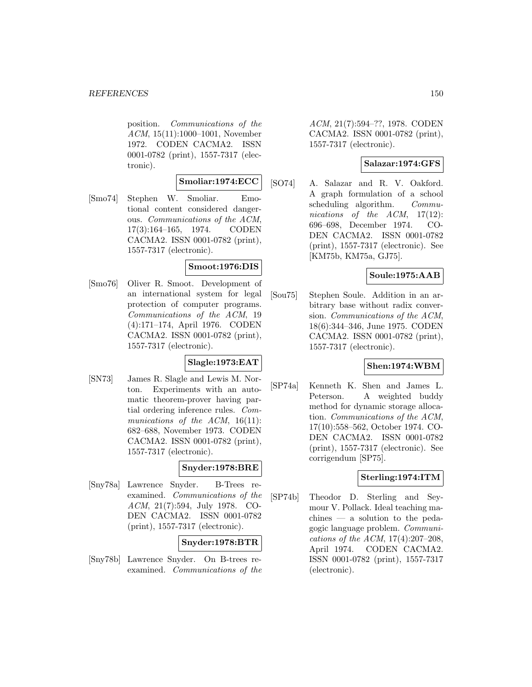position. Communications of the ACM, 15(11):1000–1001, November 1972. CODEN CACMA2. ISSN 0001-0782 (print), 1557-7317 (electronic).

### **Smoliar:1974:ECC**

[Smo74] Stephen W. Smoliar. Emotional content considered dangerous. Communications of the ACM, 17(3):164–165, 1974. CODEN CACMA2. ISSN 0001-0782 (print), 1557-7317 (electronic).

### **Smoot:1976:DIS**

[Smo76] Oliver R. Smoot. Development of an international system for legal protection of computer programs. Communications of the ACM, 19 (4):171–174, April 1976. CODEN CACMA2. ISSN 0001-0782 (print), 1557-7317 (electronic).

## **Slagle:1973:EAT**

[SN73] James R. Slagle and Lewis M. Norton. Experiments with an automatic theorem-prover having partial ordering inference rules. Communications of the ACM, 16(11): 682–688, November 1973. CODEN CACMA2. ISSN 0001-0782 (print), 1557-7317 (electronic).

### **Snyder:1978:BRE**

[Sny78a] Lawrence Snyder. B-Trees reexamined. Communications of the ACM, 21(7):594, July 1978. CO-DEN CACMA2. ISSN 0001-0782 (print), 1557-7317 (electronic).

#### **Snyder:1978:BTR**

[Sny78b] Lawrence Snyder. On B-trees reexamined. Communications of the

ACM, 21(7):594–??, 1978. CODEN CACMA2. ISSN 0001-0782 (print), 1557-7317 (electronic).

### **Salazar:1974:GFS**

[SO74] A. Salazar and R. V. Oakford. A graph formulation of a school scheduling algorithm. Communications of the ACM, 17(12): 696–698, December 1974. CO-DEN CACMA2. ISSN 0001-0782 (print), 1557-7317 (electronic). See [KM75b, KM75a, GJ75].

### **Soule:1975:AAB**

[Sou75] Stephen Soule. Addition in an arbitrary base without radix conversion. Communications of the ACM, 18(6):344–346, June 1975. CODEN CACMA2. ISSN 0001-0782 (print), 1557-7317 (electronic).

#### **Shen:1974:WBM**

[SP74a] Kenneth K. Shen and James L. Peterson. A weighted buddy method for dynamic storage allocation. Communications of the ACM, 17(10):558–562, October 1974. CO-DEN CACMA2. ISSN 0001-0782 (print), 1557-7317 (electronic). See corrigendum [SP75].

# **Sterling:1974:ITM**

[SP74b] Theodor D. Sterling and Seymour V. Pollack. Ideal teaching machines — a solution to the pedagogic language problem. Communications of the ACM, 17(4):207–208, April 1974. CODEN CACMA2. ISSN 0001-0782 (print), 1557-7317 (electronic).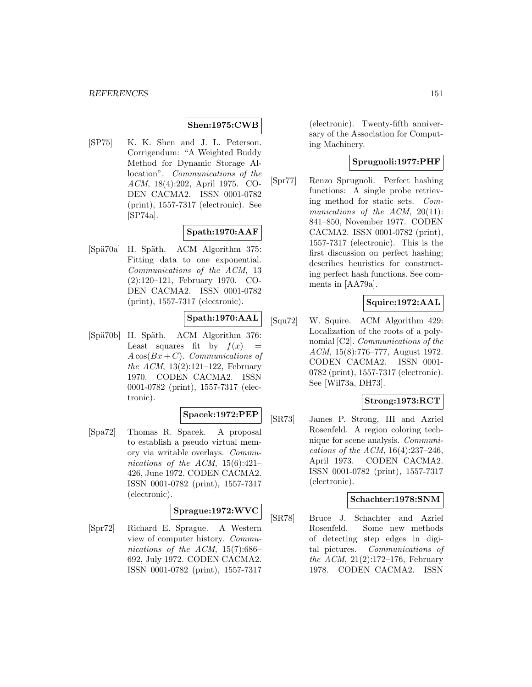### **Shen:1975:CWB**

[SP75] K. K. Shen and J. L. Peterson. Corrigendum: "A Weighted Buddy Method for Dynamic Storage Allocation". Communications of the ACM, 18(4):202, April 1975. CO-DEN CACMA2. ISSN 0001-0782 (print), 1557-7317 (electronic). See [SP74a].

## **Spath:1970:AAF**

[Spä70a] H. Späth. ACM Algorithm 375: Fitting data to one exponential. Communications of the ACM, 13 (2):120–121, February 1970. CO-DEN CACMA2. ISSN 0001-0782 (print), 1557-7317 (electronic).

# **Spath:1970:AAL**

[Spä70b] H. Späth. ACM Algorithm 376: Least squares fit by  $f(x) =$  $A\cos(Bx+C)$ . Communications of the ACM, 13(2):121–122, February 1970. CODEN CACMA2. ISSN 0001-0782 (print), 1557-7317 (electronic).

# **Spacek:1972:PEP**

[Spa72] Thomas R. Spacek. A proposal to establish a pseudo virtual memory via writable overlays. Communications of the ACM,  $15(6):421-$ 426, June 1972. CODEN CACMA2. ISSN 0001-0782 (print), 1557-7317 (electronic).

### **Sprague:1972:WVC**

[Spr72] Richard E. Sprague. A Western view of computer history. Communications of the ACM,  $15(7):686-$ 692, July 1972. CODEN CACMA2. ISSN 0001-0782 (print), 1557-7317

(electronic). Twenty-fifth anniversary of the Association for Computing Machinery.

# **Sprugnoli:1977:PHF**

[Spr77] Renzo Sprugnoli. Perfect hashing functions: A single probe retrieving method for static sets. Communications of the ACM,  $20(11)$ : 841–850, November 1977. CODEN CACMA2. ISSN 0001-0782 (print), 1557-7317 (electronic). This is the first discussion on perfect hashing; describes heuristics for constructing perfect hash functions. See comments in [AA79a].

### **Squire:1972:AAL**

[Squ72] W. Squire. ACM Algorithm 429: Localization of the roots of a polynomial [C2]. Communications of the ACM, 15(8):776–777, August 1972. CODEN CACMA2. ISSN 0001- 0782 (print), 1557-7317 (electronic). See [Wil73a, DH73].

### **Strong:1973:RCT**

[SR73] James P. Strong, III and Azriel Rosenfeld. A region coloring technique for scene analysis. Communications of the ACM,  $16(4):237-246$ , April 1973. CODEN CACMA2. ISSN 0001-0782 (print), 1557-7317 (electronic).

#### **Schachter:1978:SNM**

[SR78] Bruce J. Schachter and Azriel Rosenfeld. Some new methods of detecting step edges in digital pictures. Communications of the ACM, 21(2):172–176, February 1978. CODEN CACMA2. ISSN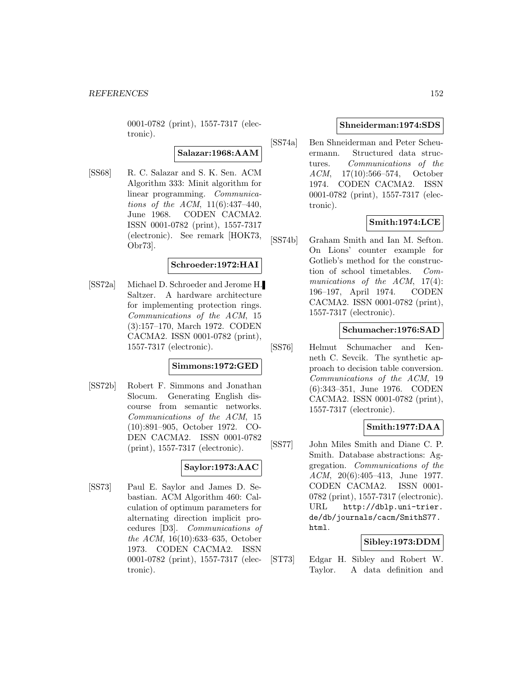0001-0782 (print), 1557-7317 (electronic).

**Salazar:1968:AAM**

[SS68] R. C. Salazar and S. K. Sen. ACM Algorithm 333: Minit algorithm for linear programming. Communications of the ACM, 11(6):437–440, June 1968. CODEN CACMA2. ISSN 0001-0782 (print), 1557-7317 (electronic). See remark [HOK73, Obr73].

### **Schroeder:1972:HAI**

[SS72a] Michael D. Schroeder and Jerome H. Saltzer. A hardware architecture for implementing protection rings. Communications of the ACM, 15 (3):157–170, March 1972. CODEN CACMA2. ISSN 0001-0782 (print), 1557-7317 (electronic).

### **Simmons:1972:GED**

[SS72b] Robert F. Simmons and Jonathan Slocum. Generating English discourse from semantic networks. Communications of the ACM, 15 (10):891–905, October 1972. CO-DEN CACMA2. ISSN 0001-0782 (print), 1557-7317 (electronic).

## **Saylor:1973:AAC**

[SS73] Paul E. Saylor and James D. Sebastian. ACM Algorithm 460: Calculation of optimum parameters for alternating direction implicit procedures [D3]. Communications of the ACM, 16(10):633–635, October 1973. CODEN CACMA2. ISSN 0001-0782 (print), 1557-7317 (electronic).

#### **Shneiderman:1974:SDS**

[SS74a] Ben Shneiderman and Peter Scheuermann. Structured data structures. Communications of the ACM, 17(10):566–574, October 1974. CODEN CACMA2. ISSN 0001-0782 (print), 1557-7317 (electronic).

## **Smith:1974:LCE**

[SS74b] Graham Smith and Ian M. Sefton. On Lions' counter example for Gotlieb's method for the construction of school timetables. Communications of the ACM, 17(4): 196–197, April 1974. CODEN CACMA2. ISSN 0001-0782 (print), 1557-7317 (electronic).

### **Schumacher:1976:SAD**

[SS76] Helmut Schumacher and Kenneth C. Sevcik. The synthetic approach to decision table conversion. Communications of the ACM, 19 (6):343–351, June 1976. CODEN CACMA2. ISSN 0001-0782 (print), 1557-7317 (electronic).

### **Smith:1977:DAA**

[SS77] John Miles Smith and Diane C. P. Smith. Database abstractions: Aggregation. Communications of the ACM, 20(6):405–413, June 1977. CODEN CACMA2. ISSN 0001- 0782 (print), 1557-7317 (electronic). URL http://dblp.uni-trier. de/db/journals/cacm/SmithS77. html.

### **Sibley:1973:DDM**

[ST73] Edgar H. Sibley and Robert W. Taylor. A data definition and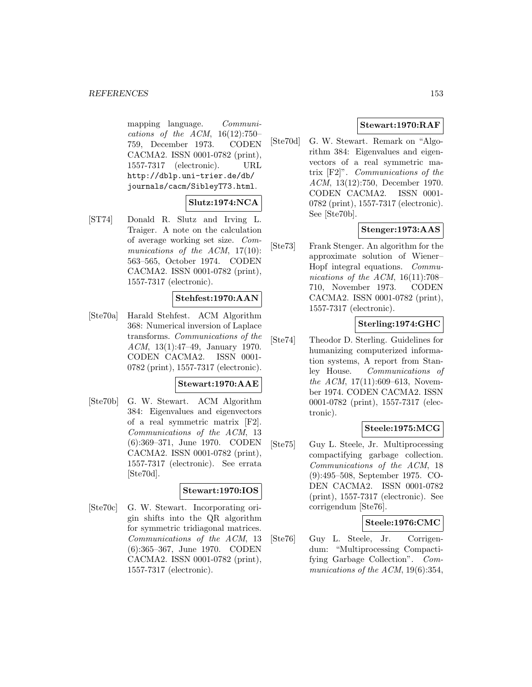mapping language. Communications of the ACM,  $16(12):750-$ 759, December 1973. CODEN CACMA2. ISSN 0001-0782 (print), 1557-7317 (electronic). URL http://dblp.uni-trier.de/db/ journals/cacm/SibleyT73.html.

# **Slutz:1974:NCA**

[ST74] Donald R. Slutz and Irving L. Traiger. A note on the calculation of average working set size. Communications of the ACM, 17(10): 563–565, October 1974. CODEN CACMA2. ISSN 0001-0782 (print), 1557-7317 (electronic).

## **Stehfest:1970:AAN**

[Ste70a] Harald Stehfest. ACM Algorithm 368: Numerical inversion of Laplace transforms. Communications of the ACM, 13(1):47–49, January 1970. CODEN CACMA2. ISSN 0001- 0782 (print), 1557-7317 (electronic).

#### **Stewart:1970:AAE**

[Ste70b] G. W. Stewart. ACM Algorithm 384: Eigenvalues and eigenvectors of a real symmetric matrix [F2]. Communications of the ACM, 13 (6):369–371, June 1970. CODEN CACMA2. ISSN 0001-0782 (print), 1557-7317 (electronic). See errata [Ste70d].

### **Stewart:1970:IOS**

[Ste70c] G. W. Stewart. Incorporating origin shifts into the QR algorithm for symmetric tridiagonal matrices. Communications of the ACM, 13 (6):365–367, June 1970. CODEN CACMA2. ISSN 0001-0782 (print), 1557-7317 (electronic).

## **Stewart:1970:RAF**

[Ste70d] G. W. Stewart. Remark on "Algorithm 384: Eigenvalues and eigenvectors of a real symmetric matrix [F2]". Communications of the ACM, 13(12):750, December 1970. CODEN CACMA2. ISSN 0001- 0782 (print), 1557-7317 (electronic). See [Ste70b].

## **Stenger:1973:AAS**

[Ste73] Frank Stenger. An algorithm for the approximate solution of Wiener– Hopf integral equations. Communications of the ACM,  $16(11):708-$ 710, November 1973. CODEN CACMA2. ISSN 0001-0782 (print), 1557-7317 (electronic).

## **Sterling:1974:GHC**

[Ste74] Theodor D. Sterling. Guidelines for humanizing computerized information systems, A report from Stanley House. Communications of the ACM, 17(11):609–613, November 1974. CODEN CACMA2. ISSN 0001-0782 (print), 1557-7317 (electronic).

## **Steele:1975:MCG**

[Ste75] Guy L. Steele, Jr. Multiprocessing compactifying garbage collection. Communications of the ACM, 18 (9):495–508, September 1975. CO-DEN CACMA2. ISSN 0001-0782 (print), 1557-7317 (electronic). See corrigendum [Ste76].

### **Steele:1976:CMC**

[Ste76] Guy L. Steele, Jr. Corrigendum: "Multiprocessing Compactifying Garbage Collection". Communications of the ACM, 19(6):354,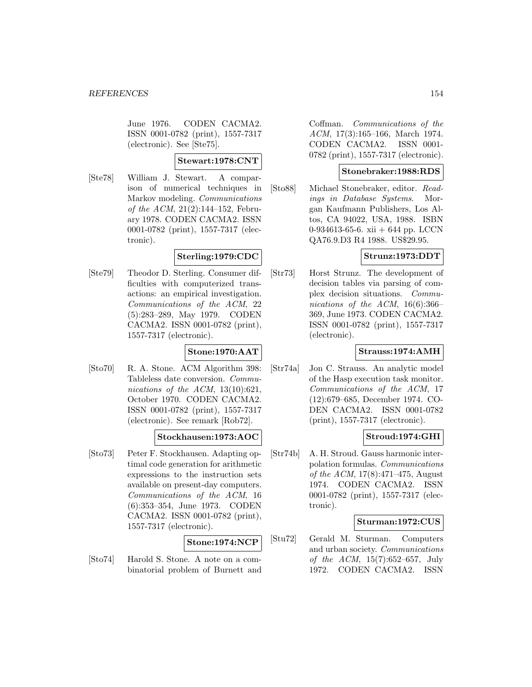June 1976. CODEN CACMA2. ISSN 0001-0782 (print), 1557-7317 (electronic). See [Ste75].

### **Stewart:1978:CNT**

[Ste78] William J. Stewart. A comparison of numerical techniques in Markov modeling. Communications of the ACM, 21(2):144–152, February 1978. CODEN CACMA2. ISSN 0001-0782 (print), 1557-7317 (electronic).

## **Sterling:1979:CDC**

[Ste79] Theodor D. Sterling. Consumer difficulties with computerized transactions: an empirical investigation. Communications of the ACM, 22 (5):283–289, May 1979. CODEN CACMA2. ISSN 0001-0782 (print), 1557-7317 (electronic).

### **Stone:1970:AAT**

[Sto70] R. A. Stone. ACM Algorithm 398: Tableless date conversion. Communications of the ACM,  $13(10):621$ , October 1970. CODEN CACMA2. ISSN 0001-0782 (print), 1557-7317 (electronic). See remark [Rob72].

### **Stockhausen:1973:AOC**

[Sto73] Peter F. Stockhausen. Adapting optimal code generation for arithmetic expressions to the instruction sets available on present-day computers. Communications of the ACM, 16 (6):353–354, June 1973. CODEN CACMA2. ISSN 0001-0782 (print), 1557-7317 (electronic).

### **Stone:1974:NCP**

[Sto74] Harold S. Stone. A note on a combinatorial problem of Burnett and

Coffman. Communications of the ACM, 17(3):165–166, March 1974. CODEN CACMA2. ISSN 0001- 0782 (print), 1557-7317 (electronic).

### **Stonebraker:1988:RDS**

[Sto88] Michael Stonebraker, editor. Readings in Database Systems. Morgan Kaufmann Publishers, Los Altos, CA 94022, USA, 1988. ISBN 0-934613-65-6. xii + 644 pp. LCCN QA76.9.D3 R4 1988. US\$29.95.

### **Strunz:1973:DDT**

[Str73] Horst Strunz. The development of decision tables via parsing of complex decision situations. Communications of the ACM,  $16(6):366-$ 369, June 1973. CODEN CACMA2. ISSN 0001-0782 (print), 1557-7317 (electronic).

### **Strauss:1974:AMH**

[Str74a] Jon C. Strauss. An analytic model of the Hasp execution task monitor. Communications of the ACM, 17 (12):679–685, December 1974. CO-DEN CACMA2. ISSN 0001-0782 (print), 1557-7317 (electronic).

### **Stroud:1974:GHI**

[Str74b] A. H. Stroud. Gauss harmonic interpolation formulas. Communications of the ACM, 17(8):471–475, August 1974. CODEN CACMA2. ISSN 0001-0782 (print), 1557-7317 (electronic).

#### **Sturman:1972:CUS**

[Stu72] Gerald M. Sturman. Computers and urban society. Communications of the ACM, 15(7):652–657, July 1972. CODEN CACMA2. ISSN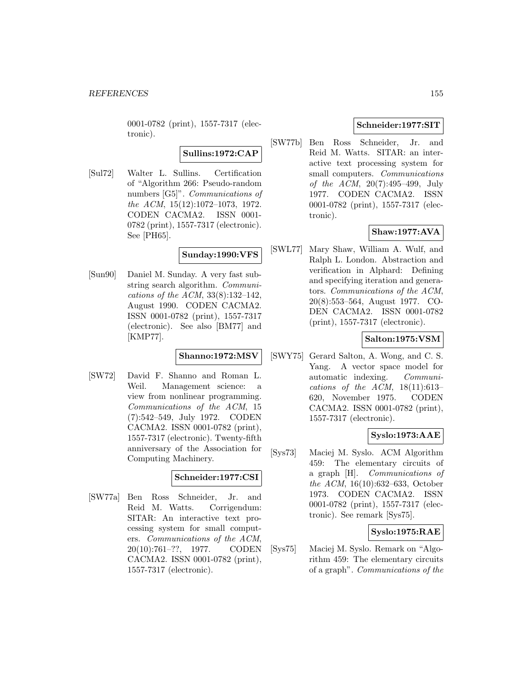0001-0782 (print), 1557-7317 (electronic).

**Sullins:1972:CAP**

[Sul72] Walter L. Sullins. Certification of "Algorithm 266: Pseudo-random numbers [G5]". *Communications of* the ACM, 15(12):1072–1073, 1972. CODEN CACMA2. ISSN 0001- 0782 (print), 1557-7317 (electronic). See [PH65].

## **Sunday:1990:VFS**

[Sun90] Daniel M. Sunday. A very fast substring search algorithm. Communications of the ACM, 33(8):132–142, August 1990. CODEN CACMA2. ISSN 0001-0782 (print), 1557-7317 (electronic). See also [BM77] and [KMP77].

#### **Shanno:1972:MSV**

[SW72] David F. Shanno and Roman L. Weil. Management science: a view from nonlinear programming. Communications of the ACM, 15 (7):542–549, July 1972. CODEN CACMA2. ISSN 0001-0782 (print), 1557-7317 (electronic). Twenty-fifth anniversary of the Association for Computing Machinery.

## **Schneider:1977:CSI**

[SW77a] Ben Ross Schneider, Jr. and Reid M. Watts. Corrigendum: SITAR: An interactive text processing system for small computers. Communications of the ACM, 20(10):761–??, 1977. CODEN CACMA2. ISSN 0001-0782 (print), 1557-7317 (electronic).

### **Schneider:1977:SIT**

[SW77b] Ben Ross Schneider, Jr. and Reid M. Watts. SITAR: an interactive text processing system for small computers. *Communications* of the ACM, 20(7):495–499, July 1977. CODEN CACMA2. ISSN 0001-0782 (print), 1557-7317 (electronic).

# **Shaw:1977:AVA**

[SWL77] Mary Shaw, William A. Wulf, and Ralph L. London. Abstraction and verification in Alphard: Defining and specifying iteration and generators. Communications of the ACM, 20(8):553–564, August 1977. CO-DEN CACMA2. ISSN 0001-0782 (print), 1557-7317 (electronic).

### **Salton:1975:VSM**

[SWY75] Gerard Salton, A. Wong, and C. S. Yang. A vector space model for automatic indexing. Communications of the ACM,  $18(11):613-$ 620, November 1975. CODEN CACMA2. ISSN 0001-0782 (print), 1557-7317 (electronic).

## **Syslo:1973:AAE**

[Sys73] Maciej M. Syslo. ACM Algorithm 459: The elementary circuits of a graph [H]. Communications of the ACM, 16(10):632–633, October 1973. CODEN CACMA2. ISSN 0001-0782 (print), 1557-7317 (electronic). See remark [Sys75].

## **Syslo:1975:RAE**

[Sys75] Maciej M. Syslo. Remark on "Algorithm 459: The elementary circuits of a graph". Communications of the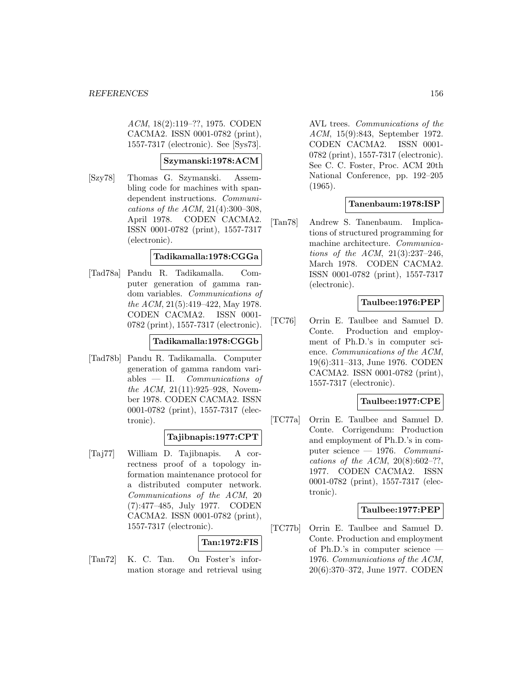ACM, 18(2):119–??, 1975. CODEN CACMA2. ISSN 0001-0782 (print), 1557-7317 (electronic). See [Sys73].

### **Szymanski:1978:ACM**

[Szy78] Thomas G. Szymanski. Assembling code for machines with spandependent instructions. Communications of the ACM, 21(4):300–308, April 1978. CODEN CACMA2. ISSN 0001-0782 (print), 1557-7317 (electronic).

### **Tadikamalla:1978:CGGa**

[Tad78a] Pandu R. Tadikamalla. Computer generation of gamma random variables. Communications of the ACM, 21(5):419–422, May 1978. CODEN CACMA2. ISSN 0001- 0782 (print), 1557-7317 (electronic).

## **Tadikamalla:1978:CGGb**

[Tad78b] Pandu R. Tadikamalla. Computer generation of gamma random variables  $-$  II. *Communications of* the ACM, 21(11):925–928, November 1978. CODEN CACMA2. ISSN 0001-0782 (print), 1557-7317 (electronic).

## **Tajibnapis:1977:CPT**

[Taj77] William D. Tajibnapis. A correctness proof of a topology information maintenance protocol for a distributed computer network. Communications of the ACM, 20 (7):477–485, July 1977. CODEN CACMA2. ISSN 0001-0782 (print), 1557-7317 (electronic).

### **Tan:1972:FIS**

[Tan72] K. C. Tan. On Foster's information storage and retrieval using

AVL trees. Communications of the ACM, 15(9):843, September 1972. CODEN CACMA2. ISSN 0001- 0782 (print), 1557-7317 (electronic). See C. C. Foster, Proc. ACM 20th National Conference, pp. 192–205 (1965).

## **Tanenbaum:1978:ISP**

[Tan78] Andrew S. Tanenbaum. Implications of structured programming for machine architecture. Communications of the ACM, 21(3):237–246, March 1978. CODEN CACMA2. ISSN 0001-0782 (print), 1557-7317 (electronic).

## **Taulbee:1976:PEP**

[TC76] Orrin E. Taulbee and Samuel D. Conte. Production and employment of Ph.D.'s in computer science. Communications of the ACM, 19(6):311–313, June 1976. CODEN CACMA2. ISSN 0001-0782 (print), 1557-7317 (electronic).

## **Taulbee:1977:CPE**

[TC77a] Orrin E. Taulbee and Samuel D. Conte. Corrigendum: Production and employment of Ph.D.'s in computer science — 1976. Communications of the ACM,  $20(8):602-??$ , 1977. CODEN CACMA2. ISSN 0001-0782 (print), 1557-7317 (electronic).

## **Taulbee:1977:PEP**

[TC77b] Orrin E. Taulbee and Samuel D. Conte. Production and employment of Ph.D.'s in computer science 1976. Communications of the ACM, 20(6):370–372, June 1977. CODEN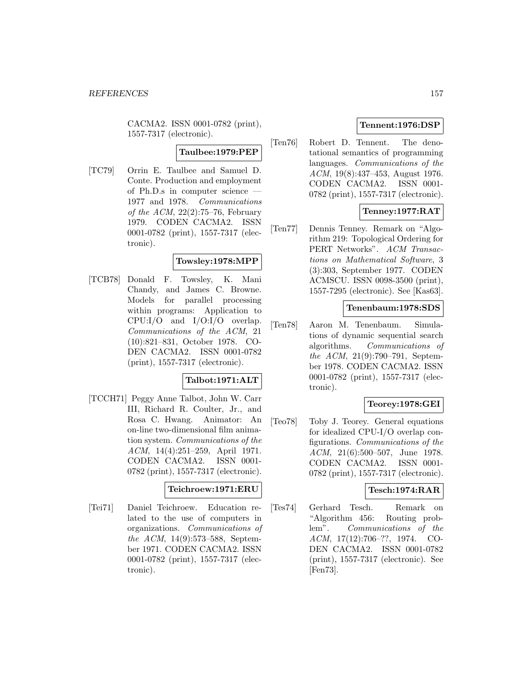CACMA2. ISSN 0001-0782 (print), 1557-7317 (electronic).

## **Taulbee:1979:PEP**

[TC79] Orrin E. Taulbee and Samuel D. Conte. Production and employment of Ph.D.s in computer science — 1977 and 1978. Communications of the ACM,  $22(2)$ :75–76, February 1979. CODEN CACMA2. ISSN 0001-0782 (print), 1557-7317 (electronic).

#### **Towsley:1978:MPP**

[TCB78] Donald F. Towsley, K. Mani Chandy, and James C. Browne. Models for parallel processing within programs: Application to CPU:I/O and I/O:I/O overlap. Communications of the ACM, 21 (10):821–831, October 1978. CO-DEN CACMA2. ISSN 0001-0782 (print), 1557-7317 (electronic).

## **Talbot:1971:ALT**

[TCCH71] Peggy Anne Talbot, John W. Carr III, Richard R. Coulter, Jr., and Rosa C. Hwang. Animator: An on-line two-dimensional film animation system. Communications of the ACM, 14(4):251–259, April 1971. CODEN CACMA2. ISSN 0001- 0782 (print), 1557-7317 (electronic).

#### **Teichroew:1971:ERU**

[Tei71] Daniel Teichroew. Education related to the use of computers in organizations. Communications of the ACM, 14(9):573–588, September 1971. CODEN CACMA2. ISSN 0001-0782 (print), 1557-7317 (electronic).

## **Tennent:1976:DSP**

[Ten76] Robert D. Tennent. The denotational semantics of programming languages. Communications of the ACM, 19(8):437–453, August 1976. CODEN CACMA2. ISSN 0001- 0782 (print), 1557-7317 (electronic).

### **Tenney:1977:RAT**

[Ten77] Dennis Tenney. Remark on "Algorithm 219: Topological Ordering for PERT Networks". ACM Transactions on Mathematical Software, 3 (3):303, September 1977. CODEN ACMSCU. ISSN 0098-3500 (print), 1557-7295 (electronic). See [Kas63].

#### **Tenenbaum:1978:SDS**

[Ten78] Aaron M. Tenenbaum. Simulations of dynamic sequential search algorithms. Communications of the ACM, 21(9):790–791, September 1978. CODEN CACMA2. ISSN 0001-0782 (print), 1557-7317 (electronic).

### **Teorey:1978:GEI**

[Teo78] Toby J. Teorey. General equations for idealized CPU-I/O overlap configurations. Communications of the ACM, 21(6):500–507, June 1978. CODEN CACMA2. ISSN 0001- 0782 (print), 1557-7317 (electronic).

#### **Tesch:1974:RAR**

[Tes74] Gerhard Tesch. Remark on "Algorithm 456: Routing problem". Communications of the ACM, 17(12):706–??, 1974. CO-DEN CACMA2. ISSN 0001-0782 (print), 1557-7317 (electronic). See [Fen73].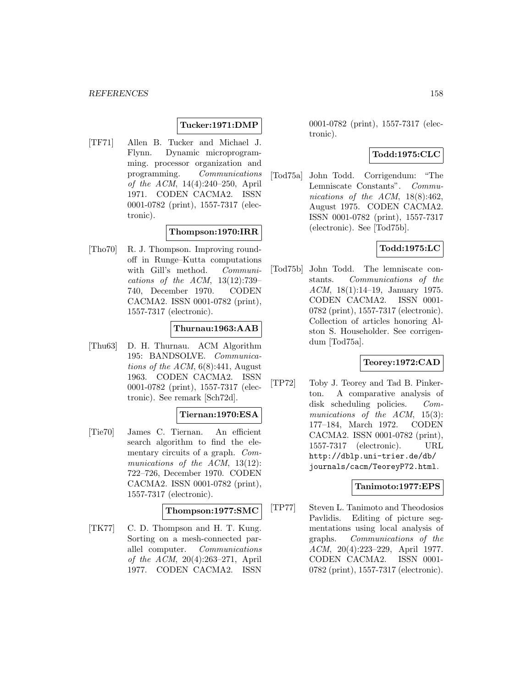#### **Tucker:1971:DMP**

[TF71] Allen B. Tucker and Michael J. Flynn. Dynamic microprogramming. processor organization and programming. Communications of the ACM, 14(4):240–250, April 1971. CODEN CACMA2. ISSN 0001-0782 (print), 1557-7317 (electronic).

#### **Thompson:1970:IRR**

[Tho70] R. J. Thompson. Improving roundoff in Runge–Kutta computations with Gill's method. Communications of the ACM, 13(12):739– 740, December 1970. CODEN CACMA2. ISSN 0001-0782 (print), 1557-7317 (electronic).

#### **Thurnau:1963:AAB**

[Thu63] D. H. Thurnau. ACM Algorithm 195: BANDSOLVE. Communications of the  $ACM$ ,  $6(8)$ :441, August 1963. CODEN CACMA2. ISSN 0001-0782 (print), 1557-7317 (electronic). See remark [Sch72d].

# **Tiernan:1970:ESA**

[Tie70] James C. Tiernan. An efficient search algorithm to find the elementary circuits of a graph. Communications of the ACM, 13(12): 722–726, December 1970. CODEN CACMA2. ISSN 0001-0782 (print), 1557-7317 (electronic).

### **Thompson:1977:SMC**

[TK77] C. D. Thompson and H. T. Kung. Sorting on a mesh-connected parallel computer. Communications of the ACM, 20(4):263–271, April 1977. CODEN CACMA2. ISSN

0001-0782 (print), 1557-7317 (electronic).

### **Todd:1975:CLC**

[Tod75a] John Todd. Corrigendum: "The Lemniscate Constants". Communications of the ACM, 18(8):462, August 1975. CODEN CACMA2. ISSN 0001-0782 (print), 1557-7317 (electronic). See [Tod75b].

### **Todd:1975:LC**

[Tod75b] John Todd. The lemniscate constants. Communications of the ACM, 18(1):14–19, January 1975. CODEN CACMA2. ISSN 0001- 0782 (print), 1557-7317 (electronic). Collection of articles honoring Alston S. Householder. See corrigendum [Tod75a].

## **Teorey:1972:CAD**

[TP72] Toby J. Teorey and Tad B. Pinkerton. A comparative analysis of disk scheduling policies. Communications of the ACM, 15(3): 177–184, March 1972. CODEN CACMA2. ISSN 0001-0782 (print), 1557-7317 (electronic). URL http://dblp.uni-trier.de/db/ journals/cacm/TeoreyP72.html.

#### **Tanimoto:1977:EPS**

[TP77] Steven L. Tanimoto and Theodosios Pavlidis. Editing of picture segmentations using local analysis of graphs. Communications of the ACM, 20(4):223–229, April 1977. CODEN CACMA2. ISSN 0001- 0782 (print), 1557-7317 (electronic).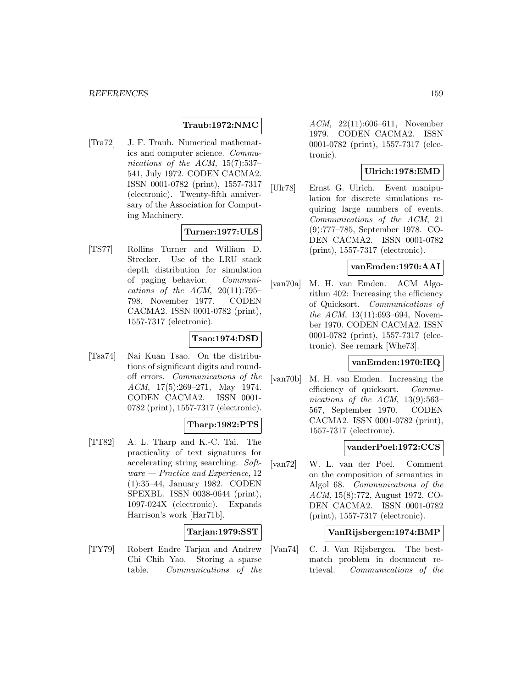### **Traub:1972:NMC**

[Tra72] J. F. Traub. Numerical mathematics and computer science. Communications of the ACM, 15(7):537– 541, July 1972. CODEN CACMA2. ISSN 0001-0782 (print), 1557-7317 (electronic). Twenty-fifth anniversary of the Association for Computing Machinery.

### **Turner:1977:ULS**

[TS77] Rollins Turner and William D. Strecker. Use of the LRU stack depth distribution for simulation of paging behavior. Communications of the ACM,  $20(11):795-$ 798, November 1977. CODEN CACMA2. ISSN 0001-0782 (print), 1557-7317 (electronic).

## **Tsao:1974:DSD**

[Tsa74] Nai Kuan Tsao. On the distributions of significant digits and roundoff errors. Communications of the ACM, 17(5):269–271, May 1974. CODEN CACMA2. ISSN 0001- 0782 (print), 1557-7317 (electronic).

## **Tharp:1982:PTS**

[TT82] A. L. Tharp and K.-C. Tai. The practicality of text signatures for accelerating string searching. Soft $ware - Practice$  and Experience, 12 (1):35–44, January 1982. CODEN SPEXBL. ISSN 0038-0644 (print), 1097-024X (electronic). Expands Harrison's work [Har71b].

### **Tarjan:1979:SST**

[TY79] Robert Endre Tarjan and Andrew Chi Chih Yao. Storing a sparse table. Communications of the

ACM, 22(11):606–611, November 1979. CODEN CACMA2. ISSN 0001-0782 (print), 1557-7317 (electronic).

### **Ulrich:1978:EMD**

[Ulr78] Ernst G. Ulrich. Event manipulation for discrete simulations requiring large numbers of events. Communications of the ACM, 21 (9):777–785, September 1978. CO-DEN CACMA2. ISSN 0001-0782 (print), 1557-7317 (electronic).

#### **vanEmden:1970:AAI**

[van70a] M. H. van Emden. ACM Algorithm 402: Increasing the efficiency of Quicksort. Communications of the ACM, 13(11):693–694, November 1970. CODEN CACMA2. ISSN 0001-0782 (print), 1557-7317 (electronic). See remark [Whe73].

### **vanEmden:1970:IEQ**

[van70b] M. H. van Emden. Increasing the efficiency of quicksort. Communications of the ACM, 13(9):563– 567, September 1970. CODEN CACMA2. ISSN 0001-0782 (print), 1557-7317 (electronic).

#### **vanderPoel:1972:CCS**

[van72] W. L. van der Poel. Comment on the composition of semantics in Algol 68. Communications of the ACM, 15(8):772, August 1972. CO-DEN CACMA2. ISSN 0001-0782 (print), 1557-7317 (electronic).

### **VanRijsbergen:1974:BMP**

[Van74] C. J. Van Rijsbergen. The bestmatch problem in document retrieval. Communications of the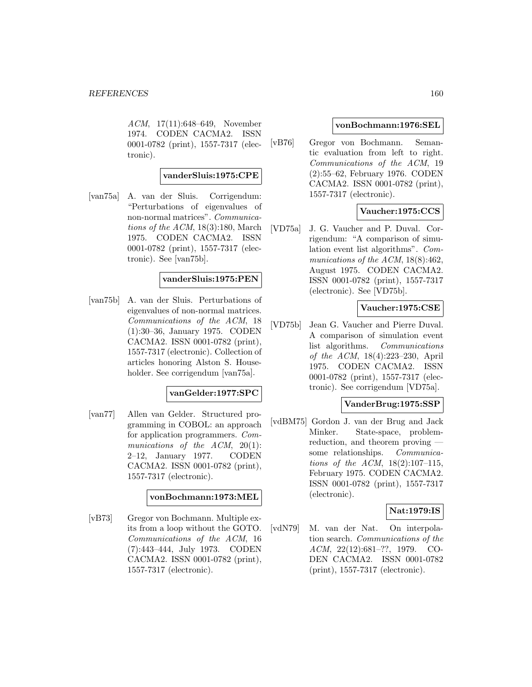ACM, 17(11):648–649, November 1974. CODEN CACMA2. ISSN 0001-0782 (print), 1557-7317 (electronic).

### **vanderSluis:1975:CPE**

[van75a] A. van der Sluis. Corrigendum: "Perturbations of eigenvalues of non-normal matrices". Communications of the  $ACM$ , 18(3):180, March 1975. CODEN CACMA2. ISSN 0001-0782 (print), 1557-7317 (electronic). See [van75b].

#### **vanderSluis:1975:PEN**

[van75b] A. van der Sluis. Perturbations of eigenvalues of non-normal matrices. Communications of the ACM, 18 (1):30–36, January 1975. CODEN CACMA2. ISSN 0001-0782 (print), 1557-7317 (electronic). Collection of articles honoring Alston S. Householder. See corrigendum [van75a].

#### **vanGelder:1977:SPC**

[van77] Allen van Gelder. Structured programming in COBOL: an approach for application programmers. Communications of the  $ACM$ ,  $20(1)$ : 2–12, January 1977. CODEN CACMA2. ISSN 0001-0782 (print), 1557-7317 (electronic).

#### **vonBochmann:1973:MEL**

[vB73] Gregor von Bochmann. Multiple exits from a loop without the GOTO. Communications of the ACM, 16 (7):443–444, July 1973. CODEN CACMA2. ISSN 0001-0782 (print), 1557-7317 (electronic).

#### **vonBochmann:1976:SEL**

[vB76] Gregor von Bochmann. Semantic evaluation from left to right. Communications of the ACM, 19 (2):55–62, February 1976. CODEN CACMA2. ISSN 0001-0782 (print), 1557-7317 (electronic).

### **Vaucher:1975:CCS**

[VD75a] J. G. Vaucher and P. Duval. Corrigendum: "A comparison of simulation event list algorithms". Communications of the ACM, 18(8):462, August 1975. CODEN CACMA2. ISSN 0001-0782 (print), 1557-7317 (electronic). See [VD75b].

### **Vaucher:1975:CSE**

[VD75b] Jean G. Vaucher and Pierre Duval. A comparison of simulation event list algorithms. Communications of the ACM, 18(4):223–230, April 1975. CODEN CACMA2. ISSN 0001-0782 (print), 1557-7317 (electronic). See corrigendum [VD75a].

#### **VanderBrug:1975:SSP**

[vdBM75] Gordon J. van der Brug and Jack Minker. State-space, problemreduction, and theorem proving some relationships. Communications of the ACM, 18(2):107–115, February 1975. CODEN CACMA2. ISSN 0001-0782 (print), 1557-7317 (electronic).

### **Nat:1979:IS**

[vdN79] M. van der Nat. On interpolation search. Communications of the ACM, 22(12):681–??, 1979. CO-DEN CACMA2. ISSN 0001-0782 (print), 1557-7317 (electronic).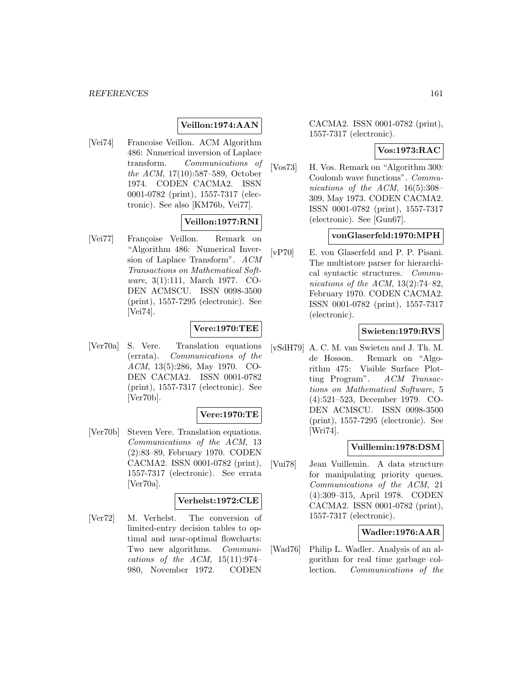### **Veillon:1974:AAN**

[Vei74] Francoise Veillon. ACM Algorithm 486: Numerical inversion of Laplace transform. Communications of the ACM, 17(10):587–589, October 1974. CODEN CACMA2. ISSN 0001-0782 (print), 1557-7317 (electronic). See also [KM76b, Vei77].

# **Veillon:1977:RNI**

[Vei77] Françoise Veillon. Remark on "Algorithm 486: Numerical Inversion of Laplace Transform". ACM Transactions on Mathematical Software, 3(1):111, March 1977. CO-DEN ACMSCU. ISSN 0098-3500 (print), 1557-7295 (electronic). See [Vei74].

# **Vere:1970:TEE**

[Ver70a] S. Vere. Translation equations (errata). Communications of the ACM, 13(5):286, May 1970. CO-DEN CACMA2. ISSN 0001-0782 (print), 1557-7317 (electronic). See [Ver70b].

### **Vere:1970:TE**

[Ver70b] Steven Vere. Translation equations. Communications of the ACM, 13 (2):83–89, February 1970. CODEN CACMA2. ISSN 0001-0782 (print), 1557-7317 (electronic). See errata [Ver70a].

### **Verhelst:1972:CLE**

[Ver72] M. Verhelst. The conversion of limited-entry decision tables to optimal and near-optimal flowcharts: Two new algorithms. Communications of the ACM,  $15(11):974-$ 980, November 1972. CODEN

CACMA2. ISSN 0001-0782 (print), 1557-7317 (electronic).

#### **Vos:1973:RAC**

[Vos73] H. Vos. Remark on "Algorithm 300: Coulomb wave functions". Communications of the ACM, 16(5):308– 309, May 1973. CODEN CACMA2. ISSN 0001-0782 (print), 1557-7317 (electronic). See [Gun67].

#### **vonGlaserfeld:1970:MPH**

[vP70] E. von Glaserfeld and P. P. Pisani. The multistore parser for hierarchical syntactic structures. Communications of the ACM,  $13(2):74-82$ , February 1970. CODEN CACMA2. ISSN 0001-0782 (print), 1557-7317 (electronic).

### **Swieten:1979:RVS**

[vSdH79] A. C. M. van Swieten and J. Th. M. de Hosson. Remark on "Algorithm 475: Visible Surface Plotting Program". ACM Transactions on Mathematical Software, 5 (4):521–523, December 1979. CO-DEN ACMSCU. ISSN 0098-3500 (print), 1557-7295 (electronic). See [Wri74].

#### **Vuillemin:1978:DSM**

[Vui78] Jean Vuillemin. A data structure for manipulating priority queues. Communications of the ACM, 21 (4):309–315, April 1978. CODEN CACMA2. ISSN 0001-0782 (print), 1557-7317 (electronic).

### **Wadler:1976:AAR**

[Wad76] Philip L. Wadler. Analysis of an algorithm for real time garbage collection. Communications of the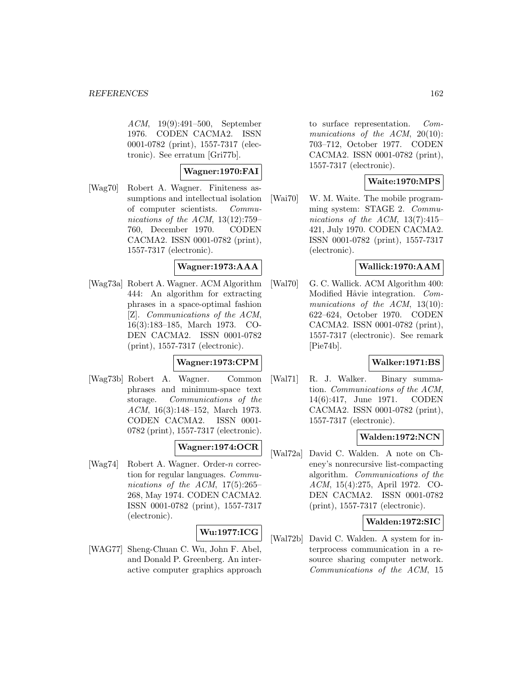ACM, 19(9):491–500, September 1976. CODEN CACMA2. ISSN 0001-0782 (print), 1557-7317 (electronic). See erratum [Gri77b].

### **Wagner:1970:FAI**

[Wag70] Robert A. Wagner. Finiteness assumptions and intellectual isolation of computer scientists. Communications of the ACM, 13(12):759– 760, December 1970. CODEN CACMA2. ISSN 0001-0782 (print), 1557-7317 (electronic).

### **Wagner:1973:AAA**

[Wag73a] Robert A. Wagner. ACM Algorithm 444: An algorithm for extracting phrases in a space-optimal fashion [Z]. Communications of the ACM, 16(3):183–185, March 1973. CO-DEN CACMA2. ISSN 0001-0782 (print), 1557-7317 (electronic).

### **Wagner:1973:CPM**

[Wag73b] Robert A. Wagner. Common phrases and minimum-space text storage. Communications of the ACM, 16(3):148–152, March 1973. CODEN CACMA2. ISSN 0001- 0782 (print), 1557-7317 (electronic).

## **Wagner:1974:OCR**

[Wag74] Robert A. Wagner. Order-n correction for regular languages. Communications of the ACM,  $17(5):265-$ 268, May 1974. CODEN CACMA2. ISSN 0001-0782 (print), 1557-7317 (electronic).

# **Wu:1977:ICG**

[WAG77] Sheng-Chuan C. Wu, John F. Abel, and Donald P. Greenberg. An interactive computer graphics approach to surface representation. Communications of the ACM, 20(10): 703–712, October 1977. CODEN CACMA2. ISSN 0001-0782 (print), 1557-7317 (electronic).

## **Waite:1970:MPS**

[Wai70] W. M. Waite. The mobile programming system: STAGE 2. Communications of the ACM,  $13(7):415-$ 421, July 1970. CODEN CACMA2. ISSN 0001-0782 (print), 1557-7317 (electronic).

### **Wallick:1970:AAM**

[Wal70] G. C. Wallick. ACM Algorithm 400: Modified Håvie integration. Communications of the ACM, 13(10): 622–624, October 1970. CODEN CACMA2. ISSN 0001-0782 (print), 1557-7317 (electronic). See remark [Pie74b].

## **Walker:1971:BS**

[Wal71] R. J. Walker. Binary summation. Communications of the ACM, 14(6):417, June 1971. CODEN CACMA2. ISSN 0001-0782 (print), 1557-7317 (electronic).

### **Walden:1972:NCN**

[Wal72a] David C. Walden. A note on Cheney's nonrecursive list-compacting algorithm. Communications of the ACM, 15(4):275, April 1972. CO-DEN CACMA2. ISSN 0001-0782 (print), 1557-7317 (electronic).

### **Walden:1972:SIC**

[Wal72b] David C. Walden. A system for interprocess communication in a resource sharing computer network. Communications of the ACM, 15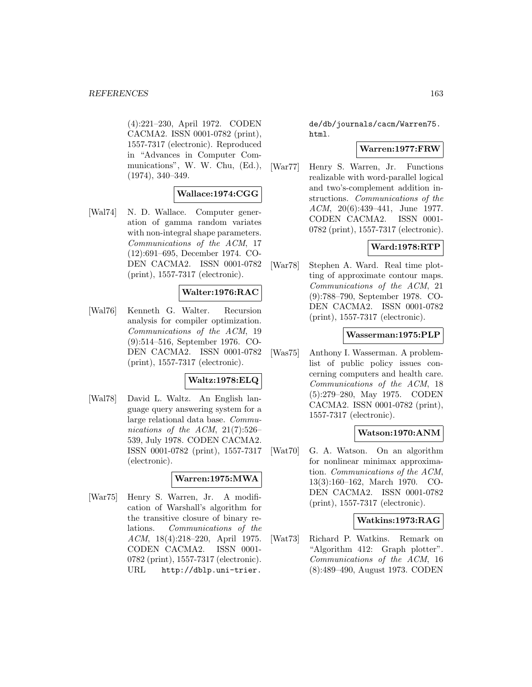(4):221–230, April 1972. CODEN CACMA2. ISSN 0001-0782 (print), 1557-7317 (electronic). Reproduced in "Advances in Computer Communications", W. W. Chu, (Ed.), (1974), 340–349.

### **Wallace:1974:CGG**

[Wal74] N. D. Wallace. Computer generation of gamma random variates with non-integral shape parameters. Communications of the ACM, 17 (12):691–695, December 1974. CO-DEN CACMA2. ISSN 0001-0782 (print), 1557-7317 (electronic).

## **Walter:1976:RAC**

[Wal76] Kenneth G. Walter. Recursion analysis for compiler optimization. Communications of the ACM, 19 (9):514–516, September 1976. CO-DEN CACMA2. ISSN 0001-0782 (print), 1557-7317 (electronic).

### **Waltz:1978:ELQ**

[Wal78] David L. Waltz. An English language query answering system for a large relational data base. Communications of the ACM, 21(7):526– 539, July 1978. CODEN CACMA2. ISSN 0001-0782 (print), 1557-7317 (electronic).

### **Warren:1975:MWA**

[War75] Henry S. Warren, Jr. A modification of Warshall's algorithm for the transitive closure of binary relations. Communications of the ACM, 18(4):218–220, April 1975. CODEN CACMA2. ISSN 0001- 0782 (print), 1557-7317 (electronic). URL http://dblp.uni-trier.

de/db/journals/cacm/Warren75. html.

#### **Warren:1977:FRW**

[War77] Henry S. Warren, Jr. Functions realizable with word-parallel logical and two's-complement addition instructions. Communications of the ACM, 20(6):439–441, June 1977. CODEN CACMA2. ISSN 0001- 0782 (print), 1557-7317 (electronic).

### **Ward:1978:RTP**

[War78] Stephen A. Ward. Real time plotting of approximate contour maps. Communications of the ACM, 21 (9):788–790, September 1978. CO-DEN CACMA2. ISSN 0001-0782 (print), 1557-7317 (electronic).

#### **Wasserman:1975:PLP**

[Was75] Anthony I. Wasserman. A problemlist of public policy issues concerning computers and health care. Communications of the ACM, 18 (5):279–280, May 1975. CODEN CACMA2. ISSN 0001-0782 (print), 1557-7317 (electronic).

### **Watson:1970:ANM**

[Wat70] G. A. Watson. On an algorithm for nonlinear minimax approximation. Communications of the ACM, 13(3):160–162, March 1970. CO-DEN CACMA2. ISSN 0001-0782 (print), 1557-7317 (electronic).

#### **Watkins:1973:RAG**

[Wat73] Richard P. Watkins. Remark on "Algorithm 412: Graph plotter". Communications of the ACM, 16 (8):489–490, August 1973. CODEN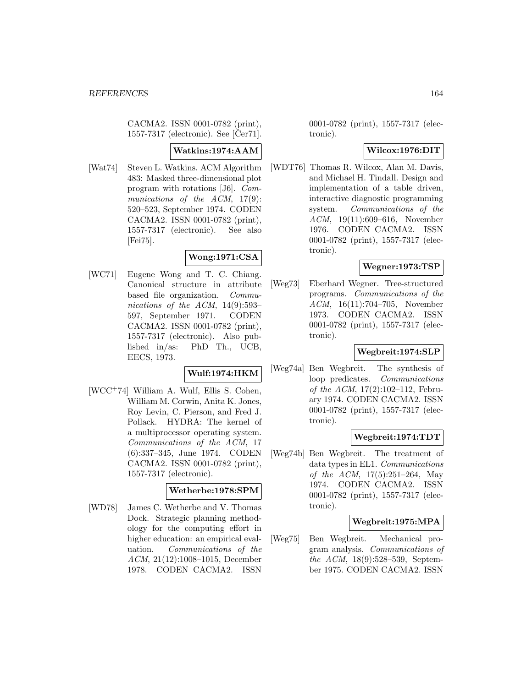CACMA2. ISSN 0001-0782 (print), 1557-7317 (electronic). See  $[\text{Čer71}]$ .

## **Watkins:1974:AAM**

[Wat74] Steven L. Watkins. ACM Algorithm 483: Masked three-dimensional plot program with rotations [J6]. Communications of the ACM, 17(9): 520–523, September 1974. CODEN CACMA2. ISSN 0001-0782 (print), 1557-7317 (electronic). See also [Fei75].

## **Wong:1971:CSA**

[WC71] Eugene Wong and T. C. Chiang. Canonical structure in attribute based file organization. Communications of the ACM, 14(9):593– 597, September 1971. CODEN CACMA2. ISSN 0001-0782 (print), 1557-7317 (electronic). Also published in/as: PhD Th., UCB, EECS, 1973.

### **Wulf:1974:HKM**

[WCC<sup>+</sup>74] William A. Wulf, Ellis S. Cohen, William M. Corwin, Anita K. Jones, Roy Levin, C. Pierson, and Fred J. Pollack. HYDRA: The kernel of a multiprocessor operating system. Communications of the ACM, 17 (6):337–345, June 1974. CODEN CACMA2. ISSN 0001-0782 (print), 1557-7317 (electronic).

### **Wetherbe:1978:SPM**

[WD78] James C. Wetherbe and V. Thomas Dock. Strategic planning methodology for the computing effort in higher education: an empirical evaluation. Communications of the ACM, 21(12):1008–1015, December 1978. CODEN CACMA2. ISSN

0001-0782 (print), 1557-7317 (electronic).

### **Wilcox:1976:DIT**

[WDT76] Thomas R. Wilcox, Alan M. Davis, and Michael H. Tindall. Design and implementation of a table driven, interactive diagnostic programming system. Communications of the ACM, 19(11):609–616, November 1976. CODEN CACMA2. ISSN 0001-0782 (print), 1557-7317 (electronic).

### **Wegner:1973:TSP**

[Weg73] Eberhard Wegner. Tree-structured programs. Communications of the ACM, 16(11):704–705, November 1973. CODEN CACMA2. ISSN 0001-0782 (print), 1557-7317 (electronic).

### **Wegbreit:1974:SLP**

[Weg74a] Ben Wegbreit. The synthesis of loop predicates. Communications of the ACM, 17(2):102–112, February 1974. CODEN CACMA2. ISSN 0001-0782 (print), 1557-7317 (electronic).

### **Wegbreit:1974:TDT**

[Weg74b] Ben Wegbreit. The treatment of data types in EL1. Communications of the ACM, 17(5):251–264, May 1974. CODEN CACMA2. ISSN 0001-0782 (print), 1557-7317 (electronic).

### **Wegbreit:1975:MPA**

[Weg75] Ben Wegbreit. Mechanical program analysis. Communications of the ACM, 18(9):528–539, September 1975. CODEN CACMA2. ISSN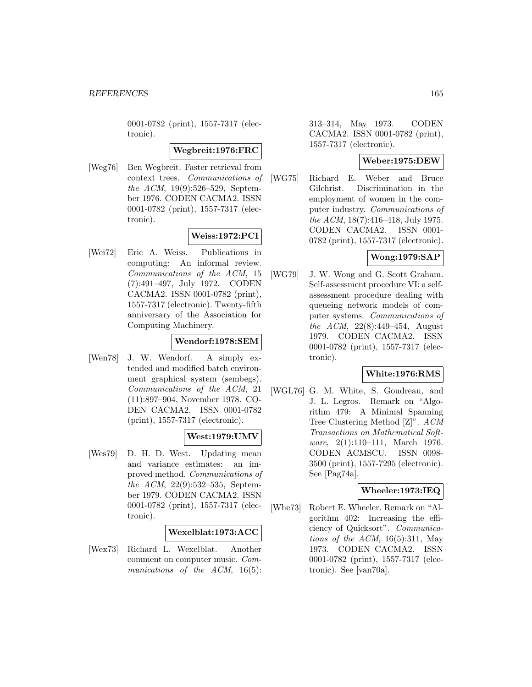0001-0782 (print), 1557-7317 (electronic).

### **Wegbreit:1976:FRC**

[Weg76] Ben Wegbreit. Faster retrieval from context trees. Communications of the ACM, 19(9):526–529, September 1976. CODEN CACMA2. ISSN 0001-0782 (print), 1557-7317 (electronic).

### **Weiss:1972:PCI**

[Wei72] Eric A. Weiss. Publications in computing: An informal review. Communications of the ACM, 15 (7):491–497, July 1972. CODEN CACMA2. ISSN 0001-0782 (print), 1557-7317 (electronic). Twenty-fifth anniversary of the Association for Computing Machinery.

## **Wendorf:1978:SEM**

[Wen78] J. W. Wendorf. A simply extended and modified batch environment graphical system (sembegs). Communications of the ACM, 21 (11):897–904, November 1978. CO-DEN CACMA2. ISSN 0001-0782 (print), 1557-7317 (electronic).

## **West:1979:UMV**

[Wes79] D. H. D. West. Updating mean and variance estimates: an improved method. Communications of the ACM, 22(9):532–535, September 1979. CODEN CACMA2. ISSN 0001-0782 (print), 1557-7317 (electronic).

### **Wexelblat:1973:ACC**

[Wex73] Richard L. Wexelblat. Another comment on computer music. Communications of the ACM, 16(5): 313–314, May 1973. CODEN CACMA2. ISSN 0001-0782 (print), 1557-7317 (electronic).

### **Weber:1975:DEW**

[WG75] Richard E. Weber and Bruce Gilchrist. Discrimination in the employment of women in the computer industry. Communications of the ACM, 18(7):416–418, July 1975. CODEN CACMA2. ISSN 0001- 0782 (print), 1557-7317 (electronic).

# **Wong:1979:SAP**

[WG79] J. W. Wong and G. Scott Graham. Self-assessment procedure VI: a selfassessment procedure dealing with queueing network models of computer systems. Communications of the ACM, 22(8):449–454, August 1979. CODEN CACMA2. ISSN 0001-0782 (print), 1557-7317 (electronic).

### **White:1976:RMS**

[WGL76] G. M. White, S. Goudreau, and J. L. Legros. Remark on "Algorithm 479: A Minimal Spanning Tree Clustering Method [Z]". ACM Transactions on Mathematical Software, 2(1):110-111, March 1976. CODEN ACMSCU. ISSN 0098- 3500 (print), 1557-7295 (electronic). See [Pag74a].

### **Wheeler:1973:IEQ**

[Whe73] Robert E. Wheeler. Remark on "Algorithm 402: Increasing the efficiency of Quicksort". Communications of the ACM,  $16(5):311$ , May 1973. CODEN CACMA2. ISSN 0001-0782 (print), 1557-7317 (electronic). See [van70a].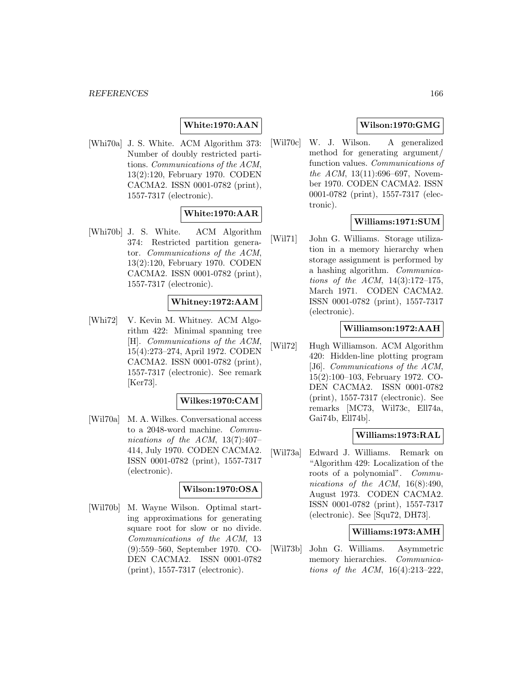## **White:1970:AAN**

[Whi70a] J. S. White. ACM Algorithm 373: Number of doubly restricted partitions. Communications of the ACM, 13(2):120, February 1970. CODEN CACMA2. ISSN 0001-0782 (print), 1557-7317 (electronic).

# **White:1970:AAR**

[Whi70b] J. S. White. ACM Algorithm 374: Restricted partition generator. Communications of the ACM, 13(2):120, February 1970. CODEN CACMA2. ISSN 0001-0782 (print), 1557-7317 (electronic).

### **Whitney:1972:AAM**

[Whi72] V. Kevin M. Whitney. ACM Algorithm 422: Minimal spanning tree [H]. Communications of the ACM, 15(4):273–274, April 1972. CODEN CACMA2. ISSN 0001-0782 (print), 1557-7317 (electronic). See remark [Ker73].

#### **Wilkes:1970:CAM**

[Wil70a] M. A. Wilkes. Conversational access to a 2048-word machine. Communications of the ACM, 13(7):407– 414, July 1970. CODEN CACMA2. ISSN 0001-0782 (print), 1557-7317 (electronic).

#### **Wilson:1970:OSA**

[Wil70b] M. Wayne Wilson. Optimal starting approximations for generating square root for slow or no divide. Communications of the ACM, 13 (9):559–560, September 1970. CO-DEN CACMA2. ISSN 0001-0782 (print), 1557-7317 (electronic).

### **Wilson:1970:GMG**

[Wil70c] W. J. Wilson. A generalized method for generating argument/ function values. Communications of the ACM,  $13(11):696-697$ , November 1970. CODEN CACMA2. ISSN 0001-0782 (print), 1557-7317 (electronic).

### **Williams:1971:SUM**

[Wil71] John G. Williams. Storage utilization in a memory hierarchy when storage assignment is performed by a hashing algorithm. Communications of the ACM, 14(3):172–175, March 1971. CODEN CACMA2. ISSN 0001-0782 (print), 1557-7317 (electronic).

### **Williamson:1972:AAH**

[Wil72] Hugh Williamson. ACM Algorithm 420: Hidden-line plotting program [J6]. Communications of the ACM, 15(2):100–103, February 1972. CO-DEN CACMA2. ISSN 0001-0782 (print), 1557-7317 (electronic). See remarks [MC73, Wil73c, Ell74a, Gai74b, Ell74b].

#### **Williams:1973:RAL**

[Wil73a] Edward J. Williams. Remark on "Algorithm 429: Localization of the roots of a polynomial". Communications of the ACM, 16(8):490, August 1973. CODEN CACMA2. ISSN 0001-0782 (print), 1557-7317 (electronic). See [Squ72, DH73].

### **Williams:1973:AMH**

[Wil73b] John G. Williams. Asymmetric memory hierarchies. Communications of the ACM, 16(4):213–222,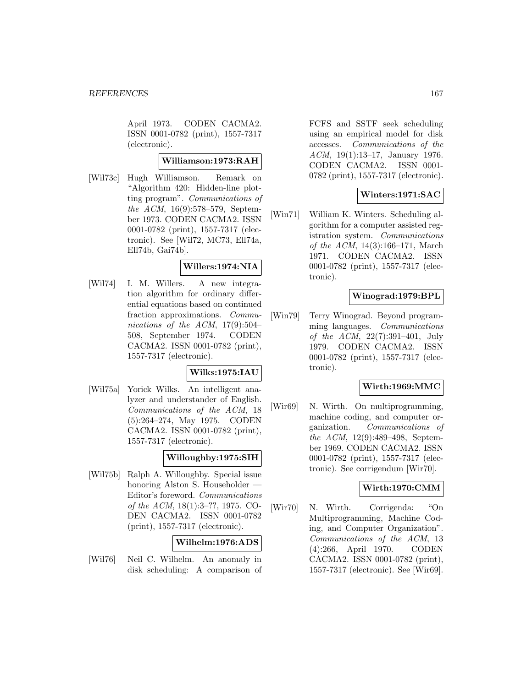April 1973. CODEN CACMA2. ISSN 0001-0782 (print), 1557-7317 (electronic).

### **Williamson:1973:RAH**

[Wil73c] Hugh Williamson. Remark on "Algorithm 420: Hidden-line plotting program". Communications of the ACM, 16(9):578–579, September 1973. CODEN CACMA2. ISSN 0001-0782 (print), 1557-7317 (electronic). See [Wil72, MC73, Ell74a, Ell74b, Gai74b].

### **Willers:1974:NIA**

[Wil74] I. M. Willers. A new integration algorithm for ordinary differential equations based on continued fraction approximations. Communications of the ACM,  $17(9):504-$ 508, September 1974. CODEN CACMA2. ISSN 0001-0782 (print), 1557-7317 (electronic).

### **Wilks:1975:IAU**

[Wil75a] Yorick Wilks. An intelligent analyzer and understander of English. Communications of the ACM, 18 (5):264–274, May 1975. CODEN CACMA2. ISSN 0001-0782 (print), 1557-7317 (electronic).

### **Willoughby:1975:SIH**

[Wil75b] Ralph A. Willoughby. Special issue honoring Alston S. Householder — Editor's foreword. Communications of the ACM, 18(1):3–??, 1975. CO-DEN CACMA2. ISSN 0001-0782 (print), 1557-7317 (electronic).

### **Wilhelm:1976:ADS**

[Wil76] Neil C. Wilhelm. An anomaly in disk scheduling: A comparison of

FCFS and SSTF seek scheduling using an empirical model for disk accesses. Communications of the ACM, 19(1):13–17, January 1976. CODEN CACMA2. ISSN 0001- 0782 (print), 1557-7317 (electronic).

## **Winters:1971:SAC**

[Win71] William K. Winters. Scheduling algorithm for a computer assisted registration system. Communications of the ACM, 14(3):166–171, March 1971. CODEN CACMA2. ISSN 0001-0782 (print), 1557-7317 (electronic).

### **Winograd:1979:BPL**

[Win79] Terry Winograd. Beyond programming languages. Communications of the ACM, 22(7):391–401, July 1979. CODEN CACMA2. ISSN 0001-0782 (print), 1557-7317 (electronic).

### **Wirth:1969:MMC**

[Wir69] N. Wirth. On multiprogramming, machine coding, and computer organization. Communications of the ACM, 12(9):489–498, September 1969. CODEN CACMA2. ISSN 0001-0782 (print), 1557-7317 (electronic). See corrigendum [Wir70].

#### **Wirth:1970:CMM**

[Wir70] N. Wirth. Corrigenda: "On Multiprogramming, Machine Coding, and Computer Organization". Communications of the ACM, 13 (4):266, April 1970. CODEN CACMA2. ISSN 0001-0782 (print), 1557-7317 (electronic). See [Wir69].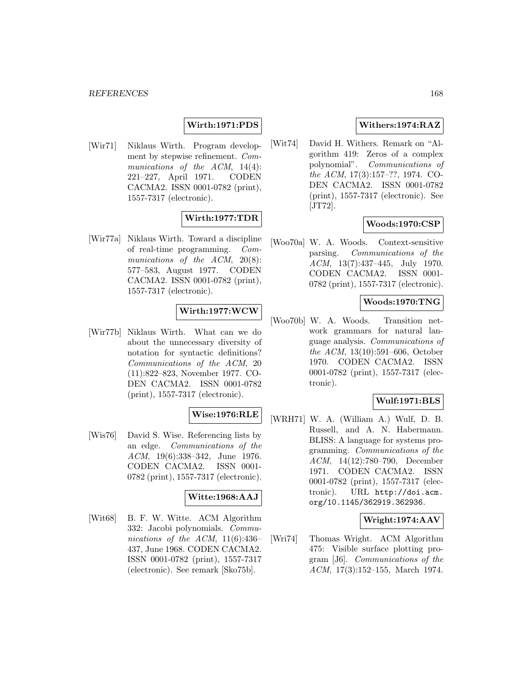### **Wirth:1971:PDS**

[Wir71] Niklaus Wirth. Program development by stepwise refinement. Communications of the ACM, 14(4): 221–227, April 1971. CODEN CACMA2. ISSN 0001-0782 (print), 1557-7317 (electronic).

### **Wirth:1977:TDR**

[Wir77a] Niklaus Wirth. Toward a discipline of real-time programming. Communications of the ACM, 20(8): 577–583, August 1977. CODEN CACMA2. ISSN 0001-0782 (print), 1557-7317 (electronic).

#### **Wirth:1977:WCW**

[Wir77b] Niklaus Wirth. What can we do about the unnecessary diversity of notation for syntactic definitions? Communications of the ACM, 20 (11):822–823, November 1977. CO-DEN CACMA2. ISSN 0001-0782 (print), 1557-7317 (electronic).

## **Wise:1976:RLE**

[Wis76] David S. Wise. Referencing lists by an edge. Communications of the ACM, 19(6):338–342, June 1976. CODEN CACMA2. ISSN 0001- 0782 (print), 1557-7317 (electronic).

### **Witte:1968:AAJ**

[Wit68] B. F. W. Witte. ACM Algorithm 332: Jacobi polynomials. Communications of the ACM,  $11(6):436-$ 437, June 1968. CODEN CACMA2. ISSN 0001-0782 (print), 1557-7317 (electronic). See remark [Sko75b].

### **Withers:1974:RAZ**

[Wit74] David H. Withers. Remark on "Algorithm 419: Zeros of a complex polynomial". Communications of the ACM, 17(3):157–??, 1974. CO-DEN CACMA2. ISSN 0001-0782 (print), 1557-7317 (electronic). See [JT72].

### **Woods:1970:CSP**

[Woo70a] W. A. Woods. Context-sensitive parsing. Communications of the ACM, 13(7):437–445, July 1970. CODEN CACMA2. ISSN 0001- 0782 (print), 1557-7317 (electronic).

### **Woods:1970:TNG**

[Woo70b] W. A. Woods. Transition network grammars for natural language analysis. Communications of the ACM, 13(10):591–606, October 1970. CODEN CACMA2. ISSN 0001-0782 (print), 1557-7317 (electronic).

### **Wulf:1971:BLS**

[WRH71] W. A. (William A.) Wulf, D. B. Russell, and A. N. Habermann. BLISS: A language for systems programming. Communications of the ACM, 14(12):780–790, December 1971. CODEN CACMA2. ISSN 0001-0782 (print), 1557-7317 (electronic). URL http://doi.acm. org/10.1145/362919.362936.

#### **Wright:1974:AAV**

[Wri74] Thomas Wright. ACM Algorithm 475: Visible surface plotting program [J6]. Communications of the ACM, 17(3):152–155, March 1974.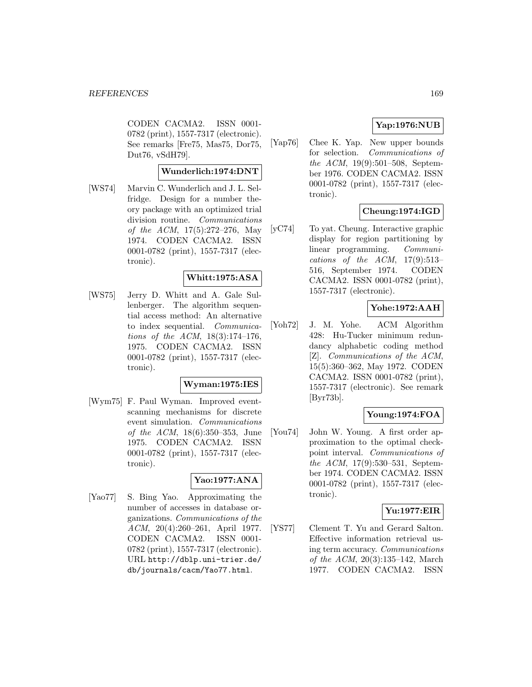CODEN CACMA2. ISSN 0001- 0782 (print), 1557-7317 (electronic). See remarks [Fre75, Mas75, Dor75, Dut76, vSdH79].

### **Wunderlich:1974:DNT**

[WS74] Marvin C. Wunderlich and J. L. Selfridge. Design for a number theory package with an optimized trial division routine. Communications of the ACM, 17(5):272–276, May 1974. CODEN CACMA2. ISSN 0001-0782 (print), 1557-7317 (electronic).

### **Whitt:1975:ASA**

[WS75] Jerry D. Whitt and A. Gale Sullenberger. The algorithm sequential access method: An alternative to index sequential. Communications of the ACM, 18(3):174–176, 1975. CODEN CACMA2. ISSN 0001-0782 (print), 1557-7317 (electronic).

### **Wyman:1975:IES**

[Wym75] F. Paul Wyman. Improved eventscanning mechanisms for discrete event simulation. Communications of the ACM, 18(6):350–353, June 1975. CODEN CACMA2. ISSN 0001-0782 (print), 1557-7317 (electronic).

## **Yao:1977:ANA**

[Yao77] S. Bing Yao. Approximating the number of accesses in database organizations. Communications of the ACM, 20(4):260–261, April 1977. CODEN CACMA2. ISSN 0001- 0782 (print), 1557-7317 (electronic). URL http://dblp.uni-trier.de/ db/journals/cacm/Yao77.html.

## **Yap:1976:NUB**

[Yap76] Chee K. Yap. New upper bounds for selection. Communications of the ACM, 19(9):501–508, September 1976. CODEN CACMA2. ISSN 0001-0782 (print), 1557-7317 (electronic).

## **Cheung:1974:IGD**

[yC74] To yat. Cheung. Interactive graphic display for region partitioning by linear programming. Communications of the ACM,  $17(9):513-$ 516, September 1974. CODEN CACMA2. ISSN 0001-0782 (print), 1557-7317 (electronic).

### **Yohe:1972:AAH**

[Yoh72] J. M. Yohe. ACM Algorithm 428: Hu-Tucker minimum redundancy alphabetic coding method [Z]. Communications of the ACM, 15(5):360–362, May 1972. CODEN CACMA2. ISSN 0001-0782 (print), 1557-7317 (electronic). See remark [Byr73b].

# **Young:1974:FOA**

[You74] John W. Young. A first order approximation to the optimal checkpoint interval. Communications of the ACM, 17(9):530–531, September 1974. CODEN CACMA2. ISSN 0001-0782 (print), 1557-7317 (electronic).

### **Yu:1977:EIR**

[YS77] Clement T. Yu and Gerard Salton. Effective information retrieval using term accuracy. Communications of the ACM, 20(3):135–142, March 1977. CODEN CACMA2. ISSN